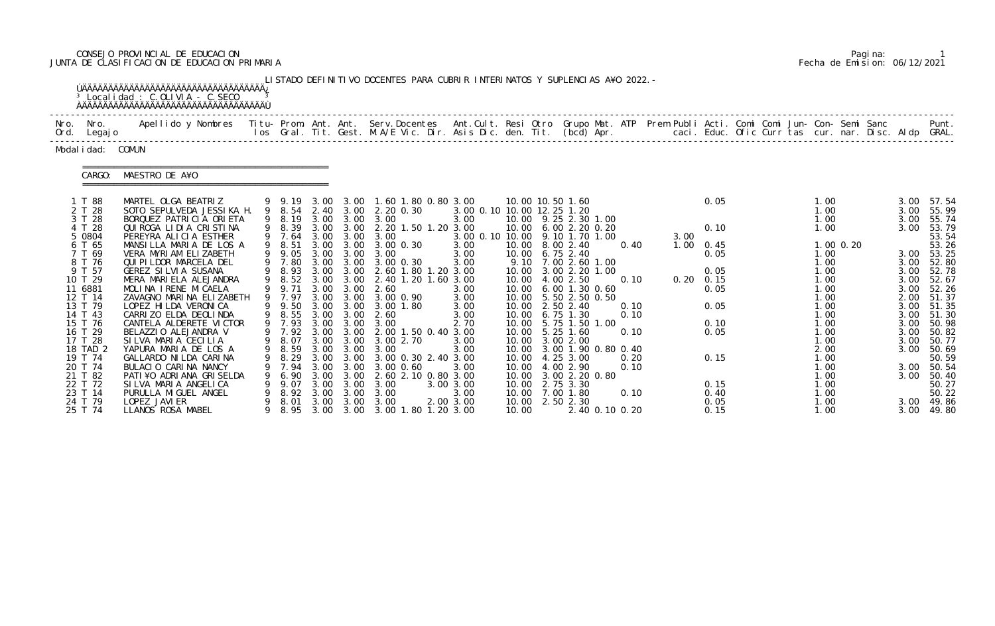# CONSEJO PROVINCIAL DE EDUCACION Pagina: 1 JUNTA DE CLASIFICACION DE EDUCACION PRIMARIA Fecha de Emision: 06/12/2021

|                                                    | <sup>3</sup> Localidad : C.OLIVIA - C.SECO                                                                                                                                                                                        |   |                                                |      |                           | LISTADO DEFINITIVO DOCENTES PARA CUBRIR INTERINATOS Y SUPLENCIAS A¥O 2022. –                                                   |                                    |       |                                                                                                                  |              |      |                                           |                                      |                              |                                                |
|----------------------------------------------------|-----------------------------------------------------------------------------------------------------------------------------------------------------------------------------------------------------------------------------------|---|------------------------------------------------|------|---------------------------|--------------------------------------------------------------------------------------------------------------------------------|------------------------------------|-------|------------------------------------------------------------------------------------------------------------------|--------------|------|-------------------------------------------|--------------------------------------|------------------------------|------------------------------------------------|
| Nro. Nro.<br>Ord. Legajo                           | Apellido y Nombres - Titu- Prom. Ant. Ant. Serv.Docentes - Ant.Cult. Resi Otro Grupo Mat. ATP Prem Publi Acti. Comi Comi Jun- Con- Semi Sanc - - Punt.<br>Ios Gral. Tit. Gest. M.A/E Vic. Dir. Asis Dic. den. Tit. (bcd) Apr. - - |   |                                                |      |                           |                                                                                                                                |                                    |       |                                                                                                                  |              |      |                                           |                                      |                              |                                                |
| Modal i dad: COMUN                                 |                                                                                                                                                                                                                                   |   |                                                |      |                           |                                                                                                                                |                                    |       |                                                                                                                  |              |      |                                           |                                      |                              |                                                |
| CARGO:                                             | :=====================================<br>MAESTRO DE A¥O                                                                                                                                                                          |   |                                                |      |                           |                                                                                                                                |                                    |       |                                                                                                                  |              |      |                                           |                                      |                              |                                                |
| 1 T 88<br>2 T 28<br>3 T 28<br>4 T 28               | MARTEL OLGA BEATRIZ<br>SOTO SEPULVEDA JESSIKA H.<br>BORQUEZ PATRICIA ORIETA<br>QUIROGA LIDIA CRISTINA                                                                                                                             |   | 9 8.19<br>9 8.39                               |      |                           | 9 9.19 3.00 3.00 1.60 1.80 0.80 3.00<br>9 8.54 2.40 3.00 2.20 0.30<br>3.00 3.00 3.00<br>3.00 3.00 2.20 1.50 1.20 3.00          | 3.00 0.10 10.00 12.25 1.20<br>3.00 |       | 10.00 10.50 1.60<br>10.00 9.25 2.30 1.00<br>10.00 6.00 2.20 0.20                                                 |              |      | 0.05<br>0.10                              | 1.00<br>1.00<br>1.00<br>1.00         | 3.00<br>3.00<br>3.00<br>3.00 | 57.54<br>55.99<br>55.74<br>53.79               |
| 5 0804<br>6 T 65<br>7 T 69<br>8 T 76               | PEREYRA ALICIA ESTHER<br>MANSILLA MARIA DE LOS A<br>VERA MYRIAM ELIZABETH<br>QUI PI LDOR MARCELA DEL                                                                                                                              |   | 9 8.51<br>9 7.80                               |      |                           | 9 7.64 3.00 3.00 3.00<br>3.00 3.00 3.00 0.30<br>9 9.05 3.00 3.00 3.00<br>3.00 3.00 3.00 0.30                                   | 3.00<br>3.00<br>3.00               |       | 3.00 0.10 10.00 9.10 1.70 1.00<br>10.00 8.00 2.40<br>10.00 6.75 2.40<br>9.10 7.00 2.60 1.00                      | 0.40         | 3.00 | $1.00 \t 0.45$<br>0.05                    | $1.00 \, 0.20$<br>1.00<br>1.00       |                              | 53.54<br>53.26<br>3.00 53.25<br>3.00 52.80     |
| 9 T 57<br>10 T 29<br>11 6881<br>12 T 14<br>13 T 79 | GEREZ SILVIA SUSANA<br>MERA MARIELA ALEJANDRA<br>MOLINA IRENE MICAELA<br>ZAVAGNO MARINA ELIZABETH<br>LOPEZ HI LDA VERONI CA                                                                                                       |   | 9 8.93<br>9 8.52<br>9 9.71<br>9 7.97<br>9 9.50 |      |                           | 3.00 3.00 2.60 1.80 1.20 3.00<br>3.00 3.00 2.40 1.20 1.60 3.00<br>3.00 3.00 2.60<br>3.00 3.00 3.00 0.90<br>3.00 3.00 3.00 1.80 | 3.00<br>3.00<br>3.00               |       | 10.00 3.00 2.20 1.00<br>10.00 4.00 2.50<br>10.00 6.00 1.30 0.60<br>10.00   5.50   2.50   0.50<br>10.00 2.50 2.40 | 0.10<br>0.10 |      | 0.05<br>$0.20 \quad 0.15$<br>0.05<br>0.05 | 1.00<br>1.00<br>1.00<br>1.00<br>1.00 | 3.00<br>3.00<br>3.00<br>2.00 | 52.78<br>52.67<br>52.26<br>51.37<br>3.00 51.35 |
| 14 T 43<br>15 T 76<br>16 T 29<br>17 T 28           | CARRIZO ELDA DEOLINDA<br>CANTELA ALDERETE VICTOR<br>BELAZZIO ALEJANDRA V<br>SILVA MARIA CECILIA                                                                                                                                   |   | 9 8.55<br>9 7.93                               |      | 3.00 3.00                 | 2.60<br>3.00 3.00 3.00<br>9 7.92 3.00 3.00 2.00 1.50 0.40 3.00<br>9 8.07 3.00 3.00 3.00 2.70                                   | 3.00<br>2.70<br>3.00               |       | 10.00 6.75 1.30<br>10.00 5.75 1.50 1.00<br>10.00 5.25 1.60<br>10.00 3.00 2.00                                    | 0.10<br>0.10 |      | 0.10<br>0.05                              | 1.00<br>1.00<br>1.00<br>1.00         | 3.00<br>3.00<br>3.00<br>3.00 | 51.30<br>50.98<br>50.82<br>50.77               |
| 18 TAD 2<br>19 T 74<br>20 T 74<br>21 T 82          | YAPURA MARIA DE LOS A<br>GALLARDO NI LDA CARINA<br>BULACIO CARINA NANCY<br>PATI ¥O ADRIANA GRISELDA                                                                                                                               | 9 | 8. 29<br>7.94<br>6.90                          |      |                           | 9 8.59 3.00 3.00 3.00<br>3.00 3.00 3.00 0.30 2.40 3.00<br>3.00 3.00 3.00 0.60<br>3.00 3.00 2.60 2.10 0.80 3.00                 | 3.00<br>3.00                       |       | 10.00 3.00 1.90 0.80 0.40<br>10.00 4.25 3.00<br>10.00 4.00 2.90<br>10.00 3.00 2.20 0.80                          | 0.20<br>0.10 |      | .<br>0.15                                 | 2.00<br>1.00<br>1.00<br>1.00         | 3.00<br>3.00<br>3.00         | 50.69<br>50.59<br>50.54<br>50.40               |
| 22 T 72<br>23 T 14<br>24 T 79<br>25 T 74           | SILVA MARIA ANGELICA<br>PURULLA MI GUEL ANGEL<br>LOPEZ JAVI ER<br>LLANOS ROSA MABEL                                                                                                                                               |   | 9.07<br>8.92<br>8. 01                          | 3.00 | $3.00 \quad 3.00$<br>3.00 | 3.00<br>3.00<br>3.00 3.00 3.00<br>8.95 3.00 3.00 3.00 1.80 1.20 3.00                                                           | 3.00 3.00<br>3.00<br>2.00 3.00     | 10.00 | 10.00 2.75 3.30<br>10.00 7.00 1.80<br>10.00 2.50 2.30<br>2.40 0.10 0.20                                          | 0.10         |      | 0.15<br>0.40<br>0.05<br>0.15              | 1.00<br>1.00<br>1.00<br>1.00         |                              | 50.27<br>50.22<br>3.00 49.86<br>3.00 49.80     |

|  | Pagi na: |                              |
|--|----------|------------------------------|
|  |          | Fecha de Emision: 06/12/2021 |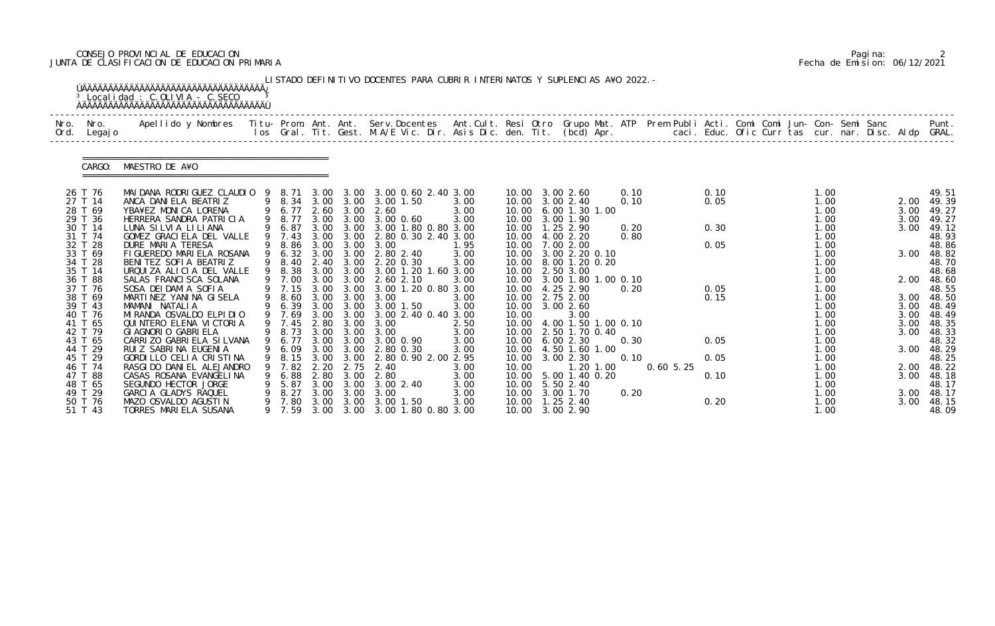# CONSEJO PROVINCIAL DE EDUCACION Pagina: 2 JUNTA DE CLASIFICACION DE EDUCACION PRIMARIA Fecha de Emision: 06/12/2021

|      |                     | <sup>3</sup> Localidad : C.OLIVIA - C.SECO                                                                                                                                                                                        |   |                  |              |              | LISTADO DEFINITIVO DOCENTES PARA CUBRIR INTERINATOS Y SUPLENCIAS A¥O 2022. - |              |       |                                              |      |              |      |  |              |  |              |                     |
|------|---------------------|-----------------------------------------------------------------------------------------------------------------------------------------------------------------------------------------------------------------------------------|---|------------------|--------------|--------------|------------------------------------------------------------------------------|--------------|-------|----------------------------------------------|------|--------------|------|--|--------------|--|--------------|---------------------|
| Nro. | Nro.<br>Ord. Legajo | Apellido y Nombres - Titu- Prom. Ant. Ant. Serv.Docentes - Ant.Cult. Resi Otro Grupo Mat. ATP Prem Publi Acti. Comi Comi Jun- Con- Semi Sanc - - - - Punt.<br>Ios Gral. Tit. Gest. M.A/E Vic. Dir. Asis Dic. den. Tit. (bcd) Apr. |   |                  |              |              |                                                                              |              |       |                                              |      |              |      |  |              |  |              |                     |
|      | CARGO:              | MAESTRO DE A¥O                                                                                                                                                                                                                    |   |                  |              |              |                                                                              |              |       |                                              |      |              |      |  |              |  |              |                     |
|      | 26 T 76             | MAI DANA RODRI GUEZ CLAUDI 0 9 8.71 3.00 3.00 3.00 0.60 2.40 3.00                                                                                                                                                                 |   |                  |              |              |                                                                              |              |       | 10.00 3.00 2.60                              | 0.10 |              | 0.10 |  | 1.00         |  |              | 49.51               |
|      | 27 T 14<br>28 T 69  | ANCA DANIELA BEATRIZ<br>YBA¥EZ MONICA LORENA                                                                                                                                                                                      |   | 9 6.77           |              | 2.60 3.00    | 9 8.34 3.00 3.00 3.00 1.50<br>2.60                                           | 3.00<br>3.00 |       | 10.00 3.00 2.40<br>10.00 6.00 1.30 1.00      | 0.10 |              | 0.05 |  | 1.00<br>1.00 |  | 3.00         | 2.00 49.39          |
|      | 29 T 36             | HERRERA SANDRA PATRICIA                                                                                                                                                                                                           |   | 9 8.77           |              |              | 3.00 3.00 3.00 0.60                                                          | 3.00         |       | 10.00 3.00 1.90                              |      |              |      |  | 1.00         |  | 3.00         | 49.27<br>49.27      |
|      | 30 T 14             | LUNA SILVIA LILIANA                                                                                                                                                                                                               |   | 9 6.87           |              |              | 3.00 3.00 3.00 1.80 0.80 3.00                                                |              |       | 10.00  1.25  2.90                            | 0.20 |              | 0.30 |  | 1.00         |  | 3.00         | 49.12               |
|      | 31 T 74<br>32 T 28  | GOMEZ GRACIELA DEL VALLE<br>DURE MARIA TERESA                                                                                                                                                                                     |   | 9 7.43           | 3.00         | 3.00         | 2.80 0.30 2.40 3.00<br>9 8.86 3.00 3.00 3.00                                 | 1.95         | 10.00 | 4.00 2.20<br>10.00 7.00 2.00                 | 0.80 |              | 0.05 |  | 1.00<br>1.00 |  |              | 48.93<br>48.86      |
|      | 33 T 69             | FIGUEREDO MARIELA ROSANA                                                                                                                                                                                                          |   |                  |              |              | 9 6.32 3.00 3.00 2.80 2.40                                                   | 3.00         |       | 10.00 3.00 2.20 0.10                         |      |              |      |  | 1.00         |  | 3.00         | 48.82               |
|      | 34 T 28             | BENITEZ SOFIA BEATRIZ                                                                                                                                                                                                             |   | 9 8.40           |              | 2.40 3.00    | 2.20 0.30                                                                    | 3.00         |       | 10.00 8.00 1.20 0.20                         |      |              |      |  | 1.00         |  |              | 48.70               |
|      | 35 T 14<br>36 T 88  | URQUIZA ALICIA DEL VALLE<br>SALAS FRANCI SCA SOLANA                                                                                                                                                                               |   | 9 8.38<br>9 7.00 |              |              | 3.00 3.00 3.00 1.20 1.60 3.00<br>3.00 3.00 2.60 2.10                         | 3.00         |       | 10.00 2.50 3.00<br>10.00 3.00 1.80 1.00 0.10 |      |              |      |  | 1.00<br>1.00 |  | 2.00         | 48.68<br>48.60      |
|      | 37 T 76             | SOSA DEI DAMI A SOFIA                                                                                                                                                                                                             |   | 9 7.15           |              | 3.00 3.00    | 3.00 1.20 0.80 3.00                                                          |              |       | 10.00 4.25 2.90                              | 0.20 |              | 0.05 |  | 1.00         |  |              | 48.55               |
|      | 38 T 69             | MARTINEZ YANINA GISELA                                                                                                                                                                                                            |   | 9 8.60 3.00 3.00 |              |              | 3.00                                                                         | 3.00         |       | 10.00 2.75 2.00                              |      |              | 0.15 |  | 1.00         |  |              | 3.00 48.50          |
|      | 39 T 43<br>40 T 76  | MAMANI NATALIA<br>MI RANDA OSVALDO ELPI DI O                                                                                                                                                                                      |   | 9 6.39<br>9 7.69 |              | 3.00 3.00    | 3.00 3.00 3.00 1.50<br>3.00 2.40 0.40 3.00                                   | 3.00         | 10.00 | 10.00 3.00 2.60<br>3.00                      |      |              |      |  | 1.00<br>1.00 |  | 3.00<br>3.00 | 48.49<br>48.49      |
|      | 41 T 65             | QUI NTERO ELENA VI CTORI A                                                                                                                                                                                                        |   | 9 7.45           |              |              | 2.80 3.00 3.00                                                               | 2.50         |       | 10.00 4.00 1.50 1.00 0.10                    |      |              |      |  | 1.00         |  | 3.00         | 48.35               |
|      | 42 T 79             | GI AGNORIO GABRI ELA                                                                                                                                                                                                              |   |                  |              |              | 9 8.73 3.00 3.00 3.00                                                        | 3.00         |       | 10.00 2.50 1.70 0.40                         |      |              |      |  | 1.00         |  | 3.00         | 48.33               |
|      | 43 T 65<br>44 T 29  | CARRIZO GABRIELA SILVANA<br>RUIZ SABRINA EUGENIA                                                                                                                                                                                  |   | 9 6.77           |              |              | 3.00 3.00 3.00 0.90<br>9 6.09 3.00 3.00 2.80 0.30                            | 3.00<br>3.00 |       | 10.00 6.00 2.30<br>10.00 4.50 1.60 1.00      | 0.30 |              | 0.05 |  | 1.00<br>1.00 |  |              | 48.32<br>3.00 48.29 |
|      | 45 T 29             | GORDILLO CELIA CRISTINA                                                                                                                                                                                                           | 9 | 8.15             | 3.00         | 3.00         | 2.80 0.90 2.00 2.95                                                          |              | 10.00 | 3.00 2.30                                    | 0.10 |              | 0.05 |  | 1.00         |  |              | 48.25               |
|      | 46 T 74             | RASGI DO DANI EL ALEJANDRO                                                                                                                                                                                                        |   | 7.82             | 2.20         | 2.75         | 2.40                                                                         | 3.00         | 10.00 | 1.20 1.00                                    |      | $0.60\,5.25$ |      |  | 1.00         |  | 2.00         | 48.22               |
|      | 47 T 88<br>48 T 65  | CASAS ROSANA EVANGELINA<br>SEGUNDO HECTOR JORGE                                                                                                                                                                                   |   | 6.88<br>5.87     | 2.80<br>3.00 | 3.00<br>3.00 | 2.80<br>3.002.40                                                             | 3.00<br>3.00 |       | 10.00 5.00 1.40 0.20<br>10.00 5.50 2.40      |      |              | 0.10 |  | 1.00<br>1.00 |  | 3.00         | 48.18<br>48.17      |
|      | 49 T 29             | GARCIA GLADYS RAQUEL                                                                                                                                                                                                              |   | 8.27             | 3.00         | 3.00         | 3.00                                                                         | 3.00         |       | 10.00 3.00 1.70                              | 0.20 |              |      |  | 1.00         |  | 3.00         | 48.17               |
|      | 50 T 76             | MAZO OSVALDO AGUSTIN                                                                                                                                                                                                              |   | 7.80             | 3.00         | 3.00         | $3.00$ 1.50                                                                  | 3.00         |       | 10.00  1.25  2.40                            |      |              | 0.20 |  | 1.00         |  | 3.00         | 48.15               |
|      | 51 T 43             | TORRES MARIELA SUSANA                                                                                                                                                                                                             |   | 9 7.59           |              |              | 3.00 3.00 3.00 1.80 0.80 3.00                                                |              |       | 10.00 3.00 2.90                              |      |              |      |  | 1.00         |  |              | 48.09               |

|  | Pagi na: |                              |
|--|----------|------------------------------|
|  |          | Fecha de Emision: 06/12/2021 |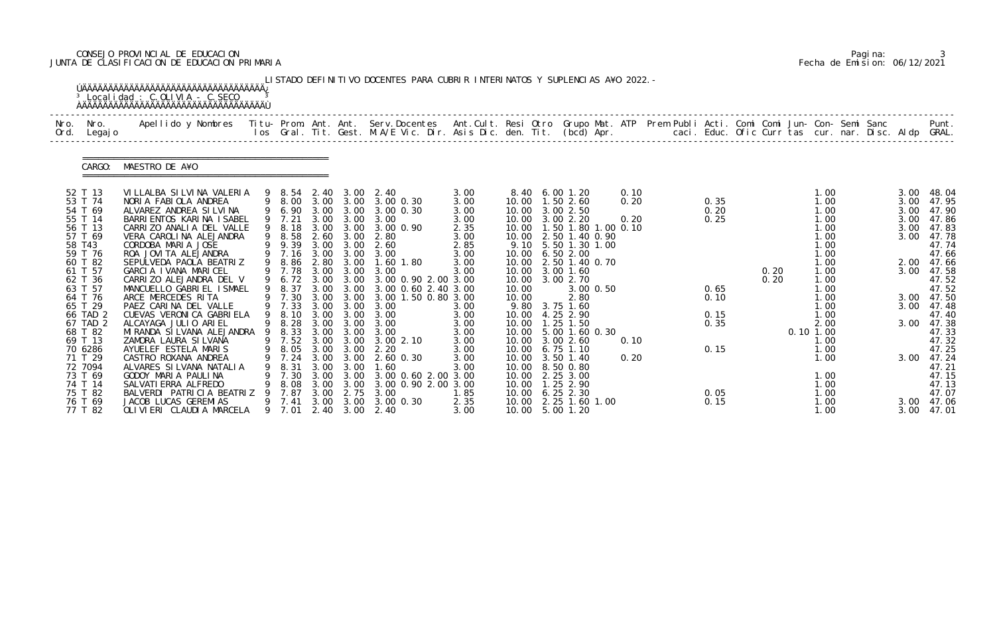# CONSEJO PROVINCIAL DE EDUCACION Pagina: 3 JUNTA DE CLASIFICACION DE EDUCACION PRIMARIA Fecha de Emision: 06/12/2021

|                                                                                                                                                                                                                                                 | <sup>3</sup> Localidad : C.OLIVIA - C.SECO                                                                                                                                                                                                                                                                                                                                                                                                                                                                                                                                                 |                                                                                                                                                                  |                                                      |                                                                                                          | LISTADO DEFINITIVO DOCENTES PARA CUBRIR INTERINATOS Y SUPLENCIAS A¥O 2022. -                                                                                                                                                                                                                                                                                                                                            |                                                                                                                                              |                         |                                                                                                                                                                                                                                                                                                                                                                                                                                                |                                      |                                                              |              |           |                                                                                                                                                              |  |                                              |                                                                                                                                                                                                                                  |
|-------------------------------------------------------------------------------------------------------------------------------------------------------------------------------------------------------------------------------------------------|--------------------------------------------------------------------------------------------------------------------------------------------------------------------------------------------------------------------------------------------------------------------------------------------------------------------------------------------------------------------------------------------------------------------------------------------------------------------------------------------------------------------------------------------------------------------------------------------|------------------------------------------------------------------------------------------------------------------------------------------------------------------|------------------------------------------------------|----------------------------------------------------------------------------------------------------------|-------------------------------------------------------------------------------------------------------------------------------------------------------------------------------------------------------------------------------------------------------------------------------------------------------------------------------------------------------------------------------------------------------------------------|----------------------------------------------------------------------------------------------------------------------------------------------|-------------------------|------------------------------------------------------------------------------------------------------------------------------------------------------------------------------------------------------------------------------------------------------------------------------------------------------------------------------------------------------------------------------------------------------------------------------------------------|--------------------------------------|--------------------------------------------------------------|--------------|-----------|--------------------------------------------------------------------------------------------------------------------------------------------------------------|--|----------------------------------------------|----------------------------------------------------------------------------------------------------------------------------------------------------------------------------------------------------------------------------------|
| Nro. Nro.<br>Ord. Legajo                                                                                                                                                                                                                        | Apellido y Nombres  Titu- Prom. Ant. Ant. Serv.Docentes  Ant.Cult. Resi Otro Grupo Mat. ATP Prem Publi Acti. Comi Comi Jun- Con- Semi Sanc         Punt.<br>Ios Gral. Tit. Gest. M.A/E Vic. Dir. Asis Dic. den. Tit. (bcd) Apr.                                                                                                                                                                                                                                                                                                                                                            |                                                                                                                                                                  |                                                      |                                                                                                          |                                                                                                                                                                                                                                                                                                                                                                                                                         |                                                                                                                                              |                         |                                                                                                                                                                                                                                                                                                                                                                                                                                                |                                      |                                                              |              |           |                                                                                                                                                              |  |                                              |                                                                                                                                                                                                                                  |
| CARGO:                                                                                                                                                                                                                                          | MAESTRO DE A¥O                                                                                                                                                                                                                                                                                                                                                                                                                                                                                                                                                                             |                                                                                                                                                                  |                                                      |                                                                                                          |                                                                                                                                                                                                                                                                                                                                                                                                                         |                                                                                                                                              |                         |                                                                                                                                                                                                                                                                                                                                                                                                                                                |                                      |                                                              |              |           |                                                                                                                                                              |  |                                              |                                                                                                                                                                                                                                  |
| 52 T 13<br>53 T 74<br>54 T 69<br>55 T 14<br>56 T 13<br>57 T 69<br>58 T43<br>59 T 76<br>60 T 82<br>61 T 57<br>62 T 36<br>63 T 57<br>64 T 76<br>65 T 29<br>66 TAD 2<br>67 TAD 2<br>68 T 82<br>69 T 13<br>70 6286<br>71 T 29<br>72 7094<br>73 T 69 | VILLALBA SILVINA VALERIA<br>NORIA FABIOLA ANDREA<br>ALVAREZ ANDREA SILVINA<br>BARRI ENTOS KARI NA I SABEL<br>CARRIZO ANALIA DEL VALLE<br>VERA CAROLINA ALEJANDRA<br>CORDOBA MARIA JOSE<br>ROA JOVITA ALEJANDRA<br>SEPULVEDA PAOLA BEATRIZ<br>GARCIA IVANA MARICEL<br>CARRIZO ALEJANDRA DEL V<br>MANCUELLO GABRIEL ISMAEL<br>ARCE MERCEDES RITA<br>PAEZ CARINA DEL VALLE<br>CUEVAS VERONICA GABRIELA<br>ALCAYAGA JULIO ARIEL<br>MIRANDA SILVANA ALEJANDRA 9 8.33<br>ZAMORA LAURA SI LVANA<br>AYUELEF ESTELA MARIS<br>CASTRO ROXANA ANDREA<br>ALVARES SILVANA NATALIA<br>GODOY MARIA PAULINA | 9 8.00<br>9 6.90<br>9 7.21<br>9 8.18<br>9 8.58<br>9 9.39<br>9 8.86<br>9 7.78<br>9 8.37<br>9 7.30<br>9 7.33<br>9 8.10<br>9 8.28<br>9 7.52<br>7.24<br>8.31<br>7.30 | 3.00<br>2.60<br>2.80<br>3.00<br>3.00<br>3.00<br>3.00 | 3.00<br>3.00 3.00<br>3.00<br>3.00 3.00<br>3.00<br>3.00 3.00<br>3.00<br>3.00 3.00<br>3.00<br>3.00<br>3.00 | 9 8.54 2.40 3.00 2.40<br>3.00 3.00 3.00 0.30<br>3.00 0.30<br>3.00<br>3.00 3.00 3.00 0.90<br>2.80<br>2.60<br>9 7.16 3.00 3.00 3.00<br>1.60 1.80<br>3.00<br>9 6.72 3.00 3.00 3.00 0.90 2.00 3.00<br>3.00 0.60 2.40 3.00<br>3.00 1.50 0.80 3.00<br>3.00 3.00 3.00<br>3.00<br>3.00 3.00 3.00<br>3.00 3.00 3.00<br>3.00 3.00 3.00<br>3.002.10<br>9 8.05 3.00 3.00 2.20<br>3.00 3.00 2.60 0.30<br>1.60<br>3.00 0.60 2.00 3.00 | 3.00<br>3.00<br>3.00<br>3.00<br>2.35<br>3.00<br>2.85<br>3.00<br>3.00<br>3.00<br>3.00<br>3.00<br>3.00<br>3.00<br>3.00<br>3.00<br>3.00<br>3.00 | 10.00<br>10.00<br>10.00 | 8.40 6.00 1.20<br>10.00  1.50  2.60<br>10.00 3.00 2.50<br>10.00 3.00 2.20<br>10.00  1.50  1.80  1.00  0.10<br>10.00 2.50 1.40 0.90<br>9.10 5.50 1.30 1.00<br>10.00 6.50 2.00<br>10.00 2.50 1.40 0.70<br>10.00 3.00 1.60<br>10.00 3.00 2.70<br>$3.00$ $0.50$<br>2.80<br>9.80 3.75 1.60<br>4.25 2.90<br>10.00  1.25  1.50<br>10.00 5.00 1.60 0.30<br>10.00 3.00 2.60<br>10.00 6.75 1.10<br>10.00 3.50 1.40<br>10.00 8.50 0.80<br>10.00 2.25 3.00 | 0.10<br>0.20<br>0.20<br>0.10<br>0.20 | 0.35<br>0.20<br>0.25<br>0.65<br>0.10<br>0.15<br>0.35<br>0.15 | 0.20<br>0.20 | 0.10 1.00 | 1.00<br>1.00<br>1.00<br>1.00<br>1.00<br>1.00<br>1.00<br>1.00<br>1.00<br>1.00<br>1.00<br>1.00<br>1.00<br>1.00<br>1.00<br>2.00<br>1.00<br>1.00<br>1.00<br>1.00 |  | 3.00<br>3.00<br>3.00<br>3.00<br>3.00<br>3.00 | 3.00 48.04<br>47.95<br>47.90<br>47.86<br>47.83<br>47.78<br>47.74<br>47.66<br>2.00 47.66<br>3.00 47.58<br>47.52<br>47.52<br>3.00 47.50<br>3.00 47.48<br>47.40<br>47.38<br>47.33<br>47.32<br>47.25<br>3.00 47.24<br>47.21<br>47.15 |
| 74 T 14<br>75 T 82<br>76 T 69<br>77 T 82                                                                                                                                                                                                        | SALVATI ERRA ALFREDO<br>BALVERDI PATRICIA BEATRIZ<br>JACOB LUCAS GEREMIAS<br>OLIVIERI CLAUDIA MARCELA                                                                                                                                                                                                                                                                                                                                                                                                                                                                                      | 8.08<br>7.87<br>9 7.41<br>9 7.01                                                                                                                                 | 3.00<br>3.00                                         | 3.00 3.00<br>2.75                                                                                        | 3.00 0.90 2.00 3.00<br>3.00<br>3.00 3.00 0.30<br>2.40 3.00 2.40                                                                                                                                                                                                                                                                                                                                                         | 1.85<br>2.35<br>3.00                                                                                                                         |                         | 10.00  1.25  2.90<br>10.00 6.25 2.30<br>10.00 2.25 1.60 1.00<br>10.00 5.00 1.20                                                                                                                                                                                                                                                                                                                                                                |                                      | 0.05<br>0.15                                                 |              |           | 1.00<br>1.00<br>1.00<br>1.00                                                                                                                                 |  |                                              | 47.13<br>47.07<br>3.00 47.06<br>3.00 47.01                                                                                                                                                                                       |

|  | Pagi na: |                              |
|--|----------|------------------------------|
|  |          | Fecha de Emision: 06/12/2021 |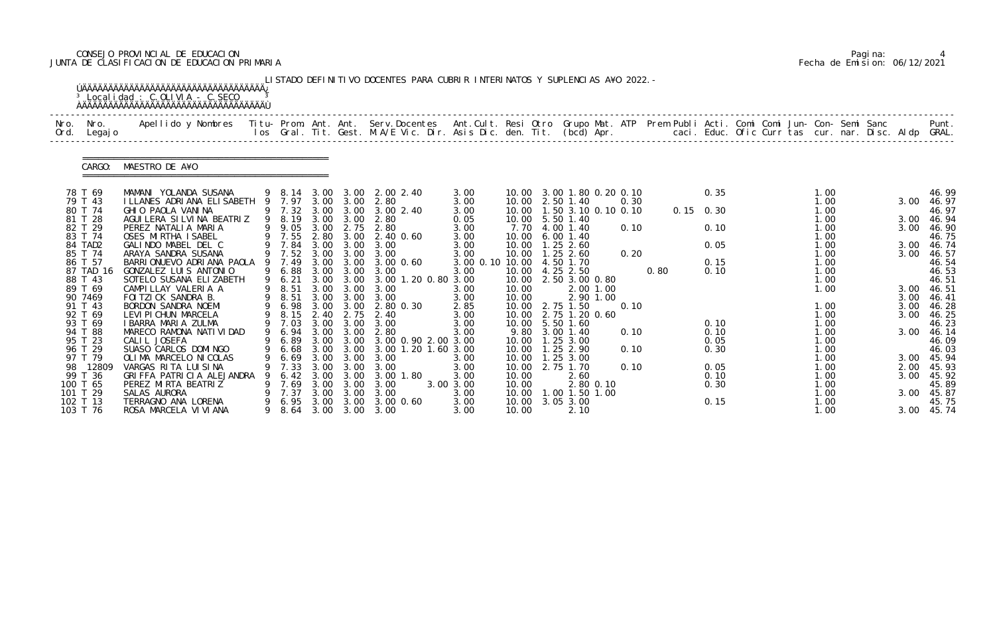# CONSEJO PROVINCIAL DE EDUCACION Pagina: 4 JUNTA DE CLASIFICACION DE EDUCACION PRIMARIA Fecha de Emision: 06/12/2021

| Nro.<br>Ord. | Nro.<br>Legaj o      | Apellido y Nombres  Titu- Prom. Ant. Ant.  Serv.Docentes  Ant.Cult. Resi Otro  Grupo Mat. ATP  Prem Publi Acti. Comi Comi Jun- Con- Semi Sanc              Punt.<br>Ios Gral. Tit. Gest. M.A/E Vic. Dir. Asis Dic. den. Tit. (bcd |   |                  |              |                          |                                              |                 |                |                                  |           |      |      |             |              |  |              |  |      |                     |
|--------------|----------------------|-----------------------------------------------------------------------------------------------------------------------------------------------------------------------------------------------------------------------------------|---|------------------|--------------|--------------------------|----------------------------------------------|-----------------|----------------|----------------------------------|-----------|------|------|-------------|--------------|--|--------------|--|------|---------------------|
|              | CARGO:               | MAESTRO DE A¥O                                                                                                                                                                                                                    |   |                  |              |                          |                                              |                 |                |                                  |           |      |      |             |              |  |              |  |      |                     |
|              | 78 T 69              | MAMANI YOLANDA SUSANA                                                                                                                                                                                                             |   | 9 8.14 3.00      |              |                          | 3.00 2.00 2.40                               | 3.00            |                | 10.00 3.00 1.80 0.20 0.10        |           |      |      |             | 0.35         |  | 1.00         |  |      | 46.99               |
|              | 79 T 43              | I LLANES ADRI ANA ELI SABETH                                                                                                                                                                                                      |   | 9 7.97           |              | 3.00 3.00                | 2.80                                         | 3.00            |                | 10.00 2.50 1.40                  |           | 0.30 |      |             |              |  | 1.00         |  | 3.00 | 46.97               |
|              | 80 T 74<br>81 T 28   | GHIO PAOLA VANINA<br>AGUI LERA SI LVI NA BEATRIZ                                                                                                                                                                                  |   | 9 7.32<br>9 8.19 | 3.00<br>3.00 | 3.00<br>3.00             | 3.00 2.40<br>2.80                            | 3.00<br>0.05    | 10.00<br>10.00 | 1.50 3.10 0.10 0.10<br>5.50 1.40 |           |      |      | $0.15$ 0.30 |              |  | 1.00<br>1.00 |  | 3.00 | 46.97<br>46.94      |
|              | 82 T 29              | PEREZ NATALIA MARIA                                                                                                                                                                                                               |   | 9 9.05           | 3.00         | 2.75                     | 2.80                                         | 3.00            |                | 7.70 4.00 1.40                   |           | 0.10 |      |             | 0.10         |  | 1.00         |  | 3.00 | 46.90               |
|              | 83 T 74              | OSES MIRTHA ISABEL                                                                                                                                                                                                                |   | 9 7.55           | 2.80         | 3.00                     | 2.40 0.60                                    | 3.00            | 10.00          | 6.001.40                         |           |      |      |             |              |  | 1.00         |  |      | 46.75               |
|              | 84 TAD2              | GALINDO MABEL DEL C                                                                                                                                                                                                               |   | 9 7.84 3.00      |              | 3.00                     | 3.00                                         | 3.00            | 10.00          | $1.25$ 2.60                      |           |      |      |             | 0.05         |  | 1.00         |  |      | 3.00 46.74          |
|              | 85 T 74              | ARAYA SANDRA SUSANA                                                                                                                                                                                                               |   | 9 7.52           | 3.00         | 3.00                     | 3.00                                         | 3.00            | 10.00          | $1.25$ $2.60$                    |           | 0.20 |      |             |              |  | 1.00         |  | 3.00 | 46.57               |
|              | 86 T 57<br>87 TAD 16 | BARRIONUEVO ADRIANA PAOLA<br>GONZALEZ LUIS ANTONIO                                                                                                                                                                                | 9 | 7.49<br>9 6.88   | 3.00         | 3.00<br>3.00 3.00        | $3.00 \, 0.60$<br>3.00                       | 3.00 0.10 10.00 |                | 4.50 1.70<br>10.00 4.25 2.50     |           |      | 0.80 |             | 0.15<br>0.10 |  | 1.00<br>1.00 |  |      | 46.54               |
|              | 88 T 43              | SOTELO SUSANA ELIZABETH                                                                                                                                                                                                           |   | 9 6.21           |              |                          | 3.00 3.00 3.00 1.20 0.80 3.00                | 3.00            | 10.00          | 2.50 3.00 0.80                   |           |      |      |             |              |  | 1.00         |  |      | 46.53<br>46.51      |
|              | 89 T 69              | CAMPILLAY VALERIA A                                                                                                                                                                                                               |   | 9 8.51           | 3.00         | 3.00                     | 3.00                                         | 3.00            | 10.00          |                                  | 2.00 1.00 |      |      |             |              |  | 1.00         |  | 3.00 | 46.51               |
|              | 90 7469              | FOI TZI CK SANDRA B.                                                                                                                                                                                                              |   | 9 8.51           |              | 3.00 3.00                | 3.00                                         | 3.00            | 10.00          |                                  | 2.90 1.00 |      |      |             |              |  |              |  | 3.00 | 46.41               |
|              | 91 T 43              | BORDON SANDRA NOEMI                                                                                                                                                                                                               |   | 9 6.98           |              | 3.00 3.00                | 2.80 0.30                                    | 2.85            | 10.00          | 2.75 1.50                        |           | 0.10 |      |             |              |  | 1.00         |  | 3.00 | 46.28               |
|              | 92 T 69              | LEVI PI CHUN MARCELA                                                                                                                                                                                                              |   | 8.15             | 2.40         | 2.75                     | 2.40                                         | 3.00            | 10.00          | 2.75 1.20 0.60                   |           |      |      |             |              |  | 1.00         |  | 3.00 | 46.25               |
|              | 93 T 69              | I BARRA MARIA ZULMA                                                                                                                                                                                                               |   | 9 7.03           |              |                          | 3.00 3.00 3.00                               | 3.00            | 10.00          | 5.50 1.60                        |           |      |      |             | 0.10         |  | 1.00         |  |      | 46.23               |
|              | 94 T 88<br>95 T 23   | MARECO RAMONA NATI VI DAD<br>CALIL JOSEFA                                                                                                                                                                                         |   | 9 6.94           |              | 3.00 3.00                | 2.80<br>9 6.89 3.00 3.00 3.00 0.90 2.00 3.00 | 3.00            | 10.00          | 9.80 3.00 1.40<br>$1.25$ 3.00    |           | 0.10 |      |             | 0.10<br>0.05 |  | 1.00<br>1.00 |  | 3.00 | 46.14<br>46.09      |
|              | 96 T 29              | SUASO CARLOS DOMINGO                                                                                                                                                                                                              |   |                  |              |                          | 9 6.68 3.00 3.00 3.00 1.20 1.60 3.00         |                 |                | 10.00  1.25  2.90                |           | 0.10 |      |             | 0.30         |  | 1.00         |  |      | 46.03               |
|              | 97 T 79              | OLIMA MARCELO NI COLAS                                                                                                                                                                                                            | 9 | 6.69             | 3.00         | 3.00                     | 3.00                                         | 3.00            |                | 10.00  1.25  3.00                |           |      |      |             |              |  | 1.00         |  | 3.00 | 45.94               |
| 98           | 12809                | VARGAS RITA LUISINA                                                                                                                                                                                                               |   | 7.33             | 3.00         | 3.00                     | 3.00                                         | 3.00            | 10.00          | 2.75 1.70                        |           | 0.10 |      |             | 0.05         |  | 1.00         |  | 2.00 | 45.93               |
|              | 99 T 36              | GRI FFA PATRI CI A ALEJANDRA                                                                                                                                                                                                      |   | 6.42             | 3.00         | 3.00                     | 3.00 1.80                                    | 3.00            | 10.00          | 2.60                             |           |      |      |             | 0.10         |  | 1. 00        |  | 3.00 | 45.92               |
|              | 100 T 65             | PEREZ MIRTA BEATRIZ                                                                                                                                                                                                               |   | 7.69             | 3.00         | 3.00                     | 3.00                                         | 3.00 3.00       | 10.00          |                                  | 2.80 0.10 |      |      |             | 0.30         |  | 1.00         |  |      | 45.89               |
|              | 101 T 29             | SALAS AURORA                                                                                                                                                                                                                      |   | 7.37             | 3.00         | 3.00                     | 3.00                                         | 3.00            | 10.00          | 1.00 1.50 1.00                   |           |      |      |             |              |  | 1.00         |  | 3.00 | 45.87               |
|              | 102 T 13<br>103 T 76 | TERRAGNO ANA LORENA<br>ROSA MARCELA VI VI ANA                                                                                                                                                                                     |   | 9 6.95           | 3.00         | 3.00<br>9 8.64 3.00 3.00 | 3.00 0.60<br>3.00                            | 3.00<br>3.00    | 10.00<br>10.00 | $3.05$ $3.00$<br>2.10            |           |      |      |             | 0.15         |  | 1.00<br>1.00 |  |      | 45.75<br>3.00 45.74 |

|  | Pagi na: |                              |
|--|----------|------------------------------|
|  |          | Fecha de Emision: 06/12/2021 |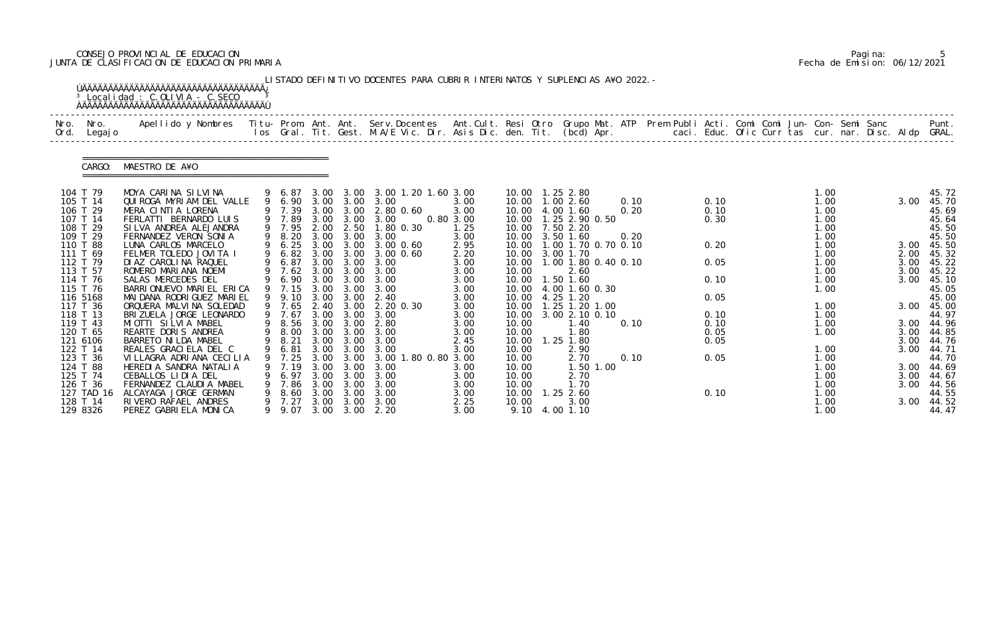# CONSEJO PROVINCIAL DE EDUCACION Pagina: 5 JUNTA DE CLASIFICACION DE EDUCACION PRIMARIA Fecha de Emision: 06/12/2021

| Nro.<br>Ord. | Nro.<br>Legaj o        | Apellido y Nombres Titu- Prom. Ant. Ant. Serv.Docentes Ant.Cult. Resi Otro Grupo Mat. ATP Prem Publi Acti. Comi Comi Jun- Con- Semi Sanc |   |                  |              |                        | los Gral. Tit. Gest. M.A/E Vic. Dir. Asis Dic. den. Tit. (bcd) Apr. caci. Educ. Ofic Curr tas cur. nar. Disc. Aldp GRAL. |                   |                |                                            |      |              |  |              |  |      | Punt.          |
|--------------|------------------------|------------------------------------------------------------------------------------------------------------------------------------------|---|------------------|--------------|------------------------|--------------------------------------------------------------------------------------------------------------------------|-------------------|----------------|--------------------------------------------|------|--------------|--|--------------|--|------|----------------|
|              | CARGO:                 | MAESTRO DE A¥O                                                                                                                           |   |                  |              |                        |                                                                                                                          |                   |                |                                            |      |              |  |              |  |      |                |
|              | 104 T 79               | MOYA CARINA SILVINA                                                                                                                      |   |                  |              |                        | 9 6.87 3.00 3.00 3.00 1.20 1.60 3.00                                                                                     |                   |                | 10.00   1.25   2.80                        |      |              |  | 1.00         |  |      | 45.72          |
|              | 105 T 14               | QUIROGA MYRIAM DEL VALLE                                                                                                                 |   |                  |              |                        | 9 6.90 3.00 3.00 3.00                                                                                                    | 3.00              |                | 10.00  1.00  2.60                          | 0.10 | 0.10         |  | 1.00         |  | 3.00 | 45.70          |
|              | 106 T 29<br>107 T 14   | MERA CINTIA LORENA<br>FERLATTI BERNARDO LUIS                                                                                             |   | 9 7.39<br>9 7.89 |              | 3.00 3.00<br>3.00 3.00 | 2.80 0.60<br>3.00                                                                                                        | 3.00<br>0.80 3.00 |                | 10.00 4.00 1.60<br>10.00  1.25  2.90  0.50 | 0.20 | 0.10<br>0.30 |  | 1.00<br>1.00 |  |      | 45.69<br>45.64 |
|              | 108 T 29               | SI LVA ANDREA ALEJANDRA                                                                                                                  |   | 9 7.95 2.00 2.50 |              |                        | 1.80 0.30                                                                                                                | 1.25              |                | 10.00 7.50 2.20                            |      |              |  | 1.00         |  |      | 45.50          |
|              | 109 T 29               | FERNANDEZ VERON SONIA                                                                                                                    |   | 8.20             | 3.00         | 3.00                   | 3.00                                                                                                                     | 3.00              |                | 10.00 3.50 1.60                            | 0.20 |              |  | 1.00         |  |      | 45.50          |
|              | 110 T 88               | LUNA CARLOS MARCELO                                                                                                                      |   | 9 6.25           | 3.00         |                        | 3.00 3.00 0.60                                                                                                           | 2.95              |                | 10.00 1.00 1.70 0.70 0.10                  |      | 0.20         |  | 1.00         |  |      | 3.00 45.50     |
|              | 111 T 69               | FELMER TOLEDO JOVITA I                                                                                                                   | 9 | 6.82             |              | 3.00 3.00              | 3.00 0.60                                                                                                                | 2.20              |                | 10.00 3.00 1.70                            |      |              |  | 1.00         |  | 2.00 | 45.32          |
|              | 112 T 79               | DI AZ CAROLINA RAQUEL                                                                                                                    |   | 6.87             | 3.00         | 3.00                   | 3.00                                                                                                                     | 3.00              | 10.00          | 1.00 1.80 0.40 0.10                        |      | 0.05         |  | 1.00         |  | 3.00 | 45.22          |
|              | 113 T 57               | ROMERO MARIANA NOEMI                                                                                                                     |   | 7.62             | 3.00         | 3.00                   | 3.00                                                                                                                     | 3.00              | 10.00          | 2.60                                       |      |              |  | 1.00         |  | 3.00 | 45.22          |
|              | 114 T 76               | SALAS MERCEDES DEL                                                                                                                       | 9 | 6.90             | 3.00         |                        | 3.00 3.00 3.00                                                                                                           | 3.00              | 10.00          | 1.50 1.60                                  |      | 0.10         |  | 1.00         |  | 3.00 | 45.10          |
|              | 115 T 76<br>116 5168   | BARRIONUEVO MARIEL ERICA<br>MAI DANA RODRI GUEZ MARI EL                                                                                  |   | 9 7.15<br>9 9.10 | 3.00         | 3.00<br>3.00           | 3.00<br>2.40                                                                                                             | 3.00<br>3.00      | 10.00          | 4.00 1.60 0.30<br>10.00 4.25 1.20          |      | 0.05         |  | 1.00         |  |      | 45.05<br>45.00 |
|              | 117 T 36               | ORQUERA MALVINA SOLEDAD                                                                                                                  |   | 9 7.65           |              | 2.40 3.00              | 2.20 0.30                                                                                                                | 3.00              |                | 10.00  1.25  1.20  1.00                    |      |              |  | 1.00         |  | 3.00 | 45.00          |
|              | 118 T 13               | BRIZUELA JORGE LEONARDO                                                                                                                  |   | 9 7.67           | 3.00         | 3.00                   | 3.00                                                                                                                     | 3.00              | 10.00          | 3.00 2.10 0.10                             |      | 0.10         |  | 1.00         |  |      | 44.97          |
|              | 119 T 43               | MIOTTI SILVIA MABEL                                                                                                                      |   | 8.56             | 3.00         | 3.00                   | 2.80                                                                                                                     | 3.00              | 10.00          | 1.40                                       | 0.10 | 0.10         |  | 1.00         |  |      | 3.00 44.96     |
|              | 120 T 65               | REARTE DORIS ANDREA                                                                                                                      |   | 9 8.00           |              |                        | 3.00 3.00 3.00                                                                                                           | 3.00              | 10.00          | 1.80                                       |      | 0.05         |  | 1.00         |  | 3.00 | 44.85          |
|              | 121 6106               | BARRETO NI LDA MABEL                                                                                                                     |   | 9 8.21           | 3.00         | 3.00                   | 3.00                                                                                                                     | 2.45              | 10.00          | $1.25$ $1.80$                              |      | 0.05         |  |              |  | 3.00 | 44.76          |
|              | 122 T 14               | REALES GRACIELA DEL C                                                                                                                    |   |                  |              |                        | 9 6.81 3.00 3.00 3.00                                                                                                    | 3.00              | 10.00          | 2.90                                       |      |              |  | 1.00         |  |      | 3.00 44.71     |
|              | 123 T 36               | VI LLAGRA ADRI ANA CECILIA                                                                                                               | 9 | 7.25             | 3.00         | 3.00                   | 3.00 1.80 0.80 3.00                                                                                                      |                   | 10.00          | 2.70                                       | 0.10 | 0.05         |  | 1.00         |  |      | 44.70          |
|              | 124 T 88               | HEREDIA SANDRA NATALIA                                                                                                                   |   | 7.19             | 3.00         | 3.00                   | 3.00                                                                                                                     | 3.00              | 10.00          | 1.50 1.00                                  |      |              |  | 1.00         |  |      | 3.00 44.69     |
|              | 125 T 74               | CEBALLOS LIDIA DEL                                                                                                                       |   | 6. 97            | 3.00         | 3.00                   | 3.00                                                                                                                     | 3.00              | 10.00          | 2.70                                       |      |              |  | 1.00         |  | 3.00 | 44.67          |
|              | 126 T 36               | FERNANDEZ CLAUDIA MABEL                                                                                                                  |   | 7.86             | 3.00         | 3.00                   | 3.00                                                                                                                     | 3.00              | 10.00          | 1.70                                       |      |              |  | 1.00         |  | 3.00 | 44.56          |
|              | 127 TAD 16<br>128 T 14 | ALCAYAGA JORGE GERMAN<br>RIVERO RAFAEL ANDRES                                                                                            |   | 8.60<br>7.27     | 3.00<br>3.00 | 3.00<br>3.00           | 3.00<br>3.00                                                                                                             | 3.00<br>2.25      | 10.00<br>10.00 | $1.25$ 2.60<br>3.00                        |      | 0.10         |  | 1.00<br>1.00 |  | 3.00 | 44.55<br>44.52 |
|              | 129 8326               | PEREZ GABRIELA MONICA                                                                                                                    |   | 9 9.07           |              |                        | 3.00 3.00 2.20                                                                                                           | 3.00              |                | 9.10 4.00 1.10                             |      |              |  | 1.00         |  |      | 44.47          |

|  | Pagi na: |                              |
|--|----------|------------------------------|
|  |          | Fecha de Emision: 06/12/2021 |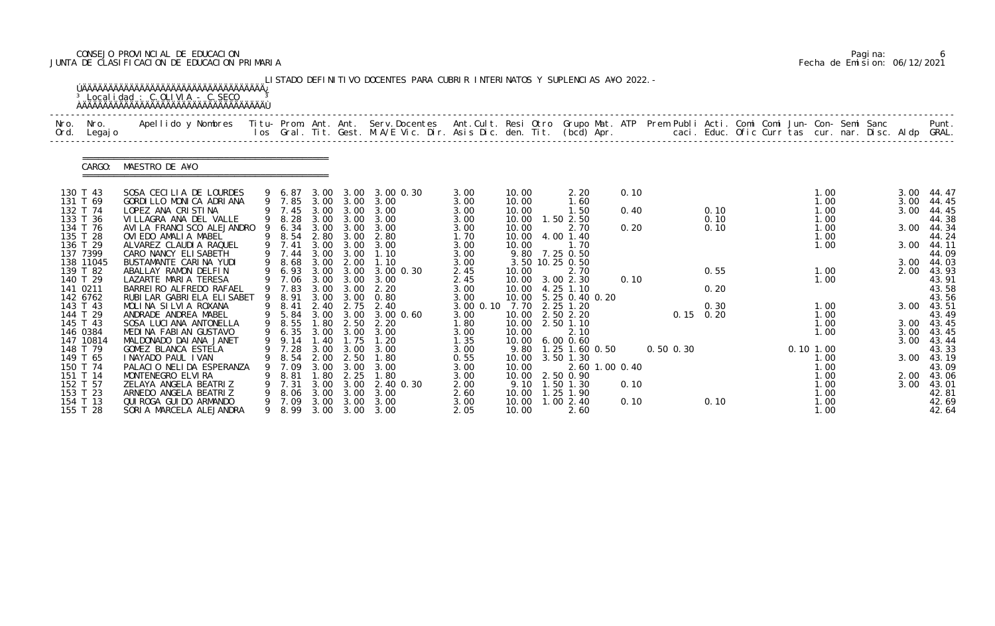# CONSEJO PROVINCIAL DE EDUCACION Pagina: 6 JUNTA DE CLASIFICACION DE EDUCACION PRIMARIA Fecha de Emision: 06/12/2021

| Nro.<br>Ord.         | Nro.<br>Legaj o | Apellido y Nombres  Titu- Prom. Ant. Ant. Serv.Docentes  Ant.Cult. Resi Otro Grupo Mat. ATP Prem Publi Acti. Comi Comi Jun- Con- Semi Sanc         Punt.<br>Ios Gral. Tit. Gest. M.A/E Vic. Dir. Asis Dic. den. Tit. (bcd) Apr. |   |                  |              |                   |                   |              |                |                                   |      |               |              |  |              |  |      |                     |
|----------------------|-----------------|---------------------------------------------------------------------------------------------------------------------------------------------------------------------------------------------------------------------------------|---|------------------|--------------|-------------------|-------------------|--------------|----------------|-----------------------------------|------|---------------|--------------|--|--------------|--|------|---------------------|
|                      |                 |                                                                                                                                                                                                                                 |   |                  |              |                   |                   |              |                |                                   |      |               |              |  |              |  |      |                     |
|                      | CARGO:          | MAESTRO DE A¥O                                                                                                                                                                                                                  |   |                  |              |                   |                   |              |                |                                   |      |               |              |  |              |  |      |                     |
| 130 T 43             |                 | SOSA CECILIA DE LOURDES                                                                                                                                                                                                         |   | 9 6.87           | 3.00         |                   | 3.00 3.00 0.30    | 3.00         | 10.00          | 2.20                              | 0.10 |               |              |  | 1.00         |  |      | 3.00 44.47          |
| 131 T 69             |                 | GORDILLO MONICA ADRIANA                                                                                                                                                                                                         |   | 9 7.85           |              | $3.00 \quad 3.00$ | 3.00              | 3.00         | 10.00          | 1.60                              |      |               |              |  | 1.00         |  | 3.00 | 44.45               |
| 132 T 74<br>133 T 36 |                 | LOPEZ ANA CRISTINA<br>VILLAGRA ANA DEL VALLE                                                                                                                                                                                    |   | 9 7.45<br>9 8.28 | 3.00<br>3.00 | 3.00<br>3.00      | 3.00<br>3.00      | 3.00<br>3.00 | 10.00<br>10.00 | 1.50<br>$1.50$ $2.50$             | 0.40 |               | 0.10<br>0.10 |  | 1.00<br>1.00 |  | 3.00 | 44.45<br>44.38      |
| 134 T 76             |                 | AVI LA FRANCI SCO ALEJANDRO                                                                                                                                                                                                     |   | 6.34             |              | 3.00 3.00         | 3.00              | 3.00         | 10.00          | 2.70                              | 0.20 |               | 0.10         |  | 1.00         |  | 3.00 | 44.34               |
| 135 T 28             |                 | OVIEDO AMALIA MABEL                                                                                                                                                                                                             | 9 | 8.54             | 2.80         | 3.00              | 2.80              | 1.70         | 10.00          | 4.00 1.40                         |      |               |              |  | 1.00         |  |      | 44.24               |
| 136 T 29             |                 | ALVAREZ CLAUDIA RAQUEL                                                                                                                                                                                                          |   | 9 7.41           | 3.00         | 3.00              | 3.00              | 3.00         | 10.00          | 1.70                              |      |               |              |  | 1.00         |  | 3.00 | 44.11               |
| 137 7399             | 138 11045       | CARO NANCY ELISABETH<br>BUSTAMANTE CARINA YUDI                                                                                                                                                                                  | 9 | 9 7.44<br>8.68   | 3.00<br>3.00 | 3.00<br>2.00      | 1.10<br>1.10      | 3.00<br>3.00 |                | 9.80 7.25 0.50<br>3.50 10.25 0.50 |      |               |              |  |              |  | 3.00 | 44.09<br>44.03      |
| 139 T 82             |                 | ABALLAY RAMON DELFIN                                                                                                                                                                                                            |   | 6.93             | 3.00         | 3.00              | 3.00 0.30         | 2.45         | 10.00          | 2.70                              |      |               | 0.55         |  | 1.00         |  | 2.00 | 43.93               |
| 140 T 29             |                 | LAZARTE MARIA TERESA                                                                                                                                                                                                            |   | 9 7.06           | 3.00         | 3.00              | 3.00              | 2.45         |                | 10.00 3.00 2.30                   | 0.10 |               |              |  | 1.00         |  |      | 43.91               |
| 141 0211             |                 | BARREI RO ALFREDO RAFAEL                                                                                                                                                                                                        |   | 9 7.83           | 3.00         | 3.00              | 2.20              | 3.00         |                | 10.00 4.25 1.10                   |      |               | 0.20         |  |              |  |      | 43.58               |
| 142 6762             |                 | RUBI LAR GABRI ELA ELI SABET                                                                                                                                                                                                    | 9 | 8.91             | 3.00         | 3.00              | 0.80              | 3.00         | 10.00          | 5.25 0.40 0.20                    |      |               |              |  |              |  |      | 43.56               |
| 143 T 43             |                 | MOLINA SILVIA ROXANA                                                                                                                                                                                                            |   | 9 8.41           | 2.40         | 2.75              | 2.40              | 3.00 0.10    |                | 7.70 2.25 1.20                    |      |               | 0.30         |  | 1.00         |  | 3.00 | 43.51               |
| 144 T 29<br>145 T 43 |                 | ANDRADE ANDREA MABEL<br>SOSA LUCIANA ANTONELLA                                                                                                                                                                                  |   | 9 5.84<br>9 8.55 | 3.00<br>1.80 | 3.00<br>2.50      | 3.00 0.60<br>2.20 | 3.00<br>1.80 | 10.00<br>10.00 | 2.50 2.20<br>2.50 1.10            |      |               | $0.15$ 0.20  |  | 1.00<br>1.00 |  | 3.00 | 43.49<br>43.45      |
| 146 0384             |                 | MEDINA FABIAN GUSTAVO                                                                                                                                                                                                           |   | 9 6.35           |              | 3.00 3.00         | 3.00              | 3.00         | 10.00          | 2.10                              |      |               |              |  | 1.00         |  | 3.00 | 43.45               |
|                      | 147 10814       | MALDONADO DAI ANA JANET                                                                                                                                                                                                         |   | 9 9.14           | 1.40         | 1.75              | 1.20              | 1.35         |                | 10.00 6.00 0.60                   |      |               |              |  |              |  | 3.00 | 43.44               |
|                      | 148 T 79        | GOMEZ BLANCA ESTELA                                                                                                                                                                                                             |   | 9 7.28           |              | 3.00 3.00         | 3.00              | 3.00         |                | 9.80 1.25 1.60 0.50               |      | $0.50$ $0.30$ |              |  | 0.101.00     |  |      | 43.33               |
|                      | 149 T 65        | I NAYADO PAUL I VAN                                                                                                                                                                                                             |   | 8.54             | 2.00         | 2.50              | 1.80              | 0.55         | 10.00          | 3.50 1.30                         |      |               |              |  | 1.00         |  |      | 3.00 43.19          |
| 150 T 74             |                 | PALACIO NELIDA ESPERANZA                                                                                                                                                                                                        |   | 7.09             | 3.00         | 3.00              | 3.00              | 3.00         | 10.00          | 2.60 1.00 0.40                    |      |               |              |  | 1.00         |  |      | 43.09               |
| 151 T 14<br>152 T 57 |                 | MONTENEGRO ELVIRA<br>ZELAYA ANGELA BEATRIZ                                                                                                                                                                                      |   | 8.81<br>7.31     | . 80<br>3.00 | 2.25<br>3.00      | 1.80<br>2.40 0.30 | 3.00<br>2.00 |                | 10.00 2.50 0.90<br>9.10 1.50 1.30 | 0.10 |               |              |  | 1.00<br>1.00 |  | 3.00 | 2.00 43.06<br>43.01 |
| 153 T 23             |                 | ARNEDO ANGELA BEATRIZ                                                                                                                                                                                                           |   | 8.06             | 3.00         | 3.00              | 3.00              | 2.60         | 10.00          | 1.25 1.90                         |      |               |              |  | 1.00         |  |      | 42.81               |
| 154 T 13             |                 | QUI ROGA GUI DO ARMANDO                                                                                                                                                                                                         |   | 9 7.09           | 3.00         | 3.00              | 3.00              | 3.00         | 10.00          | $1.00$ $2.40$                     | 0.10 |               | 0.10         |  | 1.00         |  |      | 42.69               |
| 155 T 28             |                 | SORIA MARCELA ALEJANDRA                                                                                                                                                                                                         | 9 | 8.99             |              |                   | 3.00 3.00 3.00    | 2.05         | 10.00          | 2.60                              |      |               |              |  | 1.00         |  |      | 42.64               |

|  | Pagi na: |                              |
|--|----------|------------------------------|
|  |          | Fecha de Emision: 06/12/2021 |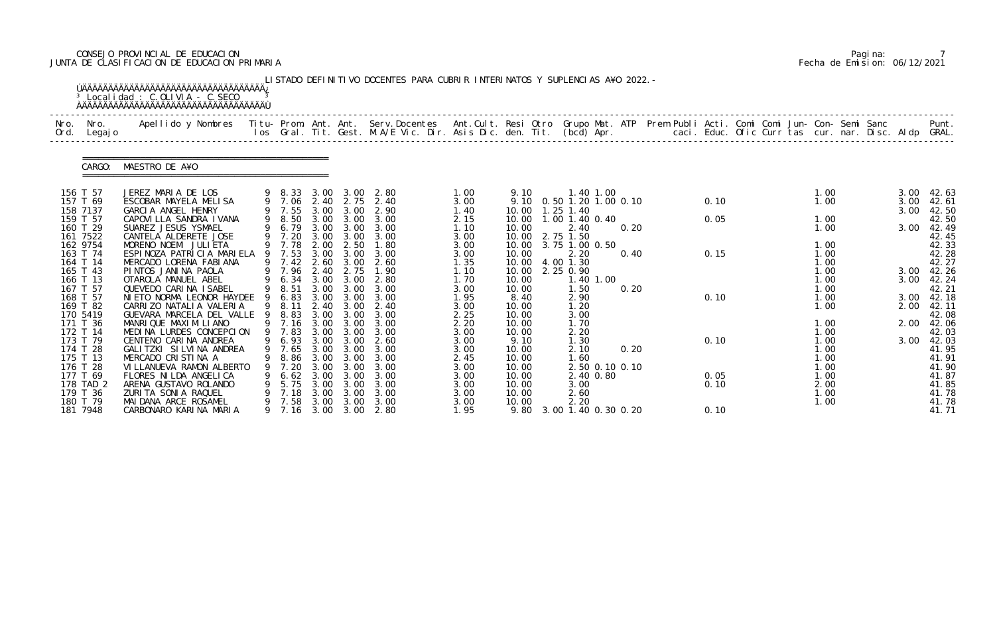# CONSEJO PROVINCIAL DE EDUCACION Pagina: 7 JUNTA DE CLASIFICACION DE EDUCACION PRIMARIA Fecha de Emision: 06/12/2021

| Nro.<br>Ord. | Nro.<br>Legaj o       | Apellido y Nombres Titu-Prom. Ant. Ant. Serv.Docentes Ant.Cult. Resi Otro Grupo Mat. ATP Prem Publi Acti. Comi Comi Jun-Con-Semi Sanc |   |                  |              |              | los Gral. Tit. Gest. M.A/E Vic. Dir. Asis Dic. den. Tit. (bcd) Apr. |              |                |                                  |      |  |      | caci. Educ. Ofic Curr tas cur. nar. Disc. Aldp GRAL. |              |  |              | Punt.          |
|--------------|-----------------------|---------------------------------------------------------------------------------------------------------------------------------------|---|------------------|--------------|--------------|---------------------------------------------------------------------|--------------|----------------|----------------------------------|------|--|------|------------------------------------------------------|--------------|--|--------------|----------------|
|              | CARGO:                | MAESTRO DE A¥O                                                                                                                        |   |                  |              |              |                                                                     |              |                |                                  |      |  |      |                                                      |              |  |              |                |
|              | 156 T 57<br>157 T 69  | JEREZ MARIA DE LOS<br>ESCOBAR MAYELA MELISA                                                                                           |   | 9 8.33<br>9 7.06 | 3.00<br>2.40 | 3.00<br>2.75 | 2.80<br>2.40                                                        | 1.00<br>3.00 | 9.10<br>9.10   | 1.40 1.00<br>0.50 1.20 1.00 0.10 |      |  | 0.10 |                                                      | 1.00<br>1.00 |  | 3.00<br>3.00 | 42.63<br>42.61 |
|              | 158 7137              | GARCIA ANGEL HENRY                                                                                                                    |   | 9 7.55           | 3.00         | 3.00         | 2.90                                                                | 1.40         | 10.00          | $1.25$ $1.40$                    |      |  |      |                                                      |              |  | 3.00         | 42.50          |
|              | 159 T 57              | CAPOVI LLA SANDRA I VANA                                                                                                              |   | 9 8.50           | 3.00         | 3.00         | 3.00                                                                | 2.15         | 10.00          | 1.00 1.40 0.40                   |      |  | 0.05 |                                                      | 1.00         |  |              | 42.50          |
|              | 160 T 29<br>161 7522  | SUAREZ JESUS YSMAEL<br>CANTELA ALDERETE JOSE                                                                                          |   | 9 6.79<br>9 7.20 | 3.00<br>3.00 | 3.00<br>3.00 | 3.00<br>3.00                                                        | 1.10<br>3.00 | 10.00<br>10.00 | 2.40<br>2.75 1.50                | 0.20 |  |      |                                                      | 1.00         |  | 3.00         | 42.49<br>42.45 |
|              | 162 9754              | MORENO NOEMI JULIETA                                                                                                                  |   | 9 7.78           | 2.00         | 2.50         | 1.80                                                                | 3.00         | 10.00          | 3.75 1.00 0.50                   |      |  |      |                                                      | 1.00         |  |              | 42.33          |
|              | 163 T 74<br>164 T 14  | ESPINOZA PATRICIA MARIELA<br>MERCADO LORENA FABIANA                                                                                   |   | 9 7.53<br>9 7.42 | 3.00<br>2.60 | 3.00<br>3.00 | 3.00<br>2.60                                                        | 3.00<br>1.35 | 10.00<br>10.00 | 2.20<br>4.00 1.30                | 0.40 |  | 0.15 |                                                      | 1.00<br>1.00 |  |              | 42.28<br>42.27 |
|              | 165 T 43              | PINTOS JANINA PAOLA                                                                                                                   |   | 9 7.96           | 2.40         | 2.75         | 1.90                                                                | 1.10         | 10.00          | 2.25 0.90                        |      |  |      |                                                      | 1.00         |  | 3.00         | 42.26          |
|              | 166 T 13<br>167 T 57  | OTAROLA MANUEL ABEL                                                                                                                   |   | 9 6.34           | 3.00<br>3.00 | 3.00<br>3.00 | 2.80<br>3.00                                                        | 1.70         | 10.00          | 1.40 1.00                        |      |  |      |                                                      | 1.00         |  | 3.00         | 42.24          |
|              | 168 T 57              | QUEVEDO CARINA ISABEL<br>NI ETO NORMA LEONOR HAYDEE                                                                                   |   | 9 8.51<br>6.83   | 3.00         | 3.00         | 3.00                                                                | 3.00<br>1.95 | 10.00<br>8.40  | 1.50<br>2.90                     | 0.20 |  | 0.10 |                                                      | 1.00<br>1.00 |  | 3.00         | 42.21<br>42.18 |
|              | 169 T 82              | CARRIZO NATALIA VALERIA                                                                                                               | 9 | 8.11             | 2.40         | 3.00         | 2.40                                                                | 3.00         | 10.00          | 1.20                             |      |  |      |                                                      | 1.00         |  | 2.00         | 42.11          |
|              | 170 5419<br>171 T 36  | GUEVARA MARCELA DEL VALLE<br>MANRIQUE MAXIMILIANO                                                                                     | 9 | 8.83<br>9 7.16   | 3.00<br>3.00 | 3.00<br>3.00 | 3.00<br>3.00                                                        | 2.25<br>2.20 | 10.00<br>10.00 | 3.00<br>1.70                     |      |  |      |                                                      | 1.00         |  | 2.00         | 42.08<br>42.06 |
|              | 172 T 14              | MEDINA LURDES CONCEPCION                                                                                                              |   | 9 7.83           | 3.00         | 3.00         | 3.00                                                                | 3.00         | 10.00          | 2.20                             |      |  |      |                                                      | 1.00         |  |              | 42.03          |
|              | 173 T 79              | CENTENO CARINA ANDREA                                                                                                                 |   | 9 6.93           | 3.00         | 3.00         | 2.60                                                                | 3.00         | 9.10           | 1.30                             |      |  | 0.10 |                                                      | 1.00         |  | 3.00         | 42.03          |
|              | 174 T 28<br>175 T 13  | GALITZKI SILVINA ANDREA<br>MERCADO CRISTINA A                                                                                         |   | 9 7.65<br>8.86   | 3.00<br>3.00 | 3.00<br>3.00 | 3.00<br>3.00                                                        | 3.00<br>2.45 | 10.00<br>10.00 | 2.10<br>1.60                     | 0.20 |  |      |                                                      | 1.00<br>1.00 |  |              | 41.95<br>41.91 |
|              | 176 T 28              | VI LLANUEVA RAMON ALBERTO                                                                                                             |   | 7.20             | 3.00         | 3.00         | 3.00                                                                | 3.00         | 10.00          | 2.50 0.10 0.10                   |      |  |      |                                                      | 1.00         |  |              | 41.90          |
|              | 177 T 69              | FLORES NILDA ANGELICA                                                                                                                 |   | 6.62             | 3.00         | 3.00         | 3.00                                                                | 3.00         | 10.00          | 2.40 0.80                        |      |  | 0.05 |                                                      | 1.00         |  |              | 41.87          |
|              | 178 TAD 2<br>179 T 36 | ARENA GUSTAVO ROLANDO<br>ZURITA SONIA RAQUEL                                                                                          |   | 5.75<br>7.18     | 3.00<br>3.00 | 3.00<br>3.00 | 3.00<br>3.00                                                        | 3.00<br>3.00 | 10.00<br>10.00 | 3.00<br>2.60                     |      |  | 0.10 |                                                      | 2.00<br>1.00 |  |              | 41.85<br>41.78 |
|              | 180 T 79              | MAI DANA ARCE ROSAMEL                                                                                                                 |   | 7.58             | 3.00         | 3.00         | 3.00                                                                | 3.00         | 10.00          | 2.20                             |      |  |      |                                                      | 1.00         |  |              | 41.78<br>41.71 |
|              | 181 7948              | CARBONARO KARINA MARIA                                                                                                                |   | 9 7.16           | 3.00         | 3.00         | 2.80                                                                | 1.95         | 9.80           | 3.00 1.40 0.30 0.20              |      |  | 0.10 |                                                      |              |  |              |                |

|  | Pagi na: |                              |
|--|----------|------------------------------|
|  |          | Fecha de Emision: 06/12/2021 |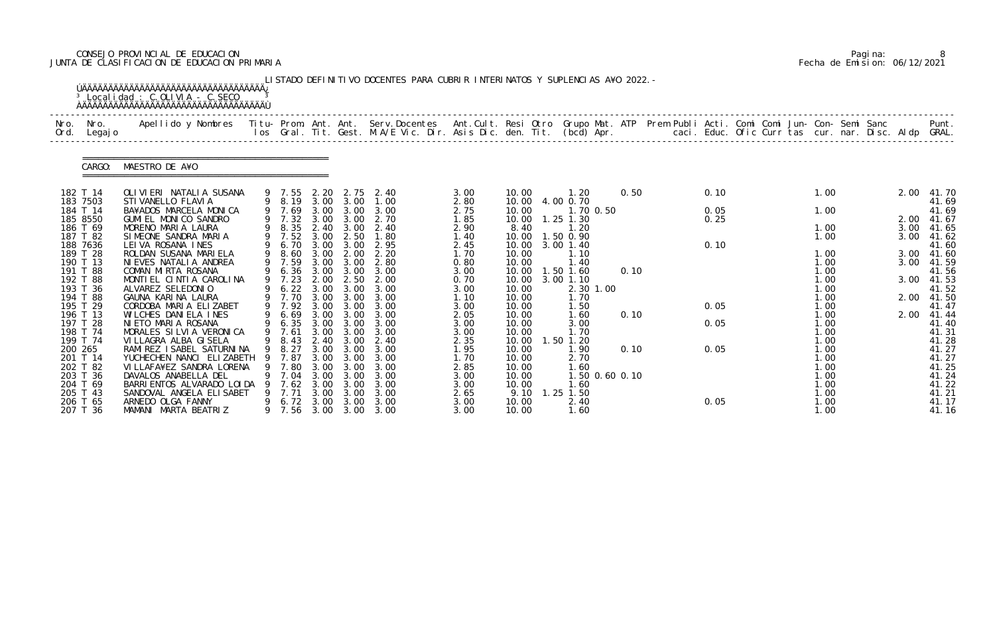# CONSEJO PROVINCIAL DE EDUCACION Pagina: 8 JUNTA DE CLASIFICACION DE EDUCACION PRIMARIA Fecha de Emision: 06/12/2021

| Nro.<br>Ord. | Nro.<br>Legaj o      | Apellido y Nombres - Titu- Prom. Ant. Ant. Serv.Docentes - Ant.Cult. Resi Otro Grupo Mat. ATP Prem Publi Acti. Comi Comi Jun- Con- Semi Sanc - - - - Punt.<br>Ios Gral. Tit. Gest. M.A/E Vic. Dir. Asis Dic. den. Tit. (bcd) Apr. |   |                  |              |                   |                       |              |                |                        |      |  |      |  |              |  |      |                |
|--------------|----------------------|-----------------------------------------------------------------------------------------------------------------------------------------------------------------------------------------------------------------------------------|---|------------------|--------------|-------------------|-----------------------|--------------|----------------|------------------------|------|--|------|--|--------------|--|------|----------------|
|              | CARGO:               | MAESTRO DE A¥O                                                                                                                                                                                                                    |   |                  |              |                   |                       |              |                |                        |      |  |      |  |              |  |      |                |
|              | 182 T 14             | OLIVIERI NATALIA SUSANA                                                                                                                                                                                                           |   | 9 7.55           | 2. 20        | 2.75              | 2.40                  | 3.00         | 10.00          | 1. 20                  | 0.50 |  | 0.10 |  | 1.00         |  | 2.00 | 41.70          |
|              | 183 7503<br>184 T 14 | STI VANELLO FLAVI A<br>BA¥ADOS MARCELA MONICA                                                                                                                                                                                     |   | 9 8.19<br>9 7.69 | 3.00<br>3.00 | 3.00<br>3.00      | 1.00<br>3.00          | 2.80<br>2.75 | 10.00<br>10.00 | 4.00 0.70<br>1.70 0.50 |      |  | 0.05 |  | 1.00         |  |      | 41.69<br>41.69 |
|              | 185 8550             | GUMI EL MONICO SANDRO                                                                                                                                                                                                             |   | 9 7.32           | 3.00         | 3.00              | 2.70                  | 1.85         | 10.00          | $1.25$ $1.30$          |      |  | 0.25 |  |              |  | 2.00 | 41.67          |
|              | 186 T 69             | MORENO MARIA LAURA                                                                                                                                                                                                                |   | 9 8.35           |              | 2.40 3.00         | 2.40                  | 2.90         | 8.40           | 1.20                   |      |  |      |  | 1.00         |  | 3.00 | 41.65          |
|              | 187 T 82             | SIMEONE SANDRA MARIA                                                                                                                                                                                                              |   | 9 7.52           | 3.00         | 2.50              | 1.80                  | 1.40         | 10.00          | 1.50 0.90              |      |  |      |  | 1.00         |  | 3.00 | 41.62          |
|              | 188 7636             | LEIVA ROSANA INES                                                                                                                                                                                                                 |   | 9 6.70           | 3.00         | 3.00              | 2.95                  | 2.45         | 10.00          | 3.00 1.40              |      |  | 0.10 |  |              |  |      | 41.60          |
|              | 189 T 28             | ROLDAN SUSANA MARIELA                                                                                                                                                                                                             |   | 9 8.60           | 3.00         | 2.00              | 2.20                  | 1.70         | 10.00          | 1.10                   |      |  |      |  | 1.00         |  | 3.00 | 41.60          |
|              | 190 T 13<br>191 T 88 | NI EVES NATALI A ANDREA<br>COMAN MIRTA ROSANA                                                                                                                                                                                     |   | 7.59<br>9 6.36   | 3.00<br>3.00 | 3.00<br>3.00      | 2.80<br>3.00          | 0.80<br>3.00 | 10.00<br>10.00 | 1.40<br>1.50 1.60      | 0.10 |  |      |  | 1.00<br>1.00 |  | 3.00 | 41.59<br>41.56 |
|              | 192 T 88             | MONTIEL CINTIA CAROLINA                                                                                                                                                                                                           |   | $9 \quad 7.23$   | 2.00         | 2.50              | 2.00                  | 0.70         | 10.00          | 3.00 1.10              |      |  |      |  | 1.00         |  | 3.00 | 41.53          |
|              | 193 T 36             | ALVAREZ SELEDONIO                                                                                                                                                                                                                 |   | 6.22             | 3.00         | 3.00              | 3.00                  | 3.00         | 10.00          | 2.30 1.00              |      |  |      |  | 1.00         |  |      | 41.52          |
|              | 194 T 88             | GAUNA KARINA LAURA                                                                                                                                                                                                                |   | 9 7.70           | 3.00         | 3.00              | 3.00                  | 1.10         | 10.00          | 1.70                   |      |  |      |  | 1.00         |  | 2.00 | 41.50          |
|              | 195 T 29             | CORDOBA MARIA ELIZABET                                                                                                                                                                                                            |   | 9 7.92           | 3.00         | 3.00              | 3.00                  | 3.00         | 10.00          | 1.50                   |      |  | 0.05 |  | 1.00         |  |      | 41.47          |
|              | 196 T 13             | WILCHES DANIELA INES                                                                                                                                                                                                              |   | 6.69             | 3.00         | 3.00              | 3.00                  | 2.05         | 10.00          | 1.60                   | 0.10 |  |      |  | 1.00         |  | 2.00 | 41.44          |
|              | 197 T 28             | NIETO MARIA ROSANA                                                                                                                                                                                                                |   | 9 6.35 3.00      |              | 3.00              | 3.00                  | 3.00         | 10.00          | 3.00                   |      |  | 0.05 |  | 1.00         |  |      | 41.40          |
|              | 198 T 74             | MORALES SILVIA VERONICA                                                                                                                                                                                                           |   | 9 7.61           | 3.00         | 3.00              | 3.00                  | 3.00         | 10.00          | 1.70                   |      |  |      |  | 1.00         |  |      | 41.31          |
| 199 T 74     |                      | VI LLAGRA ALBA GI SELA                                                                                                                                                                                                            |   | 9 8.43           | 2.40         | 3.00              | 2.40                  | 2.35         | 10.00          | $1.50$ $1.20$          |      |  |      |  | 1.00         |  |      | 41.28          |
| 200 265      |                      | RAMI REZ I SABEL SATURNI NA                                                                                                                                                                                                       | 9 | 9 8.27<br>7.87   | 3.00         | 3.00 3.00<br>3.00 | 3.00<br>3.00          | 1.95         | 10.00          | 1.90                   | 0.10 |  | 0.05 |  | 1.00         |  |      | 41.27          |
|              | 201 T 14<br>202 T 82 | YUCHECHEN NANCI ELIZABETH<br>VI LLAFA¥EZ SANDRA LORENA                                                                                                                                                                            |   | 7.80             | 3.00         | 3.00              | 3.00                  | 1.70<br>2.85 | 10.00<br>10.00 | 2.70<br>1.60           |      |  |      |  | 1.00<br>1.00 |  |      | 41.27<br>41.25 |
|              | 203 T 36             | DAVALOS ANABELLA DEL                                                                                                                                                                                                              |   | 9 7.04           | 3.00         | 3.00              | 3.00                  | 3.00         | 10.00          | 1.50 0.60 0.10         |      |  |      |  | 1.00         |  |      | 41.24          |
| 204 T 69     |                      | BARRI ENTOS ALVARADO LOI DA                                                                                                                                                                                                       |   | 7.62             | 3.00         | 3.00              | 3.00                  | 3.00         | 10.00          | 1.60                   |      |  |      |  | 1.00         |  |      | 41.22          |
| 205 T 43     |                      | SANDOVAL ANGELA ELISABET                                                                                                                                                                                                          |   | 7.71             | 3.00         | 3.00              | 3.00                  | 2.65         | 9.10           | $1.25$ $1.50$          |      |  |      |  | 1.00         |  |      | 41.21          |
|              | 206 T 65             | ARNEDO OLGA FANNY                                                                                                                                                                                                                 |   | 9 6.72           | 3.00         | 3.00              | 3.00                  | 3.00         | 10.00          | 2.40                   |      |  | 0.05 |  | 1.00         |  |      | 41.17          |
|              | 207 T 36             | MAMANI MARTA BEATRIZ                                                                                                                                                                                                              |   |                  |              |                   | 9 7.56 3.00 3.00 3.00 | 3.00         | 10.00          | 1.60                   |      |  |      |  | 1.00         |  |      | 41.16          |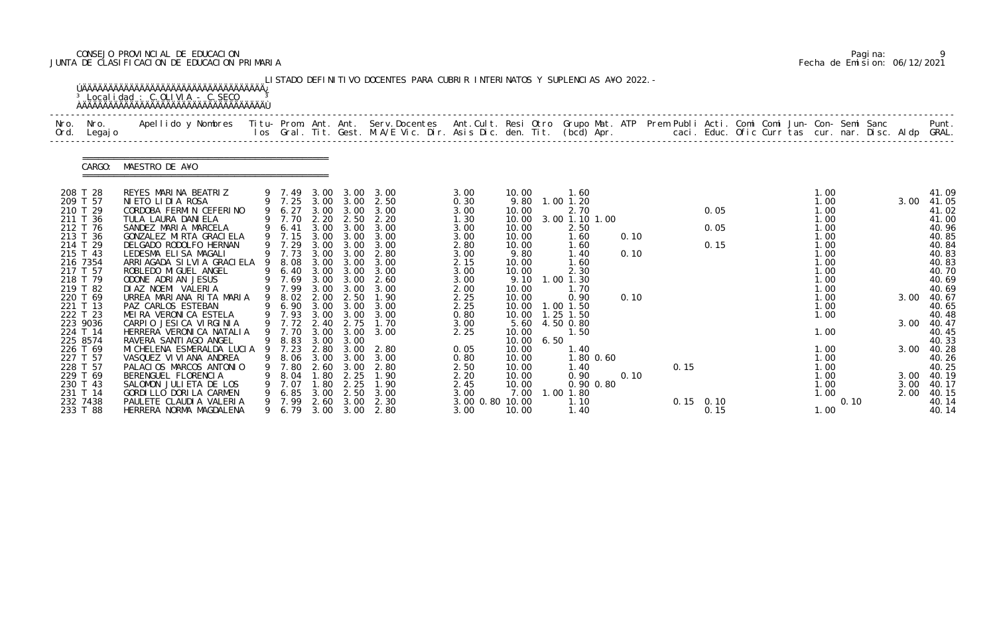# CONSEJO PROVINCIAL DE EDUCACION Pagina: 9 JUNTA DE CLASIFICACION DE EDUCACION PRIMARIA Fecha de Emision: 06/12/2021

| Nro.<br>Ord.         | Nro.<br>Legaj o | Apellido y Nombres  Titu- Prom. Ant. Ant. Serv.Docentes  Ant.Cult. Resi Otro Grupo Mat. ATP Prem Publi Acti. Comi Comi Jun- Con- Semi Sanc         Punt.<br>Ios Gral. Tit. Gest. M.A/E Vic. Dir. Asis Dic. den. Tit. (bcd) Apr. |   |                  |              |              |                               |                         |                |                   |      |      |                     |  |              |      |      |                     |
|----------------------|-----------------|---------------------------------------------------------------------------------------------------------------------------------------------------------------------------------------------------------------------------------|---|------------------|--------------|--------------|-------------------------------|-------------------------|----------------|-------------------|------|------|---------------------|--|--------------|------|------|---------------------|
|                      | CARGO:          | MAESTRO DE A¥O                                                                                                                                                                                                                  |   |                  |              |              |                               |                         |                |                   |      |      |                     |  |              |      |      |                     |
| 208 T 28             |                 | REYES MARINA BEATRIZ                                                                                                                                                                                                            |   |                  |              |              | 9 7.49 3.00 3.00 3.00         | 3.00                    | 10.00          | 1.60              |      |      |                     |  | 1.00         |      |      | 41.09               |
| 209 T 57<br>210 T 29 |                 | NIETO LIDIA ROSA<br>CORDOBA FERMIN CEFERINO                                                                                                                                                                                     |   | 9 6.27           | 3.00         | 3.00         | 9 7.25 3.00 3.00 2.50<br>3.00 | 0.30<br>3.00            | 9.80<br>10.00  | 1.00 1.20<br>2.70 |      |      | 0.05                |  | 1.00<br>1.00 |      | 3.00 | 41.05<br>41.02      |
| 211 T 36             |                 | TULA LAURA DANI ELA                                                                                                                                                                                                             |   | 9 7.70           | 2.20         | 2.50         | 2.20                          | 1.30                    | 10.00          | 3.00 1.10 1.00    |      |      |                     |  | 1.00         |      |      | 41.00               |
| 212 T 76             |                 | SANDEZ MARIA MARCELA                                                                                                                                                                                                            |   | 9 6.41           | 3.00         | 3.00         | 3.00                          | 3.00                    | 10.00          | 2.50              |      |      | 0.05                |  | 1.00         |      |      | 40.96               |
|                      | 213 T 36        | GONZALEZ MIRTA GRACI ELA                                                                                                                                                                                                        |   | 9 7.15           | 3.00         | 3.00         | 3.00                          | 3.00                    | 10.00          | 1.60              | 0.10 |      |                     |  | 1.00         |      |      | 40.85               |
| 214 T 29<br>215 T 43 |                 | DELGADO RODOLFO HERNAN<br>LEDESMA ELISA MAGALI                                                                                                                                                                                  |   | 9 7.29<br>9 7.73 | 3.00<br>3.00 | 3.00<br>3.00 | 3.00<br>2.80                  | 2.80<br>3.00            | 10.00<br>9.80  | 1.60<br>1.40      | 0.10 |      | 0.15                |  | 1.00<br>1.00 |      |      | 40.84<br>40.83      |
| 216 7354             |                 | ARRI AGADA SI LVI A GRACI ELA                                                                                                                                                                                                   |   | 8.08             | 3.00         | 3.00         | 3.00                          | 2.15                    | 10.00          | 1.60              |      |      |                     |  | 1.00         |      |      | 40.83               |
| 217 T 57             |                 | ROBLEDO MI GUEL ANGEL                                                                                                                                                                                                           |   | 6.40             | 3.00         | 3.00         | 3.00                          | 3.00                    | 10.00          | 2.30              |      |      |                     |  | 1.00         |      |      | 40.70               |
| 218 T 79             |                 | ODONE ADRIAN JESUS                                                                                                                                                                                                              |   | 9 7.69           | 3.00         | 3.00         | 2.60                          | 3.00                    | 9.10           | 1.00 1.30         |      |      |                     |  | 1.00         |      |      | 40.69               |
| 219 T 82<br>220 T 69 |                 | DI AZ NOEMI VALERIA<br>URREA MARIANA RITA MARIA                                                                                                                                                                                 |   | 9 7.99<br>9 8.02 | 3.00<br>2.00 | 3.00<br>2.50 | 3.00<br>1.90                  | 2.00                    | 10.00<br>10.00 | 1.70<br>0.90      | 0.10 |      |                     |  | 1.00<br>1.00 |      | 3.00 | 40.69<br>40.67      |
| 221 T 13             |                 | PAZ CARLOS ESTEBAN                                                                                                                                                                                                              |   | 9 6.90           | 3.00         | 3.00         | 3.00                          | 2.25<br>2.25            | 10.00          | 1.00 1.50         |      |      |                     |  | 1.00         |      |      | 40.65               |
| 222 T 23             |                 | MEIRA VERONICA ESTELA                                                                                                                                                                                                           |   | 9 7.93           | 3.00         | 3.00         | 3.00                          | 0.80                    | 10.00          | 1.25 1.50         |      |      |                     |  | 1.00         |      |      | 40.48               |
| 223 9036             |                 | CARPIO JESICA VIRGINIA                                                                                                                                                                                                          |   | 9 7.72           | 2.40         | 2.75         | 1.70                          | 3.00                    | 5.60           | 4.50 0.80         |      |      |                     |  |              |      | 3.00 | 40.47               |
| 224 T 14             |                 | HERRERA VERONICA NATALIA                                                                                                                                                                                                        |   | 9 7.70           |              | 3.00 3.00    | 3.00                          | 2.25                    | 10.00          | 1.50              |      |      |                     |  | 1.00         |      |      | 40.45               |
| 225 8574             |                 | RAVERA SANTI AGO ANGEL                                                                                                                                                                                                          |   | 9 8.83           | 3.00         | 3.00         |                               |                         | 10.00<br>6.50  |                   |      |      |                     |  |              |      |      | 40.33               |
| 227 T 57             | 226 T 69        | MI CHELENA ESMERALDA LUCIA 9 7.23<br>VASQUEZ VI VI ANA ANDREA                                                                                                                                                                   | 9 | 8.06             | 2.80<br>3.00 | 3.00<br>3.00 | 2.80<br>3.00                  | 0.05<br>0.80            | 10.00<br>10.00 | 1.40<br>1.80 0.60 |      |      |                     |  | 1.00<br>1.00 |      |      | 3.00 40.28<br>40.26 |
| 228 T 57             |                 | PALACIOS MARCOS ANTONIO                                                                                                                                                                                                         |   | 7.80             | 2.60         | 3.00         | 2.80                          | 2.50                    | 10.00          | 1.40              |      | 0.15 |                     |  | 1.00         |      |      | 40.25               |
|                      | 229 T 69        | BERENGUEL FLORENCIA                                                                                                                                                                                                             |   | 8. 04            | .80          | 2.25         | 1.90                          | 2.20                    | 10.00          | 0.90              | 0.10 |      |                     |  | 1.00         |      | 3.00 | 40.19               |
|                      | 230 T 43        | SALOMON JULIETA DE LOS                                                                                                                                                                                                          |   | 7.07             | .80          | 2.25         | 1.90                          | 2.45                    | 10.00          | 0.90 0.80         |      |      |                     |  | 1.00         |      | 3.00 | 40.17               |
| 231 T 14             |                 | GORDILLO DORILA CARMEN                                                                                                                                                                                                          |   | 6.85             | 3.00         | 2.50         | 3.00                          | 3.00                    | 7.00           | 1.00 1.80         |      |      |                     |  | 1.00         |      | 2.00 | 40.15               |
| 232 7438             | 233 T 88        | PAULETE CLAUDIA VALERIA<br>HERRERA NORMA MAGDALENA                                                                                                                                                                              |   | 9 7.99           | 2.60         | 3.00         | 2.30<br>9 6.79 3.00 3.00 2.80 | 3.00 0.80 10.00<br>3.00 | 10.00          | 1.10<br>1.40      |      |      | $0.15$ 0.10<br>0.15 |  | 1.00         | 0.10 |      | 40.14<br>40.14      |

|  | Pagi na: |                              |
|--|----------|------------------------------|
|  |          | Fecha de Emision: 06/12/2021 |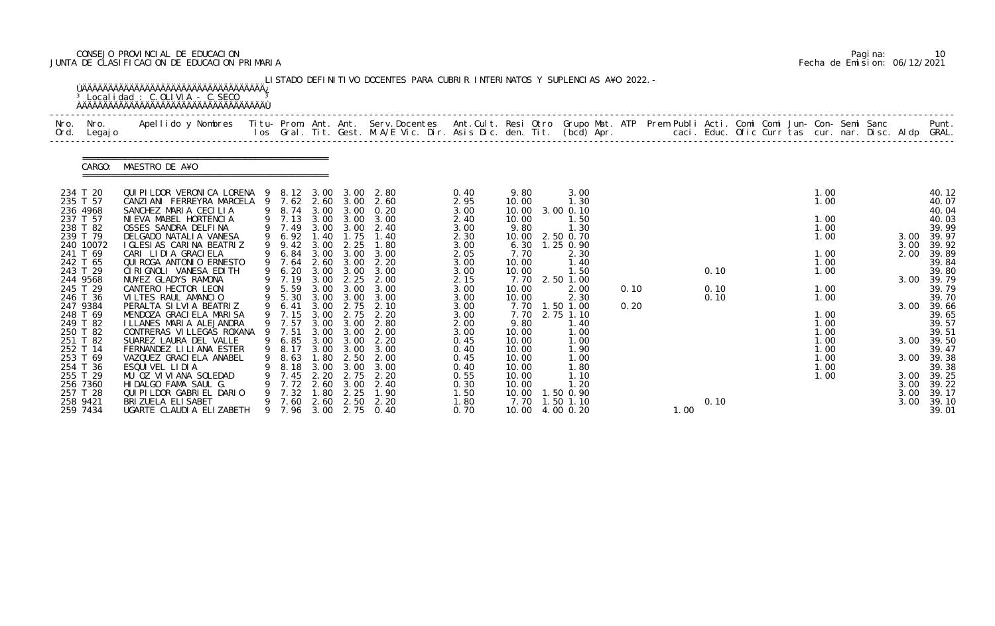# CONSEJO PROVINCIAL DE EDUCACION Pagina: 10 JUNTA DE CLASIFICACION DE EDUCACION PRIMARIA Fecha de Emision: 06/12/2021

| Nro.<br>Ord.         | Nro.<br>Legaj o | Apellido y Nombres - Titu- Prom. Ant. Ant. Serv.Docentes - Ant.Cult. Resi Otro Grupo Mat. ATP - Prem Publi Acti. Comi Comi Jun- Con- Semi Sanc - Semi Sanc - Semi Sanc - Semi Sanc - Semi Sanc - Semi Sanc - Semi Sanc - Semi |   |                |              |              |              |              |                |                   |      |      |  | caci. Educ. Ofic Curr tas cur. nar. Disc. Aldp GRAL. |              | Punt.          |
|----------------------|-----------------|-------------------------------------------------------------------------------------------------------------------------------------------------------------------------------------------------------------------------------|---|----------------|--------------|--------------|--------------|--------------|----------------|-------------------|------|------|--|------------------------------------------------------|--------------|----------------|
|                      | CARGO:          | MAESTRO DE A¥O                                                                                                                                                                                                                |   |                |              |              |              |              |                |                   |      |      |  |                                                      |              |                |
| 234 T 20             |                 | QUI PI LDOR VERONI CA LORENA 9 8.12 3.00                                                                                                                                                                                      |   |                |              |              | 3.00 2.80    | 0.40         | 9.80           | 3.00              |      |      |  | 1.00                                                 |              | 40.12          |
| 235 T 57<br>236 4968 |                 | CANZIANI FERREYRA MARCELA 9 7.62<br>SANCHEZ MARIA CECILIA                                                                                                                                                                     |   | 9 8.74         | 2.60<br>3.00 | 3.00<br>3.00 | 2.60<br>0.20 | 2.95<br>3.00 | 10.00<br>10.00 | 1.30<br>3.00 0.10 |      |      |  | 1.00                                                 |              | 40.07<br>40.04 |
| 237 T 57             |                 | NI EVA MABEL HORTENCIA                                                                                                                                                                                                        |   | 9 7.13         | 3.00         | 3.00         | 3.00         | 2.40         | 10.00          | 1.50              |      |      |  | 1.00                                                 |              | 40.03          |
| 238 T 82             |                 | OSSES SANDRA DELFINA                                                                                                                                                                                                          |   | 9 7.49         | 3.00         | 3.00         | 2.40         | 3.00         | 9.80           | 1.30              |      |      |  | 1.00                                                 |              | 39.99          |
| 239 T 79             |                 | DELGADO NATALIA VANESA                                                                                                                                                                                                        |   | 9 6.92         | .40          | 1.75         | 1.40         | 2.30         | 10.00          | 2.50 0.70         |      |      |  | 1.00                                                 | 3.00         | 39.97          |
| 241 T 69             | 240 10072       | I GLESI AS CARINA BEATRIZ<br>CARI LIDIA GRACIELA                                                                                                                                                                              |   | 9.42           | 3.00<br>3.00 | 2.25<br>3.00 | 1.80<br>3.00 | 3.00         | 6.30<br>7.70   | 1.25 0.90<br>2.30 |      |      |  | 1.00                                                 | 3.00<br>2.00 | 39.92<br>39.89 |
| 242 T 65             |                 | QUI ROGA ANTONIO ERNESTO                                                                                                                                                                                                      |   | 6.84<br>9 7.64 | 2.60         | 3.00         | 2.20         | 2.05<br>3.00 | 10.00          | 1.40              |      |      |  | 1.00                                                 |              | 39.84          |
| 243 T 29             |                 | CIRIGNOLI VANESA EDITH                                                                                                                                                                                                        |   | 6.20           | 3.00         | 3.00         | 3.00         | 3.00         | 10.00          | 1.50              |      | 0.10 |  | 1.00                                                 |              | 39.80          |
| 244 9568             |                 | NU¥EZ GLADYS RAMONA                                                                                                                                                                                                           |   | 9 7.19         | 3.00         | 2.25         | 2.00         | 2.15         | 7.70           | 2.50 1.00         |      |      |  |                                                      | 3.00         | 39.79          |
| 245 T 29             |                 | CANTERO HECTOR LEON                                                                                                                                                                                                           |   | 5.59           | 3.00         | 3.00         | 3.00         | 3.00         | 10.00          | 2.00              | 0.10 | 0.10 |  | 1.00                                                 |              | 39.79          |
| 246 T 36<br>247 9384 |                 | VILTES RAUL AMANCIO<br>PERALTA SI LVI A BEATRIZ                                                                                                                                                                               | 9 | 9 5.30<br>6.41 | 3.00<br>3.00 | 3.00<br>2.75 | 3.00<br>2.10 | 3.00<br>3.00 | 10.00<br>7.70  | 2.30<br>1.50 1.00 | 0.20 | 0.10 |  | 1.00                                                 | 3.00         | 39.70<br>39.66 |
| 248 T 69             |                 | MENDOZA GRACI ELA MARI SA                                                                                                                                                                                                     |   | 7.15           | 3.00         | 2.75         | 2.20         | 3.00         | 7.70           | 2.75 1.10         |      |      |  | 1.00                                                 |              | 39.65          |
| 249 T 82             |                 | I LLANES MARIA ALEJANDRA                                                                                                                                                                                                      |   | 9 7.57         | 3.00         | 3.00         | 2.80         | 2.00         | 9.80           | 1.40              |      |      |  | 1.00                                                 |              | 39.57          |
| 250 T 82             |                 | CONTRERAS VI LLEGAS ROXANA                                                                                                                                                                                                    | 9 | 7.51           | 3.00         | 3.00         | 2.00         | 3.00         | 10.00          | 1.00              |      |      |  | 1.00                                                 |              | 39.51          |
| 251 T 82             |                 | SUAREZ LAURA DEL VALLE                                                                                                                                                                                                        |   | 9 6.85         | 3.00         | 3.00         | 2.20         | 0.45         | 10.00          | 1.00              |      |      |  | 1.00                                                 | 3.00         | 39.50          |
| 252 T 14             |                 | FERNANDEZ LI LI ANA ESTER                                                                                                                                                                                                     | 9 | 9 8.17         | 3.00         | 3.00         | 3.00         | 0.40         | 10.00          | 1.90              |      |      |  | 1.00                                                 | 3.00         | 39.47          |
| 253 T 69<br>254 T 36 |                 | VAZQUEZ GRACI ELA ANABEL<br>ESQUIVEL LIDIA                                                                                                                                                                                    |   | 8.63<br>8.18   | 1.80<br>3.00 | 2.50<br>3.00 | 2.00<br>3.00 | 0.45<br>0.40 | 10.00<br>10.00 | 1.00<br>1.80      |      |      |  | 1.00<br>1.00                                         |              | 39.38<br>39.38 |
| 255 T 29             |                 | MU OZ VIVIANA SOLEDAD                                                                                                                                                                                                         |   | 7.45           | 2.20         | 2.75         | 2.20         | 0.55         | 10.00          | 1.10              |      |      |  | 1.00                                                 | 3.00         | 39.25          |
| 256 7360             |                 | HIDALGO FAMA SAUL G.                                                                                                                                                                                                          |   | 7.72           | 2.60         | 3.00         | 2.40         | 0.30         | 10.00          | 1.20              |      |      |  |                                                      | 3.00         | 39.22          |
| 257 T 28             |                 | QUI PI LDOR GABRI EL DARIO                                                                                                                                                                                                    |   | 7.32           | .80          | 2.25         | 1.90         | 1.50         | 10.00          | 1.50 0.90         |      |      |  |                                                      | 3.00         | 39.17          |
|                      | 258 9421        | BRI ZUELA ELI SABET                                                                                                                                                                                                           |   | 7.60           | 2.60         | 2.50         | 2.20         | 1.80         | 7.70           | 1.50 1.10         |      | 0.10 |  |                                                      | 3.00         | 39.10          |

|  | Pagi na: | 10                           |
|--|----------|------------------------------|
|  |          | Fecha de Emision: 06/12/2021 |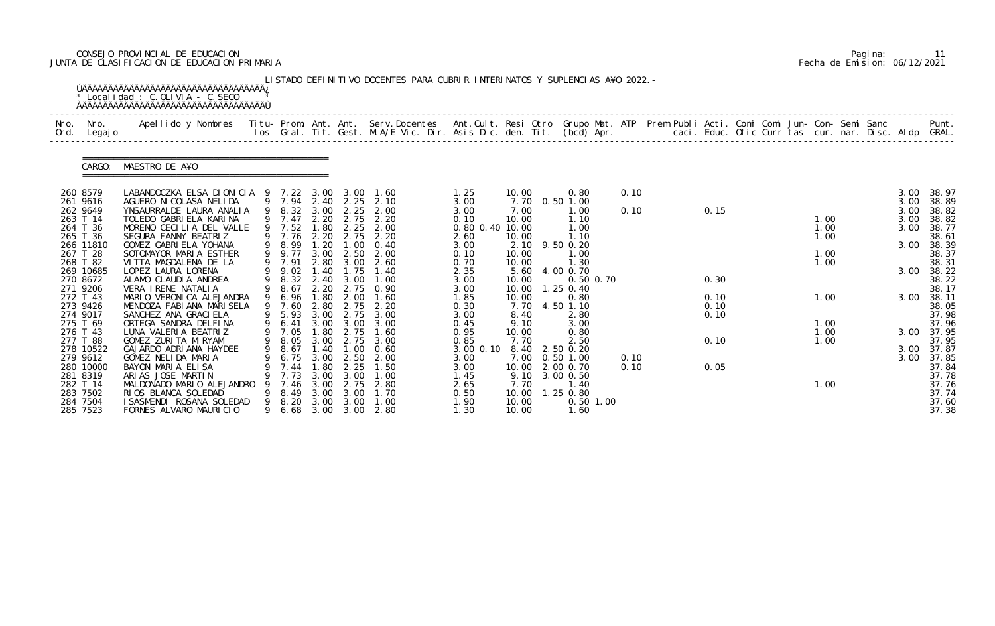# CONSEJO PROVINCIAL DE EDUCACION Pagina: 11 JUNTA DE CLASIFICACION DE EDUCACION PRIMARIA Fecha de Emision: 06/12/2021

| Nro.<br>Ord. | Nro.<br>Legaj o       | Apellido y Nombres  Titu- Prom. Ant. Ant. Serv.Docentes  Ant.Cult. Resi Otro Grupo Mat. ATP Prem Publi Acti. Comi Comi Jun- Con- Semi Sanc         Punt.<br>Ios Gral. Tit. Gest. M.A/E Vic. Dir. Asis Dic. den. Tit. (bcd) Apr. |   |                  |              |                                    |              |                         |                |                                              |      |              |      |  |              |  |              |                     |
|--------------|-----------------------|---------------------------------------------------------------------------------------------------------------------------------------------------------------------------------------------------------------------------------|---|------------------|--------------|------------------------------------|--------------|-------------------------|----------------|----------------------------------------------|------|--------------|------|--|--------------|--|--------------|---------------------|
|              | CARGO:                | MAESTRO DE A¥O                                                                                                                                                                                                                  |   |                  |              |                                    |              |                         |                |                                              |      |              |      |  |              |  |              |                     |
|              | 260 8579<br>261 9616  | LABANDOCZKA ELSA DIONICIA 9 7.22 3.00<br>AGUERO NI COLASA NELI DA                                                                                                                                                               |   | 9 7.94           | 2.40         | 3.00<br>2.25                       | 1.60<br>2.10 | 1.25<br>3.00            | 10.00<br>7.70  | 0.80<br>$0.50$ 1.00                          | 0.10 |              |      |  |              |  | 3.00<br>3.00 | 38.97<br>38.89      |
|              | 262 9649              | YNSAURRALDE LAURA ANALIA                                                                                                                                                                                                        | 9 | 8.32             | 3.00         | 2.25                               | 2.00         | 3.00                    | 7.00           | l . 00                                       | 0.10 | 0.15         |      |  |              |  | 3.00         | 38.82               |
|              | 263 T 14<br>264 T 36  | TOLEDO GABRIELA KARINA<br>MORENO CECILIA DEL VALLE                                                                                                                                                                              |   | 9 7.47<br>9 7.52 | 2.20<br>1.80 | 2.75<br>2.25                       | 2.20<br>2.00 | 0.10<br>0.80 0.40 10.00 | 10.00          | 1.10<br>1.00                                 |      |              |      |  | 1.00<br>1.00 |  | 3.00<br>3.00 | 38.82<br>38.77      |
|              | 265 T 36              | SEGURA FANNY BEATRIZ                                                                                                                                                                                                            |   | 9 7.76           | 2.20         | 2.75                               | 2.20         | 2.60                    | 10.00          | 1.10                                         |      |              |      |  | 1.00         |  |              | 38.61               |
|              | 266 11810<br>267 T 28 | GOMEZ GABRIELA YOHANA<br>SOTOMAYOR MARIA ESTHER                                                                                                                                                                                 |   | 9 8.99<br>9 9.77 | 1.20<br>3.00 | $\overline{\phantom{0}}$ .<br>2.50 | 0.40<br>2.00 | 3.00<br>0.10            | 10.00          | 2.10 9.50 0.20<br>$\overline{\phantom{0}}$ . |      |              |      |  | 1.00         |  | 3.00         | 38.39<br>38.37      |
|              | 268 T 82              | VITTA MAGDALENA DE LA                                                                                                                                                                                                           |   | 7.91             | 2.80         | 3.00                               | 2.60         | 0.70                    | 10.00          | 1.30                                         |      |              |      |  | 1.00         |  |              | 38.31               |
|              | 269 10685             | LOPEZ LAURA LORENA                                                                                                                                                                                                              |   | 9 9.02           | 1.40         | 1.75                               | 1.40         | 2.35                    | 5.60           | 4.00 0.70                                    |      |              |      |  |              |  | 3.00         | 38.22               |
|              | 270 8672<br>271 9206  | ALAMO CLAUDIA ANDREA<br>VERA I RENE NATALIA                                                                                                                                                                                     | 9 | 8.32<br>8.67     | 2.40<br>2.20 | 3.00<br>2.75                       | 1.00<br>0.90 | 3.00<br>3.00            | 10.00<br>10.00 | $0.50$ $0.70$<br>$1.25$ 0.40                 |      | 0.30         |      |  |              |  |              | 38.22<br>38.17      |
|              | 272 T 43              | MARIO VERONICA ALEJANDRA                                                                                                                                                                                                        |   | 9 6.96           | 1.80         | 2.00                               | 1.60         | 1.85                    | 10.00          | 0.80                                         |      | 0.10         |      |  | 1.00         |  | 3.00         | 38.11               |
|              | 273 9426<br>274 9017  | MENDOZA FABIANA MARI SELA<br>SANCHEZ ANA GRACI ELA                                                                                                                                                                              |   | 9 7.60<br>5.93   | 2.80<br>3.00 | 2.75<br>2.75                       | 2.20<br>3.00 | 0.30<br>3.00            | 7.70<br>8.40   | 4.50 1.10<br>2.80                            |      | 0.10<br>0.10 |      |  |              |  |              | 38.05<br>37.98      |
|              | 275 T 69              | ORTEGA SANDRA DELFINA                                                                                                                                                                                                           |   | 6.41             | 3.00         | 3.00                               | 3.00         | 0.45                    | 9.10           | 3.00                                         |      |              |      |  | 1.00         |  |              | 37.96               |
|              | 276 T 43              | LUNA VALERIA BEATRIZ                                                                                                                                                                                                            |   | 9 7.05           | 1.80         | 2.75                               | 1.60         | 0.95                    | 10.00          | 0.80                                         |      |              |      |  | 1.00         |  | 3.00         | 37.95               |
|              | 277 T 88<br>278 10522 | GOMEZ ZURI TA MI RYAM<br>GAJARDO ADRIANA HAYDEE                                                                                                                                                                                 |   | 9 8.05<br>9 8.67 | 3.00<br>1.40 | 2.75<br>1.00                       | 3.00<br>0.60 | 0.85<br>3.00 0.10       | 7.70           | 2.50<br>8.40 2.50 0.20                       |      | 0.10         |      |  | 1.00         |  |              | 37.95<br>3.00 37.87 |
|              | 279 9612              | GOMEZ NELIDA MARIA                                                                                                                                                                                                              |   | 6.75             | 3.00         | 2.50                               | 2.00         | 3.00                    | 7.00           | $0.50$ 1.00                                  | 0.10 |              |      |  |              |  | 3.00         | 37.85               |
|              | 280 10000             | BAYON MARIA ELISA                                                                                                                                                                                                               |   | 7.44             | .80          | 2.25                               | 1.50         | 3.00                    | 10.00          | 2.00 0.70                                    | 0.10 |              | 0.05 |  |              |  |              | 37.84               |
|              | 281 8319<br>282 T 14  | ARIAS JOSE MARTIN<br>MALDONADO MARIO ALEJANDRO                                                                                                                                                                                  |   | 7.73<br>7.46     | 3.00<br>3.00 | 3.00<br>2.75                       | 1.00<br>2.80 | 1.45<br>2.65            | 9.10<br>7.70   | 3.00 0.50<br>1.40                            |      |              |      |  | 1.00         |  |              | 37.78<br>37.76      |
|              | 283 7502              | RIOS BLANCA SOLEDAD                                                                                                                                                                                                             |   | 8.49             | 3.00         | 3.00                               | 1.70         | 0.50                    | 10.00          | 1.25 0.80                                    |      |              |      |  |              |  |              | 37.74               |
|              | 284 7504              | I SASMENDI ROSANA SOLEDAD                                                                                                                                                                                                       | 9 | 8.20             | 3.00         | 3.00                               | 1.00         | 1.90                    | 10.00          | $0.50$ 1.00                                  |      |              |      |  |              |  |              | 37.60               |

|  | Pagi na: |                              |
|--|----------|------------------------------|
|  |          | Fecha de Emision: 06/12/2021 |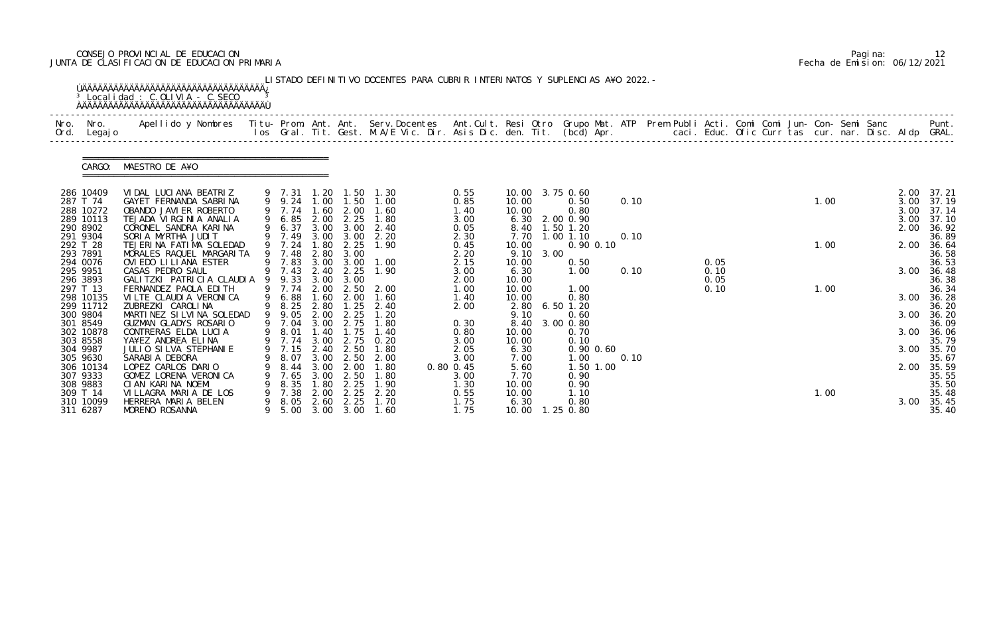# CONSEJO PROVINCIAL DE EDUCACION Pagina: 12 JUNTA DE CLASIFICACION DE EDUCACION PRIMARIA Fecha de Emision: 06/12/2021

| Apellido y Nombres  Titu- Prom. Ant. Ant. Serv.Docentes  Ant.Cult. Resi Otro Grupo Mat. ATP Prem Publi Acti. Comi Comi Jun- Con- Semi Sanc             Punt.<br>Ios Gral. Tit. Gest. M.A/E Vic. Dir. Asis Dic. den. Tit. (bcd) Ap<br>Legaj o<br>MAESTRO DE A¥O<br>CARGO:<br>286 10409<br>VIDAL LUCIANA BEATRIZ<br>10.00 3.75 0.60<br>0.55<br>9 7.31<br>1. 20<br>1.50<br>1. 30<br>9 9.24<br>287 T 74<br>GAYET FERNANDA SABRINA<br>$1.00$ $1.50$<br>1.00<br>1.00<br>10.00<br>0.10<br>0.85<br>0.50<br>9 7.74<br>1.60<br>288 10272<br>2.00<br>1.40<br>0.80<br>OBANDO JAVI ER ROBERTO<br>1.60<br>10.00<br>TEJADA VIRGINIA ANALIA<br>6.85<br>2.00<br>2.25<br>289 10113<br>1.80<br>6.30 2.00 0.90<br>3.00<br>9<br>CORONEL SANDRA KARINA<br>6.37<br>8.40 1.50 1.20<br>290 8902<br>9<br>3.00 3.00<br>2.40<br>0.05<br>291 9304<br>SORIA MYRTHA JUDIT<br>7.49<br>2.30<br>3.00<br>3.00<br>2.20<br>7.70<br>1.00 1.10<br>0.10<br>9 7.24<br>292 T 28<br>0.90 0.10<br>TEJERINA FATIMA SOLEDAD<br>2.25<br>1.00<br>.80<br>1.90<br>0.45<br>10.00<br>293 7891<br>9 7.48<br>9.10<br>MORALES RAQUEL MARGARITA<br>2.80<br>2.20<br>3.00<br>3.00<br>7.83<br>294 0076<br>OVIEDO LILIANA ESTER<br>3.00<br>3.00<br>2.15<br>10.00<br>0.05<br>1.00<br>0.50<br>9 7.43<br>2.25<br>295 9951<br>CASAS PEDRO SAUL<br>2.40<br>1.90<br>0.10<br>3.00<br>6.30<br>0.10<br>1.00<br>9.33<br>296 3893<br>GALITZKI PATRICIA CLAUDIA 9<br>3.00 3.00<br>0.05<br>10.00<br>2.00<br>297 T 13<br>2.00<br>FERNANDEZ PAOLA EDITH<br>1.00<br>10.00<br>0.10<br>2.50<br>2.00<br>1.00<br>1.00<br>6.88<br>298 10135<br>VILTE CLAUDIA VERONICA<br>1.60<br>2.00<br>1.60<br>1.40<br>10.00<br>0.80<br>8.25<br>299 11712<br>ZUBREZKI CAROLINA<br>9<br>2.80<br>1.25<br>$6.50$ 1.20<br>2.40<br>2.80<br>2.00<br>MARTINEZ SILVINA SOLEDAD<br>9<br>300 9804<br>9.05<br>2.00<br>2.25<br>1.20<br>9.10<br>0.60<br>2.75<br>301 8549<br>GUZMAN GLADYS ROSARIO<br>8.40<br>3.00 0.80<br>9 7.04<br>3.00<br>1.80<br>0.30<br>1.75<br>302 10878<br>CONTRERAS ELDA LUCIA<br>9 8.01<br>9 7.74<br>1.40<br>1.40<br>0.80<br>10.00<br>0.70<br>3.00<br>2.75<br>YA¥EZ ANDREA ELINA<br>0.20<br>303 8558<br>3.00<br>0.10<br>10.00<br>9 7.15<br>JULIO SILVA STEPHANIE<br>2.40<br>2.50<br>1.80<br>2.05<br>304 9987<br>6.30<br>$0.90$ $0.60$<br>SARABI A DEBORA<br>3.00<br>2.50<br>8.07<br>3.00<br>7.00<br>$\overline{\phantom{0}}$ . $\overline{\phantom{0}}$<br>0.10<br>305 9630<br>2.00<br>306 10134<br>1.50 1.00<br>LOPEZ CARLOS DARIO<br>3.00<br>2.00<br>5.60<br>8.44<br>1. 80<br>$0.80$ $0.45$<br>2.50<br>307 9333<br>GOMEZ LORENA VERONICA<br>7.65<br>3.00<br>3.00<br>7.70<br>0.90<br>1. 80<br>2.25<br>308 9883<br>CIAN KARINA NOEMI<br>8.35<br>1.80<br>1.30<br>10.00<br>0.90<br>1.90<br>309 T 14<br>VILLAGRA MARIA DE LOS<br>2.00<br>2.25<br>2.20<br>0.55<br>10.00<br>1.10<br>1.00<br>7.38<br>310 10099<br>2.60<br>2.25<br>HERRERA MARIA BELEN<br>8.05<br>1.70<br>1.75<br>0.80<br>6.30<br>9 |              |                |
|----------------------------------------------------------------------------------------------------------------------------------------------------------------------------------------------------------------------------------------------------------------------------------------------------------------------------------------------------------------------------------------------------------------------------------------------------------------------------------------------------------------------------------------------------------------------------------------------------------------------------------------------------------------------------------------------------------------------------------------------------------------------------------------------------------------------------------------------------------------------------------------------------------------------------------------------------------------------------------------------------------------------------------------------------------------------------------------------------------------------------------------------------------------------------------------------------------------------------------------------------------------------------------------------------------------------------------------------------------------------------------------------------------------------------------------------------------------------------------------------------------------------------------------------------------------------------------------------------------------------------------------------------------------------------------------------------------------------------------------------------------------------------------------------------------------------------------------------------------------------------------------------------------------------------------------------------------------------------------------------------------------------------------------------------------------------------------------------------------------------------------------------------------------------------------------------------------------------------------------------------------------------------------------------------------------------------------------------------------------------------------------------------------------------------------------------------------------------------------------------------------------------------------------------------------------------------------------------------------------------------------------------------------------------------------------------------------------------------------------------------------------------------------------------------------------------------------------------------------------------------------------------------------|--------------|----------------|
|                                                                                                                                                                                                                                                                                                                                                                                                                                                                                                                                                                                                                                                                                                                                                                                                                                                                                                                                                                                                                                                                                                                                                                                                                                                                                                                                                                                                                                                                                                                                                                                                                                                                                                                                                                                                                                                                                                                                                                                                                                                                                                                                                                                                                                                                                                                                                                                                                                                                                                                                                                                                                                                                                                                                                                                                                                                                                                          |              |                |
|                                                                                                                                                                                                                                                                                                                                                                                                                                                                                                                                                                                                                                                                                                                                                                                                                                                                                                                                                                                                                                                                                                                                                                                                                                                                                                                                                                                                                                                                                                                                                                                                                                                                                                                                                                                                                                                                                                                                                                                                                                                                                                                                                                                                                                                                                                                                                                                                                                                                                                                                                                                                                                                                                                                                                                                                                                                                                                          |              |                |
|                                                                                                                                                                                                                                                                                                                                                                                                                                                                                                                                                                                                                                                                                                                                                                                                                                                                                                                                                                                                                                                                                                                                                                                                                                                                                                                                                                                                                                                                                                                                                                                                                                                                                                                                                                                                                                                                                                                                                                                                                                                                                                                                                                                                                                                                                                                                                                                                                                                                                                                                                                                                                                                                                                                                                                                                                                                                                                          | 2.00         | 37.21          |
|                                                                                                                                                                                                                                                                                                                                                                                                                                                                                                                                                                                                                                                                                                                                                                                                                                                                                                                                                                                                                                                                                                                                                                                                                                                                                                                                                                                                                                                                                                                                                                                                                                                                                                                                                                                                                                                                                                                                                                                                                                                                                                                                                                                                                                                                                                                                                                                                                                                                                                                                                                                                                                                                                                                                                                                                                                                                                                          | 3.00         | 37.19          |
|                                                                                                                                                                                                                                                                                                                                                                                                                                                                                                                                                                                                                                                                                                                                                                                                                                                                                                                                                                                                                                                                                                                                                                                                                                                                                                                                                                                                                                                                                                                                                                                                                                                                                                                                                                                                                                                                                                                                                                                                                                                                                                                                                                                                                                                                                                                                                                                                                                                                                                                                                                                                                                                                                                                                                                                                                                                                                                          | 3.00         | 37.14          |
|                                                                                                                                                                                                                                                                                                                                                                                                                                                                                                                                                                                                                                                                                                                                                                                                                                                                                                                                                                                                                                                                                                                                                                                                                                                                                                                                                                                                                                                                                                                                                                                                                                                                                                                                                                                                                                                                                                                                                                                                                                                                                                                                                                                                                                                                                                                                                                                                                                                                                                                                                                                                                                                                                                                                                                                                                                                                                                          | 3.00<br>2.00 | 37.10<br>36.92 |
|                                                                                                                                                                                                                                                                                                                                                                                                                                                                                                                                                                                                                                                                                                                                                                                                                                                                                                                                                                                                                                                                                                                                                                                                                                                                                                                                                                                                                                                                                                                                                                                                                                                                                                                                                                                                                                                                                                                                                                                                                                                                                                                                                                                                                                                                                                                                                                                                                                                                                                                                                                                                                                                                                                                                                                                                                                                                                                          |              | 36.89          |
|                                                                                                                                                                                                                                                                                                                                                                                                                                                                                                                                                                                                                                                                                                                                                                                                                                                                                                                                                                                                                                                                                                                                                                                                                                                                                                                                                                                                                                                                                                                                                                                                                                                                                                                                                                                                                                                                                                                                                                                                                                                                                                                                                                                                                                                                                                                                                                                                                                                                                                                                                                                                                                                                                                                                                                                                                                                                                                          | 2.00         | 36.64          |
|                                                                                                                                                                                                                                                                                                                                                                                                                                                                                                                                                                                                                                                                                                                                                                                                                                                                                                                                                                                                                                                                                                                                                                                                                                                                                                                                                                                                                                                                                                                                                                                                                                                                                                                                                                                                                                                                                                                                                                                                                                                                                                                                                                                                                                                                                                                                                                                                                                                                                                                                                                                                                                                                                                                                                                                                                                                                                                          |              | 36.58          |
|                                                                                                                                                                                                                                                                                                                                                                                                                                                                                                                                                                                                                                                                                                                                                                                                                                                                                                                                                                                                                                                                                                                                                                                                                                                                                                                                                                                                                                                                                                                                                                                                                                                                                                                                                                                                                                                                                                                                                                                                                                                                                                                                                                                                                                                                                                                                                                                                                                                                                                                                                                                                                                                                                                                                                                                                                                                                                                          |              | 36.53          |
|                                                                                                                                                                                                                                                                                                                                                                                                                                                                                                                                                                                                                                                                                                                                                                                                                                                                                                                                                                                                                                                                                                                                                                                                                                                                                                                                                                                                                                                                                                                                                                                                                                                                                                                                                                                                                                                                                                                                                                                                                                                                                                                                                                                                                                                                                                                                                                                                                                                                                                                                                                                                                                                                                                                                                                                                                                                                                                          | 3.00         | 36.48          |
|                                                                                                                                                                                                                                                                                                                                                                                                                                                                                                                                                                                                                                                                                                                                                                                                                                                                                                                                                                                                                                                                                                                                                                                                                                                                                                                                                                                                                                                                                                                                                                                                                                                                                                                                                                                                                                                                                                                                                                                                                                                                                                                                                                                                                                                                                                                                                                                                                                                                                                                                                                                                                                                                                                                                                                                                                                                                                                          |              | 36.38          |
|                                                                                                                                                                                                                                                                                                                                                                                                                                                                                                                                                                                                                                                                                                                                                                                                                                                                                                                                                                                                                                                                                                                                                                                                                                                                                                                                                                                                                                                                                                                                                                                                                                                                                                                                                                                                                                                                                                                                                                                                                                                                                                                                                                                                                                                                                                                                                                                                                                                                                                                                                                                                                                                                                                                                                                                                                                                                                                          |              | 36.34          |
|                                                                                                                                                                                                                                                                                                                                                                                                                                                                                                                                                                                                                                                                                                                                                                                                                                                                                                                                                                                                                                                                                                                                                                                                                                                                                                                                                                                                                                                                                                                                                                                                                                                                                                                                                                                                                                                                                                                                                                                                                                                                                                                                                                                                                                                                                                                                                                                                                                                                                                                                                                                                                                                                                                                                                                                                                                                                                                          | 3.00         | 36.28          |
|                                                                                                                                                                                                                                                                                                                                                                                                                                                                                                                                                                                                                                                                                                                                                                                                                                                                                                                                                                                                                                                                                                                                                                                                                                                                                                                                                                                                                                                                                                                                                                                                                                                                                                                                                                                                                                                                                                                                                                                                                                                                                                                                                                                                                                                                                                                                                                                                                                                                                                                                                                                                                                                                                                                                                                                                                                                                                                          |              | 36.20          |
|                                                                                                                                                                                                                                                                                                                                                                                                                                                                                                                                                                                                                                                                                                                                                                                                                                                                                                                                                                                                                                                                                                                                                                                                                                                                                                                                                                                                                                                                                                                                                                                                                                                                                                                                                                                                                                                                                                                                                                                                                                                                                                                                                                                                                                                                                                                                                                                                                                                                                                                                                                                                                                                                                                                                                                                                                                                                                                          | 3.00         | 36.20<br>36.09 |
|                                                                                                                                                                                                                                                                                                                                                                                                                                                                                                                                                                                                                                                                                                                                                                                                                                                                                                                                                                                                                                                                                                                                                                                                                                                                                                                                                                                                                                                                                                                                                                                                                                                                                                                                                                                                                                                                                                                                                                                                                                                                                                                                                                                                                                                                                                                                                                                                                                                                                                                                                                                                                                                                                                                                                                                                                                                                                                          | 3.00         | 36.06          |
|                                                                                                                                                                                                                                                                                                                                                                                                                                                                                                                                                                                                                                                                                                                                                                                                                                                                                                                                                                                                                                                                                                                                                                                                                                                                                                                                                                                                                                                                                                                                                                                                                                                                                                                                                                                                                                                                                                                                                                                                                                                                                                                                                                                                                                                                                                                                                                                                                                                                                                                                                                                                                                                                                                                                                                                                                                                                                                          |              | 35.79          |
|                                                                                                                                                                                                                                                                                                                                                                                                                                                                                                                                                                                                                                                                                                                                                                                                                                                                                                                                                                                                                                                                                                                                                                                                                                                                                                                                                                                                                                                                                                                                                                                                                                                                                                                                                                                                                                                                                                                                                                                                                                                                                                                                                                                                                                                                                                                                                                                                                                                                                                                                                                                                                                                                                                                                                                                                                                                                                                          |              | 3.00 35.70     |
|                                                                                                                                                                                                                                                                                                                                                                                                                                                                                                                                                                                                                                                                                                                                                                                                                                                                                                                                                                                                                                                                                                                                                                                                                                                                                                                                                                                                                                                                                                                                                                                                                                                                                                                                                                                                                                                                                                                                                                                                                                                                                                                                                                                                                                                                                                                                                                                                                                                                                                                                                                                                                                                                                                                                                                                                                                                                                                          |              | 35.67          |
|                                                                                                                                                                                                                                                                                                                                                                                                                                                                                                                                                                                                                                                                                                                                                                                                                                                                                                                                                                                                                                                                                                                                                                                                                                                                                                                                                                                                                                                                                                                                                                                                                                                                                                                                                                                                                                                                                                                                                                                                                                                                                                                                                                                                                                                                                                                                                                                                                                                                                                                                                                                                                                                                                                                                                                                                                                                                                                          | 2.00         | 35.59          |
|                                                                                                                                                                                                                                                                                                                                                                                                                                                                                                                                                                                                                                                                                                                                                                                                                                                                                                                                                                                                                                                                                                                                                                                                                                                                                                                                                                                                                                                                                                                                                                                                                                                                                                                                                                                                                                                                                                                                                                                                                                                                                                                                                                                                                                                                                                                                                                                                                                                                                                                                                                                                                                                                                                                                                                                                                                                                                                          |              | 35.55          |
|                                                                                                                                                                                                                                                                                                                                                                                                                                                                                                                                                                                                                                                                                                                                                                                                                                                                                                                                                                                                                                                                                                                                                                                                                                                                                                                                                                                                                                                                                                                                                                                                                                                                                                                                                                                                                                                                                                                                                                                                                                                                                                                                                                                                                                                                                                                                                                                                                                                                                                                                                                                                                                                                                                                                                                                                                                                                                                          |              | 35.50          |
|                                                                                                                                                                                                                                                                                                                                                                                                                                                                                                                                                                                                                                                                                                                                                                                                                                                                                                                                                                                                                                                                                                                                                                                                                                                                                                                                                                                                                                                                                                                                                                                                                                                                                                                                                                                                                                                                                                                                                                                                                                                                                                                                                                                                                                                                                                                                                                                                                                                                                                                                                                                                                                                                                                                                                                                                                                                                                                          |              | 35.48          |
| 3.00 3.00<br>MORENO ROSANNA<br>5.00<br>$1.25$ 0.80<br>311 6287<br>10.00<br>9<br>1.60<br>1.75                                                                                                                                                                                                                                                                                                                                                                                                                                                                                                                                                                                                                                                                                                                                                                                                                                                                                                                                                                                                                                                                                                                                                                                                                                                                                                                                                                                                                                                                                                                                                                                                                                                                                                                                                                                                                                                                                                                                                                                                                                                                                                                                                                                                                                                                                                                                                                                                                                                                                                                                                                                                                                                                                                                                                                                                             | 3.00         | 35.45<br>35.40 |

|  | Pagi na: |                              |
|--|----------|------------------------------|
|  |          | Fecha de Emision: 06/12/2021 |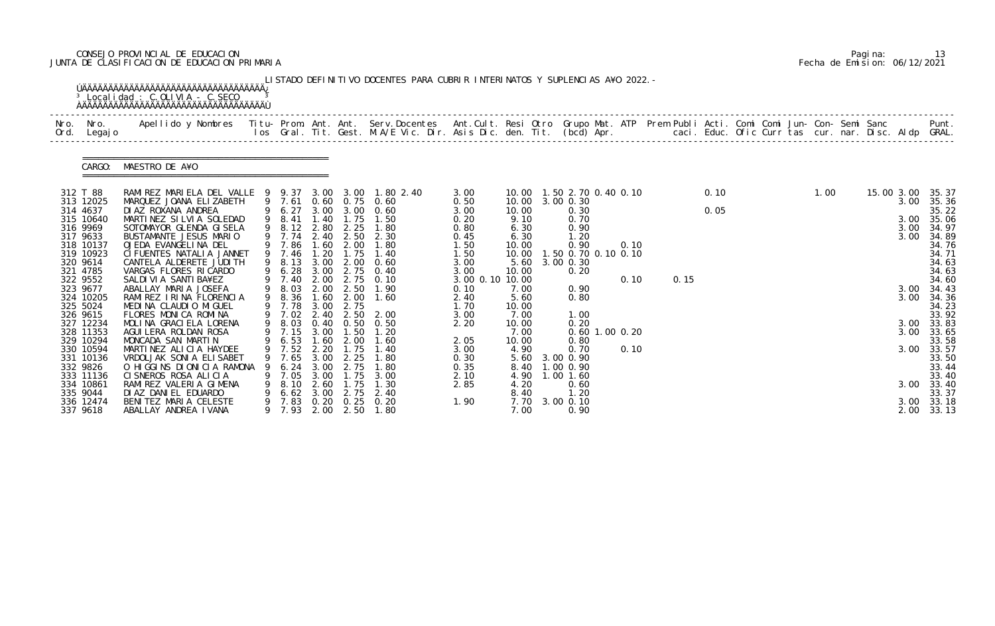# CONSEJO PROVINCIAL DE EDUCACION Pagina: 13 JUNTA DE CLASIFICACION DE EDUCACION PRIMARIA Fecha de Emision: 06/12/2021

| Nro.<br>Ord. | Nro.<br>Legaj o       | Apellido y Nombres  Titu- Prom. Ant. Ant. Serv.Docentes  Ant.Cult. Resi Otro Grupo Mat. ATP Prem Publi Acti. Comi Comi Jun- Con- Semi Sanc           Punt.<br>Ios Gral. Tit. Gest. M.A/E Vic. Dir. Asis Dic. den. Tit. (bcd) Apr. |   |                  |              |                   |                                  |                         |              |                               |                  |      |      |  |      |            |            |                |
|--------------|-----------------------|-----------------------------------------------------------------------------------------------------------------------------------------------------------------------------------------------------------------------------------|---|------------------|--------------|-------------------|----------------------------------|-------------------------|--------------|-------------------------------|------------------|------|------|--|------|------------|------------|----------------|
|              | CARGO:                | MAESTRO DE A¥O                                                                                                                                                                                                                    |   |                  |              |                   |                                  |                         |              |                               |                  |      |      |  |      |            |            |                |
|              | 312 T 88              | RAMI REZ MARI ELA DEL VALLE 9 9.37 3.00 3.00 1.80 2.40                                                                                                                                                                            |   |                  |              |                   |                                  | 3.00                    |              | 10.00  1.50  2.70  0.40  0.10 |                  |      | 0.10 |  | 1.00 | 15.00 3.00 |            | 35.37          |
|              | 313 12025<br>314 4637 | MARQUEZ JOANA ELIZABETH<br>DI AZ ROXANA ANDREA                                                                                                                                                                                    |   | 9 7.61<br>9 6.27 |              |                   | 0.60 0.75 0.60<br>3.00 3.00 0.60 | 0.50<br>3.00            | 10.00        | 10.00 3.00 0.30<br>0.30       |                  |      | 0.05 |  |      |            | 3.00       | 35.36<br>35.22 |
|              | 315 10640             | MARTINEZ SILVIA SOLEDAD                                                                                                                                                                                                           |   | 9 8.41           | 1.40         | 1.75              | 1.50                             | 0.20                    | 9.10         | 0.70                          |                  |      |      |  |      |            | 3.00       | 35.06          |
|              | 316 9969              | SOTOMAYOR GLENDA GISELA                                                                                                                                                                                                           |   | 9 8.12           |              |                   | 2.80 2.25 1.80                   | 0.80                    | 6.30         | 0.90                          |                  |      |      |  |      |            | 3.00       | 34.97          |
|              | 317 9633              | BUSTAMANTE JESUS MARIO                                                                                                                                                                                                            |   | 9 7.74           | 2.40         | 2.50              | 2.30                             | 0.45                    | 6.30         | 1.20                          |                  |      |      |  |      |            | 3.00       | 34.89          |
|              | 318 10137             | OJEDA EVANGELINA DEL                                                                                                                                                                                                              |   | 9 7.86           | 1.60         | 2.00              | 1.80                             | 1.50                    | 10.00        | 0.90                          | 0.10             |      |      |  |      |            |            | 34.76          |
|              | 319 10923             | CI FUENTES NATALIA JANNET                                                                                                                                                                                                         |   | 9 7.46           | 1.20         | 1.75              | 1.40                             | 1.50                    | 10.00        | 1.50 0.70 0.10 0.10           |                  |      |      |  |      |            |            | 34.71          |
|              | 320 9614              | CANTELA ALDERETE JUDI TH                                                                                                                                                                                                          | 9 | 8.13             | 3.00         | 2.00              | 0.60                             | 3.00                    | 5.60         | 3.00 0.30                     |                  |      |      |  |      |            |            | 34.63          |
|              | 321 4785              | VARGAS FLORES RICARDO                                                                                                                                                                                                             |   | 9 6.28           | 3.00         | 2.75              | 0.40                             | 3.00                    | 10.00        | 0.20                          |                  |      |      |  |      |            |            | 34.63          |
|              | 322 9552<br>323 9677  | SALDI VI A SANTI BA¥EZ<br>ABALLAY MARIA JOSEFA                                                                                                                                                                                    |   | 9 7.40<br>9 8.03 | 2.00         | 2.50              | 2.00 2.75 0.10<br>1.90           | 3.00 0.10 10.00<br>0.10 | 7.00         | 0.90                          | 0.10             | 0.15 |      |  |      |            | 3.00       | 34.60<br>34.43 |
|              | 324 10205             | RAMIREZ IRINA FLORENCIA                                                                                                                                                                                                           |   | 9 8.36           | 1.60         | 2.00              | 1.60                             | 2.40                    | 5.60         | 0.80                          |                  |      |      |  |      |            | 3.00       | 34.36          |
|              | 325 5024              | MEDINA CLAUDIO MIGUEL                                                                                                                                                                                                             |   | 9 7.78           | 3.00         | 2.75              |                                  | 1.70                    | 10.00        |                               |                  |      |      |  |      |            |            | 34.23          |
|              | 326 9615              | FLORES MONICA ROMINA                                                                                                                                                                                                              |   | 9 7.02           | 2.40         | 2.50              | 2.00                             | 3.00                    | 7.00         | 1.00                          |                  |      |      |  |      |            |            | 33.92          |
|              | 327 12234             | MOLINA GRACIELA LORENA                                                                                                                                                                                                            |   | 9 8.03           |              | $0.40 \quad 0.50$ | 0.50                             | 2.20                    | 10.00        | 0.20                          |                  |      |      |  |      |            | 3.00       | 33.83          |
|              | 328 11353             | AGUI LERA ROLDAN ROSA                                                                                                                                                                                                             |   | 9 7.15           |              | 3.00 1.50         | 1.20                             |                         | 7.00         |                               | $0.60$ 1.00 0.20 |      |      |  |      |            | 3.00       | 33.65          |
|              | 329 10294             | MONCADA SAN MARTIN                                                                                                                                                                                                                |   | 9 6.53           | 1.60         | 2.00              | 1.60                             | 2.05                    | 10.00        | 0.80                          |                  |      |      |  |      |            |            | 33.58          |
|              | 330 10594             | MARTINEZ ALICIA HAYDEE                                                                                                                                                                                                            |   | 9 7.52           | 2.20         | 1.75              | 1.40                             | 3.00                    | 4.90         | 0.70                          | 0.10             |      |      |  |      |            | 3.00 33.57 |                |
|              | 331 10136             | VRDOLJAK SONI A ELI SABET                                                                                                                                                                                                         |   | 7.65             | 3.00         | 2.25              | 1.80                             | 0.30                    |              | 5.60 3.00 0.90                |                  |      |      |  |      |            |            | 33.50          |
|              | 332 9826<br>333 11136 | O HIGGINS DIONICIA RAMONA<br>CISNEROS ROSA ALICIA                                                                                                                                                                                 |   | 6.24<br>9 7.05   | 3.00<br>3.00 | 2.75<br>1.75      | 3.00                             | 0.35                    |              | 8.40 1.00 0.90                |                  |      |      |  |      |            |            | 33.44<br>33.40 |
|              | 334 10861             | RAMI REZ VALERIA GIMENA                                                                                                                                                                                                           |   | 8.10             | 2.60         | 1.75              | 1.30                             | 2.10<br>2.85            | 4.90<br>4.20 | 1.00 1.60<br>0.60             |                  |      |      |  |      |            | 3.00       | 33.40          |
|              | 335 9044              | DI AZ DANI EL EDUARDO                                                                                                                                                                                                             |   | 6.62             | 3.00         | 2.75              | 2.40                             |                         | 8.40         | 1.20                          |                  |      |      |  |      |            |            | 33.37          |
|              | 336 12474             | BENITEZ MARIA CELESTE                                                                                                                                                                                                             |   | 7.83             |              |                   | 0.20 0.25 0.20                   | 1.90                    | 7.70         | 3.00 0.10                     |                  |      |      |  |      |            | 3.00       | 33.18          |
|              | 337 9618              | ABALLAY ANDREA IVANA                                                                                                                                                                                                              |   | 9 7.93           |              | 2.00 2.50         | 1.80                             |                         | 7.00         | 0.90                          |                  |      |      |  |      |            | 2.00       | 33.13          |

|  | Pagi na: | 13                           |
|--|----------|------------------------------|
|  |          | Fecha de Emision: 06/12/2021 |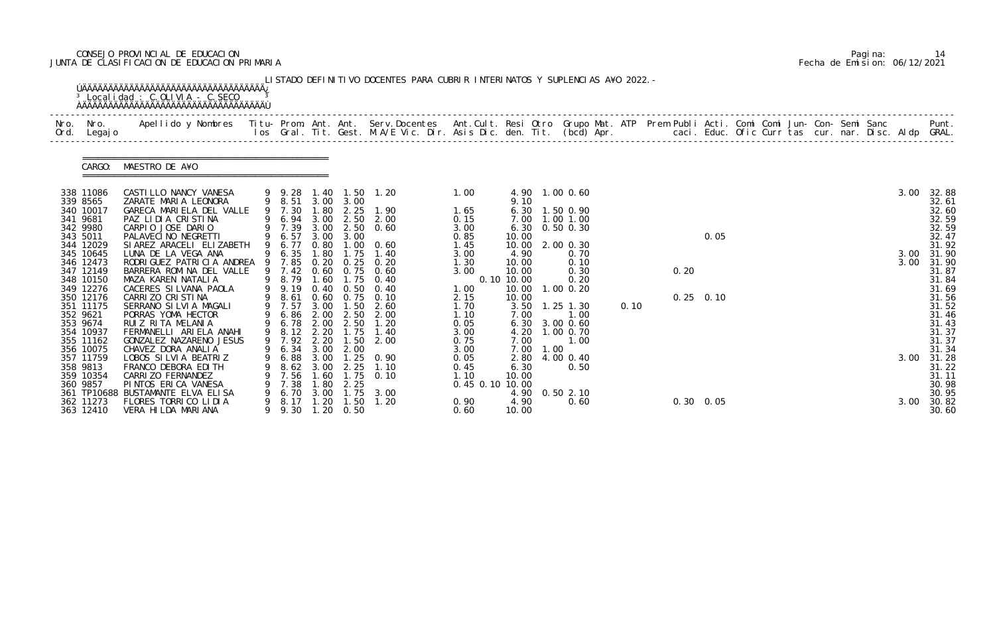# CONSEJO PROVINCIAL DE EDUCACION Pagina: 14 JUNTA DE CLASIFICACION DE EDUCACION PRIMARIA Fecha de Emision: 06/12/2021

|                          | <sup>3</sup> Localidad : C.OLIVIA - C.SECO                                                                                                                                                                                      |     |                  |              |                           | LISTADO DEFINITIVO DOCENTES PARA CUBRIR INTERINATOS Y SUPLENCIAS A¥O 2022. - |                         |                |           |                        |      |      |                   |  |  |  |      |                |
|--------------------------|---------------------------------------------------------------------------------------------------------------------------------------------------------------------------------------------------------------------------------|-----|------------------|--------------|---------------------------|------------------------------------------------------------------------------|-------------------------|----------------|-----------|------------------------|------|------|-------------------|--|--|--|------|----------------|
| Nro. Nro.<br>Ord. Legajo | Apellido y Nombres  Titu- Prom. Ant. Ant. Serv.Docentes  Ant.Cult. Resi Otro Grupo Mat. ATP Prem Publi Acti. Comi Comi Jun- Con- Semi Sanc         Punt.<br>Ios Gral. Tit. Gest. M.A/E Vic. Dir. Asis Dic. den. Tit. (bcd) Apr. |     |                  |              |                           |                                                                              |                         |                |           |                        |      |      |                   |  |  |  |      |                |
| CARGO:                   | MAESTRO DE A¥O                                                                                                                                                                                                                  |     |                  |              |                           |                                                                              |                         |                |           |                        |      |      |                   |  |  |  |      |                |
| 338 11086                | CASTILLO NANCY VANESA                                                                                                                                                                                                           |     |                  |              |                           | 9 9.28 1.40 1.50 1.20                                                        | 1.00                    |                |           | 4.90 1.00 0.60         |      |      |                   |  |  |  | 3.00 | 32.88          |
| 339 8565<br>340 10017    | ZARATE MARIA LEONORA<br>GARECA MARIELA DEL VALLE                                                                                                                                                                                |     | 9 8.51<br>9 7.30 | 1.80         | 3.00 3.00<br>2.25         | 1.90                                                                         | 1.65                    | 9.10           |           | 6.30 1.50 0.90         |      |      |                   |  |  |  |      | 32.61<br>32.60 |
| 341 9681                 | PAZ LIDIA CRISTINA                                                                                                                                                                                                              |     | 9 6.94 3.00 2.50 |              |                           | 2.00                                                                         | 0.15                    | 7.00           |           | 1.00 1.00              |      |      |                   |  |  |  |      | 32.59          |
| 342 9980                 | CARPIO JOSE DARIO                                                                                                                                                                                                               |     | 9 7.39           |              |                           | 3.00 2.50 0.60                                                               | 3.00                    | 6.30           |           | $0.50$ $0.30$          |      |      |                   |  |  |  |      | 32.59          |
| 343 5011                 | PALAVECI NO NEGRETTI                                                                                                                                                                                                            |     | 9 6.57           | 3.00         | 3.00                      |                                                                              | 0.85                    | 10.00          |           |                        |      |      | 0.05              |  |  |  |      | 32.47          |
| 344 12029                | SI AREZ ARACELI ELIZABETH                                                                                                                                                                                                       |     | 9 6.77           | 0.80         |                           | $1.00 \quad 0.60$                                                            | 1.45                    | 10.00          |           | 2.00 0.30              |      |      |                   |  |  |  |      | 31.92          |
| 345 10645                | LUNA DE LA VEGA ANA                                                                                                                                                                                                             |     | 9 6.35           | 1.80         | 1.75                      | 1.40                                                                         | 3.00                    | 4.90           |           | 0.70                   |      |      |                   |  |  |  | 3.00 | 31.90          |
| 346 12473<br>347 12149   | RODRI GUEZ PATRI CI A ANDREA<br>BARRERA ROMINA DEL VALLE                                                                                                                                                                        | - 9 | 7.85<br>9 7.42   | 0.20         | 0.25<br>$0.60 \quad 0.75$ | 0.20<br>0.60                                                                 | 1.30<br>3.00            | 10.00<br>10.00 |           | 0.10<br>0.30           |      | 0.20 |                   |  |  |  | 3.00 | 31.90<br>31.87 |
| 348 10150                | MAZA KAREN NATALIA                                                                                                                                                                                                              |     | 9 8.79           |              | 1.60 1.75                 | 0.40                                                                         |                         | 0.10 10.00     |           | 0.20                   |      |      |                   |  |  |  |      | 31.84          |
| 349 12276                | CACERES SILVANA PAOLA                                                                                                                                                                                                           |     | 9 9.19           | 0.40         | 0.50                      | 0.40                                                                         | 1.00                    | 10.00          |           | $1.00 \, 0.20$         |      |      |                   |  |  |  |      | 31.69          |
| 350 12176                | CARRIZO CRISTINA                                                                                                                                                                                                                |     | 9 8.61 0.60 0.75 |              |                           | 0.10                                                                         | 2.15                    | 10.00          |           |                        |      |      | $0.25$ 0.10       |  |  |  |      | 31.56          |
| 351 11175                | SERRANO SILVIA MAGALI                                                                                                                                                                                                           |     | 9 7.57           |              | $3.00$ 1.50               | 2.60                                                                         | 1.70                    |                |           | 3.50 1.25 1.30         | 0.10 |      |                   |  |  |  |      | 31.52          |
| 352 9621<br>353 9674     | PORRAS YOMA HECTOR<br>RUIZ RITA MELANIA                                                                                                                                                                                         |     | 6.86<br>6.78     | 2.00<br>2.00 | 2.50<br>2.50              | 2.00<br>1.20                                                                 | 1.10<br>0.05            | 7.00           |           | 1.00<br>6.30 3.00 0.60 |      |      |                   |  |  |  |      | 31.46<br>31.43 |
| 354 10937                | FERMANELLI ARIELA ANAHI                                                                                                                                                                                                         |     |                  |              |                           | 9 8.12 2.20 1.75 1.40                                                        | 3.00                    |                |           | 4.20 1.00 0.70         |      |      |                   |  |  |  |      | 31.37          |
| 355 11162                | GONZALEZ NAZARENO JESUS                                                                                                                                                                                                         |     | 9 7.92           | 2.20         | 1.50                      | 2.00                                                                         | 0.75                    | 7.00           |           | 1.00                   |      |      |                   |  |  |  |      | 31.37          |
| 356 10075                | CHAVEZ DORA ANALIA                                                                                                                                                                                                              |     | 9 6.34 3.00 2.00 |              |                           |                                                                              | 3.00                    |                | 7.00 1.00 |                        |      |      |                   |  |  |  |      | 31.34          |
| 357 11759                | LOBOS SILVIA BEATRIZ                                                                                                                                                                                                            |     | 6.88             | 3.00         | 1.25                      | 0.90                                                                         | 0.05                    | 2.80           |           | 4.00 0.40              |      |      |                   |  |  |  | 3.00 | 31.28          |
| 358 9813                 | FRANCO DEBORA EDITH                                                                                                                                                                                                             |     | 8.62             | 3.00         | 2.25                      | 1.10                                                                         | 0.45                    | 6.30           |           | 0.50                   |      |      |                   |  |  |  |      | 31.22          |
| 359 10354<br>360 9857    | CARRIZO FERNANDEZ<br>PINTOS ERICA VANESA                                                                                                                                                                                        |     | 7.56<br>7.38     | .60<br>1.80  | $\overline{.75}$<br>2.25  | 0.10                                                                         | 1.10<br>0.45 0.10 10.00 | 10.00          |           |                        |      |      |                   |  |  |  |      | 31.11<br>30.98 |
|                          | 361 TP10688 BUSTAMANTE ELVA ELISA                                                                                                                                                                                               |     | 6.70             | 3.00         | 1.75                      | 3.00                                                                         |                         | 4.90           |           | 0.502.10               |      |      |                   |  |  |  |      | 30.95          |
| 362 11273                | FLORES TORRICO LIDIA                                                                                                                                                                                                            | 9   | 8.17             | 1.20         | 1.50                      | 1.20                                                                         | 0.90                    | 4.90           |           | 0.60                   |      |      | $0.30 \quad 0.05$ |  |  |  | 3.00 | 30.82          |
| 363 12410                | VERA HILDA MARIANA                                                                                                                                                                                                              |     | 9.30             |              | $1.20 \quad 0.50$         |                                                                              | 0.60                    | 10.00          |           |                        |      |      |                   |  |  |  |      | 30.60          |

|  | Pagi na: | 14                           |
|--|----------|------------------------------|
|  |          | Fecha de Emision: 06/12/2021 |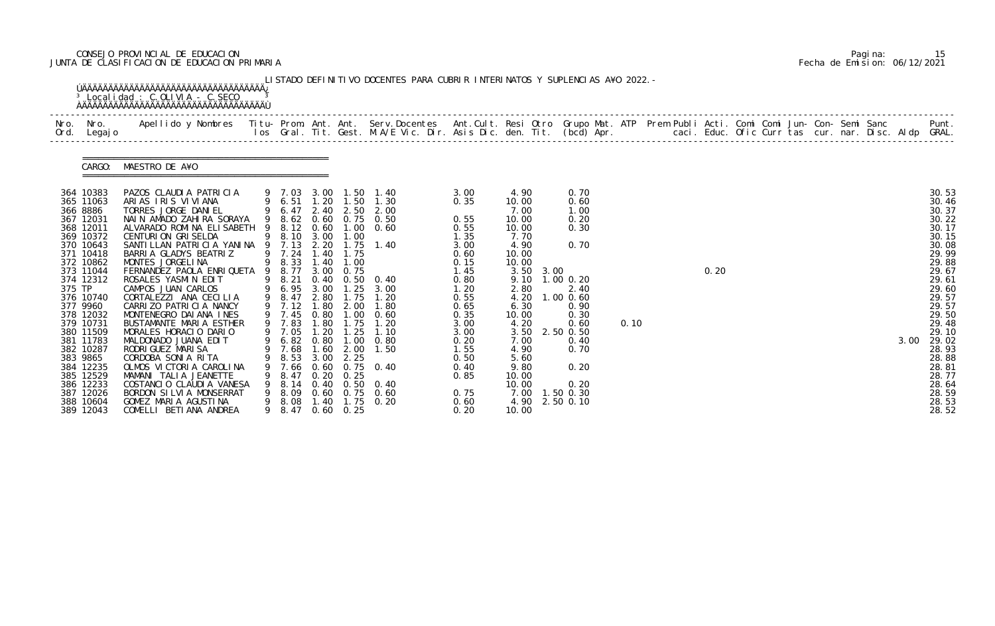# CONSEJO PROVINCIAL DE EDUCACION Pagina: 15 JUNTA DE CLASIFICACION DE EDUCACION PRIMARIA Fecha de Emision: 06/12/2021

| Nro.<br>Ord. | Nro.<br>Legaj o                                                                                                                                                                                                                                                                                                                | Apellido y Nombres  Titu- Prom. Ant. Ant. Serv.Docentes  Ant.Cult. Resi Otro Grupo Mat. ATP Prem Publi Acti. Comi Comi Jun- Con- Semi Sanc         Punt.<br>Ios Gral. Tit. Gest. M.A/E Vic. Dir. Asis Dic. den. Tit. (bcd) Apr.                                                                                                                                                                                                                                                                                                                                                                                                                                                                                       |                                                                                                                                                                                                                                                          |                                                                                       |                                                                                                                                                         |                                                                                                                                                                                                                                                |                                                                                                                                                                                              |                                                                                                                                                                                                            |                                                                                                                                                                                         |      |  |      |  |  |  |      |                                                                                                                                                                                                                                        |
|--------------|--------------------------------------------------------------------------------------------------------------------------------------------------------------------------------------------------------------------------------------------------------------------------------------------------------------------------------|-----------------------------------------------------------------------------------------------------------------------------------------------------------------------------------------------------------------------------------------------------------------------------------------------------------------------------------------------------------------------------------------------------------------------------------------------------------------------------------------------------------------------------------------------------------------------------------------------------------------------------------------------------------------------------------------------------------------------|----------------------------------------------------------------------------------------------------------------------------------------------------------------------------------------------------------------------------------------------------------|---------------------------------------------------------------------------------------|---------------------------------------------------------------------------------------------------------------------------------------------------------|------------------------------------------------------------------------------------------------------------------------------------------------------------------------------------------------------------------------------------------------|----------------------------------------------------------------------------------------------------------------------------------------------------------------------------------------------|------------------------------------------------------------------------------------------------------------------------------------------------------------------------------------------------------------|-----------------------------------------------------------------------------------------------------------------------------------------------------------------------------------------|------|--|------|--|--|--|------|----------------------------------------------------------------------------------------------------------------------------------------------------------------------------------------------------------------------------------------|
|              | CARGO:                                                                                                                                                                                                                                                                                                                         | MAESTRO DE A¥O                                                                                                                                                                                                                                                                                                                                                                                                                                                                                                                                                                                                                                                                                                        |                                                                                                                                                                                                                                                          |                                                                                       |                                                                                                                                                         |                                                                                                                                                                                                                                                |                                                                                                                                                                                              |                                                                                                                                                                                                            |                                                                                                                                                                                         |      |  |      |  |  |  |      |                                                                                                                                                                                                                                        |
| 375 TP       | 364 10383<br>365 11063<br>366 8886<br>367 12031<br>368 12011<br>369 10372<br>370 10643<br>371 10418<br>372 10862<br>373 11044<br>374 12312<br>376 10740<br>377 9960<br>378 12032<br>379 10731<br>380 11509<br>381 11783<br>382 10287<br>383 9865<br>384 12235<br>385 12529<br>386 12233<br>387 12026<br>388 10604<br>389 12043 | PAZOS CLAUDIA PATRICIA<br>ARIAS IRIS VIVIANA<br>TORRES JORGE DANIEL<br>NAIN AMADO ZAHIRA SORAYA<br>ALVARADO ROMINA ELISABETH 9 8.12 0.60 1.00 0.60<br><b>CENTURION GRISELDA</b><br>SANTILLAN PATRICIA YANINA 9 7.13<br>BARRIA GLADYS BEATRIZ<br>MONTES JORGELINA<br>FERNANDEZ PAOLA ENRIQUETA 9 8.77<br>ROSALES YASMIN EDIT<br>CAMPOS JUAN CARLOS<br>CORTALEZZI ANA CECILIA<br>CARRIZO PATRICIA NANCY<br>MONTENEGRO DAI ANA INES<br>BUSTAMANTE MARIA ESTHER<br>MORALES HORACIO DARIO<br>MALDONADO JUANA EDIT<br>RODRI GUEZ MARI SA<br>CORDOBA SONIA RITA<br>OLMOS VICTORIA CAROLINA<br>MAMANI TALIA JEANETTE<br>COSTANCIO CLAUDIA VANESA<br>BORDON SILVIA MONSERRAT<br>GOMEZ MARIA AGUSTINA<br>COMELLI BETIANA ANDREA | 9 7.03 3.00 1.50<br>9 6.51<br>9 6.47<br>9 8.62<br>9 8.10 3.00<br>9 7.24 1.40<br>9 8.33<br>9 8.21<br>9 6.95 3.00<br>9 8.47<br>9 7.12<br>9 7.45<br>9 7.83<br>9 7.05<br>9 6.82 0.80<br>9 7.68<br>8.53<br>7. 66<br>8.47<br>8.14<br>8. 09<br>9 8.08<br>9 8.47 | 2.20<br>1.40<br>3.00<br>2.80<br>1.80<br>0.80<br>1.80<br>1.60<br>3.00<br>0. 20<br>1.40 | 1.20 1.50<br>1.00<br>1.75<br>1.00<br>0.75<br>1.75<br>2.00<br>1.00<br>1.75<br>$1.20$ $1.25$<br>1.00<br>2.00<br>2.25<br>0.25<br>1.75<br>$0.60 \quad 0.25$ | 1.40<br>1.30<br>2.40 2.50 2.00<br>0.60 0.75 0.50<br>1.75 1.40<br>0.40 0.50 0.40<br>$1.25 \quad 3.00$<br>1.20<br>1.80<br>0.60<br>1.20<br>1.10<br>0.80<br>1.50<br>0.60 0.75 0.40<br>$0.40 \quad 0.50 \quad 0.40$<br>$0.60$ $0.75$ $0.60$<br>0.20 | 3.00<br>0.35<br>0.55<br>0.55<br>1.35<br>3.00<br>0.60<br>0.15<br>1.45<br>0.80<br>1.20<br>0.55<br>0.65<br>0.35<br>3.00<br>3.00<br>0.20<br>1.55<br>0.50<br>0.40<br>0.85<br>0.75<br>0.60<br>0.20 | 4.90<br>10.00<br>7.00<br>10.00<br>10.00<br>7.70<br>4.90<br>10.00<br>10.00<br>3.50 3.00<br>2.80<br>4.20<br>6.30<br>10.00<br>4.20<br>7.00<br>4.90<br>5.60<br>9.80<br>10.00<br>10.00<br>7.00<br>4.90<br>10.00 | 0.70<br>0.60<br>1.00<br>0.20<br>0.30<br>0.70<br>9.10 1.00 0.20<br>2.40<br>1.00 0.60<br>0.90<br>0.30<br>0.60<br>3.50 2.50 0.50<br>0.40<br>0.70<br>0.20<br>0.20<br>1.50 0.30<br>2.50 0.10 | 0.10 |  | 0.20 |  |  |  | 3.00 | 30.53<br>30.46<br>30.37<br>30.22<br>30.17<br>30.15<br>30.08<br>29.99<br>29.88<br>29.67<br>29.61<br>29.60<br>29.57<br>29.57<br>29.50<br>29.48<br>29.10<br>29.02<br>28.93<br>28.88<br>28.81<br>28.77<br>28.64<br>28.59<br>28.53<br>28.52 |

|  | Pagi na: | 15                           |
|--|----------|------------------------------|
|  |          | Fecha de Emision: 06/12/2021 |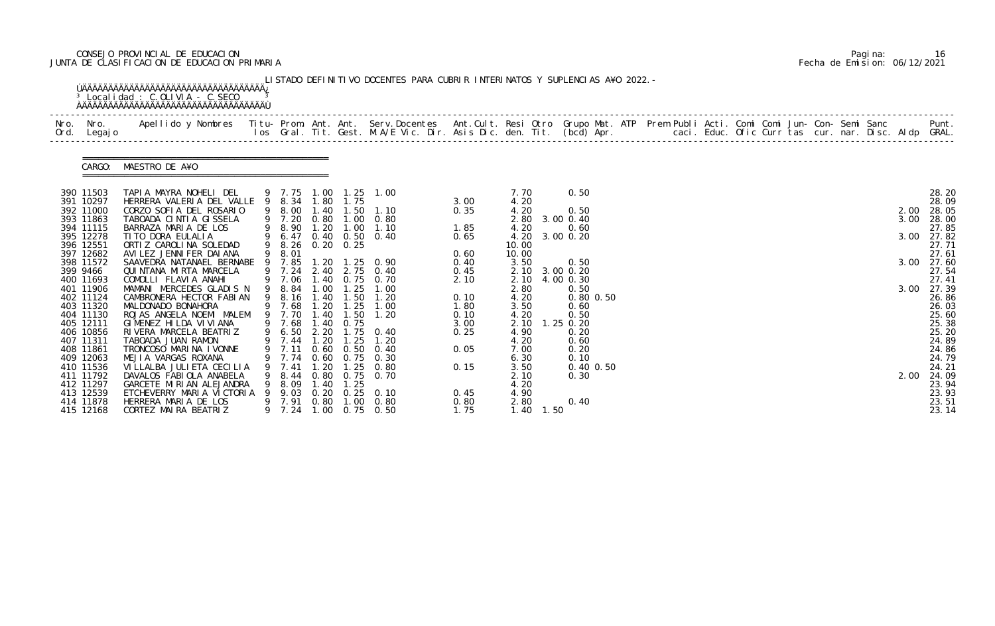# CONSEJO PROVINCIAL DE EDUCACION Pagina: 16 JUNTA DE CLASIFICACION DE EDUCACION PRIMARIA Fecha de Emision: 06/12/2021

| Nro. Nro.<br>Ord. Legajo | Apellido y Nombres  Titu- Prom. Ant. Ant. Serv.Docentes  Ant.Cult. Resi Otro Grupo Mat. ATP Prem Publi Acti. Comi Comi Jun- Con- Semi Sanc           Punt.<br>Ios Gral. Tit. Gest. M.A/E Vic. Dir. Asis Dic. den. Tit. (bcd) Apr. |   |                |              |                            |                                                |              |                |             |                |               |  |  |  |  |  |      |                |
|--------------------------|-----------------------------------------------------------------------------------------------------------------------------------------------------------------------------------------------------------------------------------|---|----------------|--------------|----------------------------|------------------------------------------------|--------------|----------------|-------------|----------------|---------------|--|--|--|--|--|------|----------------|
| CARGO:                   | MAESTRO DE A¥O                                                                                                                                                                                                                    |   |                |              |                            |                                                |              |                |             |                |               |  |  |  |  |  |      |                |
| 390 11503                | TAPIA MAYRA NOHELI DEL<br>HERRERA VALERIA DEL VALLE 9 8.34 1.80 1.75                                                                                                                                                              |   |                |              |                            | 9 7.75 1.00 1.25 1.00                          | 3.00         | 7.70           |             | 0.50           |               |  |  |  |  |  |      | 28.20<br>28.09 |
| 391 10297<br>392 11000   | CORZO SOFIA DEL ROSARIO                                                                                                                                                                                                           |   | 9 8.00         | 1.40         | 1.50                       | 1.10                                           | 0.35         | 4.20<br>4.20   |             | 0.50           |               |  |  |  |  |  | 2.00 | 28.05          |
| 393 11863                | TABOADA CINTIA GISSELA                                                                                                                                                                                                            |   | 9 7.20         |              |                            | 0.80 1.00 0.80                                 |              |                |             | 2.80 3.00 0.40 |               |  |  |  |  |  | 3.00 | 28.00          |
| 394 11115                | BARRAZA MARIA DE LOS                                                                                                                                                                                                              |   | 9 8.90         |              |                            | 1.20 1.00 1.10                                 | 1.85         | 4.20           |             | 0.60           |               |  |  |  |  |  |      | 27.85          |
| 395 12278                | TI TO DORA EULALIA                                                                                                                                                                                                                |   | 9 6.47         |              |                            | 0.40 0.50 0.40                                 | 0.65         |                |             | 4.20 3.00 0.20 |               |  |  |  |  |  | 3.00 | 27.82          |
| 396 12551<br>397 12682   | ORTIZ CAROLINA SOLEDAD<br>AVILEZ JENNIFER DAIANA                                                                                                                                                                                  |   | 9 8.01         |              | 9 8.26 0.20 0.25           |                                                | 0.60         | 10.00<br>10.00 |             |                |               |  |  |  |  |  |      | 27.71<br>27.61 |
| 398 11572                | SAAVEDRA NATANAEL BERNABE 9 7.85                                                                                                                                                                                                  |   |                |              |                            | 1.20 1.25 0.90                                 | 0.40         | 3.50           |             | 0.50           |               |  |  |  |  |  | 3.00 | 27.60          |
| 399 9466                 | QUI NTANA MI RTA MARCELA                                                                                                                                                                                                          |   | 9 7.24         |              |                            | 2.40 2.75 0.40                                 | 0.45         |                |             | 2.10 3.00 0.20 |               |  |  |  |  |  |      | 27.54          |
| 400 11693                | COMOLLI FLAVIA ANAHI                                                                                                                                                                                                              |   | 9 7.06         |              |                            | 1.40 0.75 0.70                                 | 2.10         |                |             | 2.10 4.00 0.30 |               |  |  |  |  |  |      | 27.41          |
| 401 11906                | MAMANI MERCEDES GLADIS N                                                                                                                                                                                                          |   | 9 8.84         | 1.00         | 1.25                       | 1.00                                           |              | 2.80           |             | 0.50           |               |  |  |  |  |  | 3.00 | 27.39          |
| 402 11124                | CAMBRONERA HECTOR FABIAN                                                                                                                                                                                                          |   | 9 8.16         | 1.40         | 1.50                       | 1.20                                           | 0.10         | 4.20           |             |                | $0.80$ $0.50$ |  |  |  |  |  |      | 26.86          |
| 403 11320<br>404 11130   | MALDONADO BONAHORA<br>ROJAS ANGELA NOEMI MALEM                                                                                                                                                                                    | 9 | 9 7.68<br>7.70 | .40          | $1.20$ $1.25$<br>1.50      | 1.00<br>1.20                                   | 1.80<br>0.10 | 3.50<br>4.20   |             | 0.60<br>0.50   |               |  |  |  |  |  |      | 26.03<br>25.60 |
| 405 12111                | GIMENEZ HILDA VIVIANA                                                                                                                                                                                                             |   | 9 7.68         | 1.40         | 0.75                       |                                                | 3.00         | 2.10           |             | $1.25$ 0.20    |               |  |  |  |  |  |      | 25.38          |
| 406 10856                | RIVERA MARCELA BEATRIZ                                                                                                                                                                                                            |   |                |              |                            |                                                | 0.25         | 4.90           |             | 0.20           |               |  |  |  |  |  |      | 25.20          |
| 407 11311                | TABOADA JUAN RAMON                                                                                                                                                                                                                |   |                |              |                            | 9 6.50 2.20 1.75 0.40<br>9 7.44 1.20 1.25 1.20 |              | 4.20           |             | 0.60           |               |  |  |  |  |  |      | 24.89          |
| 408 11861                | TRONCOSO MARINA IVONNE                                                                                                                                                                                                            |   |                |              | 9 7.11 0.60 0.50           | 0.40                                           | 0.05         | 7.00           |             | 0.20           |               |  |  |  |  |  |      | 24.86          |
| 409 12063                | MEJIA VARGAS ROXANA                                                                                                                                                                                                               |   | 7.74           | 0.60         | 0.75                       | 0.30                                           |              | 6.30           |             | 0.10           |               |  |  |  |  |  |      | 24.79          |
| 410 11536                | VI LLALBA JULI ETA CECI LI A                                                                                                                                                                                                      |   |                |              | 25                         | 0.80                                           | 0.15         | 3.50           |             |                | 0.40 0.50     |  |  |  |  |  |      | 24.21          |
| 411 11792<br>412 11297   | DAVALOS FABIOLA ANABELA<br>GARCETE MIRIAN ALEJANDRA                                                                                                                                                                               |   | 8.44           | 0.80<br>1.40 | 0.75                       | 0. 70                                          |              | 2.10           |             | 0.30           |               |  |  |  |  |  | 2.00 | 24.09<br>23.94 |
| 413 12539                | ETCHEVERRY MARIA VICTORIA                                                                                                                                                                                                         |   | 8.09<br>9.03   | 0.20         | 1.25<br>0.25               | 0. 10                                          | 0.45         | 4.20<br>4.90   |             |                |               |  |  |  |  |  |      | 23.93          |
| 414 11878                | HERRERA MARIA DE LOS                                                                                                                                                                                                              |   | 9 7.91         | 0.80         | $\overline{\phantom{0}}$ . | 0.80                                           | 0.80         | 2.80           |             | 0.40           |               |  |  |  |  |  |      | 23.51          |
| 415 12168                | CORTEZ MAIRA BEATRIZ                                                                                                                                                                                                              |   | 9 7.24         | 1.00         |                            | $0.75$ 0.50                                    | 1.75         |                | $1.40$ 1.50 |                |               |  |  |  |  |  |      | 23.14          |

|  | Pagi na: | 16                           |
|--|----------|------------------------------|
|  |          | Fecha de Emision: 06/12/2021 |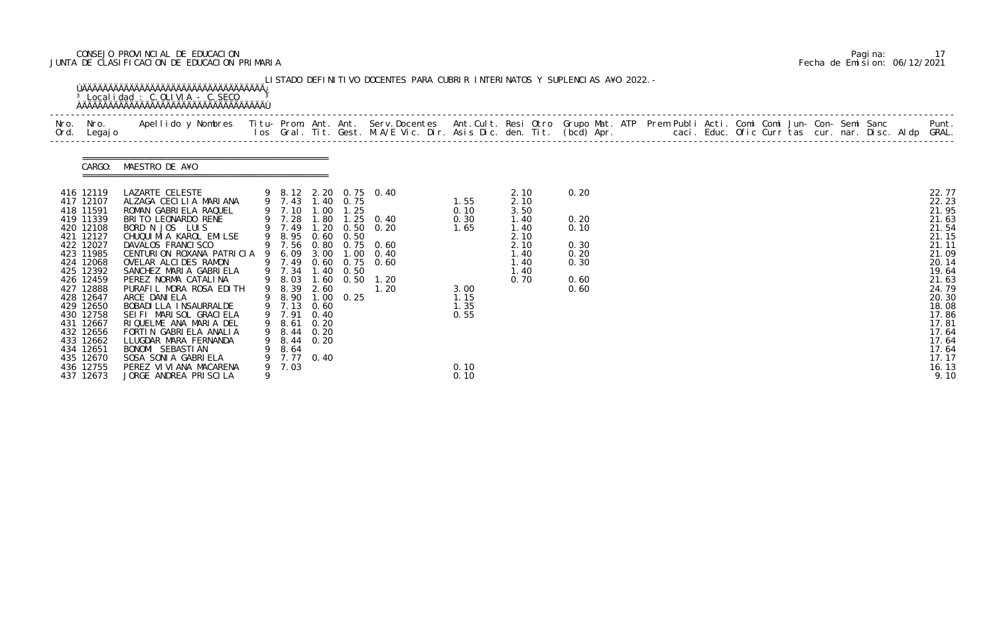# CONSEJO PROVINCIAL DE EDUCACION Pagina: 17 JUNTA DE CLASIFICACION DE EDUCACION PRIMARIA Fecha de Emision: 06/12/2021

| Nro. Nro.                                                                                                                                                             | Apellido y Nombres Titu-Prom. Ant. Ant. Serv.Docentes Ant.Cult. Resi Otro Grupo Mat. ATP Prem Publi Acti. Comi Comi Jun-Con-Semi Sanc Punt.<br>Ios Gral. Tit. Gest. M.A/E Vic. Dir. Asis Dic. den. Tit. (bcd) Apr.                                                                                                                                             |   |                                                                                                            |      |           |                                                                                                                                                                                                        |                                                                                     |                                                                                      |                                                              |  |  |  |  |  |                                                                                                                   |
|-----------------------------------------------------------------------------------------------------------------------------------------------------------------------|----------------------------------------------------------------------------------------------------------------------------------------------------------------------------------------------------------------------------------------------------------------------------------------------------------------------------------------------------------------|---|------------------------------------------------------------------------------------------------------------|------|-----------|--------------------------------------------------------------------------------------------------------------------------------------------------------------------------------------------------------|-------------------------------------------------------------------------------------|--------------------------------------------------------------------------------------|--------------------------------------------------------------|--|--|--|--|--|-------------------------------------------------------------------------------------------------------------------|
|                                                                                                                                                                       | CARGO: MAESTRO DE A¥O                                                                                                                                                                                                                                                                                                                                          |   |                                                                                                            |      |           |                                                                                                                                                                                                        |                                                                                     |                                                                                      |                                                              |  |  |  |  |  |                                                                                                                   |
| 416 12119<br>417 12107<br>418 11591<br>419 11339<br>420 12108<br>421 12127<br>422 12027<br>423 11985<br>424 12068<br>425 12392<br>426 12459<br>427 12888<br>428 12647 | LAZARTE CELESTE<br>9 8.12 2.20 0.75 0.40<br>ALZAGA CECILIA MARIANA<br>ROMAN GABRIELA RAQUEL<br>BRITO LEONARDO RENE<br>BORD N JOS LUIS<br>CHUQUI MI A KAROL EMILSE<br>DAVALOS FRANCISCO<br>CENTURION ROXANA PATRICIA 9 6.09 3.00 1.00 0.40<br>OVELAR ALCIDES RAMON<br>SANCHEZ MARIA GABRIELA<br>PEREZ NORMA CATALINA<br>PURAFIL MORA ROSA EDITH<br>ARCE DANIELA |   | 9 7.43 1.40 0.75<br>9 8.95 0.60 0.50<br>9 7.34<br>9 8.03<br>9 8.39 2.60<br>9 8.90 1.00 0.25<br>9 7.13 0.60 |      | 1.40 0.50 | $\begin{array}{cccc} 9 & 7.10 & 1.00 & 1.25 \\ 9 & 7.28 & 1.80 & 1.25 & 0.40 \\ 9 & 7.49 & 1.20 & 0.50 & 0.20 \end{array}$<br>9 7.56 0.80 0.75 0.60<br>9 7.49 0.60 0.75 0.60<br>1.60 0.50 1.20<br>1.20 | $\begin{array}{c} 1.55 \\ 0.10 \end{array}$<br>0.30<br>1.65<br>3.00<br>1.15<br>1.35 | 2.10<br>2.10<br>3.50<br>1.40<br>1.40<br>2.10<br>2.10<br>1.40<br>1.40<br>1.40<br>0.70 | 0.20<br>0.20<br>0.10<br>0.30<br>0.20<br>0.30<br>0.60<br>0.60 |  |  |  |  |  | 22.77<br>22.23<br>21.95<br>21.63<br>21.54<br>21.15<br>21.11<br>21.09<br>20.14<br>19.64<br>21.63<br>24.79<br>20.30 |
| 429 12650<br>430 12758<br>431 12667<br>432 12656<br>433 12662<br>434 12651<br>435 12670<br>436 12755<br>437 12673                                                     | BOBADI LLA INSAURRALDE<br>SEI FI MARI SOL GRACI ELA<br>RIQUELME ANA MARIA DEL<br>FORTIN GABRIELA ANALIA<br>LLUGDAR MARA FERNANDA<br>BONOMI SEBASTIAN<br>SOSA SONIA GABRIELA<br>PEREZ VI VI ANA MACARENA<br>JORGE ANDREA PRISCILA                                                                                                                               | 9 | 9 7.91 0.40<br>9 8.61<br>9 8.44 0.20<br>9 8.44 0.20<br>9 8.64<br>9 7.77 0.40<br>9 7.03                     | 0.20 |           |                                                                                                                                                                                                        | 0.55<br>0.10<br>0.10                                                                |                                                                                      |                                                              |  |  |  |  |  | 18.08<br>17.86<br>17.81<br>17.64<br>17.64<br>17.64<br>17.17<br>16.13<br>9.10                                      |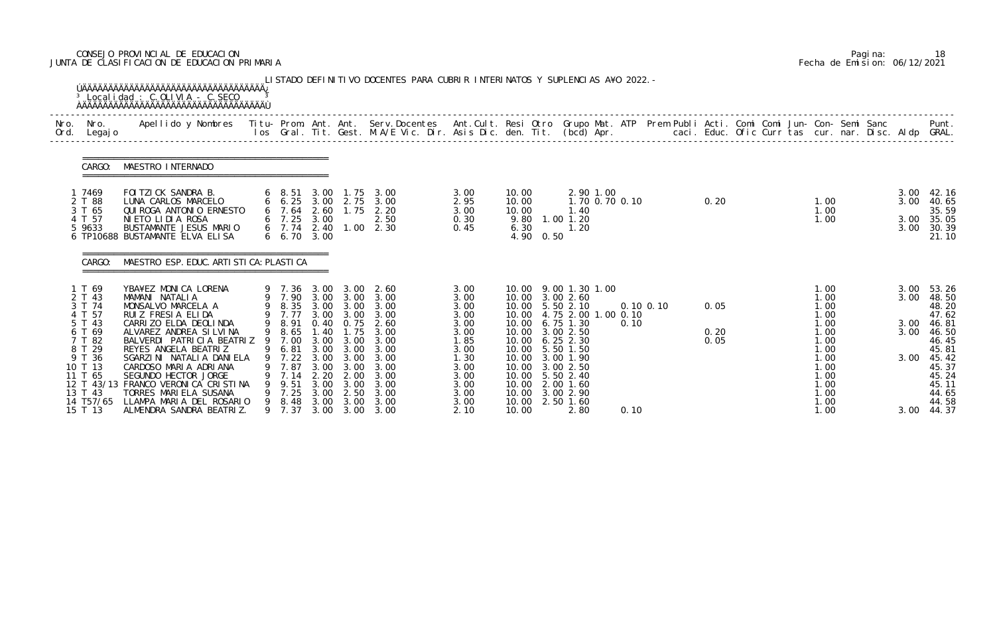# CONSEJO PROVINCIAL DE EDUCACION Pagina: 18 JUNTA DE CLASIFICACION DE EDUCACION PRIMARIA Fecha de Emision: 06/12/2021

| Nro.<br>Ord. | Nro.<br>Legaj o                                   | Apellido y Nombres - Titu- Prom. Ant. Ant. Serv.Docentes - Ant.Cult. Resi Otro Grupo Mat. ATP Prem Publi Acti. Comi Comi Jun- Con- Semi Sanc - - - Punt.<br>Ios Gral. Tit. Gest. M.A/E Vic. Dir. Asis Dic. den. Tit. (bcd) Apr. - |   |                                                      |                              |                              |                                               |                              |                |           |                                                                                         |               |              |  |                              |              |                                  |
|--------------|---------------------------------------------------|-----------------------------------------------------------------------------------------------------------------------------------------------------------------------------------------------------------------------------------|---|------------------------------------------------------|------------------------------|------------------------------|-----------------------------------------------|------------------------------|----------------|-----------|-----------------------------------------------------------------------------------------|---------------|--------------|--|------------------------------|--------------|----------------------------------|
|              | CARGO:                                            | MAESTRO INTERNADO                                                                                                                                                                                                                 |   |                                                      |                              |                              |                                               |                              |                |           |                                                                                         |               |              |  |                              |              |                                  |
|              | 1 7469<br>2 T 88                                  | FOI TZI CK SANDRA B.<br>LUNA CARLOS MARCELO                                                                                                                                                                                       |   | 6 8.51<br>6 6.25 3.00 2.75                           | 3.00                         | 1. 75                        | 3.00<br>3.00                                  | 3.00<br>2.95                 | 10.00<br>10.00 |           | 2.90 1.00<br>1.70 0.70 0.10                                                             |               | 0.20         |  | 1.00                         | 3.00         | $3.00$ 42.16<br>40.65            |
|              | 3 T 65<br>4 T 57<br>5 9633                        | QUI ROGA ANTONI O ERNESTO<br>NIETO LIDIA ROSA<br>BUSTAMANTE JESUS MARIO<br>6 TP10688 BUSTAMANTE ELVA ELISA                                                                                                                        |   | $6$ 7.64<br>$6$ 7.25 3.00<br>6 7.74 2.40<br>6, 6, 70 | 2.60<br>3.00                 | 1.75                         | 2.20<br>2.50<br>$1.00 \quad 2.30$             | 3.00<br>0.30<br>0.45         | 10.00<br>6.30  | 4.90 0.50 | 1.40<br>9.80 1.00 1.20<br>1.20                                                          |               |              |  | 1.00<br>1.00                 | 3.00<br>3.00 | 35.59<br>35.05<br>30.39<br>21.10 |
|              | CARGO:                                            | MAESTRO ESP. EDUC. ARTI STI CA: PLASTI CA                                                                                                                                                                                         |   |                                                      |                              |                              |                                               |                              |                |           |                                                                                         |               |              |  |                              |              |                                  |
|              | 1 T 69<br>2 T 43<br>3 T 74<br>4 T 57              | YBA¥EZ MONICA LORENA<br>MAMANI NATALIA<br>MONSALVO MARCELA A<br>RUIZ FRESIA ELIDA                                                                                                                                                 |   | 9 7.36 3.00<br>9 8.35 3.00 3.00<br>9 7.77            | 3.00                         | 3.00<br>3.00                 | 2.60<br>9 7.90 3.00 3.00 3.00<br>3.00<br>3.00 | 3.00<br>3.00<br>3.00<br>3.00 |                |           | 10.00 9.00 1.30 1.00<br>10.00 3.00 2.60<br>10.00 5.50 2.10<br>10.00 4.75 2.00 1.00 0.10 | $0.10$ $0.10$ | 0.05         |  | 1.00<br>1.00<br>1.00<br>1.00 | 3.00<br>3.00 | 53.26<br>48.50<br>48.20<br>47.62 |
|              | 5 T 43<br>6 T 69<br>7 T 82                        | CARRIZO ELDA DEOLINDA<br>ALVAREZ ANDREA SILVINA<br>BALVERDI PATRICIA BEATRIZ                                                                                                                                                      | 9 | 9 8.91<br>9 8.65<br>7.00                             | 1.40<br>3.00                 | 1.75<br>3.00                 | 0.40 0.75 2.60<br>3.00<br>3.00                | 3.00<br>3.00<br>1.85         |                |           | 10.00 6.75 1.30<br>10.00 3.00 2.50<br>10.00 6.25 2.30                                   | 0.10          | 0.20<br>0.05 |  | 1.00<br>1.00<br>1.00         | 3.00<br>3.00 | 46.81<br>46.50<br>46.45          |
|              |                                                   | REYES ANGELA BEATRIZ                                                                                                                                                                                                              |   | 7.22                                                 | 3.00                         | 3.00                         | 9 6.81 3.00 3.00 3.00<br>3.00                 | 3.00<br>1.30                 |                |           | 10.00 5.50 1.50<br>10.00 3.00 1.90                                                      |               |              |  | 1.00<br>1.00                 | 3.00         | 45.81<br>45.42<br>45.37          |
|              | 8 T 29<br>9 T 36<br>10 T 13<br>11 T 65<br>13 T 43 | SGARZINI NATALIA DANIELA<br>CARDOSO MARIA ADRIANA<br>SEGUNDO HECTOR JORGE<br>12 T 43/13 FRANCO VERONICA CRISTINA<br>TORRES MARIELA SUSANA                                                                                         | 9 | 7.87<br>9 7.14<br>9.51<br>7.25                       | 3.00<br>2.20<br>3.00<br>3.00 | 3.00<br>2.00<br>3.00<br>2.50 | 3.00<br>3.00<br>3.00<br>3.00                  | 3.00<br>3.00<br>3.00<br>3.00 |                |           | 10.00 3.00 2.50<br>10.00 5.50 2.40<br>10.00 2.00 1.60<br>10.00 3.00 2.90                |               |              |  | 1.00<br>1.00<br>1.00<br>1.00 |              | 45.24<br>45.11<br>44.65          |

|  | Pagi na: | 18                           |
|--|----------|------------------------------|
|  |          | Fecha de Emision: 06/12/2021 |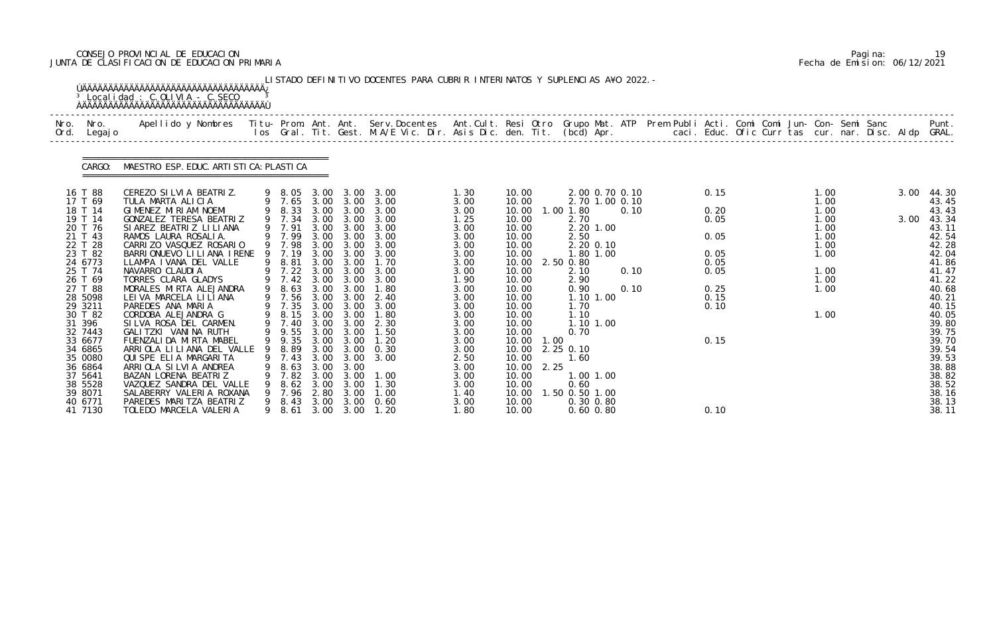# CONSEJO PROVINCIAL DE EDUCACION Pagina: 19 JUNTA DE CLASIFICACION DE EDUCACION PRIMARIA Fecha de Emision: 06/12/2021

|      |                     | <sup>3</sup> Localidad : C.OLIVIA - C.SECO                                                                                                                                                                                        |   |                  |              |                   | LISTADO DEFINITIVO DOCENTES PARA CUBRIR INTERINATOS Y SUPLENCIAS A¥O 2022. - |              |                |            |                          |                                  |      |              |  |              |  |      |                |
|------|---------------------|-----------------------------------------------------------------------------------------------------------------------------------------------------------------------------------------------------------------------------------|---|------------------|--------------|-------------------|------------------------------------------------------------------------------|--------------|----------------|------------|--------------------------|----------------------------------|------|--------------|--|--------------|--|------|----------------|
| Nro. | Nro.<br>Ord. Legajo | Apellido y Nombres - Titu- Prom. Ant. Ant. Serv.Docentes - Ant.Cult. Resi Otro Grupo Mat. ATP Prem Publi Acti. Comi Comi Jun- Con- Semi Sanc - - - - Punt.<br>Ios Gral. Tit. Gest. M.A/E Vic. Dir. Asis Dic. den. Tit. (bcd) Apr. |   |                  |              |                   |                                                                              |              |                |            |                          |                                  |      |              |  |              |  |      |                |
|      |                     | CARGO: MAESTRO ESP. EDUC. ARTI STI CA: PLASTI CA                                                                                                                                                                                  |   |                  |              |                   |                                                                              |              |                |            |                          |                                  |      |              |  |              |  |      |                |
|      | 16 T 88<br>17 T 69  | CEREZO SILVIA BEATRIZ.<br>TULA MARTA ALICIA                                                                                                                                                                                       |   |                  |              |                   | 9 8.05 3.00 3.00 3.00                                                        | 1.30<br>3.00 | 10.00<br>10.00 |            |                          | 2.00 0.70 0.10<br>2.70 1.00 0.10 |      | 0.15         |  | 1.00<br>1.00 |  | 3.00 | 44.30<br>43.45 |
|      | 18 T 14             | GIMENEZ MIRIAM NOEMI                                                                                                                                                                                                              |   |                  |              |                   | 9 7.65 3.00 3.00 3.00<br>9 8.33 3.00 3.00 3.00                               | 3.00         | 10.00          |            | 1.00 1.80                |                                  | 0.10 | 0.20         |  | 1.00         |  |      | 43.43          |
|      | 19 T 14<br>20 T 76  | GONZALEZ TERESA BEATRIZ<br>SI AREZ BEATRIZ LI LI ANA                                                                                                                                                                              |   | 9 7.34<br>9 7.91 |              |                   | 3.00 3.00 3.00<br>3.00 3.00 3.00                                             | 1.25<br>3.00 | 10.00<br>10.00 |            | 2.70                     | 2.20 1.00                        |      | 0.05         |  | 1.00<br>1.00 |  | 3.00 | 43.34<br>43.11 |
|      | 21 T 43             | RAMOS LAURA ROSALIA.                                                                                                                                                                                                              |   | 9 7.99           | 3.00         | 3.00              | 3.00                                                                         | 3.00         | 10.00          |            | 2.50                     |                                  |      | 0.05         |  | 1.00         |  |      | 42.54          |
|      | 22 T 28             | CARRIZO VASQUEZ ROSARIO                                                                                                                                                                                                           |   | 9 7.98           | 3.00         | 3.00              | 3.00                                                                         | 3.00         | 10.00          |            |                          | 2.20 0.10                        |      |              |  | 1.00         |  |      | 42.28          |
|      | 23 T 82<br>24 6773  | BARRIONUEVO LILIANA IRENE 9 7.19<br>LLAMPA I VANA DEL VALLE                                                                                                                                                                       | 9 | 8.81             | 3.00         | 3.00 3.00<br>3.00 | 3.00<br>1.70                                                                 | 3.00<br>3.00 | 10.00<br>10.00 |            | 2.50 0.80                | 1.80 1.00                        |      | 0.05<br>0.05 |  | 1.00         |  |      | 42.04<br>41.86 |
|      | 25 T 74             | NAVARRO CLAUDIA                                                                                                                                                                                                                   |   |                  |              |                   | 9 7.22 3.00 3.00 3.00                                                        | 3.00         | 10.00          |            | 2.10                     |                                  | 0.10 | 0.05         |  | 1.00         |  |      | 41.47          |
|      | 26 T 69             | TORRES CLARA GLADYS                                                                                                                                                                                                               |   | $9 \quad 7.42$   |              |                   | 3.00 3.00 3.00                                                               | 1.90         | 10.00          |            | 2.90                     |                                  |      |              |  | 1.00         |  |      | 41.22          |
|      | 27 T 88             | MORALES MIRTA ALEJANDRA                                                                                                                                                                                                           |   | 9 8.63           | 3.00         | 3.00              | 1.80                                                                         | 3.00         | 10.00          |            | 0.90                     |                                  | 0.10 | 0.25         |  | 1.00         |  |      | 40.68          |
|      | 28 5098<br>29 3211  | LEI VA MARCELA LI LI ANA<br>PAREDES ANA MARIA                                                                                                                                                                                     |   | 9 7.56<br>9 7.35 |              | 3.00 3.00         | 3.00 3.00 2.40<br>3.00                                                       | 3.00<br>3.00 | 10.00<br>10.00 |            | 1.70                     | 1.10 1.00                        |      | 0.15<br>0.10 |  |              |  |      | 40.21<br>40.15 |
|      | 30 T 82             | CORDOBA ALEJANDRA G                                                                                                                                                                                                               |   | 9 8.15           | 3.00         | 3.00              | 1.80                                                                         | 3.00         | 10.00          |            | 1.10                     |                                  |      |              |  | 1.00         |  |      | 40.05          |
|      | 31 396              | SILVA ROSA DEL CARMEN.                                                                                                                                                                                                            |   | 9 7.40           |              |                   | 3.00 3.00 2.30                                                               | 3.00         | 10.00          |            |                          | 1.10 1.00                        |      |              |  |              |  |      | 39.80          |
|      | 32 7443             | GALITZKI VANINA RUTH                                                                                                                                                                                                              |   | 9 9.55 3.00 3.00 |              |                   | 1.50                                                                         | 3.00         | 10.00          |            | 0.70                     |                                  |      |              |  |              |  |      | 39.75          |
|      | 33 6677<br>34 6865  | FUENZALI DA MI RTA MABEL<br>ARRIOLA LILIANA DEL VALLE 9 8.89 3.00 3.00 0.30                                                                                                                                                       |   | 9 9.35           |              | 3.00 3.00         | 1.20                                                                         | 3.00<br>3.00 |                | 10.00 1.00 | 10.00 2.25 0.10          |                                  |      | 0.15         |  |              |  |      | 39.70<br>39.54 |
|      | 35 0080             | QUI SPE ELIA MARGARI TA                                                                                                                                                                                                           | 9 | 7.43             | 3.00         | 3.00              | 3.00                                                                         | 2.50         | 10.00          |            | 1.60                     |                                  |      |              |  |              |  |      | 39.53          |
|      | 36 6864             | ARRIOLA SILVIA ANDREA                                                                                                                                                                                                             |   | 8.63             | 3.00         | 3.00              |                                                                              | 3.00         |                | 10.00 2.25 |                          |                                  |      |              |  |              |  |      | 38.88          |
|      | 37 5641             | BAZAN LORENA BEATRIZ                                                                                                                                                                                                              |   | 7.82             | 3.00         | 3.00              | 1.00                                                                         | 3.00         | 10.00          |            |                          | 1.00 1.00                        |      |              |  |              |  |      | 38.82          |
|      | 38 5528<br>39 8071  | VAZQUEZ SANDRA DEL VALLE<br>SALABERRY VALERIA ROXANA                                                                                                                                                                              |   | 8.62<br>7.96     | 3.00<br>2.80 | 3.00<br>3.00      | 1.30<br>1.00                                                                 | 3.00<br>1.40 | 10.00<br>10.00 |            | 0.60<br>. 50 0. 50 1. 00 |                                  |      |              |  |              |  |      | 38.52<br>38.16 |
|      | 40 6771             | PAREDES MARITZA BEATRIZ                                                                                                                                                                                                           |   | 9 8.43           | 3.00         | 3.00              | 0.60                                                                         | 3.00         | 10.00          |            |                          | $0.30$ $0.80$                    |      |              |  |              |  |      | 38.13          |
|      | 41 7130             | TOLEDO MARCELA VALERIA                                                                                                                                                                                                            |   | 9 8.61           |              | $3.00 \quad 3.00$ | 1. 20                                                                        | 1.80         | 10.00          |            |                          | $0.60$ $0.80$                    |      | 0.10         |  |              |  |      | 38.11          |

|  | Pagi na: |                              |
|--|----------|------------------------------|
|  |          | Fecha de Emision: 06/12/2021 |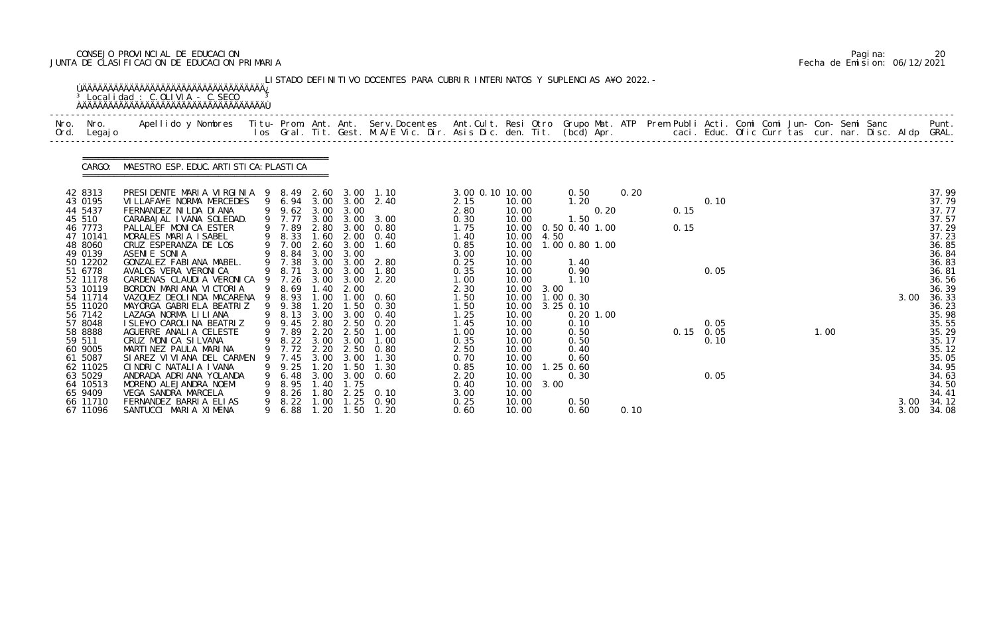# CONSEJO PROVINCIAL DE EDUCACION Pagina: 20 JUNTA DE CLASIFICACION DE EDUCACION PRIMARIA Fecha de Emision: 06/12/2021

| Nro.<br>Ord.                                                                                                                                                                                                                                                                           | Nro.<br>Legaj o | Apellido y Nombres - Titu- Prom. Ant. Ant. Serv.Docentes - Ant.Cult. Resi Otro Grupo Mat. ATP Prem Publi Acti. Comi Comi Jun- Con- Semi Sanc - - - Punt.<br>Ios Gral. Tit. Gest. M.A/E Vic. Dir. Asis Dic. den. Tit. (bcd) Apr. -                                                                                                                                                                                                                                                                                                                                                                                                                                                 |                  |                                                                                                                                                                                                                                 |                                                                                                                                                      |                                                                                                                                                                                         |                                                                                                                                                                                                                        |                                                                                                                                                                                                                 |                                                                                                                                                                                                                      |                      |                                                                                                                                                                                                              |      |              |                                                     |  |      |              |                                                                                                                                                                                                                               |
|----------------------------------------------------------------------------------------------------------------------------------------------------------------------------------------------------------------------------------------------------------------------------------------|-----------------|-----------------------------------------------------------------------------------------------------------------------------------------------------------------------------------------------------------------------------------------------------------------------------------------------------------------------------------------------------------------------------------------------------------------------------------------------------------------------------------------------------------------------------------------------------------------------------------------------------------------------------------------------------------------------------------|------------------|---------------------------------------------------------------------------------------------------------------------------------------------------------------------------------------------------------------------------------|------------------------------------------------------------------------------------------------------------------------------------------------------|-----------------------------------------------------------------------------------------------------------------------------------------------------------------------------------------|------------------------------------------------------------------------------------------------------------------------------------------------------------------------------------------------------------------------|-----------------------------------------------------------------------------------------------------------------------------------------------------------------------------------------------------------------|----------------------------------------------------------------------------------------------------------------------------------------------------------------------------------------------------------------------|----------------------|--------------------------------------------------------------------------------------------------------------------------------------------------------------------------------------------------------------|------|--------------|-----------------------------------------------------|--|------|--------------|-------------------------------------------------------------------------------------------------------------------------------------------------------------------------------------------------------------------------------|
|                                                                                                                                                                                                                                                                                        | CARGO:          | MAESTRO ESP. EDUC. ARTI STI CA: PLASTI CA                                                                                                                                                                                                                                                                                                                                                                                                                                                                                                                                                                                                                                         |                  |                                                                                                                                                                                                                                 |                                                                                                                                                      |                                                                                                                                                                                         |                                                                                                                                                                                                                        |                                                                                                                                                                                                                 |                                                                                                                                                                                                                      |                      |                                                                                                                                                                                                              |      |              |                                                     |  |      |              |                                                                                                                                                                                                                               |
| 42 8313<br>43 0195<br>44 5437<br>45 510<br>46 7773<br>47 10141<br>48 8060<br>49 0139<br>50 12202<br>51 6778<br>52 11178<br>53 10119<br>54 11714<br>55 11020<br>56 7142<br>57 8048<br>58 8888<br>59 511<br>60 9005<br>61 5087<br>62 11025<br>63 5029<br>64 10513<br>65 9409<br>66 11710 |                 | PRESIDENTE MARIA VIRGINIA 9 8.49<br>VILLAFA¥E NORMA MERCEDES<br>FERNANDEZ NI LDA DI ANA<br>CARABAJAL IVANA SOLEDAD.<br>PALLALEF MONICA ESTER<br>MORALES MARIA ISABEL<br>CRUZ ESPERANZA DE LOS<br>ASENIE SONIA<br>GONZALEZ FABIANA MABEL.<br>AVALOS VERA VERONICA<br>CARDENAS CLAUDI A VERONICA<br>BORDON MARIANA VICTORIA<br>VAZQUEZ DEOLINDA MACARENA<br>MAYORGA GABRIELA BEATRIZ<br>LAZAGA NORMA LI LI ANA<br>I SLE¥O CAROLINA BEATRIZ<br>AGUERRE ANALIA CELESTE<br>CRUZ MONICA SILVANA<br>MARTINEZ PAULA MARINA<br>SI AREZ VI VI ANA DEL CARMEN<br>CINDRIC NATALIA IVANA<br>ANDRADA ADRIANA YOLANDA<br>MORENO ALEJANDRA NOEMI<br>VEGA SANDRA MARCELA<br>FERNANDEZ BARRIA ELIAS | 9<br>9<br>9<br>9 | 9 6.94 3.00 3.00<br>9 9.62<br>9 7.77<br>9 7.89<br>8.33<br>9 7.00<br>8.84<br>7.38<br>8.71<br>9 7.26<br>8.69<br>8.93<br>9 9.38<br>8.13<br>9 9.45<br>9 7.89<br>$9 \t 8.22 \t 3.00$<br>7.45<br>9.25<br>6.48<br>8.95<br>8.26<br>8.22 | 3.00<br>3.00<br>1.60<br>2.60<br>3.00<br>3.00<br>3.00<br>3.00<br>.40<br>1.00<br>1.20<br>3.00<br>2.80<br>2.20<br>3.00<br>1.20<br>1. 40<br>1.80<br>1.00 | 3.00<br>3.00<br>2.80 3.00<br>2.00<br>3.00<br>3.00<br>3.00<br>3.00<br>3.00<br>2.00<br>$\overline{\phantom{0}}$ .<br>1.50<br>3.00<br>2.50<br>2.50<br>3.00<br>3.00<br>1.50<br>1.75<br>2.25 | 2.60 3.00 1.10<br>2.40<br>3.00<br>0.80<br>0.40<br>1.60<br>2.80<br>1.80<br>2.20<br>0.60<br>0.30<br>0.40<br>0.20<br>1.00<br>1.00<br>9 7.72 2.20 2.50 0.80<br>1.30<br>1.30<br>3.00 3.00 0.60<br>0.10<br>$1.25 \quad 0.90$ | 3.00 0.10 10.00<br>2.15<br>2.80<br>0.30<br>1.75<br>1.40<br>0.85<br>3.00<br>0.25<br>0.35<br>1.00<br>2.30<br>1.50<br>1.50<br>1.25<br>1.45<br>1.00<br>0.35<br>2.50<br>0.70<br>0.85<br>2.20<br>0.40<br>3.00<br>0.25 | 10.00<br>10.00<br>10.00<br>10.00<br>10.00<br>10.00<br>10.00<br>10.00<br>10.00<br>10.00<br>10.00<br>10.00<br>10.00<br>10.00<br>10.00<br>10.00<br>10.00<br>10.00<br>10.00<br>10.00<br>10.00<br>10.00<br>10.00<br>10.00 | 4.50<br>3.00<br>3.00 | 0.50<br>1.20<br>0.20<br>1.50<br>0.50 0.40 1.00<br>1.00 0.80 1.00<br>1.40<br>0.90<br>1.10<br>$1.00$ 0.30<br>$3.25$ 0.10<br>$0.20$ 1.00<br>0.10<br>0.50<br>0.50<br>0.40<br>0.60<br>$1.25$ 0.60<br>0.30<br>0.50 | 0.20 | 0.15<br>0.15 | 0.10<br>0.05<br>0.05<br>$0.15$ 0.05<br>0.10<br>0.05 |  | 1.00 | 3.00<br>3.00 | 37.99<br>37.79<br>37.77<br>37.57<br>37.29<br>37.23<br>36.85<br>36.84<br>36.83<br>36.81<br>36.56<br>36.39<br>36.33<br>36.23<br>35.98<br>35.55<br>35.29<br>35.17<br>35.12<br>35.05<br>34.95<br>34.63<br>34.50<br>34.41<br>34.12 |

|  | Pagi na: | 20                           |
|--|----------|------------------------------|
|  |          | Fecha de Emision: 06/12/2021 |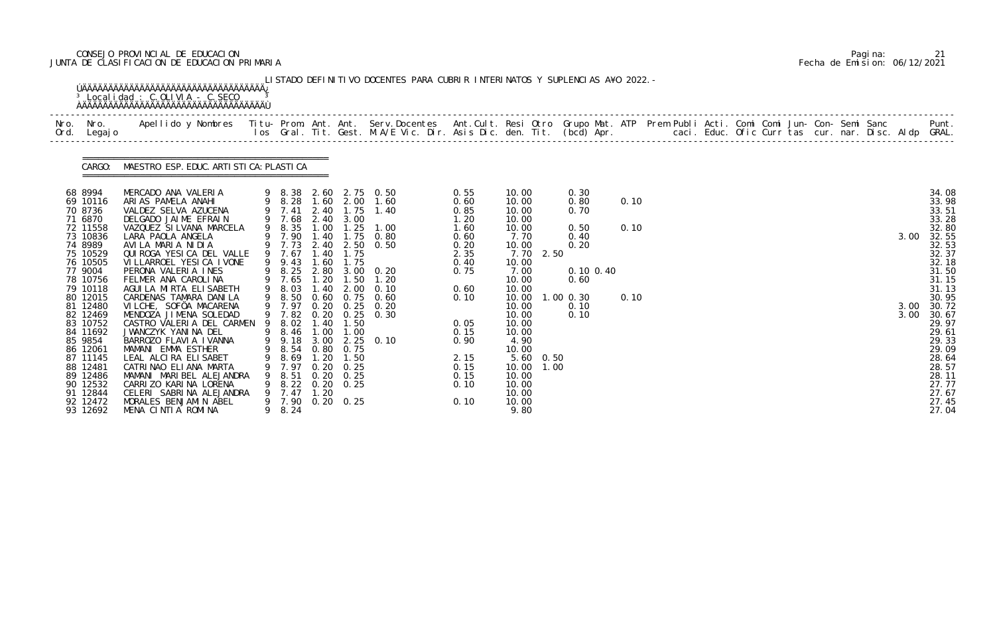# CONSEJO PROVINCIAL DE EDUCACION Pagina: 21 JUNTA DE CLASIFICACION DE EDUCACION PRIMARIA Fecha de Emision: 06/12/2021

| Nro. Nro.<br>Ord. Legajo                                                                                                                                                                                                                                                                                       | Apellido y Nombres  Titu- Prom. Ant. Ant.  Serv.Docentes  Ant.Cult. Resi Otro  Grupo Mat. ATP  Prem Publi Acti. Comi Comi Jun- Con- Semi Sanc              Punt.<br>Ios Gral. Tit. Gest. M.A/E Vic. Dir. Asis Dic. den. Tit. (bcd                                                                                                                                                                                                                                                                                                                                                                                                                                   |   |                                                                                                                                                                                                                                                             |                                                                                               |                                                                                                                              |                                                                                                                                                                                                                  |                                                                                                                                                              |                                                                                                                                                                                                                                                       |                                                                                                         |                      |  |  |  |  |                      |                                                                                                                                                                                                                                        |
|----------------------------------------------------------------------------------------------------------------------------------------------------------------------------------------------------------------------------------------------------------------------------------------------------------------|---------------------------------------------------------------------------------------------------------------------------------------------------------------------------------------------------------------------------------------------------------------------------------------------------------------------------------------------------------------------------------------------------------------------------------------------------------------------------------------------------------------------------------------------------------------------------------------------------------------------------------------------------------------------|---|-------------------------------------------------------------------------------------------------------------------------------------------------------------------------------------------------------------------------------------------------------------|-----------------------------------------------------------------------------------------------|------------------------------------------------------------------------------------------------------------------------------|------------------------------------------------------------------------------------------------------------------------------------------------------------------------------------------------------------------|--------------------------------------------------------------------------------------------------------------------------------------------------------------|-------------------------------------------------------------------------------------------------------------------------------------------------------------------------------------------------------------------------------------------------------|---------------------------------------------------------------------------------------------------------|----------------------|--|--|--|--|----------------------|----------------------------------------------------------------------------------------------------------------------------------------------------------------------------------------------------------------------------------------|
|                                                                                                                                                                                                                                                                                                                | CARGO: MAESTRO ESP. EDUC. ARTI STI CA: PLASTI CA                                                                                                                                                                                                                                                                                                                                                                                                                                                                                                                                                                                                                    |   |                                                                                                                                                                                                                                                             |                                                                                               |                                                                                                                              |                                                                                                                                                                                                                  |                                                                                                                                                              |                                                                                                                                                                                                                                                       |                                                                                                         |                      |  |  |  |  |                      |                                                                                                                                                                                                                                        |
| 68 8994<br>69 10116<br>70 8736<br>71 6870<br>72 11558<br>73 10836<br>74 8989<br>75 10529<br>76 10505<br>77 9004<br>78 10756<br>79 10118<br>80 12015<br>81 12480<br>82 12469<br>83 10752<br>84 11692<br>85 9854<br>86 12061<br>87 11145<br>88 12481<br>89 12486<br>90 12532<br>91 12844<br>92 12472<br>93 12692 | MERCADO ANA VALERIA<br>ARIAS PAMELA ANAHI<br>VALDEZ SELVA AZUCENA<br>DELGADO JAIME EFRAIN<br>VAZQUEZ SILVANA MARCELA<br>LARA PAOLA ANGELA<br>AVILA MARIA NIDIA<br>QUIROGA YESICA DEL VALLE<br>VI LLARROEL YESI CA I VONE<br>PERONA VALERIA INES<br>FELMER ANA CAROLINA<br>AGUI LA MIRTA ELISABETH<br>CARDENAS TAMARA DANILA<br>VILCHE, SOFÖA MACARENA<br>MENDOZA JIMENA SOLEDAD<br>CASTRO VALERIA DEL CARMEN<br>JWANCZYK YANINA DEL<br>BARROZO FLAVIA IVANNA<br>MAMANI EMMA ESTHER<br>LEAL ALCIRA ELISABET<br>CATRINAO ELIANA MARTA<br>MAMANI MARIBEL ALEJANDRA<br>CARRIZO KARINA LORENA<br>CELERI SABRINA ALEJANDRA<br>MORALES BENJAMIN ABEL<br>MENA CINTIA ROMINA | 9 | 9 7.41<br>9 7.68<br>9 8.35<br>9 7.90<br>9 7.67<br>9 9.43<br>9 8.25<br>9 7.65<br>9 8.03<br>9 8.50<br>9 7.97<br>9 7.82<br>9 8.02<br>9 8.46 1.00 1.00<br>9 9.18 3.00<br>9 8.54 0.80 0.75<br>8.69<br>7.97<br>8.51<br>8.22<br>7.47<br>9 7.90 0.20 0.25<br>9 8.24 | 2.40<br>1.40<br>1.40<br>1.60<br>1.20<br>1.40<br>0.20<br>1.40<br>1.20<br>0.20<br>0. 20<br>1.20 | 1.75<br>2.40 3.00<br>1.75<br>1.75<br>2.00<br>$0.60 \quad 0.75$<br>0.25<br>1.50<br>1.50<br>0.25<br>0. 25<br>$0.20 \quad 0.25$ | 9 8.38 2.60 2.75 0.50<br>9 8.28 1.60 2.00 1.60<br>1.40<br>1.00 1.25 1.00<br>1.75 0.80<br>9 7.73 2.40 2.50 0.50<br>2.80 3.00 0.20<br>$1.50$ $1.20$<br>0.10<br>0.60<br>$0.20$ $0.25$ $0.20$<br>0.30<br>$2.25$ 0.10 | 0.55<br>0.60<br>0.85<br>1.20<br>1.60<br>0.60<br>0.20<br>2.35<br>0.40<br>0.75<br>0.60<br>0.10<br>0.05<br>0.15<br>0.90<br>2.15<br>0.15<br>0.15<br>0.10<br>0.10 | 10.00<br>10.00<br>10.00<br>10.00<br>10.00<br>7.70<br>10.00<br>7.70<br>2.50<br>10.00<br>7.00<br>10.00<br>10.00<br>10.00<br>10.00<br>10.00<br>10.00<br>10.00<br>4.90<br>10.00<br>5.60 0.50<br>10.00<br>1.00<br>10.00<br>10.00<br>10.00<br>10.00<br>9.80 | 0.30<br>0.80<br>0.70<br>0.50<br>0.40<br>0.20<br>$0.10 \, 0.40$<br>0.60<br>$1.00$ $0.30$<br>0.10<br>0.10 | 0.10<br>0.10<br>0.10 |  |  |  |  | 3.00<br>3.00<br>3.00 | 34.08<br>33.98<br>33.51<br>33.28<br>32.80<br>32.55<br>32.53<br>32.37<br>32.18<br>31.50<br>31.15<br>31.13<br>30.95<br>30.72<br>30.67<br>29.97<br>29.61<br>29.33<br>29.09<br>28.64<br>28.57<br>28.11<br>27.77<br>27.67<br>27.45<br>27.04 |

|  | Pagi na: |                              |
|--|----------|------------------------------|
|  |          | Fecha de Emision: 06/12/2021 |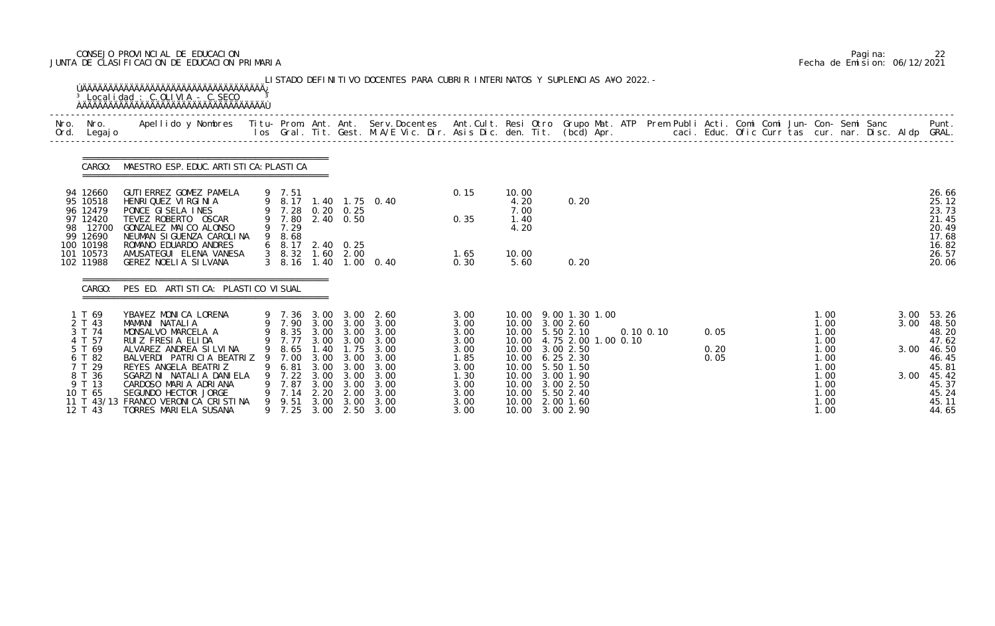# CONSEJO PROVINCIAL DE EDUCACION Pagina: 22 JUNTA DE CLASIFICACION DE EDUCACION PRIMARIA Fecha de Emision: 06/12/2021

|              |                                                                                                                              | <sup>3</sup> Localidad : C.OLIVIA - C.SECO                                                                                                                                                                                                                                                            |   |                                                                                                         |                                                      |                                                                           | LISTADO DEFINITIVO DOCENTES PARA CUBRIR INTERINATOS Y SUPLENCIAS A¥O 2022. -                                                   |                                                                                              |                                                                                        |                                                                                                                                                                                       |                |                      |  |                                                                                              |  |                      |                                                                                                               |
|--------------|------------------------------------------------------------------------------------------------------------------------------|-------------------------------------------------------------------------------------------------------------------------------------------------------------------------------------------------------------------------------------------------------------------------------------------------------|---|---------------------------------------------------------------------------------------------------------|------------------------------------------------------|---------------------------------------------------------------------------|--------------------------------------------------------------------------------------------------------------------------------|----------------------------------------------------------------------------------------------|----------------------------------------------------------------------------------------|---------------------------------------------------------------------------------------------------------------------------------------------------------------------------------------|----------------|----------------------|--|----------------------------------------------------------------------------------------------|--|----------------------|---------------------------------------------------------------------------------------------------------------|
| Nro.<br>Ord. | Nro.<br>Legaj o                                                                                                              | Apellido y Nombres - Titu- Prom. Ant. Ant. Serv.Docentes - Ant.Cult. Resi Otro Grupo Mat. ATP Prem Publi Acti. Comi Comi Jun- Con- Semi Sanc - - - Punt.<br>Ios Gral. Tit. Gest. M.A/E Vic. Dir. Asis Dic. den. Tit. (bcd) Apr. -                                                                     |   |                                                                                                         |                                                      |                                                                           |                                                                                                                                |                                                                                              |                                                                                        |                                                                                                                                                                                       |                |                      |  |                                                                                              |  |                      |                                                                                                               |
|              | CARGO:                                                                                                                       | MAESTRO ESP. EDUC. ARTI STI CA: PLASTI CA                                                                                                                                                                                                                                                             |   |                                                                                                         |                                                      |                                                                           |                                                                                                                                |                                                                                              |                                                                                        |                                                                                                                                                                                       |                |                      |  |                                                                                              |  |                      |                                                                                                               |
|              | 94 12660<br>95 10518<br>96 12479<br>97 12420<br>98 12700<br>99 12690                                                         | GUTI ERREZ GOMEZ PAMELA<br>HENRI QUEZ VI RGI NI A<br>PONCE GISELA INES<br>TEVEZ ROBERTO OSCAR<br>GONZALEZ MAICO ALONSO<br>NEUMAN SI GUENZA CAROLINA                                                                                                                                                   | 9 | 9 7.51<br>9 7.28<br>9 7.80 2.40 0.50<br>9 7.29<br>8.68                                                  |                                                      | $0.20 \quad 0.25$                                                         | 9 8.17 1.40 1.75 0.40                                                                                                          | 0.15<br>0.35                                                                                 | 10.00<br>4.20<br>7.00<br>1.40<br>4.20                                                  | 0.20                                                                                                                                                                                  |                |                      |  |                                                                                              |  |                      | 26.66<br>25.12<br>23.73<br>21.45<br>20.49<br>17.68                                                            |
|              | 100 10198<br>101 10573<br>102 11988                                                                                          | ROMANO EDUARDO ANDRES<br>AMUSATEGUI ELENA VANESA<br>GEREZ NOELLA SILVANA                                                                                                                                                                                                                              |   | 6 8.17 2.40 0.25<br>$3\quad 8.32$<br>$3\quad 8.16$                                                      |                                                      | $1.60$ $2.00$                                                             | 1.40 1.00 0.40                                                                                                                 | 1.65<br>0.30                                                                                 | 10.00<br>5.60                                                                          | 0.20                                                                                                                                                                                  |                |                      |  |                                                                                              |  |                      | 16.82<br>26.57<br>20.06                                                                                       |
|              | CARGO:                                                                                                                       | PES ED. ARTI STI CA: PLASTI CO VI SUAL                                                                                                                                                                                                                                                                |   |                                                                                                         |                                                      |                                                                           |                                                                                                                                |                                                                                              |                                                                                        |                                                                                                                                                                                       |                |                      |  |                                                                                              |  |                      |                                                                                                               |
|              | 1 T 69<br>2 T 43<br>3 T 74<br>4 T 57<br>5 T 69<br>6 T 82<br>7 T 29<br>8 T 36<br>9 T 13<br>10 T 65<br>11 T $43/13$<br>12 T 43 | YBA¥EZ MONICA LORENA<br>MAMANI NATALIA<br>MONSALVO MARCELA A<br>RUIZ FRESIA ELIDA<br>ALVAREZ ANDREA SILVINA<br>BALVERDI PATRICIA BEATRIZ 9<br>REYES ANGELA BEATRIZ<br>SGARZINI NATALIA DANIELA<br>CARDOSO MARIA ADRIANA<br>SEGUNDO HECTOR JORGE<br>FRANCO VERONI CA CRISTINA<br>TORRES MARIELA SUSANA |   | 9 7.36 3.00<br>9 8.35 3.00 3.00<br>9 7.77<br>7.00<br>6.81<br>9 7.22<br>7.87<br>7.14<br>9 9.51<br>9 7.25 | 3.00<br>3.00<br>3.00<br>3.00<br>2.20<br>3.00<br>3.00 | 3.00<br>3.00 3.00<br>3.00<br>3.00<br>3.00<br>3.00<br>2.00<br>3.00<br>2.50 | 2.60<br>9 7.90 3.00 3.00 3.00<br>3.00<br>3.00<br>9 8.65 1.40 1.75 3.00<br>3.00<br>3.00<br>3.00<br>3.00<br>3.00<br>3.00<br>3.00 | 3.00<br>3.00<br>3.00<br>3.00<br>3.00<br>1.85<br>3.00<br>1.30<br>3.00<br>3.00<br>3.00<br>3.00 | 10.00<br>10.00<br>10.00<br>10.00<br>10.00<br>10.00<br>10.00<br>10.00<br>10.00<br>10.00 | 9.00 1.30 1.00<br>3.00 2.60<br>10.00 5.50 2.10<br>4.75 2.00 1.00 0.10<br>10.00 3.00 2.50<br>$6.25$ 2.30<br>5.50 1.50<br>3.00 1.90<br>3.00 2.50<br>5.50 2.40<br>2.00 1.60<br>3.00 2.90 | $0.10 \, 0.10$ | 0.05<br>0.20<br>0.05 |  | 1.00<br>1.00<br>1.00<br>1.00<br>1.00<br>1.00<br>1.00<br>1.00<br>1.00<br>1.00<br>1.00<br>1.00 |  | 3.00<br>3.00<br>3.00 | 53.26<br>48.50<br>48.20<br>47.62<br>3.00 46.50<br>46.45<br>45.81<br>45.42<br>45.37<br>45.24<br>45.11<br>44.65 |

|  | Pagi na: |                              |
|--|----------|------------------------------|
|  |          | Fecha de Emision: 06/12/2021 |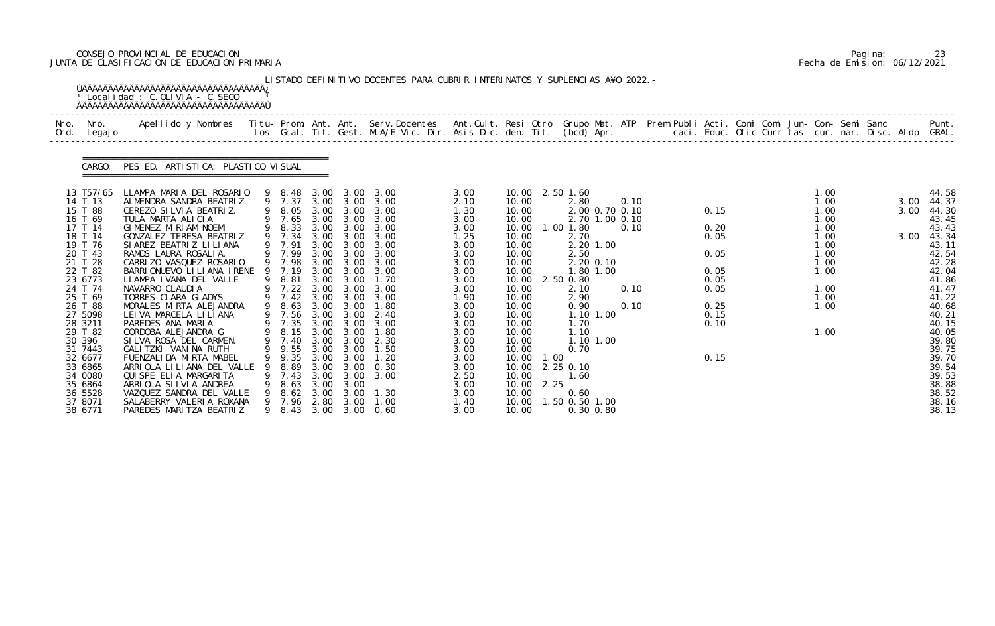# CONSEJO PROVINCIAL DE EDUCACION Pagina: 23 JUNTA DE CLASIFICACION DE EDUCACION PRIMARIA Fecha de Emision: 06/12/2021

| Nro.<br>Nro.<br>Ord.                                                                                                                                                                                                                                                             | Legaj o | Apellido y Nombres - Titu- Prom. Ant. Ant. Serv.Docentes - Ant.Cult. Resi Otro Grupo Mat. ATP Prem Publi Acti. Comi Comi Jun- Con- Semi Sanc - - - Punt.<br>Ios Gral. Tit. Gest. M.A/E Vic. Dir. Asis Dic. den. Tit. (bcd) Apr. -                                                                                                                                                                                                                                                                                                                                                                                                                                    |             |                                                                                                                                                                                                                                                                |                                                                                                                                              |                                                                                                                                                                             |                                                                                                                                                                                                             |                                                                                                                                                                                                      |                                                                                                                                                                                                             |              |                                                                                                                                                                       |                                                               |                                                                  |  |                                                                                      |  |                                                                                                              |  |                      |                                                                                                                                                                                                                               |
|----------------------------------------------------------------------------------------------------------------------------------------------------------------------------------------------------------------------------------------------------------------------------------|---------|----------------------------------------------------------------------------------------------------------------------------------------------------------------------------------------------------------------------------------------------------------------------------------------------------------------------------------------------------------------------------------------------------------------------------------------------------------------------------------------------------------------------------------------------------------------------------------------------------------------------------------------------------------------------|-------------|----------------------------------------------------------------------------------------------------------------------------------------------------------------------------------------------------------------------------------------------------------------|----------------------------------------------------------------------------------------------------------------------------------------------|-----------------------------------------------------------------------------------------------------------------------------------------------------------------------------|-------------------------------------------------------------------------------------------------------------------------------------------------------------------------------------------------------------|------------------------------------------------------------------------------------------------------------------------------------------------------------------------------------------------------|-------------------------------------------------------------------------------------------------------------------------------------------------------------------------------------------------------------|--------------|-----------------------------------------------------------------------------------------------------------------------------------------------------------------------|---------------------------------------------------------------|------------------------------------------------------------------|--|--------------------------------------------------------------------------------------|--|--------------------------------------------------------------------------------------------------------------|--|----------------------|-------------------------------------------------------------------------------------------------------------------------------------------------------------------------------------------------------------------------------|
| CARGO:                                                                                                                                                                                                                                                                           |         | PES ED. ARTI STI CA: PLASTI CO VI SUAL                                                                                                                                                                                                                                                                                                                                                                                                                                                                                                                                                                                                                               |             |                                                                                                                                                                                                                                                                |                                                                                                                                              |                                                                                                                                                                             |                                                                                                                                                                                                             |                                                                                                                                                                                                      |                                                                                                                                                                                                             |              |                                                                                                                                                                       |                                                               |                                                                  |  |                                                                                      |  |                                                                                                              |  |                      |                                                                                                                                                                                                                               |
| 13 T57/65<br>14 T 13<br>15 T 88<br>16 T 69<br>17 T 14<br>18 T 14<br>19 T 76<br>20 T 43<br>21 T 28<br>22 T 82<br>23 6773<br>24 T 74<br>25 T 69<br>26 T 88<br>27 5098<br>28 3211<br>29 T 82<br>30 396<br>31 7443<br>32 6677<br>33 6865<br>34 0080<br>35 6864<br>36 5528<br>37 8071 |         | LLAMPA MARIA DEL ROSARIO<br>ALMENDRA SANDRA BEATRIZ.<br>CEREZO SILVIA BEATRIZ.<br>TULA MARTA ALICIA<br>GIMENEZ MIRIAM NOEMI<br>GONZALEZ TERESA BEATRIZ<br>SI AREZ BEATRIZ LI LI ANA<br>RAMOS LAURA ROSALIA.<br>CARRIZO VASQUEZ ROSARIO<br>BARRI ONUEVO LI LI ANA I RENE<br>LLAMPA I VANA DEL VALLE<br>NAVARRO CLAUDIA<br>TORRES CLARA GLADYS<br>MORALES MIRTA ALEJANDRA<br>LEI VA MARCELA LI LI ANA<br>PAREDES ANA MARIA<br>CORDOBA ALEJANDRA G<br>SILVA ROSA DEL CARMEN.<br>GALITZKI VANINA RUTH<br>FUENZALI DA MI RTA MABEL<br>ARRIOLA LILIANA DEL VALLE<br>QUISPE ELIA MARGARITA<br>ARRIOLA SILVIA ANDREA<br>VAZQUEZ SANDRA DEL VALLE<br>SALABERRY VALERIA ROXANA | 9<br>9<br>9 | 9 8.48<br>9 7.37<br>9 8.05<br>7.65<br>9 8.33<br>9 7.34<br>9 7.91<br>9 7.99<br>9 7.98<br>7.19<br>8.81<br>7.22<br>9 7.42<br>8.63<br>7.56<br>7.35<br>9 8.15 3.00 3.00<br>9 7.40<br>9 9.55 3.00 3.00<br>9.35<br>8.89<br>9 7.43<br>8.63<br>8.62<br>9 7.96 2.80 3.00 | 3.00<br>3.00<br>3.00<br>3.00<br>3.00<br>3.00<br>3.00<br>3.00<br>3.00<br>3.00<br>3.00<br>3.00<br>3.00<br>3.00<br>3.00<br>3.00<br>3.00<br>3.00 | 3.00 3.00<br>3.00<br>3.00<br>3.00 3.00<br>3.00<br>3.00<br>3.00<br>3.00<br>3.00<br>3.00<br>3.00<br>3.00<br>3.00<br>3.00<br>3.00 3.00<br>3.00<br>3.00<br>3.00<br>3.00<br>3.00 | 3.00 3.00<br>3.00<br>3.00<br>3.00<br>3.00<br>3.00<br>3.00<br>3.00<br>3.00<br>3.00<br>1.70<br>3.00<br>3.00<br>1.80<br>2.40<br>3.00<br>1.80<br>2.30<br>1.50<br>1.20<br>0.30<br>3.00 3.00 3.00<br>1.30<br>1.00 | 3.00<br>2.10<br>1.30<br>3.00<br>3.00<br>1.25<br>3.00<br>3.00<br>3.00<br>3.00<br>3.00<br>3.00<br>1.90<br>3.00<br>3.00<br>3.00<br>3.00<br>3.00<br>3.00<br>3.00<br>3.00<br>2.50<br>3.00<br>3.00<br>1.40 | 10.00<br>10.00<br>10.00<br>10.00<br>10.00<br>10.00<br>10.00<br>10.00<br>10.00<br>10.00<br>10.00<br>10.00<br>10.00<br>10.00<br>10.00<br>10.00<br>10.00<br>10.00<br>10.00<br>10.00<br>10.00<br>10.00<br>10.00 | 1.00<br>2.25 | 10.00 2.50 1.60<br>2.80<br>1.00 1.80<br>2.70<br>2.50<br>2.50 0.80<br>2.10<br>2.90<br>0.90<br>1.70<br>1.10<br>0.70<br>10.00 2.25 0.10<br>1.60<br>0.60<br>.50 0.50 1.00 | 2.20 1.00<br>2.20 0.10<br>1.80 1.00<br>1.10 1.00<br>1.10 1.00 | 0.10<br>2.00 0.70 0.10<br>2.70 1.00 0.10<br>0.10<br>0.10<br>0.10 |  | 0.15<br>0.20<br>0.05<br>0.05<br>0.05<br>0.05<br>0.05<br>0.25<br>0.15<br>0.10<br>0.15 |  | 1.00<br>1.00<br>1.00<br>1.00<br>1.00<br>1.00<br>1.00<br>1.00<br>1.00<br>1.00<br>1.00<br>1.00<br>1.00<br>1.00 |  | 3.00<br>3.00<br>3.00 | 44.58<br>44.37<br>44.30<br>43.45<br>43.43<br>43.34<br>43.11<br>42.54<br>42.28<br>42.04<br>41.86<br>41.47<br>41.22<br>40.68<br>40.21<br>40.15<br>40.05<br>39.80<br>39.75<br>39.70<br>39.54<br>39.53<br>38.88<br>38.52<br>38.16 |

|  | Pagi na: | 23                           |
|--|----------|------------------------------|
|  |          | Fecha de Emision: 06/12/2021 |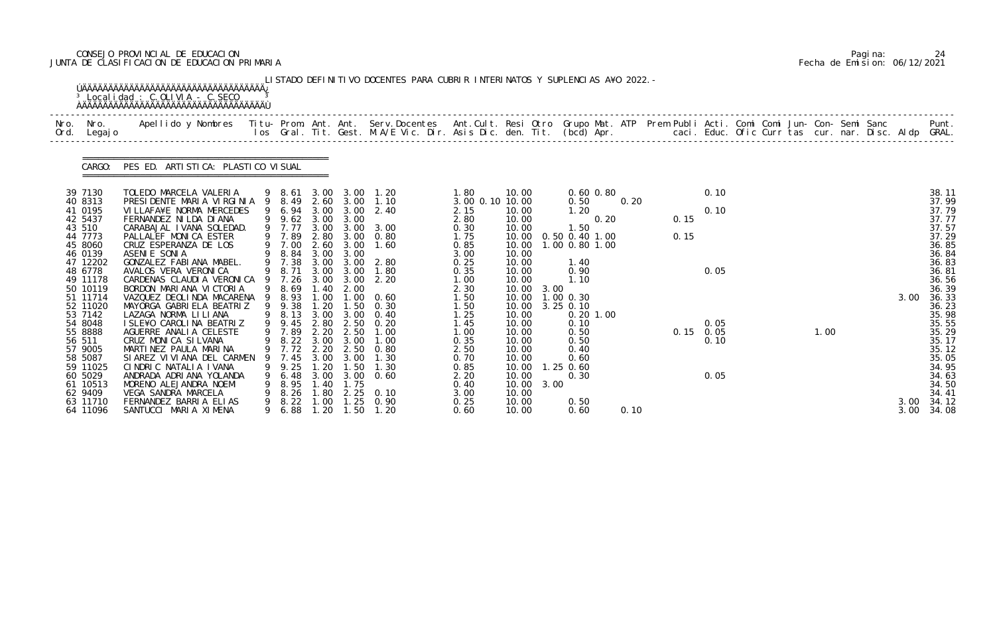# CONSEJO PROVINCIAL DE EDUCACION Pagina: 24 JUNTA DE CLASIFICACION DE EDUCACION PRIMARIA Fecha de Emision: 06/12/2021

| Nro. | Nro. In the Nro.<br>Ord. Legajo                                                                                                                                                                                                                                           | Apellido y Nombres  Titu- Prom. Ant. Ant.  Serv.Docentes  Ant.Cult. Resi Otro  Grupo Mat. ATP  Prem Publi Acti. Comi Comi Jun- Con- Semi Sanc                Punt.<br>Ios Gral. Tit. Gest. M.A/E Vic. Dir. Asis Dic. den. Tit. (b                                                                                                                                                                                                                                                                                                                                                                                                                                                     |         |                                                                                                                                                                                                                            |                                                                                              |                                                                                                                                    |                                                                                                                                                                                                                                     |                                                                                                                                                                                                         |                                                                                                                                                                                  |                    |                                                                                                                                                                                                                               |      |              |                                                             |  |      |      |                                                                                                                                                                                                                      |
|------|---------------------------------------------------------------------------------------------------------------------------------------------------------------------------------------------------------------------------------------------------------------------------|---------------------------------------------------------------------------------------------------------------------------------------------------------------------------------------------------------------------------------------------------------------------------------------------------------------------------------------------------------------------------------------------------------------------------------------------------------------------------------------------------------------------------------------------------------------------------------------------------------------------------------------------------------------------------------------|---------|----------------------------------------------------------------------------------------------------------------------------------------------------------------------------------------------------------------------------|----------------------------------------------------------------------------------------------|------------------------------------------------------------------------------------------------------------------------------------|-------------------------------------------------------------------------------------------------------------------------------------------------------------------------------------------------------------------------------------|---------------------------------------------------------------------------------------------------------------------------------------------------------------------------------------------------------|----------------------------------------------------------------------------------------------------------------------------------------------------------------------------------|--------------------|-------------------------------------------------------------------------------------------------------------------------------------------------------------------------------------------------------------------------------|------|--------------|-------------------------------------------------------------|--|------|------|----------------------------------------------------------------------------------------------------------------------------------------------------------------------------------------------------------------------|
|      | CARGO:                                                                                                                                                                                                                                                                    | PES ED. ARTI STI CA: PLASTI CO VI SUAL                                                                                                                                                                                                                                                                                                                                                                                                                                                                                                                                                                                                                                                |         |                                                                                                                                                                                                                            |                                                                                              |                                                                                                                                    |                                                                                                                                                                                                                                     |                                                                                                                                                                                                         |                                                                                                                                                                                  |                    |                                                                                                                                                                                                                               |      |              |                                                             |  |      |      |                                                                                                                                                                                                                      |
|      | 39 7130<br>40 8313<br>41 0195<br>42 5437<br>43 510<br>44 7773<br>45 8060<br>46 0139<br>47 12202<br>48 6778<br>49 11178<br>50 10119<br>51 11714<br>52 11020<br>53 7142<br>54 8048<br>55 8888<br>56 511<br>57 9005<br>58 5087<br>59 11025<br>60 5029<br>61 10513<br>62 9409 | TOLEDO MARCELA VALERIA<br>PRESIDENTE MARIA VIRGINIA 9 8.49<br>VILLAFA¥E NORMA MERCEDES<br>FERNANDEZ NI LDA DI ANA<br>CARABAJAL IVANA SOLEDAD.<br>PALLALEF MONICA ESTER<br>CRUZ ESPERANZA DE LOS<br>ASENIE SONIA<br>GONZALEZ FABIANA MABEL.<br>AVALOS VERA VERONICA<br>CARDENAS CLAUDIA VERONICA 9 7.26 3.00 3.00 2.20<br>BORDON MARIANA VICTORIA<br>VAZQUEZ DEOLINDA MACARENA 9 8.93<br>MAYORGA GABRIELA BEATRIZ<br>LAZAGA NORMA LI LI ANA<br>I SLE¥O CAROLINA BEATRIZ<br>AGUERRE ANALIA CELESTE<br>CRUZ MONICA SILVANA<br>MARTINEZ PAULA MARINA<br>SI AREZ VI VI ANA DEL CARMEN<br>CINDRIC NATALIA IVANA<br>ANDRADA ADRIANA YOLANDA<br>MORENO ALEJANDRA NOEMI<br>VEGA SANDRA MARCELA | -9<br>9 | 9 6.94<br>9 9.62 3.00<br>9 7.77<br>9 7.89<br>9 7.00 2.60<br>9 8.84 3.00 3.00<br>9 7.38<br>9 8.71 3.00 3.00<br>9 8.69<br>9 9.38<br>9 8.13<br>9 9.45<br>9 7.89<br>9 8.22 3.00 3.00<br>7.45<br>9.25<br>9 6.48<br>8.95<br>8.26 | 3.00<br>2.80<br>3.00<br>1.40<br>1.00<br>1.20<br>3.00<br>3.00<br>1.20<br>3.00<br>1.40<br>1.80 | 3.00<br>3.00<br>3.00<br>3.00<br>2.00<br>1.50<br>3.00<br>2.20 2.50<br>3.00<br>$\overline{\phantom{0}}$ . 50<br>3.00<br>1.75<br>2.25 | 9 8.61 3.00 3.00 1.20<br>2.60 3.00 1.10<br>2.40<br>3.00 3.00 3.00<br>3.00 0.80<br>1.60<br>2.80<br>1.80<br>$1.00 \t 0.60$<br>0.30<br>0.40<br>2.80 2.50 0.20<br>1.00<br>1.00<br>9 7.72 2.20 2.50 0.80<br>1.30<br>1.30<br>0.60<br>0.10 | 1.80<br>3.00 0.10 10.00<br>2.15<br>2.80<br>0.30<br>1.75<br>0.85<br>3.00<br>0.25<br>0.35<br>1.00<br>2.30<br>1.50<br>1.50<br>1.25<br>1.45<br>1.00<br>0.35<br>2.50<br>0.70<br>0.85<br>2.20<br>0.40<br>3.00 | 10.00<br>10.00<br>10.00<br>10.00<br>10.00<br>10.00<br>10.00<br>10.00<br>10.00<br>10.00<br>10.00<br>10.00<br>10.00<br>10.00<br>10.00<br>10.00<br>10.00<br>10.00<br>10.00<br>10.00 | 10.00 3.00<br>3.00 | $0.60$ $0.80$<br>0.50<br>1.20<br>0.20<br>1.50<br>0.50 0.40 1.00<br>1.00 0.80 1.00<br>1.40<br>0.90<br>1.10<br>10.00 1.00 0.30<br>10.00 3.25 0.10<br>$0.20$ 1.00<br>0.10<br>0.50<br>0.50<br>0.40<br>0.60<br>$1.25$ 0.60<br>0.30 | 0.20 | 0.15<br>0.15 | 0.10<br>0.10<br>0.05<br>0.05<br>$0.15$ 0.05<br>0.10<br>0.05 |  | 1.00 | 3.00 | 38.11<br>37.99<br>37.79<br>37.77<br>37.57<br>37.29<br>36.85<br>36.84<br>36.83<br>36.81<br>36.56<br>36.39<br>36.33<br>36.23<br>35.98<br>35.55<br>35.29<br>35.17<br>35.12<br>35.05<br>34.95<br>34.63<br>34.50<br>34.41 |

|  | Pagi na: | 24                           |
|--|----------|------------------------------|
|  |          | Fecha de Emision: 06/12/2021 |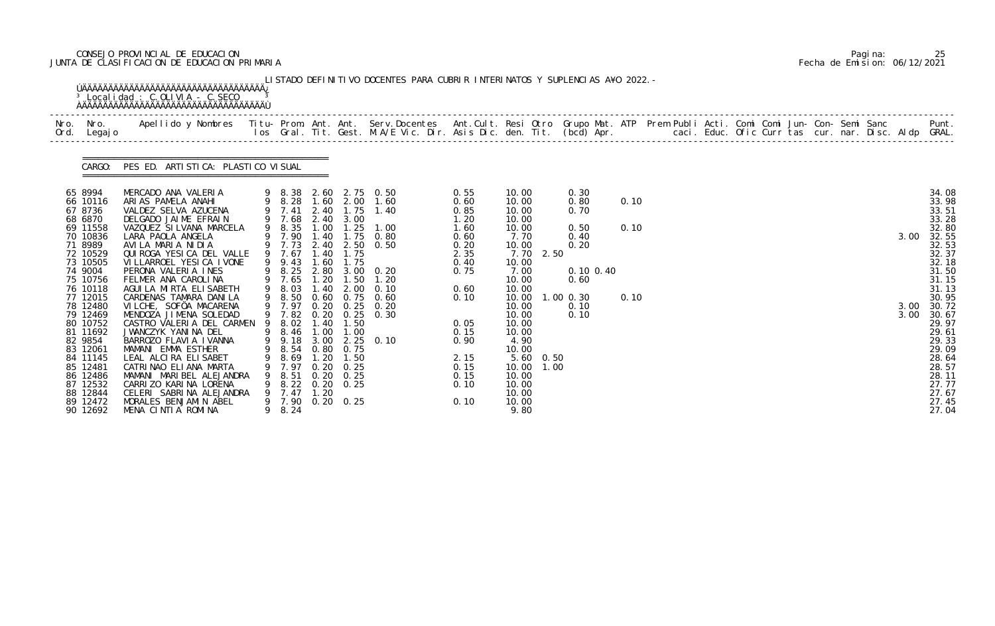# CONSEJO PROVINCIAL DE EDUCACION Pagina: 25 JUNTA DE CLASIFICACION DE EDUCACION PRIMARIA Fecha de Emision: 06/12/2021

| Nro. Nro.<br>Ord. Legajo                                                                                                                                                                                                                                                                                       | Apellido y Nombres - Titu- Prom. Ant. Ant. Serv.Docentes - Ant.Cult. Resi Otro Grupo Mat. ATP Prem Publi Acti. Comi Comi Jun- Con- Semi Sanc - - - Punt.<br>Ios Gral. Tit. Gest. M.A/E Vic. Dir. Asis Dic. den. Tit. (bcd) Apr. -                                                                                                                                                                                                                                                                                                                                                                                                                                   |        |                                                                                                                                                                                                                                                     |                                                                                       |                                                                                                                                      |                                                                                                                                                                                                                |                                                                                                                                                              |                                                                                                                                                                                                                                                    |                                                                                                        |                      |  |  |  |  |                      |                                                                                                                                                                                                                                        |
|----------------------------------------------------------------------------------------------------------------------------------------------------------------------------------------------------------------------------------------------------------------------------------------------------------------|---------------------------------------------------------------------------------------------------------------------------------------------------------------------------------------------------------------------------------------------------------------------------------------------------------------------------------------------------------------------------------------------------------------------------------------------------------------------------------------------------------------------------------------------------------------------------------------------------------------------------------------------------------------------|--------|-----------------------------------------------------------------------------------------------------------------------------------------------------------------------------------------------------------------------------------------------------|---------------------------------------------------------------------------------------|--------------------------------------------------------------------------------------------------------------------------------------|----------------------------------------------------------------------------------------------------------------------------------------------------------------------------------------------------------------|--------------------------------------------------------------------------------------------------------------------------------------------------------------|----------------------------------------------------------------------------------------------------------------------------------------------------------------------------------------------------------------------------------------------------|--------------------------------------------------------------------------------------------------------|----------------------|--|--|--|--|----------------------|----------------------------------------------------------------------------------------------------------------------------------------------------------------------------------------------------------------------------------------|
|                                                                                                                                                                                                                                                                                                                | CARGO: PES ED. ARTISTICA: PLASTICO VISUAL                                                                                                                                                                                                                                                                                                                                                                                                                                                                                                                                                                                                                           |        |                                                                                                                                                                                                                                                     |                                                                                       |                                                                                                                                      |                                                                                                                                                                                                                |                                                                                                                                                              |                                                                                                                                                                                                                                                    |                                                                                                        |                      |  |  |  |  |                      |                                                                                                                                                                                                                                        |
| 65 8994<br>66 10116<br>67 8736<br>68 6870<br>69 11558<br>70 10836<br>71 8989<br>72 10529<br>73 10505<br>74 9004<br>75 10756<br>76 10118<br>77 12015<br>78 12480<br>79 12469<br>80 10752<br>81 11692<br>82 9854<br>83 12061<br>84 11145<br>85 12481<br>86 12486<br>87 12532<br>88 12844<br>89 12472<br>90 12692 | MERCADO ANA VALERIA<br>ARIAS PAMELA ANAHI<br>VALDEZ SELVA AZUCENA<br>DELGADO JAIME EFRAIN<br>VAZQUEZ SILVANA MARCELA<br>LARA PAOLA ANGELA<br>AVILA MARIA NIDIA<br>QUIROGA YESICA DEL VALLE<br>VI LLARROEL YESI CA I VONE<br>PERONA VALERIA INES<br>FELMER ANA CAROLINA<br>AGUI LA MIRTA ELISABETH<br>CARDENAS TAMARA DANILA<br>VILCHE, SOFÖA MACARENA<br>MENDOZA JIMENA SOLEDAD<br>CASTRO VALERIA DEL CARMEN<br>JWANCZYK YANINA DEL<br>BARROZO FLAVIA IVANNA<br>MAMANI EMMA ESTHER<br>LEAL ALCIRA ELISABET<br>CATRINAO ELIANA MARTA<br>MAMANI MARIBEL ALEJANDRA<br>CARRIZO KARINA LORENA<br>CELERI SABRINA ALEJANDRA<br>MORALES BENJAMIN ABEL<br>MENA CINTIA ROMINA | 9<br>9 | 9 7.68<br>9 8.35<br>9 7.90<br>9 7.67<br>9 9.43<br>9 8.25<br>9 7.65<br>9 8.03<br>9 8.50<br>9 7.97<br>9 7.82<br>8.02<br>9 8.46<br>9 9.18 3.00<br>9 8.54 0.80 0.75<br>8.69<br>7.97<br>9 8.51<br>9 8.22 0.20 0.25<br>7.47<br>9 7.90 0.20 0.25<br>9 8.24 | 1.40<br>1.40<br>1.60<br>1.20<br>1.40<br>0.20<br>1.40<br>1.00<br>1.20<br>0. 20<br>1.20 | 2.40 3.00<br>1.75<br>1.75<br>1.75<br>1.50<br>2.00<br>$0.20 \quad 0.25$<br>0.25<br>1.50<br>1.00<br>1.50<br>0. 25<br>$0.20 \quad 0.25$ | 9 8.38 2.60 2.75 0.50<br>9 8.28 1.60 2.00 1.60<br>9 7.41 2.40 1.75 1.40<br>1.00 1.25 1.00<br>0.80<br>9 7.73 2.40 2.50 0.50<br>2.80 3.00 0.20<br>1.20<br>0.10<br>0.60 0.75 0.60<br>0. 20<br>0.30<br>$2.25$ 0.10 | 0.55<br>0.60<br>0.85<br>1.20<br>1.60<br>0.60<br>0.20<br>2.35<br>0.40<br>0.75<br>0.60<br>0.10<br>0.05<br>0.15<br>0.90<br>2.15<br>0.15<br>0.15<br>0.10<br>0.10 | 10.00<br>10.00<br>10.00<br>10.00<br>10.00<br>7.70<br>10.00<br>7.70<br>2.50<br>10.00<br>7.00<br>10.00<br>10.00<br>10.00<br>10.00<br>10.00<br>10.00<br>10.00<br>4.90<br>10.00<br>5.60 0.50<br>10.00 1.00<br>10.00<br>10.00<br>10.00<br>10.00<br>9.80 | 0.30<br>0.80<br>0.70<br>0.50<br>0.40<br>0.20<br>$0.10$ $0.40$<br>0.60<br>$1.00$ $0.30$<br>0.10<br>0.10 | 0.10<br>0.10<br>0.10 |  |  |  |  | 3.00<br>3.00<br>3.00 | 34.08<br>33.98<br>33.51<br>33.28<br>32.80<br>32.55<br>32.53<br>32.37<br>32.18<br>31.50<br>31.15<br>31.13<br>30.95<br>30.72<br>30.67<br>29.97<br>29.61<br>29.33<br>29.09<br>28.64<br>28.57<br>28.11<br>27.77<br>27.67<br>27.45<br>27.04 |

|  | Pagi na: | 25                           |
|--|----------|------------------------------|
|  |          | Fecha de Emision: 06/12/2021 |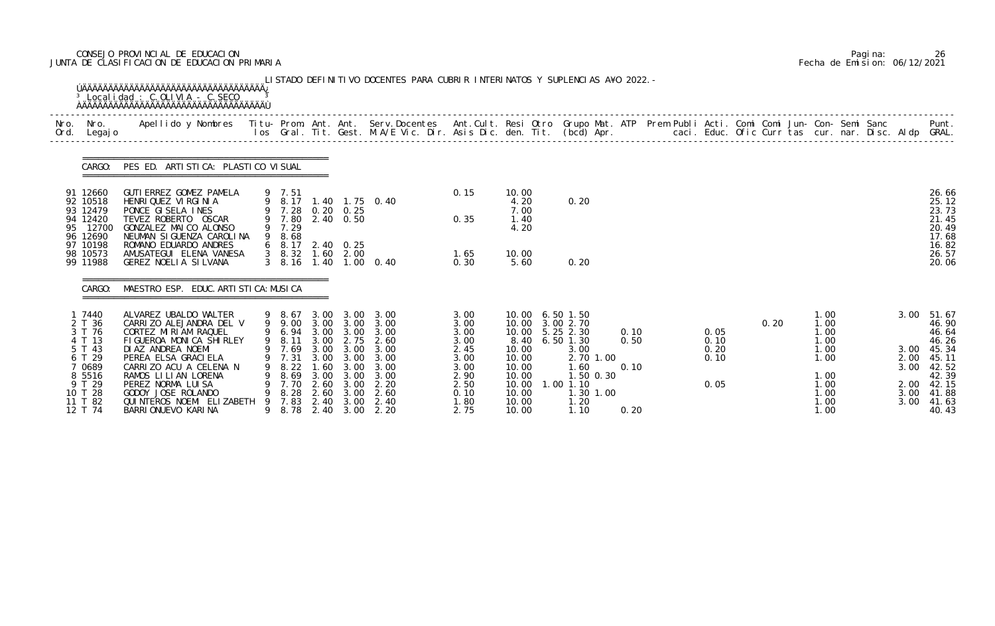# CONSEJO PROVINCIAL DE EDUCACION Pagina: 26 JUNTA DE CLASIFICACION DE EDUCACION PRIMARIA Fecha de Emision: 06/12/2021

|      |                                                                                                                         | ÚÄÄÄÄÄÄÄÄÄÄÄÄÄÄÄÄÄÄÄÄÄÄÄÄÄÄÄÄÄÄÄÄÄÄÄÄÄ<br>$3$ Localidad: C.OLIVIA - C.SECO                                                                                                                                                                                                                           |                                                                                      |                                                              |                                                                          | LISTADO DEFINITIVO DOCENTES PARA CUBRIR INTERINATOS Y SUPLENCIAS A¥O 2022. –                                                            |                                                                                              |                                                                                                                                       |                                                                                                     |                              |                                      |      |                                                                                      |  |                                              |                                                                                                               |
|------|-------------------------------------------------------------------------------------------------------------------------|------------------------------------------------------------------------------------------------------------------------------------------------------------------------------------------------------------------------------------------------------------------------------------------------------|--------------------------------------------------------------------------------------|--------------------------------------------------------------|--------------------------------------------------------------------------|-----------------------------------------------------------------------------------------------------------------------------------------|----------------------------------------------------------------------------------------------|---------------------------------------------------------------------------------------------------------------------------------------|-----------------------------------------------------------------------------------------------------|------------------------------|--------------------------------------|------|--------------------------------------------------------------------------------------|--|----------------------------------------------|---------------------------------------------------------------------------------------------------------------|
| Nro. | Nro.<br>Ord. Legajo                                                                                                     | Apellido y Nombres - Titu- Prom. Ant. Ant. Serv.Docentes - Ant.Cult. Resi Otro Grupo Mat. ATP Prem Publi Acti. Comi Comi Jun- Con- Semi Sanc - - Punt.<br>Ios Gral. Tit. Gest. M.A/E Vic. Dir. Asis Dic. den. Tit. (bcd) Apr. - -                                                                    |                                                                                      |                                                              |                                                                          |                                                                                                                                         |                                                                                              |                                                                                                                                       |                                                                                                     |                              |                                      |      |                                                                                      |  |                                              |                                                                                                               |
|      | CARGO:                                                                                                                  | PES ED. ARTISTICA: PLASTICO VISUAL                                                                                                                                                                                                                                                                   |                                                                                      |                                                              |                                                                          |                                                                                                                                         |                                                                                              |                                                                                                                                       |                                                                                                     |                              |                                      |      |                                                                                      |  |                                              |                                                                                                               |
|      | 91 12660<br>92 10518<br>93 12479<br>94 12420<br>95 12700<br>96 12690                                                    | GUTI ERREZ GOMEZ PAMELA<br>HENRI QUEZ VI RGI NI A<br>PONCE GISELA INES<br>TEVEZ ROBERTO OSCAR<br>GONZALEZ MAICO ALONSO<br>NEUMAN SI GUENZA CAROLINA                                                                                                                                                  | 9 7.51<br>9 7.29<br>9 8.68                                                           |                                                              | 9 7.28 0.20 0.25<br>9 7.80 2.40 0.50                                     | 9 8.17 1.40 1.75 0.40                                                                                                                   | 0.15<br>0.35                                                                                 | 10.00<br>4.20<br>7.00<br>1.40<br>4.20                                                                                                 | 0.20                                                                                                |                              |                                      |      |                                                                                      |  |                                              | 26.66<br>25.12<br>23.73<br>21.45<br>20.49<br>17.68                                                            |
|      | 97 10198<br>98 10573<br>99 11988                                                                                        | ROMANO EDUARDO ANDRES<br>AMUSATEGUI ELENA VANESA<br>GEREZ NOELIA SILVANA                                                                                                                                                                                                                             | $3\quad 8.16$                                                                        |                                                              | 6 8.17 2.40 0.25<br>3 8.32 1.60 2.00                                     | 1.40 1.00 0.40                                                                                                                          | 1.65<br>0.30                                                                                 | 10.00<br>5.60                                                                                                                         | 0.20                                                                                                |                              |                                      |      |                                                                                      |  |                                              | 16.82<br>26.57<br>20.06                                                                                       |
|      | CARGO:                                                                                                                  | MAESTRO ESP. EDUC. ARTI STI CA: MUSI CA                                                                                                                                                                                                                                                              |                                                                                      |                                                              |                                                                          |                                                                                                                                         |                                                                                              |                                                                                                                                       |                                                                                                     |                              |                                      |      |                                                                                      |  |                                              |                                                                                                               |
|      | 1 7440<br>2 T 36<br>3 T 76<br>4 T 13<br>5 T 43<br>6 T 29<br>7 0689<br>8 5516<br>9 T 29<br>10 T 28<br>11 T 82<br>12 T 74 | ALVAREZ UBALDO WALTER<br>CARRIZO ALEJANDRA DEL V<br>CORTEZ MIRIAM RAQUEL<br>FIGUEROA MONICA SHIRLEY<br>DI AZ ANDREA NOEMI<br>PEREA ELSA GRACI ELA<br>CARRIZO ACU A CELENA N<br>RAMOS LILIAN LORENA<br>PEREZ NORMA LUISA<br>GODOY JOSE ROLANDO<br>QUI NTEROS NOEMI ELI ZABETH<br>BARRI ONUEVO KARI NA | 9 8.67<br>9 9.00<br>9 7.69<br>7.31<br>8.22<br>8.69<br>7.70<br>8.28<br>7.83<br>9 8.78 | 3.00<br>3.00<br>1.60<br>3.00<br>2.60<br>2.60<br>2.40<br>2.40 | 9 8.11 3.00 2.75<br>3.00<br>3.00<br>3.00<br>3.00<br>3.00<br>3.00<br>3.00 | 3.00 3.00<br>3.00 3.00 3.00<br>9 6.94 3.00 3.00 3.00<br>2.60<br>3.00 3.00 3.00<br>3.00<br>3.00<br>3.00<br>2. 20<br>2.60<br>2.40<br>2.20 | 3.00<br>3.00<br>3.00<br>3.00<br>2.45<br>3.00<br>3.00<br>2.90<br>2.50<br>0.10<br>1.80<br>2.75 | 10.00 6.50 1.50<br>10.00 3.00 2.70<br>10.00 5.25 2.30<br>8.40<br>10.00<br>10.00<br>10.00<br>10.00<br>10.00<br>10.00<br>10.00<br>10.00 | $6.50$ 1.30<br>3.00<br>2.70 1.00<br>1.60<br>1.50 0.30<br>$1.00$ $1.10$<br>1.30 1.00<br>1.20<br>1.10 | 0.10<br>0.50<br>0.10<br>0.20 | 0.05<br>0.10<br>0.20<br>0.10<br>0.05 | 0.20 | 1.00<br>1.00<br>1.00<br>1.00<br>1.00<br>1.00<br>1.00<br>1.00<br>1.00<br>1.00<br>1.00 |  | 3.00<br>2.00<br>3.00<br>2.00<br>3.00<br>3.00 | 51.67<br>46.90<br>46.64<br>46.26<br>3.00 45.34<br>45.11<br>42.52<br>42.39<br>42.15<br>41.88<br>41.63<br>40.43 |

|  | Pagi na: | 26                           |
|--|----------|------------------------------|
|  |          | Fecha de Emision: 06/12/2021 |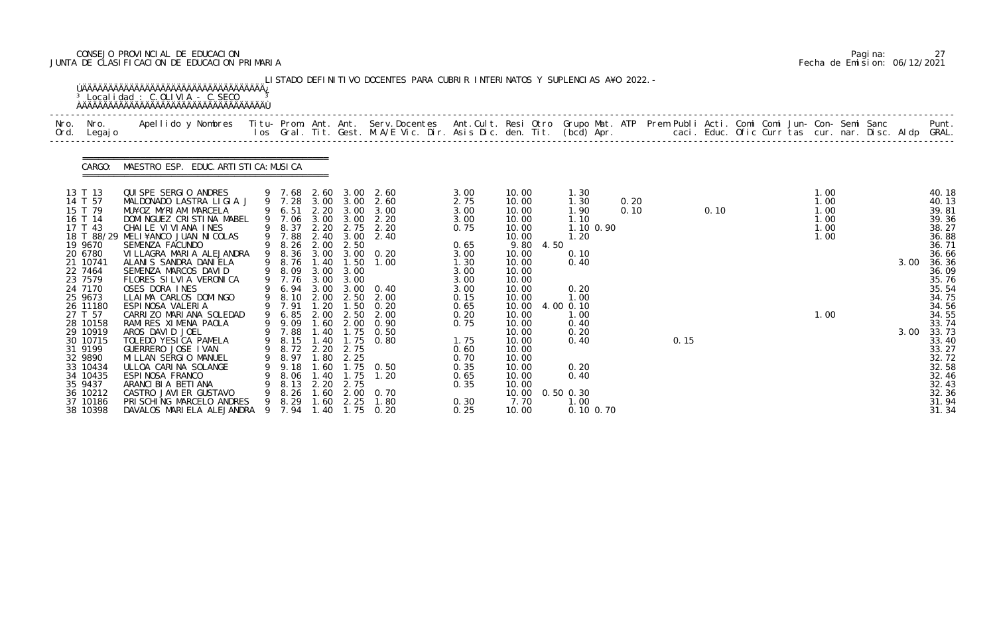# CONSEJO PROVINCIAL DE EDUCACION Pagina: 27 JUNTA DE CLASIFICACION DE EDUCACION PRIMARIA Fecha de Emision: 06/12/2021

|              |                                                                                                                                                                                                                                                                                           | <sup>3</sup> Localidad : C.OLIVIA - C.SECO                                                                                                                                                                                                                                                                                                                                                                                                                                                                                                                                                                                                                            |        |                                                                                                                                                                                                                                              |                                                                                                                                    |                                                                                                                                           | LISTADO DEFINITIVO DOCENTES PARA CUBRIR INTERINATOS Y SUPLENCIAS A¥O 2022. -                                                                                                                                                                    |                                                                                                                                                                                      |                                                                                                                                                                                                                                      |      |                                                                                                                                                                                  |              |      |      |  |                                                      |  |              |                                                                                                                                                                                                                                        |
|--------------|-------------------------------------------------------------------------------------------------------------------------------------------------------------------------------------------------------------------------------------------------------------------------------------------|-----------------------------------------------------------------------------------------------------------------------------------------------------------------------------------------------------------------------------------------------------------------------------------------------------------------------------------------------------------------------------------------------------------------------------------------------------------------------------------------------------------------------------------------------------------------------------------------------------------------------------------------------------------------------|--------|----------------------------------------------------------------------------------------------------------------------------------------------------------------------------------------------------------------------------------------------|------------------------------------------------------------------------------------------------------------------------------------|-------------------------------------------------------------------------------------------------------------------------------------------|-------------------------------------------------------------------------------------------------------------------------------------------------------------------------------------------------------------------------------------------------|--------------------------------------------------------------------------------------------------------------------------------------------------------------------------------------|--------------------------------------------------------------------------------------------------------------------------------------------------------------------------------------------------------------------------------------|------|----------------------------------------------------------------------------------------------------------------------------------------------------------------------------------|--------------|------|------|--|------------------------------------------------------|--|--------------|----------------------------------------------------------------------------------------------------------------------------------------------------------------------------------------------------------------------------------------|
| Nro.<br>Ord. | Nro.<br>Legaj o                                                                                                                                                                                                                                                                           | Apellido y Nombres  Titu- Prom. Ant. Ant. Serv.Docentes  Ant.Cult. Resi Otro Grupo Mat. ATP Prem Publi Acti. Comi Comi Jun- Con- Semi Sanc           Punt.<br>Ios Gral. Tit. Gest. M.A/E Vic. Dir. Asis Dic. den. Tit. (bcd) Apr.                                                                                                                                                                                                                                                                                                                                                                                                                                     |        |                                                                                                                                                                                                                                              |                                                                                                                                    |                                                                                                                                           |                                                                                                                                                                                                                                                 |                                                                                                                                                                                      |                                                                                                                                                                                                                                      |      |                                                                                                                                                                                  |              |      |      |  |                                                      |  |              |                                                                                                                                                                                                                                        |
|              | CARGO:                                                                                                                                                                                                                                                                                    | MAESTRO ESP. EDUC. ARTI STI CA: MUSI CA                                                                                                                                                                                                                                                                                                                                                                                                                                                                                                                                                                                                                               |        |                                                                                                                                                                                                                                              |                                                                                                                                    |                                                                                                                                           |                                                                                                                                                                                                                                                 |                                                                                                                                                                                      |                                                                                                                                                                                                                                      |      |                                                                                                                                                                                  |              |      |      |  |                                                      |  |              |                                                                                                                                                                                                                                        |
|              | 13 T 13<br>14 T 57<br>15 T 79<br>16 T 14<br>17 T 43<br>19 9670<br>20 6780<br>21 10741<br>22 7464<br>23 7579<br>24 7170<br>25 9673<br>26 11180<br>27 T 57<br>28 10158<br>29 10919<br>30 10715<br>31 9199<br>32 9890<br>33 10434<br>34 10435<br>35 9437<br>36 10212<br>37 10186<br>38 10398 | QUISPE SERGIO ANDRES<br>MALDONADO LASTRA LIGIA J<br>MU¥OZ MYRIAM MARCELA<br>DOMINGUEZ CRISTINA MABEL<br>CHAILE VIVIANA INES<br>18 T 88/29 MELI¥ANCO JUAN NICOLAS<br>SEMENZA FACUNDO<br>VILLAGRA MARIA ALEJANDRA<br>ALANIS SANDRA DANIELA<br>SEMENZA MARCOS DAVID<br>FLORES SILVIA VERONICA<br>OSES DORA INES<br>LLAIMA CARLOS DOMINGO<br>ESPINOSA VALERIA<br>CARRIZO MARIANA SOLEDAD<br>RAMIRES XIMENA PAOLA<br>AROS DAVID JOEL<br>TOLEDO YESICA PAMELA<br>GUERRERO JOSE I VAN<br>MI LLAN SERGIO MANUEL<br>ULLOA CARINA SOLANGE<br>ESPINOSA FRANCO<br>ARANCI BI A BETI ANA<br>CASTRO JAVI ER GUSTAVO<br>PRI SCHING MARCELO ANDRES<br>DAVALOS MARIELA ALEJANDRA 9 7.94 | 9<br>9 | 9 7.28<br>9 6.51<br>9 7.06<br>8.37<br>9 7.88<br>9 8.26<br>8.36<br>8.76<br>9 8.09<br>9 7.76 3.00 3.00<br>6.94<br>9 8.10<br>9 7.91<br>6.85<br>9 9.09<br>9 7.88<br>9 8.15 1.40<br>9 8.72 2.20<br>8.97<br>9.18<br>8.06<br>8.13<br>8.26<br>9 8.29 | 2.20<br>3.00<br>2.40<br>2.00<br>1.40<br>3.00<br>3.00<br>2.00<br>1.20<br>2.00<br>1.60<br>1.80<br>.60<br>1.40<br>.60<br>1.60<br>1.40 | 3.00<br>3.00<br>3.00<br>2.50<br>1.50<br>3.00<br>3.00<br>2.50<br>1.50<br>2.50<br>1.75<br>2.75<br>2.25<br>1.75<br>2.20 2.75<br>2.00<br>2.25 | 9 7.68 2.60 3.00 2.60<br>3.00 3.00 2.60<br>3.00<br>2.20<br>2.20 2.75 2.20<br>2.40<br>3.00 3.00 0.20<br>1.00<br>0.40<br>2.00<br>0.20<br>2.00<br>2.00 0.90<br>1.40 1.75 0.50<br>0.80<br>$1.75 \t 0.50$<br>1.20<br>0. 70<br>1.80<br>$1.75 \t 0.20$ | 3.00<br>2.75<br>3.00<br>3.00<br>0.75<br>0.65<br>3.00<br>1.30<br>3.00<br>3.00<br>3.00<br>0.15<br>0.65<br>0.20<br>0.75<br>1.75<br>0.60<br>0.70<br>0.35<br>0.65<br>0.35<br>0.30<br>0.25 | 10.00<br>10.00<br>10.00<br>10.00<br>10.00<br>10.00<br>9.80<br>10.00<br>10.00<br>10.00<br>10.00<br>10.00<br>10.00<br>10.00<br>10.00<br>10.00<br>10.00<br>10.00<br>10.00<br>10.00<br>10.00<br>10.00<br>10.00<br>10.00<br>7.70<br>10.00 | 4.50 | 1.30<br>1.30<br>1.90<br>1.10<br>1.10 0.90<br>1.20<br>0.10<br>0.40<br>0.20<br>1.00<br>4.00 0.10<br>1.00<br>0.40<br>0.20<br>0.40<br>0.20<br>0.40<br>0.50 0.30<br>1.00<br>0.10 0.70 | 0.20<br>0.10 | 0.15 | 0.10 |  | 1.00<br>1.00<br>1.00<br>1.00<br>1.00<br>1.00<br>1.00 |  | 3.00<br>3.00 | 40.18<br>40.13<br>39.81<br>39.36<br>38.27<br>36.88<br>36.71<br>36.66<br>36.36<br>36.09<br>35.76<br>35.54<br>34.75<br>34.56<br>34.55<br>33.74<br>33.73<br>33.40<br>33.27<br>32.72<br>32.58<br>32.46<br>32.43<br>32.36<br>31.94<br>31.34 |

|  | Pagi na: |                              |
|--|----------|------------------------------|
|  |          | Fecha de Emision: 06/12/2021 |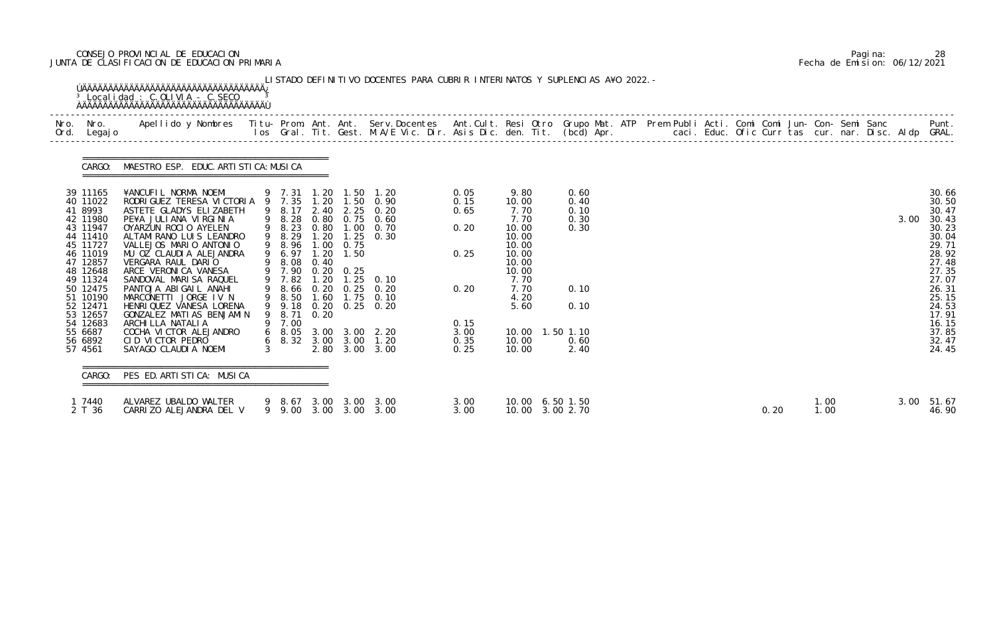# CONSEJO PROVINCIAL DE EDUCACION Pagina: 28 JUNTA DE CLASIFICACION DE EDUCACION PRIMARIA Fecha de Emision: 06/12/2021

| Nro. Nro.<br>Ord. Legajo                                                                                                                                                                                          | Apellido y Nombres  Titu- Prom. Ant. Ant. Serv.Docentes  Ant.Cult. Resi Otro Grupo Mat. ATP Prem Publi Acti. Comi Comi Jun- Con- Semi Sanc         Punt.<br>Ios Gral. Tit. Gest. M.A/E Vic. Dir. Asis Dic. den. Tit. (bcd) Apr.                                                                                                                                                                                                                                                                                  |                                                                                                                |                              |                                   |                                                                                                                                                                                                                                      |                                                                      |                                                                                                                              |                                                                                   |  |  |  |  |  |      |                                                                                                                                                                |
|-------------------------------------------------------------------------------------------------------------------------------------------------------------------------------------------------------------------|------------------------------------------------------------------------------------------------------------------------------------------------------------------------------------------------------------------------------------------------------------------------------------------------------------------------------------------------------------------------------------------------------------------------------------------------------------------------------------------------------------------|----------------------------------------------------------------------------------------------------------------|------------------------------|-----------------------------------|--------------------------------------------------------------------------------------------------------------------------------------------------------------------------------------------------------------------------------------|----------------------------------------------------------------------|------------------------------------------------------------------------------------------------------------------------------|-----------------------------------------------------------------------------------|--|--|--|--|--|------|----------------------------------------------------------------------------------------------------------------------------------------------------------------|
|                                                                                                                                                                                                                   | CARGO: MAESTRO ESP. EDUC. ARTI STI CA: MUSI CA                                                                                                                                                                                                                                                                                                                                                                                                                                                                   |                                                                                                                |                              |                                   |                                                                                                                                                                                                                                      |                                                                      |                                                                                                                              |                                                                                   |  |  |  |  |  |      |                                                                                                                                                                |
| 39 11165<br>40 11022<br>41 8993<br>42 11980<br>43 11947<br>44 11410<br>45 11727<br>46 11019<br>47 12857<br>48 12648<br>49 11324<br>50 12475<br>51 10190<br>52 12471<br>53 12657<br>54 12683<br>55 6687<br>56 6892 | ¥ANCUFIL NORMA NOEMI 9 7.31 1.20 1.50 1.20<br>RODRIGUEZ TERESA VICTORIA 9 7.35 1.20 1.50 0.90<br>ASTETE GLADYS ELIZABETH<br>PE¥A JULIANA VIRGINIA<br>OYARZUN ROCIO AYELEN<br>ALTAMI RANO LUIS LEANDRO<br>VALLEJOS MARIO ANTONIO<br>MU OZ CLAUDIA ALEJANDRA<br>VERGARA RAUL DARIO<br>ARCE VERONICA VANESA<br>SANDOVAL MARI SA RAQUEL<br>PANTOJA ABIGAIL ANAHI<br>MARCONETTI JORGE IV N<br>HENRIQUEZ VANESA LORENA<br>GONZALEZ MATIAS BENJAMIN<br>ARCHI LLA NATALI A<br>COCHA VICTOR ALEJANDRO<br>CID VICTOR PEDRO | 9 8.17<br>9 8.23<br>9 8.29<br>9 8.96 1.00<br>9 6.97<br>9 8.08<br>9 7.90<br>9 7.82<br>9 9.18<br>8. 71<br>9 7.00 | 1.20<br>1.20<br>0.40<br>0.20 | 0.75<br>1.50<br>$0.20 \quad 0.25$ | 2.40 2.25 0.20<br>9 8.28 0.80 0.75 0.60<br>0.80 1.00 0.70<br>$1.25 \quad 0.30$<br>1.20 1.25 0.10<br>9 8.66 0.20 0.25 0.20<br>9 8.50 1.60 1.75 0.10<br>$0.20 \quad 0.25 \quad 0.20$<br>6 8.05 3.00 3.00 2.20<br>6 8.32 3.00 3.00 1.20 | 0.05<br>0.15<br>0.65<br>0.20<br>0.25<br>0.20<br>0.15<br>3.00<br>0.35 | 9.80<br>10.00<br>7.70<br>7.70<br>10.00<br>10.00<br>10.00<br>10.00<br>10.00<br>10.00<br>7.70<br>7.70<br>4.20<br>5.60<br>10.00 | 0.60<br>0.40<br>0.10<br>0.30<br>0.30<br>0.10<br>0.10<br>10.00  1.50  1.10<br>0.60 |  |  |  |  |  | 3.00 | 30.66<br>30.50<br>30.47<br>30.43<br>30.23<br>30.04<br>29.71<br>28.92<br>27.48<br>27.35<br>27.07<br>26.31<br>25.15<br>24.53<br>17.91<br>16.15<br>37.85<br>32.47 |
| 57 4561<br>CARGO:                                                                                                                                                                                                 | SAYAGO CLAUDI A NOEMI<br>PES ED. ARTISTICA: MUSICA                                                                                                                                                                                                                                                                                                                                                                                                                                                               | $3 \sim$                                                                                                       |                              |                                   | 2.80 3.00 3.00                                                                                                                                                                                                                       | 0.25                                                                 | 10.00                                                                                                                        | 2.40                                                                              |  |  |  |  |  |      | 24.45                                                                                                                                                          |

|  | Pagi na: | 28                           |
|--|----------|------------------------------|
|  |          | Fecha de Emision: 06/12/2021 |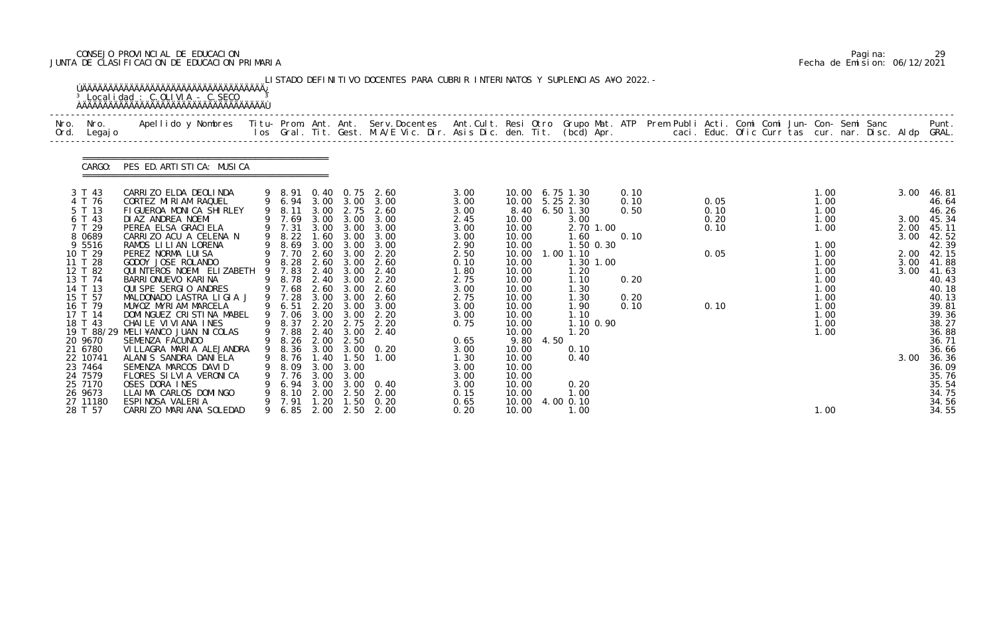# CONSEJO PROVINCIAL DE EDUCACION Pagina: 29 JUNTA DE CLASIFICACION DE EDUCACION PRIMARIA Fecha de Emision: 06/12/2021

| Nro.<br>Ord. | Nro.<br>Legaj o                                                                                                                                                                     | Apellido y Nombres  Titu- Prom. Ant. Ant. Serv.Docentes  Ant.Cult. Resi Otro Grupo Mat. ATP Prem Publi Acti. Comi Comi Jun- Con- Semi Sanc         Punt.<br>Ios Gral. Tit. Gest. M.A/E Vic. Dir. Asis Dic. den. Tit. (bcd) Apr.                                                                                                                                                                                                                                   |             |                                                                                                                                                                        |                                                                                     |                                                                                                                |                                                                                                                                                                                     |                                                                                                                                      |                                                                                                                                    |      |                                                                                                                                                                                                  |                                                      |  |                                              |  |                                                                                                                              |  |                                                      |                                                                                                                                                                 |
|--------------|-------------------------------------------------------------------------------------------------------------------------------------------------------------------------------------|-------------------------------------------------------------------------------------------------------------------------------------------------------------------------------------------------------------------------------------------------------------------------------------------------------------------------------------------------------------------------------------------------------------------------------------------------------------------|-------------|------------------------------------------------------------------------------------------------------------------------------------------------------------------------|-------------------------------------------------------------------------------------|----------------------------------------------------------------------------------------------------------------|-------------------------------------------------------------------------------------------------------------------------------------------------------------------------------------|--------------------------------------------------------------------------------------------------------------------------------------|------------------------------------------------------------------------------------------------------------------------------------|------|--------------------------------------------------------------------------------------------------------------------------------------------------------------------------------------------------|------------------------------------------------------|--|----------------------------------------------|--|------------------------------------------------------------------------------------------------------------------------------|--|------------------------------------------------------|-----------------------------------------------------------------------------------------------------------------------------------------------------------------|
|              | CARGO:                                                                                                                                                                              | PES ED. ARTISTICA: MUSICA                                                                                                                                                                                                                                                                                                                                                                                                                                         |             |                                                                                                                                                                        |                                                                                     |                                                                                                                |                                                                                                                                                                                     |                                                                                                                                      |                                                                                                                                    |      |                                                                                                                                                                                                  |                                                      |  |                                              |  |                                                                                                                              |  |                                                      |                                                                                                                                                                 |
|              | 3 T 43<br>4 T 76<br>5 T 13<br>6 T 43<br>7 T 29<br>8 0 6 8 9<br>9 5516<br>10 T 29<br>11 T 28<br>12 T 82<br>13 T 74<br>14 T 13<br>15 T 57<br>16 T 79<br>17 T 14<br>18 T 43<br>20 9670 | CARRIZO ELDA DEOLINDA<br>CORTEZ MIRIAM RAQUEL<br>FIGUEROA MONICA SHIRLEY<br>DI AZ ANDREA NOEMI<br>PEREA ELSA GRACI ELA<br>CARRIZO ACU A CELENA N<br>RAMOS LILIAN LORENA<br>PEREZ NORMA LUISA<br>GODOY JOSE ROLANDO<br>QUI NTEROS NOEMI ELI ZABETH<br>BARRI ONUEVO KARI NA<br>QUI SPE SERGIO ANDRES<br>MALDONADO LASTRA LIGIA J<br>MU¥OZ MYRIAM MARCELA<br>DOMINGUEZ CRISTINA MABEL<br>CHAILE VIVIANA INES<br>19 T 88/29 MELI¥ANCO JUAN NICOLAS<br>SEMENZA FACUNDO | 9<br>9<br>9 | 9 6.94<br>9 8.11<br>7.69<br>9 7.31<br>9 8.22<br>9 8.69<br>9 7.70 2.60 3.00<br>9 8.28<br>7.83<br>8.78<br>9 7.68<br>9 7.28<br>6.51<br>7.06<br>9 8.37<br>9 7.88<br>9 8.26 | 3.00<br>3.00<br>.60<br>3.00<br>2.60<br>2.40<br>2.60<br>3.00<br>3.00<br>2.20<br>2.00 | 3.00 3.00<br>2.75<br>3.00<br>3.00<br>3.00<br>3.00<br>3.00<br>3.00<br>3.00<br>2.20 3.00<br>3.00<br>2.75<br>2.50 | 9 8.91 0.40 0.75 2.60<br>3.00<br>2.60<br>3.00<br>3.00 3.00 3.00<br>3.00<br>3.00<br>2.20<br>2.60<br>2.40<br>2.40 3.00 2.20<br>2.60<br>2.60<br>3.00<br>2.20<br>2.20<br>2.40 3.00 2.40 | 3.00<br>3.00<br>3.00<br>2.45<br>3.00<br>3.00<br>2.90<br>2.50<br>0.10<br>1.80<br>2.75<br>3.00<br>2.75<br>3.00<br>3.00<br>0.75<br>0.65 | 10.00<br>10.00<br>10.00<br>10.00<br>10.00<br>10.00<br>10.00<br>10.00<br>10.00<br>10.00<br>10.00<br>10.00<br>10.00<br>10.00<br>9.80 | 4.50 | 10.00 6.75 1.30<br>10.00 5.25 2.30<br>8.40 6.50 1.30<br>3.00<br>2.70 1.00<br>.60<br>1.50 0.30<br>$1.00$ $1.10$<br>1.30 1.00<br>1.20<br>1.10<br>1.30<br>1.30<br>1.90<br>1.10<br>1.10 0.90<br>1.20 | 0.10<br>0.10<br>0.50<br>0.10<br>0.20<br>0.20<br>0.10 |  | 0.05<br>0.10<br>0.20<br>0.10<br>0.05<br>0.10 |  | 1.00<br>1.00<br>1.00<br>1.00<br>1.00<br>1.00<br>1.00<br>1.00<br>1.00<br>1.00<br>1.00<br>1.00<br>1.00<br>1.00<br>1.00<br>1.00 |  | 3.00<br>3.00<br>2.00<br>3.00<br>2.00<br>3.00<br>3.00 | 46. 81<br>46.64<br>46.26<br>45.34<br>45.11<br>42.52<br>42.39<br>42.15<br>41.88<br>41.63<br>40.43<br>40.18<br>40.13<br>39.81<br>39.36<br>38.27<br>36.88<br>36.71 |
|              | 21 6780<br>22 10741<br>23 7464<br>24 7579<br>25 7170<br>26 9673<br>27 11180<br>28 T 57                                                                                              | VILLAGRA MARIA ALEJANDRA<br>ALANIS SANDRA DANIELA<br>SEMENZA MARCOS DAVID<br>FLORES SILVIA VERONICA<br>OSES DORA INES<br>LLAIMA CARLOS DOMINGO<br>ESPINOSA VALERIA<br>CARRIZO MARIANA SOLEDAD                                                                                                                                                                                                                                                                     | 9           | 8.76<br>8.09<br>7.76<br>6.94<br>8.10<br>7. 91<br>9 6.85                                                                                                                | 1.40<br>3.00<br>3.00<br>2.00<br>1.20                                                | 1.50<br>3.00<br>3.00<br>2.50<br>1.50                                                                           | 9 8.36 3.00 3.00 0.20<br>1.00<br>3.00 3.00 0.40<br>2.00<br>0.20<br>2.00 2.50 2.00                                                                                                   | 3.00<br>1. 30<br>3.00<br>3.00<br>3.00<br>0.15<br>0.65<br>0.20                                                                        | 10.00<br>10.00<br>10.00<br>10.00<br>10.00<br>10.00<br>10.00<br>10.00                                                               |      | 0.10<br>0.40<br>0.20<br>1.00<br>4.00 0.10<br>1.00                                                                                                                                                |                                                      |  |                                              |  | 1.00                                                                                                                         |  | 3.00                                                 | 36.66<br>36.36<br>36.09<br>35.76<br>35.54<br>34.75<br>34.56<br>34.55                                                                                            |

|  | Pagi na: |                              |
|--|----------|------------------------------|
|  |          | Fecha de Emision: 06/12/2021 |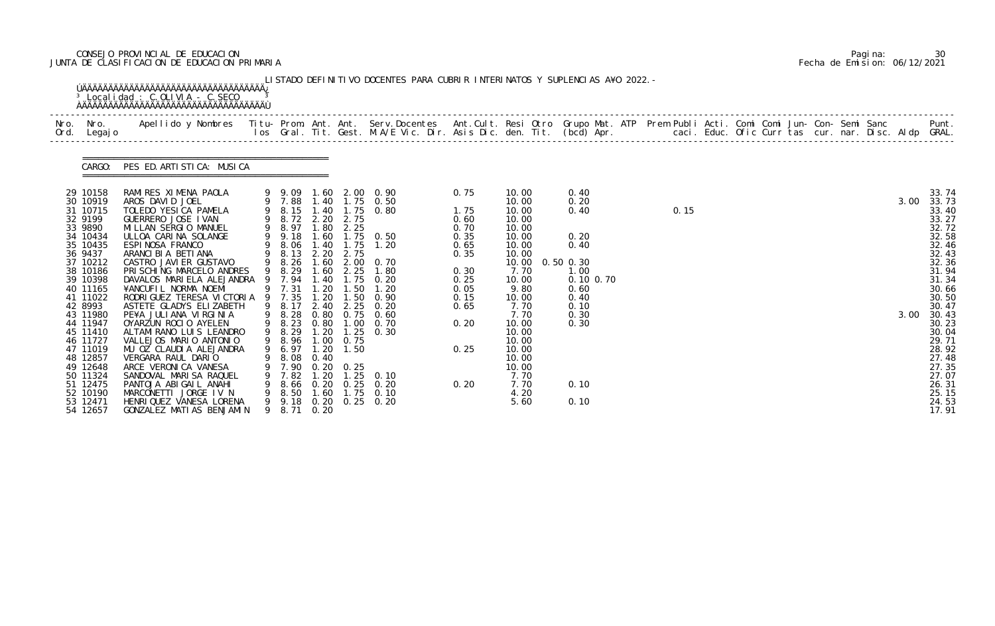# CONSEJO PROVINCIAL DE EDUCACION Pagina: 30 JUNTA DE CLASIFICACION DE EDUCACION PRIMARIA Fecha de Emision: 06/12/2021

| Nro.<br>Ord. | Nro.<br>Legaj o                              | Apellido y Nombres  Titu- Prom. Ant. Ant. Serv.Docentes  Ant.Cult. Resi Otro Grupo Mat. ATP Prem Publi Acti. Comi Comi Jun- Con- Semi Sanc           Punt.<br>Ios Gral. Tit. Gest. M.A/E Vic. Dir. Asis Dic. den. Tit. (bcd) Apr. |   |                            |                               |                                                    |                                             |                      |                         |                                    |  |      |  |  |  |      |                                  |
|--------------|----------------------------------------------|-----------------------------------------------------------------------------------------------------------------------------------------------------------------------------------------------------------------------------------|---|----------------------------|-------------------------------|----------------------------------------------------|---------------------------------------------|----------------------|-------------------------|------------------------------------|--|------|--|--|--|------|----------------------------------|
|              | CARGO:                                       | PES ED. ARTISTICA: MUSICA                                                                                                                                                                                                         |   |                            |                               |                                                    |                                             |                      |                         |                                    |  |      |  |  |  |      |                                  |
|              | 29 10158<br>30 10919                         | RAMIRES XIMENA PAOLA<br>AROS DAVID JOEL                                                                                                                                                                                           |   | 9 7.88                     |                               |                                                    | 9 9.09 1.60 2.00 0.90<br>1.40 1.75 0.50     | 0.75                 | 10.00<br>10.00          | 0.40<br>0.20                       |  |      |  |  |  | 3.00 | 33.74<br>33.73                   |
|              | 31 10715<br>32 9199<br>33 9890               | TOLEDO YESICA PAMELA<br>GUERRERO JOSE IVAN<br>MILLAN SERGIO MANUEL                                                                                                                                                                |   | 9 8.15 1.40<br>9 8.97      |                               | 9 8.72 2.20 2.75<br>1.80 2.25                      | 1.75 0.80                                   | 1.75<br>0.60<br>0.70 | 10.00<br>10.00<br>10.00 | 0.40                               |  | 0.15 |  |  |  |      | 33.40<br>33.27<br>32.72          |
|              | 34 10434<br>35 10435<br>36 9437              | ULLOA CARINA SOLANGE<br>ESPINOSA FRANCO<br>ARANCI BI A BETI ANA                                                                                                                                                                   | 9 | 9 9.18<br>9 8.06<br>8.13   | 1.60<br>1.40                  | 1.75<br>2.20 2.75                                  | $1.75$ 0.50<br>1.20                         | 0.35<br>0.65<br>0.35 | 10.00<br>10.00<br>10.00 | 0.20<br>0.40                       |  |      |  |  |  |      | 32.58<br>32.46<br>32.43          |
|              | 37 10212<br>38 10186<br>39 10398             | CASTRO JAVI ER GUSTAVO<br>PRISCHING MARCELO ANDRES<br>DAVALOS MARIELA ALEJANDRA 9 7.94                                                                                                                                            |   | 9 8.26<br>9 8.29           | 1.60<br>1.60                  | 2.25                                               | $2.00 \quad 0.70$<br>1.80<br>1.40 1.75 0.20 | 0.30<br>0.25         | 10.00<br>7.70<br>10.00  | $0.50$ $0.30$<br>1.00<br>0.10 0.70 |  |      |  |  |  |      | 32.36<br>31.94<br>31.34          |
|              | 40 11165<br>41 11022<br>42 8993              | ¥ANCUFIL NORMA NOEMI<br>RODRIGUEZ TERESA VICTORIA 9 7.35<br>ASTETE GLADYS ELIZABETH                                                                                                                                               |   | 9 7.31<br>9 8.17           | 20<br>1.20                    | .50<br>1.50<br>2.40 2.25                           | 1.20<br>0.90<br>0.20                        | 0.05<br>0.15<br>0.65 | 9.80<br>10.00<br>7.70   | 0.60<br>0.40<br>0.10               |  |      |  |  |  |      | 30.66<br>30.50<br>30.47          |
|              | 43 11980<br>44 11947<br>45 11410             | PE¥A JULIANA VIRGINIA<br>OYARZUN ROCIO AYELEN<br>ALTAMI RANO LUIS LEANDRO                                                                                                                                                         |   | 9 8.28<br>9 8.23<br>9 8.29 | 0.80<br>0.80                  | 1.00                                               | $0.75$ 0.60<br>0. 70<br>1.20 1.25 0.30      | 0.20                 | 7.70<br>10.00<br>10.00  | 0.30<br>0.30                       |  |      |  |  |  | 3.00 | 30.43<br>30.23<br>30.04          |
|              | 46 11727<br>47 11019<br>48 12857             | VALLEJOS MARIO ANTONIO<br>MU OZ CLAUDIA ALEJANDRA<br>VERGARA RAUL DARIO                                                                                                                                                           |   | 9 8.96<br>9 6.97<br>8.08   | 1.00<br>1.20<br>0.40          | 0.75<br>1.50                                       |                                             | 0.25                 | 10.00<br>10.00<br>10.00 |                                    |  |      |  |  |  |      | 29.71<br>28.92<br>27.48          |
|              | 49 12648<br>50 11324                         | ARCE VERONICA VANESA<br>SANDOVAL MARI SA RAQUEL                                                                                                                                                                                   |   | 7.90<br>7.82               | $\overline{\phantom{0}}$ . 20 | $0.20 \quad 0.25$<br>$\overline{\phantom{0}}$ . 25 | 0. 10                                       |                      | 10.00<br>7.70           |                                    |  |      |  |  |  |      | 27.35<br>27.07                   |
|              | 51 12475<br>52 10190<br>53 12471<br>54 12657 | PANTOJA ABIGAIL ANAHI<br>MARCONETTI JORGE IV N<br>HENRIQUEZ VANESA LORENA<br>GONZALEZ MATIAS BENJAMIN                                                                                                                             | 9 | 8.66<br>8. 50<br>9 8.71    | 1.60<br>0. 20                 | $0.20 \quad 0.25$<br>1.75                          | 0.20<br>0.10<br>9 9.18 0.20 0.25 0.20       | 0.20                 | 7.70<br>4.20<br>5.60    | 0.10<br>0.10                       |  |      |  |  |  |      | 26.31<br>25.15<br>24.53<br>17.91 |

|  | Pagi na: |                              |
|--|----------|------------------------------|
|  |          | Fecha de Emision: 06/12/2021 |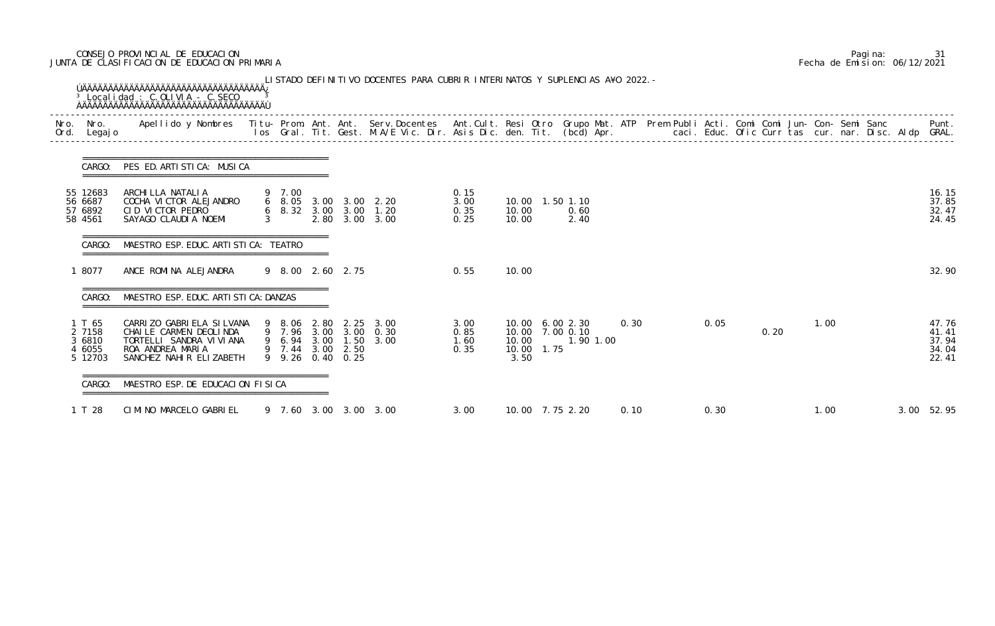# CONSEJO PROVINCIAL DE EDUCACION Pagina: 31 JUNTA DE CLASIFICACION DE EDUCACION PRIMARIA Fecha de Emision: 06/12/2021

| Nro.<br>Ord. | Nro.<br>Legaj o                           | Apellido y Nombres - Titu- Prom. Ant. Ant. Serv.Docentes - Ant.Cult. Resi Otro Grupo Mat. ATP Prem Publi Acti. Comi Comi Jun- Con- Semi Sanc - - - Punt.<br>Ios Gral. Tit. Gest. M.A/E Vic. Dir. Asis Dic. den. Tit. (bcd) Apr. - |               |                                 |      |                                                                  |                              |                                                                   |              |      |  |      |      |      |  |                                           |
|--------------|-------------------------------------------|-----------------------------------------------------------------------------------------------------------------------------------------------------------------------------------------------------------------------------------|---------------|---------------------------------|------|------------------------------------------------------------------|------------------------------|-------------------------------------------------------------------|--------------|------|--|------|------|------|--|-------------------------------------------|
|              | CARGO:                                    | PES ED. ARTISTICA: MUSICA                                                                                                                                                                                                         |               |                                 |      |                                                                  |                              |                                                                   |              |      |  |      |      |      |  |                                           |
|              | 55 12683<br>56 6687<br>57 6892<br>58 4561 | ARCHI LLA NATALI A<br>COCHA VICTOR ALEJANDRO<br>CID VICTOR PEDRO<br>SAYAGO CLAUDIA NOEMI                                                                                                                                          | $\mathcal{S}$ | 9 7.00                          |      | 6 8.05 3.00 3.00 2.20<br>6 8.32 3.00 3.00 1.20<br>2.80 3.00 3.00 | 0.15<br>3.00<br>0.35<br>0.25 | 10.00  1.50  1.10<br>10.00<br>10.00                               | 0.60<br>2.40 |      |  |      |      |      |  | 16.15<br>37.85<br>32.47<br>24.45          |
|              | CARGO:                                    | MAESTRO ESP. EDUC. ARTI STI CA: TEATRO                                                                                                                                                                                            |               |                                 |      |                                                                  |                              |                                                                   |              |      |  |      |      |      |  |                                           |
|              | 8077                                      | ANCE ROMINA ALEJANDRA                                                                                                                                                                                                             |               | 9 8.00 2.60 2.75                |      |                                                                  | 0.55                         | 10.00                                                             |              |      |  |      |      |      |  | 32.90                                     |
|              | CARGO:                                    | MAESTRO ESP. EDUC. ARTI STI CA: DANZAS                                                                                                                                                                                            |               |                                 |      |                                                                  |                              |                                                                   |              |      |  |      |      |      |  |                                           |
|              | 1 T 65<br>2 7158<br>3 6810<br>4 6055      | CARRIZO GABRIELA SILVANA<br>CHAILE CARMEN DEOLINDA<br>TORTELLI SANDRA VI VI ANA<br>ROA ANDREA MARIA<br>5 12703 SANCHEZ NAHIR ELIZABETH 9 9.26 0.40 0.25                                                                           |               | 9 6.94 3.00<br>9 7.44 3.00 2.50 | 1.50 | 9 8.06 2.80 2.25 3.00<br>9 7.96 3.00 3.00 0.30<br>3.00           | 3.00<br>0.85<br>1.60<br>0.35 | 10.00 6.00 2.30<br>10.00 7.00 0.10<br>10.00<br>10.00 1.75<br>3.50 | 1.90 1.00    | 0.30 |  | 0.05 | 0.20 | 1.00 |  | 47.76<br>41.41<br>37.94<br>34.04<br>22.41 |
|              | CARGO:                                    | MAESTRO ESP. DE EDUCACION FISICA                                                                                                                                                                                                  |               |                                 |      |                                                                  |                              |                                                                   |              |      |  |      |      |      |  |                                           |
|              | 1 T 28                                    | CIMINO MARCELO GABRIEL                                                                                                                                                                                                            |               |                                 |      | 9 7.60 3.00 3.00 3.00                                            | 3.00                         | 10.00 7.75 2.20                                                   |              | 0.10 |  | 0.30 |      | 1.00 |  | 3.00 52.95                                |

|  | Pagi na: |                              |
|--|----------|------------------------------|
|  |          | Fecha de Emision: 06/12/2021 |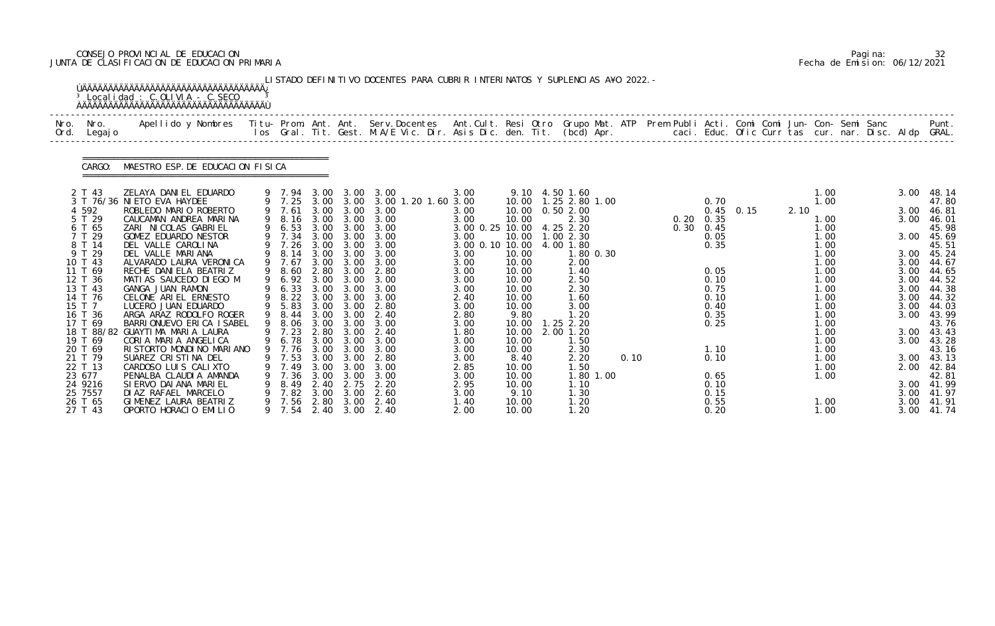# CONSEJO PROVINCIAL DE EDUCACION Pagina: 32 JUNTA DE CLASIFICACION DE EDUCACION PRIMARIA Fecha de Emision: 06/12/2021

|              |                                                                                                                                                                                                                                                   | <sup>3</sup> Localidad : C.OLIVIA - C.SECO                                                                                                                                                                                                                                                                                                                                                                                                                                                                                                                                                                                                              |                       |                                                                                                                                                                                                                   |                                                                                                                                                      |                                                                                                                                                                                                                         | LISTADO DEFINITIVO DOCENTES PARA CUBRIR INTERINATOS Y SUPLENCIAS A¥O 2022. –                                                                                                                                        |                                                                                                                                                                                                                    |                                                                                                                                                                                                 |                                                                                                                                                                                                                                                                     |      |                                                                                                                                                                                |      |      |                                                                                                                                                                               |  |                                                                                                                                                      |                                                                                                                                                                                                                                   |
|--------------|---------------------------------------------------------------------------------------------------------------------------------------------------------------------------------------------------------------------------------------------------|---------------------------------------------------------------------------------------------------------------------------------------------------------------------------------------------------------------------------------------------------------------------------------------------------------------------------------------------------------------------------------------------------------------------------------------------------------------------------------------------------------------------------------------------------------------------------------------------------------------------------------------------------------|-----------------------|-------------------------------------------------------------------------------------------------------------------------------------------------------------------------------------------------------------------|------------------------------------------------------------------------------------------------------------------------------------------------------|-------------------------------------------------------------------------------------------------------------------------------------------------------------------------------------------------------------------------|---------------------------------------------------------------------------------------------------------------------------------------------------------------------------------------------------------------------|--------------------------------------------------------------------------------------------------------------------------------------------------------------------------------------------------------------------|-------------------------------------------------------------------------------------------------------------------------------------------------------------------------------------------------|---------------------------------------------------------------------------------------------------------------------------------------------------------------------------------------------------------------------------------------------------------------------|------|--------------------------------------------------------------------------------------------------------------------------------------------------------------------------------|------|------|-------------------------------------------------------------------------------------------------------------------------------------------------------------------------------|--|------------------------------------------------------------------------------------------------------------------------------------------------------|-----------------------------------------------------------------------------------------------------------------------------------------------------------------------------------------------------------------------------------|
| Nro.<br>Ord. | Nro.<br>Legaj o                                                                                                                                                                                                                                   | .Apellido y Nombres  Titu- Prom. Ant. Ant.  Serv.Docentes  Ant.Cult. Resi Otro  Grupo Mat. ATP  Prem Publi Acti. Comi Comi Jun- Con- Semi Sanc              Punt<br>Ios Gral. Tit. Gest. M.A/E Vic. Dir. Asis Dic. den. Tit. (bcd                                                                                                                                                                                                                                                                                                                                                                                                                       |                       |                                                                                                                                                                                                                   |                                                                                                                                                      |                                                                                                                                                                                                                         |                                                                                                                                                                                                                     |                                                                                                                                                                                                                    |                                                                                                                                                                                                 |                                                                                                                                                                                                                                                                     |      |                                                                                                                                                                                |      |      |                                                                                                                                                                               |  |                                                                                                                                                      |                                                                                                                                                                                                                                   |
|              | CARGO:                                                                                                                                                                                                                                            | MAESTRO ESP. DE EDUCACION FISICA                                                                                                                                                                                                                                                                                                                                                                                                                                                                                                                                                                                                                        |                       |                                                                                                                                                                                                                   |                                                                                                                                                      |                                                                                                                                                                                                                         |                                                                                                                                                                                                                     |                                                                                                                                                                                                                    |                                                                                                                                                                                                 |                                                                                                                                                                                                                                                                     |      |                                                                                                                                                                                |      |      |                                                                                                                                                                               |  |                                                                                                                                                      |                                                                                                                                                                                                                                   |
|              | 2 T 43<br>4 5 9 2<br>5 T 29<br>6 T 65<br>7 T 29<br>8 T 14<br>9 T 29<br>10 T 43<br>11 T 69<br>12 T 36<br>13 T 43<br>14 T 76<br>15 T 7<br>16 T 36<br>17 T 69<br>19 T 69<br>20 T 69<br>21 T 79<br>22 T 13<br>23 677<br>24 9216<br>25 7557<br>26 T 65 | ZELAYA DANIEL EDUARDO<br>3 T 76/36 NI ETO EVA HAYDEE<br>ROBLEDO MARIO ROBERTO<br>CAUCAMAN ANDREA MARINA<br>ZARI NICOLAS GABRIEL<br>GOMEZ EDUARDO NESTOR<br>DEL VALLE CAROLINA<br>DEL VALLE MARIANA<br>ALVARADO LAURA VERONICA<br>RECHE DANIELA BEATRIZ<br>MATIAS SAUCEDO DIEGO M<br>GANGA JUAN RAMON<br>CELONE ARIEL ERNESTO<br>LUCERO JUAN EDUARDO<br>ARGA ARAZ RODOLFO ROGER<br>BARRIONUEVO ERICA I SABEL<br>18 T 88/82 GUAYTIMA MARIA LAURA<br>CORIA MARIA ANGELICA<br>RISTORTO MONDINO MARIANO<br>SUAREZ CRISTINA DEL<br>CARDOSO LUIS CALIXTO<br>PENALBA CLAUDIA AMANDA<br>SI ERVO DAI ANA MARI EL<br>DI AZ RAFAEL MARCELO<br>GIMENEZ LAURA BEATRIZ | 9<br>9<br>9<br>9<br>9 | 9 7.94 3.00 3.00<br>9 7.25 3.00 3.00<br>7.61<br>8.16<br>6.53<br>7.34<br>7.26<br>8.14<br>7.67<br>8.60<br>6.92<br>6.33<br>8.22<br>9 5.83<br>8.44<br>8. 06<br>9 7.76<br>7.53<br>7.49<br>7.36<br>8.49<br>7.82<br>7.56 | 3.00<br>3.00<br>3.00<br>3.00<br>3.00<br>3.00<br>2.80<br>3.00<br>3.00<br>3.00<br>3.00<br>3.00<br>3.00<br>3.00<br>3.00<br>3.00<br>2.40<br>3.00<br>2.80 | 3.00<br>3.00<br>3.00 3.00<br>3.00<br>3.00<br>3.00<br>3.00<br>3.00<br>$3.00\quad 3.00$<br>3.00<br>3.00<br>3.00<br>3.00<br>3.00<br>2.80 3.00<br>3.00<br>$3.00 \quad 3.00$<br>3.00<br>3.00<br>3.00<br>2.75<br>3.00<br>3.00 | 3.00<br>3.00 1.20 1.60 3.00<br>3.00<br>3.00<br>3.00<br>3.00<br>3.00<br>3.00<br>3.00<br>2.80<br>3.00<br>3.00<br>3.00<br>2.80<br>2.40<br>3.00<br>2.40<br>3.00<br>3.00<br>2.80<br>3.00<br>3.00<br>2.20<br>2.60<br>2.40 | 3.00<br>3.00<br>3.00<br>3.00 0.25 10.00<br>3.00<br>3.00 0.10 10.00<br>3.00<br>3.00<br>3.00<br>3.00<br>3.00<br>2.40<br>3.00<br>2.80<br>3.00<br>1.80<br>3.00<br>3.00<br>3.00<br>2.85<br>3.00<br>2.95<br>3.00<br>1.40 | 10.00<br>10.00<br>10.00<br>10.00<br>10.00<br>10.00<br>10.00<br>10.00<br>10.00<br>10.00<br>10.00<br>9.80<br>10.00<br>10.00<br>10.00<br>10.00<br>8.40<br>10.00<br>10.00<br>10.00<br>9.10<br>10.00 | 9.10 4.50 1.60<br>1.25 2.80 1.00<br>0.502.00<br>2.30<br>4.25 2.20<br>1.002.30<br>4.00 1.80<br>1.80 0.30<br>2.00<br>1.40<br>2.50<br>2.30<br>1.60<br>3.00<br>1.20<br>$1.25$ $2.20$<br>2.00 1.20<br>1.50<br>2.30<br>2.20<br>1. 50<br>1.80 1.00<br>1.10<br>1.30<br>1.20 | 0.10 | 0.70<br>0.45<br>$0.20 \quad 0.35$<br>$0.30 \quad 0.45$<br>0.05<br>0.35<br>0.05<br>0.10<br>0.75<br>0.10<br>0.40<br>0.35<br>0.25<br>1.10<br>0.10<br>0.65<br>0.10<br>0.15<br>0.55 | 0.15 | 2.10 | 1.00<br>1.00<br>1.00<br>1.00<br>1.00<br>1.00<br>1.00<br>1.00<br>1.00<br>1.00<br>1.00<br>1.00<br>1.00<br>1.00<br>1.00<br>1.00<br>1.00<br>1.00<br>1. 00<br>1.00<br>1.00<br>1.00 |  | 3.00<br>3.00<br>3.00<br>3.00<br>3.00<br>3.00<br>3.00<br>3.00<br>3.00<br>3.00<br>3.00<br>3.00<br>3.00<br>3.00<br>3.00<br>2.00<br>3.00<br>3.00<br>3.00 | -48.14<br>47.80<br>46.81<br>46. 01<br>45.98<br>45.69<br>45.51<br>45.24<br>44.67<br>44.65<br>44.52<br>44.38<br>44.32<br>44.03<br>43.99<br>43.76<br>43.43<br>43.28<br>43.16<br>43.13<br>42.84<br>42.81<br>41.99<br>41. 97<br>41. 91 |

|  | Pagi na: |                              |
|--|----------|------------------------------|
|  |          | Fecha de Emision: 06/12/2021 |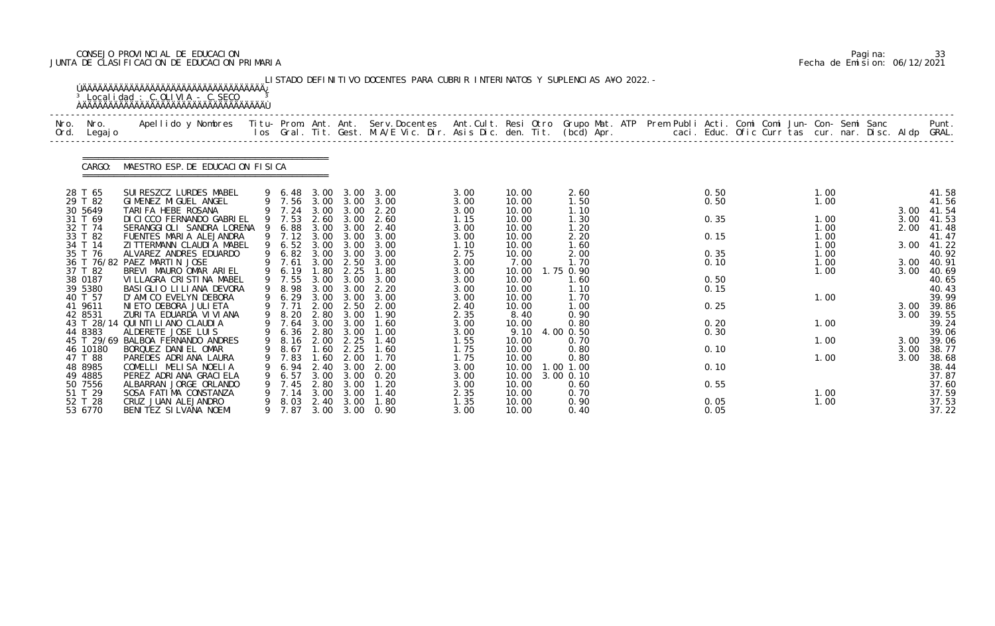# CONSEJO PROVINCIAL DE EDUCACION Pagina: 33 JUNTA DE CLASIFICACION DE EDUCACION PRIMARIA Fecha de Emision: 06/12/2021

| Nro. | Nro.               | Apellido y Nombres Titu- Prom. Ant. Ant. Serv.Docentes Ant.Cult. Resi Otro Grupo Mat. ATP Prem Publi Acti. Comi Comi Jun- Con- Semi Sanc |     |                  |              |              |                                                                                                                                 |              |                |                   |  |              |  |      |              | Punt.          |
|------|--------------------|------------------------------------------------------------------------------------------------------------------------------------------|-----|------------------|--------------|--------------|---------------------------------------------------------------------------------------------------------------------------------|--------------|----------------|-------------------|--|--------------|--|------|--------------|----------------|
| Ord. | Legaj o            |                                                                                                                                          |     |                  |              |              | los Gral. Tit. Gest. M.A/E Vic. Dir. Asis Dic. den. Tit. (bcd) Apr.        caci. Educ. Ofic Curr tas cur. nar. Disc. Aldp GRAL. |              |                |                   |  |              |  |      |              |                |
|      | CARGO:             | MAESTRO ESP. DE EDUCACION FISICA                                                                                                         |     |                  |              |              |                                                                                                                                 |              |                |                   |  |              |  |      |              |                |
|      | 28 T 65            | SUI RESZCZ LURDES MABEL                                                                                                                  |     | 9 6.48           | 3.00         | 3.00         | 3.00                                                                                                                            | 3.00         | 10.00          | 2.60              |  | 0.50         |  | 1.00 |              | 41.58          |
|      | 29 T 82            | GIMENEZ MIGUEL ANGEL                                                                                                                     |     | 9 7.56 3.00 3.00 |              |              | 3.00                                                                                                                            | 3.00         | 10.00          | 1.50              |  | 0.50         |  | 1.00 |              | 41.56          |
|      | 30 5649<br>31 T 69 | TARIFA HEBE ROSANA<br>DI CI CCO FERNANDO GABRI EL                                                                                        |     | 9 7.24<br>9 7.53 | 3.00<br>2.60 | 3.00<br>3.00 | 2.20<br>2.60                                                                                                                    | 3.00<br>1.15 | 10.00<br>10.00 | 1.10<br>1.30      |  | 0.35         |  | 1.00 | 3.00<br>3.00 | 41.54<br>41.53 |
|      | 32 T 74            | SERANGGIOLI SANDRA LORENA                                                                                                                | - 9 | 6.88             | 3.00         | 3.00         | 2.40                                                                                                                            | 3.00         | 10.00          | 1.20              |  |              |  | 1.00 | 2.00         | 41.48          |
|      | 33 T 82            | FUENTES MARIA ALEJANDRA                                                                                                                  |     | 9 7.12           | 3.00         | 3.00         | 3.00                                                                                                                            | 3.00         | 10.00          | 2.20              |  | 0.15         |  | 1.00 |              | 41.47          |
|      | 34 T 14            | ZI TTERMANN CLAUDI A MABEL                                                                                                               |     | 9 6.52           | 3.00         | 3.00         | 3.00                                                                                                                            | 1.10         | 10.00          | 1.60              |  |              |  | 1.00 |              | 3.00 41.22     |
|      | 35 T 76            | ALVAREZ ANDRES EDUARDO                                                                                                                   | 9   | 6.82             | 3.00         | 3.00         | 3.00                                                                                                                            | 2.75         | 10.00          | 2.00              |  | 0.35         |  | 1.00 |              | 40.92          |
|      | 36 T 76/82         | PAEZ MARTIN JOSE                                                                                                                         |     | 7.61             | 3.00         | 2.50         | 3.00                                                                                                                            | 3.00         | 7.00           | 1.70              |  | 0.10         |  | 1.00 | 3.00         | 40.91          |
|      | 37 T 82            | BREVI MAURO OMAR ARIEL                                                                                                                   |     | 9 6.19           | .80          | 2.25         | 1.80                                                                                                                            | 3.00         | 10.00          | 1.75 0.90         |  |              |  | 1.00 | 3.00         | 40.69          |
|      | 38 0187<br>39 5380 | VI LLAGRA CRISTINA MABEL<br>BASI GLIO LI LI ANA DEVORA                                                                                   |     | 9 7.55<br>8.98   | 3.00<br>3.00 | 3.00<br>3.00 | 3.00<br>2.20                                                                                                                    | 3.00<br>3.00 | 10.00<br>10.00 | 1.60<br>1.10      |  | 0.50<br>0.15 |  |      |              | 40.65<br>40.43 |
|      | 40 T 57            | D'AMICO EVELYN DEBORA                                                                                                                    |     | 9 6.29           | 3.00         | 3.00         | 3.00                                                                                                                            | 3.00         | 10.00          | 1.70              |  |              |  | 1.00 |              | 39.99          |
|      | 41 9611            | NI ETO DEBORA JULI ETA                                                                                                                   |     | 9 7.71           | 2.00         | 2.50         | 2.00                                                                                                                            | 2.40         | 10.00          | 1.00              |  | 0.25         |  |      | 3.00         | 39.86          |
|      | 42 8531            | ZURITA EDUARDA VIVIANA                                                                                                                   |     | 8.20             | 2.80         | 3.00         | 1.90                                                                                                                            | 2.35         | 8.40           | 0.90              |  |              |  |      | 3.00         | 39.55          |
|      | 43 T 28/14         | QUI NTI LI ANO CLAUDI A                                                                                                                  |     | 7.64             |              | 3.00 3.00    | 1.60                                                                                                                            | 3.00         | 10.00          | 0.80              |  | 0.20         |  | 1.00 |              | 39.24          |
|      | 44 8383            | ALDERETE JOSE LUIS                                                                                                                       |     | 6.36             |              | 2.80 3.00    | 1.00                                                                                                                            | 3.00         | 9.10           | 4.00 0.50         |  | 0.30         |  |      |              | 39.06          |
|      |                    | 45 T 29/69 BALBOA FERNANDO ANDRES                                                                                                        |     | 9 8.16 2.00      |              | 2.25         | 1.40                                                                                                                            | 1.55         | 10.00          | 0.70              |  |              |  | 1.00 |              | 3.00 39.06     |
|      | 46 10180           | BORQUEZ DANIEL OMAR                                                                                                                      |     | 9 8.67           | 1.60         | 2.25         | 1.60                                                                                                                            | 1.75         | 10.00          | 0.80              |  | 0.10         |  |      | 3.00         | 38.77          |
|      | 47 T 88            | PAREDES ADRIANA LAURA                                                                                                                    |     | 7.83             | 1. 60        | 2.00         | 1. 70                                                                                                                           | 1.75         | 10.00          | 0.80              |  |              |  | 1.00 | 3.00         | 38.68          |
|      | 48 8985            | COMELLI MELISA NOELIA                                                                                                                    |     | 6.94             | 2.40<br>3.00 | 3.00<br>3.00 | 2.00<br>0.20                                                                                                                    | 3.00         | 10.00<br>10.00 | 1.00 1.00         |  | 0.10         |  |      |              | 38.44<br>37.87 |
|      | 49 4885<br>50 7556 | PEREZ ADRIANA GRACI ELA<br>ALBARRAN JORGE ORLANDO                                                                                        |     | 6.57<br>7.45     | 2.80         | 3.00         | 1.20                                                                                                                            | 3.00<br>3.00 | 10.00          | 3.00 0.10<br>0.60 |  | 0.55         |  |      |              | 37.60          |
|      | 51 T 29            | SOSA FATIMA CONSTANZA                                                                                                                    |     | 7.14             | 3.00         | 3.00         | 1. 40                                                                                                                           | 2.35         | 10.00          | 0.70              |  |              |  | 1.00 |              | 37.59          |
|      | 52 T 28            | CRUZ JUAN ALEJANDRO                                                                                                                      | 9   | 8.03             | 2.40         | 3.00         | 1.80                                                                                                                            | 1.35         | 10.00          | 0.90              |  | 0.05         |  | 1.00 |              | 37.53          |
|      | 53 6770            | BENITEZ SILVANA NOEMI                                                                                                                    |     | 9 7.87           | 3.00         |              | 3.00 0.90                                                                                                                       | 3.00         | 10.00          | 0.40              |  | 0.05         |  |      |              | 37.22          |

|  | Pagi na: | 33                           |
|--|----------|------------------------------|
|  |          | Fecha de Emision: 06/12/2021 |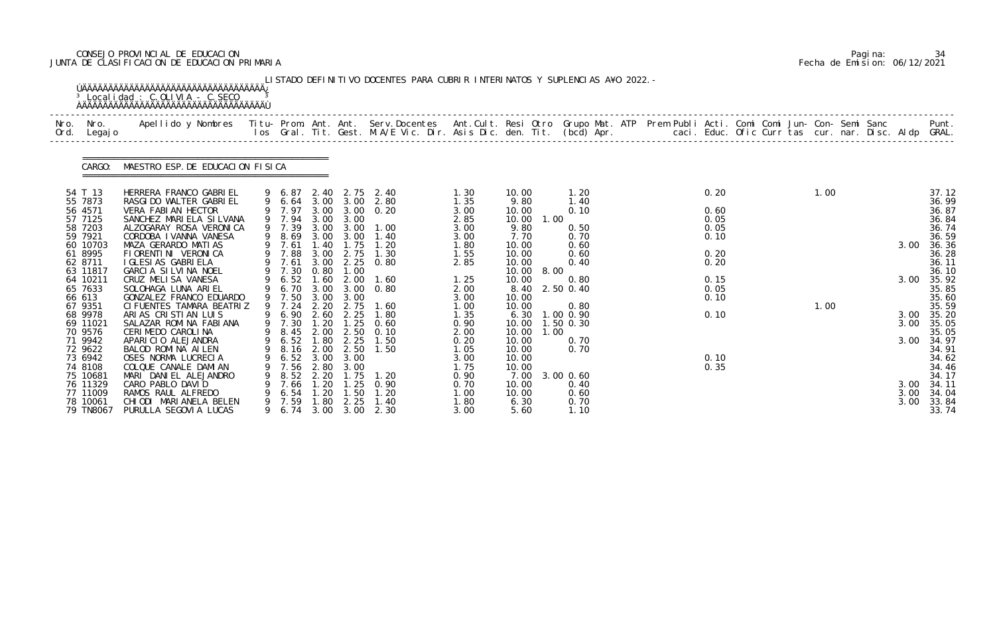# CONSEJO PROVINCIAL DE EDUCACION Pagina: 34 JUNTA DE CLASIFICACION DE EDUCACION PRIMARIA Fecha de Emision: 06/12/2021

| Nro.<br>Nro.<br>Ord. Legajo                                                                                                                                                                                                                                                            | Apellido y Nombres - Titu- Prom. Ant. Ant. Serv.Docentes - Ant.Cult. Resi Otro Grupo Mat. ATP Prem Publi Acti. Comi Comi Jun- Con- Semi Sanc - - - Punt.<br>Ios Gral. Tit. Gest. M.A/E Vic. Dir. Asis Dic. den. Tit. (bcd) Apr. -                                                                                                                                                                                                                                                                                                                                                                                             |        |                                                                                                                                                                                                                          |                                                                                                                                                             |                                                                                                                                              |                                                                                                                                                                                                                                           |                                                                                                                                                                                              |                                                                                                                                                                                                                                                |                                                                                                                                                                          |                                                                                                      |  |              |                                                              |                                                                                                                                                                                                                               |
|----------------------------------------------------------------------------------------------------------------------------------------------------------------------------------------------------------------------------------------------------------------------------------------|-------------------------------------------------------------------------------------------------------------------------------------------------------------------------------------------------------------------------------------------------------------------------------------------------------------------------------------------------------------------------------------------------------------------------------------------------------------------------------------------------------------------------------------------------------------------------------------------------------------------------------|--------|--------------------------------------------------------------------------------------------------------------------------------------------------------------------------------------------------------------------------|-------------------------------------------------------------------------------------------------------------------------------------------------------------|----------------------------------------------------------------------------------------------------------------------------------------------|-------------------------------------------------------------------------------------------------------------------------------------------------------------------------------------------------------------------------------------------|----------------------------------------------------------------------------------------------------------------------------------------------------------------------------------------------|------------------------------------------------------------------------------------------------------------------------------------------------------------------------------------------------------------------------------------------------|--------------------------------------------------------------------------------------------------------------------------------------------------------------------------|------------------------------------------------------------------------------------------------------|--|--------------|--------------------------------------------------------------|-------------------------------------------------------------------------------------------------------------------------------------------------------------------------------------------------------------------------------|
|                                                                                                                                                                                                                                                                                        | CARGO: MAESTRO ESP. DE EDUCACION FISICA                                                                                                                                                                                                                                                                                                                                                                                                                                                                                                                                                                                       |        |                                                                                                                                                                                                                          |                                                                                                                                                             |                                                                                                                                              |                                                                                                                                                                                                                                           |                                                                                                                                                                                              |                                                                                                                                                                                                                                                |                                                                                                                                                                          |                                                                                                      |  |              |                                                              |                                                                                                                                                                                                                               |
| 54 T 13<br>55 7873<br>56 4571<br>57 7125<br>58 7203<br>59 7921<br>60 10703<br>61 8995<br>62 8711<br>63 11817<br>64 10211<br>65 7633<br>66 613<br>67 9351<br>68 9978<br>69 11021<br>70 9576<br>71 9942<br>72 9622<br>73 6942<br>74 8108<br>75 10681<br>76 11329<br>77 11009<br>78 10061 | HERRERA FRANCO GABRIEL<br>RASGI DO WALTER GABRI EL<br>VERA FABIAN HECTOR<br>SANCHEZ MARIELA SILVANA<br>ALZOGARAY ROSA VERONICA<br>CORDOBA I VANNA VANESA<br>MAZA GERARDO MATIAS<br>FI ORENTI NI VERONI CA<br>I GLESI AS GABRI ELA<br>GARCIA SILVINA NOEL<br>CRUZ MELISA VANESA<br>SOLOHAGA LUNA ARIEL<br>GONZALEZ FRANCO EDUARDO<br>CI FUENTES TAMARA BEATRIZ<br>ARIAS CRISTIAN LUIS<br>SALAZAR ROMINA FABIANA<br>CERIMEDO CAROLINA<br>APARICIO ALEJANDRA<br>BALOD ROMINA AILEN<br>OSES NORMA LUCRECIA<br>COLQUE CANALE DAMIAN<br>MARI DANIEL ALEJANDRO<br>CARO PABLO DAVID<br>RAMOS RAUL ALFREDO<br>CHI ODI MARI ANELA BELEN | 9<br>9 | 9 6.87<br>9 7.97<br>9 7.94<br>9 7.39<br>9 8.69<br>9 7.61<br>9 7.88<br>9 7.61<br>9 7.30<br>9 6.52<br>9 6.70<br>9 7.50<br>9 7.24<br>9 6.90<br>9 7.30<br>9 8.45<br>9 6.52<br>6.52<br>7.56<br>8.52<br>7.66<br>6. 54<br>7. 59 | 3.00<br>3.00<br>3.00<br>1.40<br>3.00<br>3.00<br>0.80<br>1.60<br>3.00<br>3.00<br>2.20<br>2.60<br>1.20<br>1.80<br>3.00<br>2.80<br>2.20<br>1.20<br>1.20<br>.80 | 3.00<br>3.00<br>1.75<br>2.75<br>2.25<br>1.00<br>2.00<br>3.00<br>3.00<br>2.75<br>2.25<br>2.25<br>3.00<br>3.00<br>1.75<br>1.25<br>1.50<br>2.25 | 2.40 2.75 2.40<br>9 6.64 3.00 3.00 2.80<br>3.00 0.20<br>3.00 3.00 1.00<br>1.40<br>1.20<br>1.30<br>0.80<br>1.60<br>0.80<br>1.60<br>1.80<br>$1.25$ 0.60<br>2.00 2.50 0.10<br>1.50<br>9 8.16 2.00 2.50 1.50<br>1. 20<br>0.90<br>1.20<br>1.40 | 1.30<br>1.35<br>3.00<br>2.85<br>3.00<br>3.00<br>1.80<br>1.55<br>2.85<br>1.25<br>2.00<br>3.00<br>1.00<br>1.35<br>0.90<br>2.00<br>0.20<br>1.05<br>3.00<br>1.75<br>0.90<br>0.70<br>1.00<br>1.80 | 10.00<br>9.80<br>10.00<br>10.00<br>1.00<br>9.80<br>7.70<br>10.00<br>10.00<br>10.00<br>10.00<br>8.00<br>10.00<br>8.40<br>10.00<br>10.00<br>6.30<br>10.00<br>10.00<br>1.00<br>10.00<br>10.00<br>10.00<br>10.00<br>7.00<br>10.00<br>10.00<br>6.30 | 1.20<br>1.40<br>0.10<br>0.50<br>0.70<br>0.60<br>0.60<br>0.40<br>0.80<br>2.50 0.40<br>0.80<br>1.00 0.90<br>1.50 0.30<br>0.70<br>0.70<br>3.00 0.60<br>0.40<br>0.60<br>0.70 | 0.20<br>0.60<br>0.05<br>0.05<br>0.10<br>0.20<br>0.20<br>0.15<br>0.05<br>0.10<br>0.10<br>0.10<br>0.35 |  | 1.00<br>1.00 | 3.00<br>3.00<br>3.00<br>3.00<br>3.00<br>3.00<br>3.00<br>3.00 | 37.12<br>36.99<br>36.87<br>36.84<br>36.74<br>36.59<br>36.36<br>36.28<br>36.11<br>36.10<br>35.92<br>35.85<br>35.60<br>35.59<br>35.20<br>35.05<br>35.05<br>34.97<br>34.91<br>34.62<br>34.46<br>34.17<br>34.11<br>34.04<br>33.84 |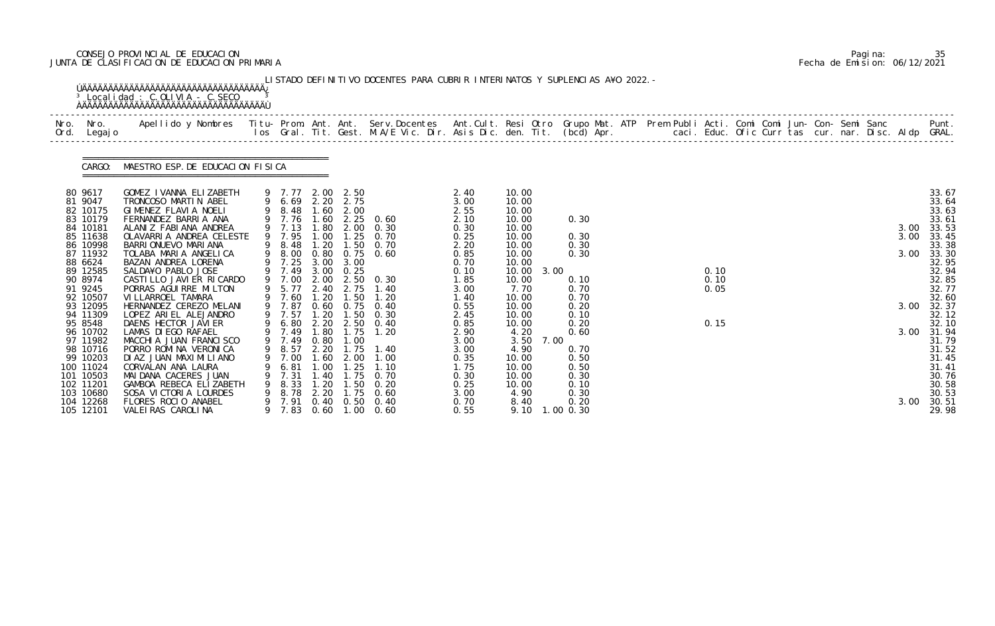# CONSEJO PROVINCIAL DE EDUCACION Pagina: 35 JUNTA DE CLASIFICACION DE EDUCACION PRIMARIA Fecha de Emision: 06/12/2021

| Nro. Nro.<br>Ord. Legajo                                                                                                                                                                                                                                                                                             | Apellido y Nombres  Titu- Prom. Ant. Ant.  Serv.Docentes  Ant.Cult. Resi Otro  Grupo Mat. ATP  Prem Publi Acti. Comi Comi Jun- Con- Semi Sanc              Punt.<br>Ios Gral. Tit. Gest. M.A/E Vic. Dir. Asis Dic. den. Tit. (bcd                                                                                                                                                                                                                                                                                                                                                                                                                              |   |                                                                                                                                                                                   |                                                                                                                                |                                                                                                                                                                        |                                                                                                                                                                                                                                                                               |                                                                                                                                                                                                               |                                                                                                                                                                                                                                 |              |                                                                                                                                                             |  |                              |  |  |  |                                      |                                                                                                                                                                                                                                             |
|----------------------------------------------------------------------------------------------------------------------------------------------------------------------------------------------------------------------------------------------------------------------------------------------------------------------|----------------------------------------------------------------------------------------------------------------------------------------------------------------------------------------------------------------------------------------------------------------------------------------------------------------------------------------------------------------------------------------------------------------------------------------------------------------------------------------------------------------------------------------------------------------------------------------------------------------------------------------------------------------|---|-----------------------------------------------------------------------------------------------------------------------------------------------------------------------------------|--------------------------------------------------------------------------------------------------------------------------------|------------------------------------------------------------------------------------------------------------------------------------------------------------------------|-------------------------------------------------------------------------------------------------------------------------------------------------------------------------------------------------------------------------------------------------------------------------------|---------------------------------------------------------------------------------------------------------------------------------------------------------------------------------------------------------------|---------------------------------------------------------------------------------------------------------------------------------------------------------------------------------------------------------------------------------|--------------|-------------------------------------------------------------------------------------------------------------------------------------------------------------|--|------------------------------|--|--|--|--------------------------------------|---------------------------------------------------------------------------------------------------------------------------------------------------------------------------------------------------------------------------------------------|
|                                                                                                                                                                                                                                                                                                                      | CARGO: MAESTRO ESP. DE EDUCACION FISICA                                                                                                                                                                                                                                                                                                                                                                                                                                                                                                                                                                                                                        |   |                                                                                                                                                                                   |                                                                                                                                |                                                                                                                                                                        |                                                                                                                                                                                                                                                                               |                                                                                                                                                                                                               |                                                                                                                                                                                                                                 |              |                                                                                                                                                             |  |                              |  |  |  |                                      |                                                                                                                                                                                                                                             |
| 80 9617<br>81 9047<br>82 10175<br>83 10179<br>84 10181<br>85 11638<br>86 10998<br>87 11932<br>88 6624<br>89 12585<br>90 8974<br>91 9245<br>92 10507<br>93 12095<br>94 11309<br>95 8548<br>96 10702<br>97 11982<br>98 10716<br>99 10203<br>100 11024<br>101 10503<br>102 11201<br>103 10680<br>104 12268<br>105 12101 | GOMEZ IVANNA ELIZABETH<br>TRONCOSO MARTIN ABEL<br>GIMENEZ FLAVIA NOELI<br>FERNANDEZ BARRIA ANA<br>ALANIZ FABIANA ANDREA<br>OLAVARRIA ANDREA CELESTE<br>BARRI ONUEVO MARI ANA<br>TOLABA MARIA ANGELICA<br>BAZAN ANDREA LORENA<br>SALDA¥O PABLO JOSE<br>CASTILLO JAVIER RICARDO<br>PORRAS AGUI RRE MILTON<br>VI LLARROEL TAMARA<br>HERNANDEZ CEREZO MELANI<br>LOPEZ ARIEL ALEJANDRO<br>DAENS HECTOR JAVIER<br>LAMAS DI EGO RAFAEL<br>MACCHIA JUAN FRANCISCO<br>PORRO ROMINA VERONICA<br>DI AZ JUAN MAXI MI LI ANO<br>CORVALAN ANA LAURA<br>MAI DANA CACERES JUAN<br>GAMBOA REBECA ELIZABETH<br>SOSA VICTORIA LOURDES<br>FLORES ROCIO ANABEL<br>VALEIRAS CAROLINA | 9 | 9 7.13<br>9 7.95<br>9 8.48<br>9 8.00<br>9 7.25<br>9 7.49<br>9 5.77<br>9 7.60<br>9 7.87<br>9 7.57<br>9 7.49<br>9 8.57 2.20<br>7.00<br>6.81<br>7.31<br>8.33<br>8.78<br>7.91<br>7.83 | 1.00<br>1.20<br>3.00<br>3.00<br>2.40<br>1.20<br>1.20<br>0.80<br>1.60<br>.00 <sub>1</sub><br>40<br>1.20<br>2.20<br>0.40<br>0.60 | 9 7.77 2.00 2.50<br>9 6.69 2.20 2.75<br>9 8.48 1.60 2.00<br>1.50<br>3.00<br>0.25<br>2.75<br>1.50<br>1.50<br>1.00<br>2.00<br>25<br>. 75<br>1.50<br>1.75<br>0.50<br>1.00 | 9 7.76 1.60 2.25 0.60<br>1.80 2.00 0.30<br>$1.25$ 0.70<br>0. 70<br>0.80 0.75 0.60<br>9 7.00 2.00 2.50 0.30<br>1.40<br>1.20<br>0.60 0.75 0.40<br>0.30<br>9 6.80 2.20 2.50 0.40<br>9 7.49 1.80 1.75 1.20<br>1.75 1.40<br>1. 00<br>1. 10<br>0.70<br>0.20<br>0.60<br>0.40<br>0.60 | 2.40<br>3.00<br>2.55<br>2.10<br>0.30<br>0.25<br>2.20<br>0.85<br>0.70<br>0.10<br>1.85<br>3.00<br>1.40<br>0.55<br>2.45<br>0.85<br>2.90<br>3.00<br>3.00<br>0.35<br>1. 75<br>0.30<br>0.25<br>3.00<br>0.70<br>0.55 | 10.00<br>10.00<br>10.00<br>10.00<br>10.00<br>10.00<br>10.00<br>10.00<br>10.00<br>10.00<br>10.00<br>7.70<br>10.00<br>10.00<br>10.00<br>10.00<br>4.20<br>3.50<br>4.90<br>10.00<br>10.00<br>10.00<br>10.00<br>4.90<br>8.40<br>9.10 | 3.00<br>7.00 | 0.30<br>0.30<br>0.30<br>0.30<br>0.10<br>0.70<br>0.70<br>0.20<br>0.10<br>0.20<br>0.60<br>0.70<br>0.50<br>0.50<br>0.30<br>0.10<br>0.30<br>0.20<br>$1.00$ 0.30 |  | 0.10<br>0.10<br>0.05<br>0.15 |  |  |  | 3.00<br>3.00<br>3.00<br>3.00<br>3.00 | 33.67<br>33.64<br>33.63<br>33.61<br>33.53<br>33.45<br>33.38<br>33.30<br>32.95<br>32.94<br>32.85<br>32.77<br>32.60<br>32.37<br>32.12<br>32.10<br>3.00 31.94<br>31.79<br>31.52<br>31.45<br>31.41<br>30.76<br>30.58<br>30.53<br>30.51<br>29.98 |

|  | Pagi na: | 35                           |
|--|----------|------------------------------|
|  |          | Fecha de Emision: 06/12/2021 |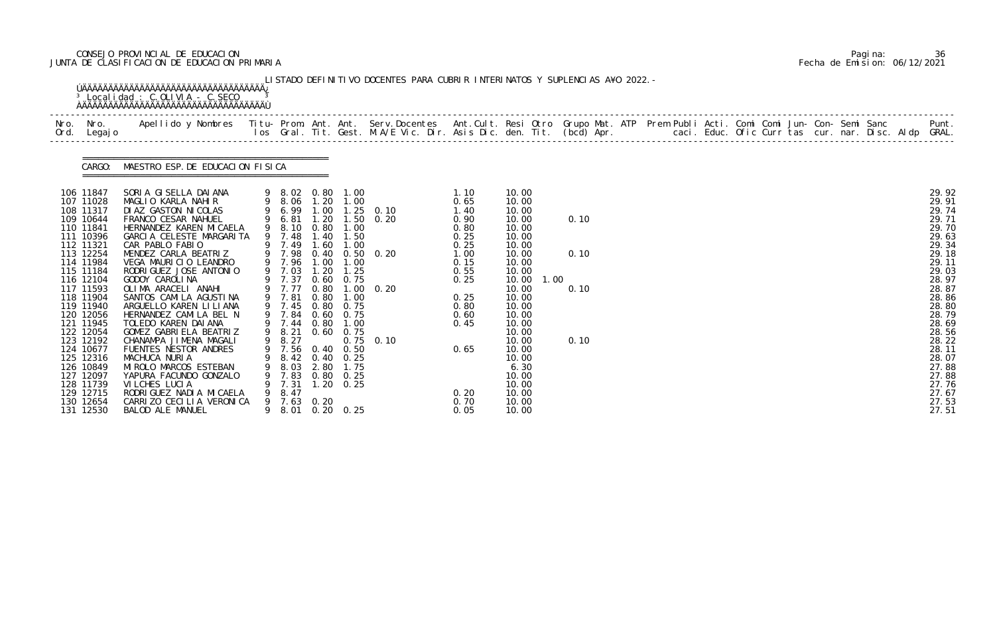# CONSEJO PROVINCIAL DE EDUCACION Pagina: 36 JUNTA DE CLASIFICACION DE EDUCACION PRIMARIA Fecha de Emision: 06/12/2021

|                                                                                                                                                                                                                                                                                                                                                | <b>OAAAAAAAAAAAAAAAAAAAAAAAAAAAAAAAAAA</b>                                                                                                                                                                                                                                                                                                                                                                                                                                                                                                                                                                                                                                                   |                                                                                                                                                                                                                                                                                     |                              |                                                                                                                       | LISTADO DEFINITIVO DOCENTES PARA CUBRIR INTERINATOS Y SUPLENCIAS A¥O 2022. -                                    |                                                                                                                                                      |                                                                                                                                                                                                                                               |                              |  |  |  |  |  |                                                                                                                                                                                                                                        |
|------------------------------------------------------------------------------------------------------------------------------------------------------------------------------------------------------------------------------------------------------------------------------------------------------------------------------------------------|----------------------------------------------------------------------------------------------------------------------------------------------------------------------------------------------------------------------------------------------------------------------------------------------------------------------------------------------------------------------------------------------------------------------------------------------------------------------------------------------------------------------------------------------------------------------------------------------------------------------------------------------------------------------------------------------|-------------------------------------------------------------------------------------------------------------------------------------------------------------------------------------------------------------------------------------------------------------------------------------|------------------------------|-----------------------------------------------------------------------------------------------------------------------|-----------------------------------------------------------------------------------------------------------------|------------------------------------------------------------------------------------------------------------------------------------------------------|-----------------------------------------------------------------------------------------------------------------------------------------------------------------------------------------------------------------------------------------------|------------------------------|--|--|--|--|--|----------------------------------------------------------------------------------------------------------------------------------------------------------------------------------------------------------------------------------------|
| Ord. Legajo                                                                                                                                                                                                                                                                                                                                    |                                                                                                                                                                                                                                                                                                                                                                                                                                                                                                                                                                                                                                                                                              |                                                                                                                                                                                                                                                                                     |                              |                                                                                                                       |                                                                                                                 |                                                                                                                                                      |                                                                                                                                                                                                                                               |                              |  |  |  |  |  |                                                                                                                                                                                                                                        |
|                                                                                                                                                                                                                                                                                                                                                | CARGO: MAESTRO ESP. DE EDUCACION FISICA                                                                                                                                                                                                                                                                                                                                                                                                                                                                                                                                                                                                                                                      |                                                                                                                                                                                                                                                                                     |                              |                                                                                                                       |                                                                                                                 |                                                                                                                                                      |                                                                                                                                                                                                                                               |                              |  |  |  |  |  |                                                                                                                                                                                                                                        |
| 106 11847<br>107 11028<br>108 11317<br>109 10644<br>110 11841<br>111 10396<br>112 11321<br>113 12254<br>114 11984<br>115 11184<br>116 12104<br>117 11593<br>118 11904<br>119 11940<br>120 12056<br>121 11945<br>122 12054<br>123 12192<br>124 10677<br>125 12316<br>126 10849<br>127 12097<br>128 11739<br>129 12715<br>130 12654<br>131 12530 | SORIA GISELLA DAIANA 9 8.02 0.80 1.00<br>MAGLIO KARLA NAHIR 9 8.06 1.20 1.00<br>DI AZ GASTON NI COLAS<br>FRANCO CESAR NAHUEL<br>HERNANDEZ KAREN MI CAELA<br>GARCIA CELESTE MARGARITA<br>CAR PABLO FABIO<br>MENDEZ CARLA BEATRIZ<br>VEGA MAURICIO LEANDRO<br>RODRI GUEZ JOSE ANTONIO<br>GODOY CAROLINA<br>OLIMA ARACELI ANAHI<br>SANTOS CAMILA AGUSTINA<br>ARGUELLO KAREN LI LI ANA<br>HERNANDEZ CAMILA BEL N<br>TOLEDO KAREN DAIANA<br>GOMEZ GABRIELA BEATRIZ<br>CHANAMPA JIMENA MAGALI<br>FUENTES NESTOR ANDRES<br>MACHUCA NURIA<br>MI ROLO MARCOS ESTEBAN<br>YAPURA FACUNDO GONZALO<br>VI LCHES LUCIA<br>RODRI GUEZ NADI A MI CAELA<br>CARRIZO CECILIA VERONICA<br><b>BALOD ALE MANUEL</b> | 9 8.10 0.80 1.00<br>9 7.48 1.40 1.50<br>9 7.49 1.60<br>9 7.96 1.00 1.00<br>9 7.03 1.20<br>9 7.37 0.60 0.75<br>9 7.81<br>9 7.45<br>9 7.84 0.60 0.75<br>9 7.44 0.80 1.00<br>9 8.21 0.60 0.75<br>9 8.27<br>9 7.56 0.40 0.50<br>8.42<br>8.03<br>7.83<br>7.31<br>8.47<br>9 7.63<br>8. 01 | 0.80<br>0.40<br>2.80<br>0.20 | 1.00<br>1.25<br>1.00<br>$0.80 \quad 0.75$<br>0.25<br>1.75<br>$0.80 \quad 0.25$<br>$1.20 \t 0.25$<br>$0.20 \quad 0.25$ | 9 6.99 1.00 1.25 0.10<br>9 6.81 1.20 1.50 0.20<br>9 7.98 0.40 0.50 0.20<br>9 7.77 0.80 1.00 0.20<br>$0.75$ 0.10 | 1.10<br>0.65<br>1.40<br>0.90<br>0.80<br>0.25<br>0.25<br>1.00<br>0.15<br>0.55<br>0.25<br>0.25<br>0.80<br>0.60<br>0.45<br>0.65<br>0.20<br>0.70<br>0.05 | 10.00<br>10.00<br>10.00<br>10.00<br>10.00<br>10.00<br>10.00<br>10.00<br>10.00<br>10.00<br>10.00<br>1.00<br>10.00<br>10.00<br>10.00<br>10.00<br>10.00<br>10.00<br>10.00<br>10.00<br>10.00<br>6.30<br>10.00<br>10.00<br>10.00<br>10.00<br>10.00 | 0.10<br>0.10<br>0.10<br>0.10 |  |  |  |  |  | 29.92<br>29.91<br>29.74<br>29.71<br>29.70<br>29.63<br>29.34<br>29.18<br>29.11<br>29.03<br>28.97<br>28.87<br>28.86<br>28.80<br>28.79<br>28.69<br>28.56<br>28.22<br>28.11<br>28.07<br>27.88<br>27.88<br>27.76<br>27.67<br>27.53<br>27.51 |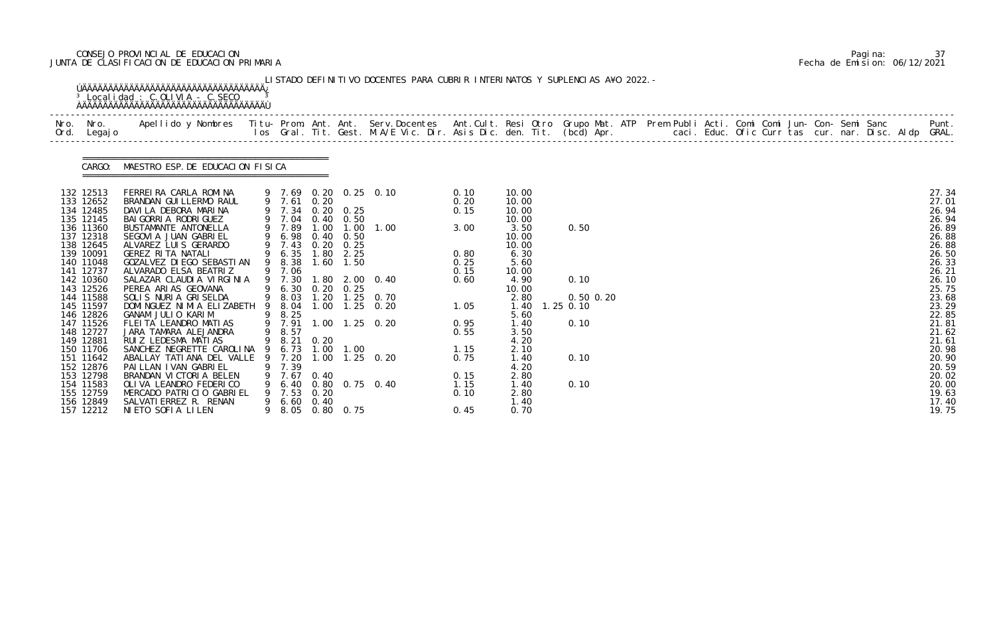# CONSEJO PROVINCIAL DE EDUCACION Pagina: 37 JUNTA DE CLASIFICACION DE EDUCACION PRIMARIA Fecha de Emision: 06/12/2021

|                                                                                                                                                                                                                                                                                                                                                | <sup>3</sup> Localidad : C.OLIVIA - C.SECO                                                                                                                                                                                                                                                                                                                                                                                                                                                                                                                                                                                                                                                                |                             |                                                                                                                                                                                                                                         |                                                |                                                                                                    | LISTADO DEFINITIVO DOCENTES PARA CUBRIR INTERINATOS Y SUPLENCIAS A¥O 2022. -                                                                                  |                                                                                                                                      |                                                                                                                                                                                                                       |                                                                      |  |  |  |  |  |                                                                                                                                                                                                                                        |
|------------------------------------------------------------------------------------------------------------------------------------------------------------------------------------------------------------------------------------------------------------------------------------------------------------------------------------------------|-----------------------------------------------------------------------------------------------------------------------------------------------------------------------------------------------------------------------------------------------------------------------------------------------------------------------------------------------------------------------------------------------------------------------------------------------------------------------------------------------------------------------------------------------------------------------------------------------------------------------------------------------------------------------------------------------------------|-----------------------------|-----------------------------------------------------------------------------------------------------------------------------------------------------------------------------------------------------------------------------------------|------------------------------------------------|----------------------------------------------------------------------------------------------------|---------------------------------------------------------------------------------------------------------------------------------------------------------------|--------------------------------------------------------------------------------------------------------------------------------------|-----------------------------------------------------------------------------------------------------------------------------------------------------------------------------------------------------------------------|----------------------------------------------------------------------|--|--|--|--|--|----------------------------------------------------------------------------------------------------------------------------------------------------------------------------------------------------------------------------------------|
| Nro. Nro.<br>Ord. Legajo                                                                                                                                                                                                                                                                                                                       | Apellido y Nombres  Titu- Prom. Ant. Ant. Serv.Docentes  Ant.Cult. Resi Otro Grupo Mat. ATP Prem Publi Acti. Comi Comi Jun- Con- Semi Sanc         Punt.<br>Ios Gral. Tit. Gest. M.A/E Vic. Dir. Asis Dic. den. Tit. (bcd) Apr.                                                                                                                                                                                                                                                                                                                                                                                                                                                                           |                             |                                                                                                                                                                                                                                         |                                                |                                                                                                    |                                                                                                                                                               |                                                                                                                                      |                                                                                                                                                                                                                       |                                                                      |  |  |  |  |  |                                                                                                                                                                                                                                        |
|                                                                                                                                                                                                                                                                                                                                                | CARGO: MAESTRO ESP. DE EDUCACION FISICA                                                                                                                                                                                                                                                                                                                                                                                                                                                                                                                                                                                                                                                                   |                             |                                                                                                                                                                                                                                         |                                                |                                                                                                    |                                                                                                                                                               |                                                                                                                                      |                                                                                                                                                                                                                       |                                                                      |  |  |  |  |  |                                                                                                                                                                                                                                        |
| 132 12513<br>133 12652<br>134 12485<br>135 12145<br>136 11360<br>137 12318<br>138 12645<br>139 10091<br>140 11048<br>141 12737<br>142 10360<br>143 12526<br>144 11588<br>145 11597<br>146 12826<br>147 11526<br>148 12727<br>149 12881<br>150 11706<br>151 11642<br>152 12876<br>153 12798<br>154 11583<br>155 12759<br>156 12849<br>157 12212 | FERREIRA CARLA ROMINA<br>BRANDAN GUI LLERMO RAUL<br>DAVILA DEBORA MARINA<br>BAI GORRI A RODRI GUEZ<br>BUSTAMANTE ANTONELLA<br>SEGOVI A JUAN GABRI EL<br>ALVAREZ LUIS GERARDO<br>GEREZ RITA NATALI<br>GOZALVEZ DI EGO SEBASTI AN<br>ALVARADO ELSA BEATRIZ<br>SALAZAR CLAUDIA VIRGINIA<br>PEREA ARIAS GEOVANA<br>SOLIS NURIA GRISELDA<br>DOMI NGUEZ NI MI A ELIZABETH<br>GANAM JULIO KARIM<br>FLEITA LEANDRO MATIAS<br>JARA TAMARA ALEJANDRA<br>RUIZ LEDESMA MATIAS<br>SANCHEZ NEGRETTE CAROLINA 9 6.73 1.00 1.00<br>ABALLAY TATI ANA DEL VALLE<br>PAI LLAN I VAN GABRI EL<br>BRANDAN VICTORIA BELEN<br>OLI VA LEANDRO FEDERI CO<br>MERCADO PATRICIO GABRIEL<br>SALVATI ERREZ R. RENAN<br>NIETO SOFIA LILEN | 9<br>9<br>9<br>9<br>9.<br>9 | 9 7.61 0.20<br>9 7.34<br>9 7.04 0.40 0.50<br>9 7.89<br>9 6.98<br>9 7.43<br>9 6.35<br>9 8.38<br>9 7.06<br>9 7.30<br>9 6.30<br>9 8.03<br>8.04<br>9 8.25<br>9 7.91<br>9 8.57<br>9 8.21<br>7.20<br>7.39<br>7.67<br>7.53<br>$6.60\quad 0.40$ | 1.00<br>0.40<br>0. 20<br>0. 20<br>0.40<br>0.20 | $0.20 \quad 0.25$<br>0.50<br>0.25<br>$1.80$ $2.25$<br>$1.60$ $1.50$<br>0.20 0.25<br>8.05 0.80 0.75 | 9 7.69 0.20 0.25 0.10<br>$1.00$ $1.00$<br>1.80 2.00 0.40<br>1.20 1.25 0.70<br>$1.00$ $1.25$ $0.20$<br>1.00 1.25 0.20<br>1.00 1.25 0.20<br>6.40 0.80 0.75 0.40 | 0.10<br>0.20<br>0.15<br>3.00<br>0.80<br>0.25<br>0.15<br>0.60<br>1.05<br>0.95<br>0.55<br>1.15<br>0.75<br>0.15<br>1.15<br>0.10<br>0.45 | 10.00<br>10.00<br>10.00<br>10.00<br>3.50<br>10.00<br>10.00<br>6.30<br>5.60<br>10.00<br>4.90<br>10.00<br>2.80<br>1.40<br>5.60<br>1.40<br>3.50<br>4.20<br>2.10<br>1. 40<br>4.20<br>2.80<br>1.40<br>2.80<br>1.40<br>0.70 | 0.50<br>0.10<br>$0.50$ $0.20$<br>$1.25$ 0.10<br>0.10<br>0.10<br>0.10 |  |  |  |  |  | 27.34<br>27.01<br>26.94<br>26.94<br>26.89<br>26.88<br>26.88<br>26.50<br>26.33<br>26.21<br>26.10<br>25.75<br>23.68<br>23.29<br>22.85<br>21.81<br>21.62<br>21.61<br>20.98<br>20.90<br>20.59<br>20.02<br>20.00<br>19.63<br>17.40<br>19.75 |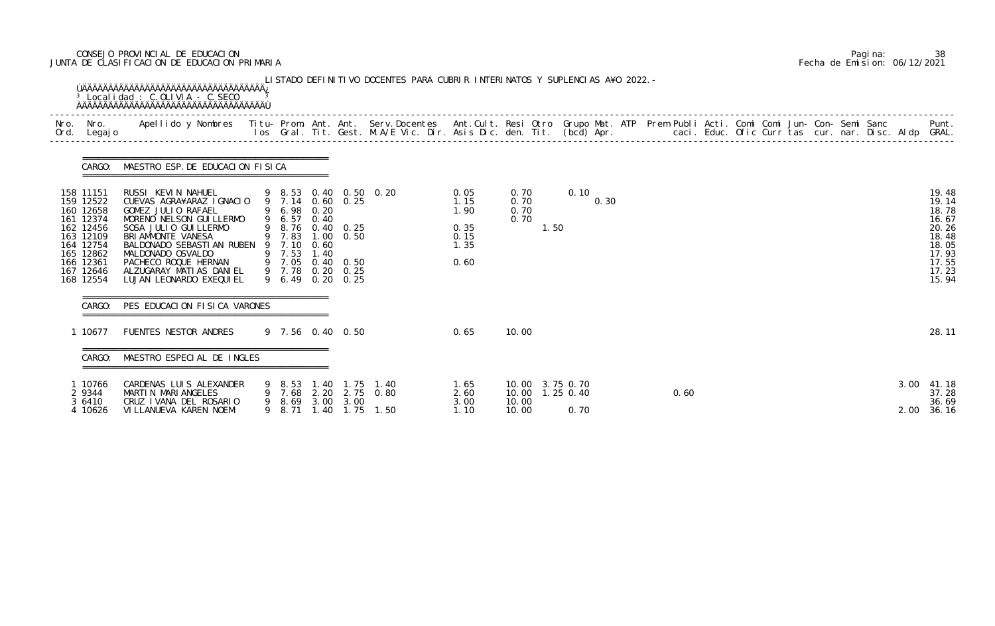# CONSEJO PROVINCIAL DE EDUCACION Pagina: 38 JUNTA DE CLASIFICACION DE EDUCACION PRIMARIA Fecha de Emision: 06/12/2021

| Nro.<br>Ord. | Nro.<br>Legaj o                                                                                                                             | Apellido y Nombres - Titu- Prom. Ant. Ant. Serv.Docentes - Ant.Cult. Resi Otro Grupo Mat. ATP Prem Publi Acti. Comi Comi Jun- Con- Semi Sanc - - - Punt.<br>Ios Gral. Tit. Gest. M.A/E Vic. Dir. Asis Dic. den. Tit. (bcd) Apr. -                                                     |   |                                                     |                      |                                                                                                                        |                       |                                                      |                                            |                   |      |  |      |  |  |  |              |                                                                                                 |
|--------------|---------------------------------------------------------------------------------------------------------------------------------------------|---------------------------------------------------------------------------------------------------------------------------------------------------------------------------------------------------------------------------------------------------------------------------------------|---|-----------------------------------------------------|----------------------|------------------------------------------------------------------------------------------------------------------------|-----------------------|------------------------------------------------------|--------------------------------------------|-------------------|------|--|------|--|--|--|--------------|-------------------------------------------------------------------------------------------------|
|              | CARGO:                                                                                                                                      | MAESTRO ESP. DE EDUCACION FISICA                                                                                                                                                                                                                                                      |   |                                                     |                      |                                                                                                                        |                       |                                                      |                                            |                   |      |  |      |  |  |  |              |                                                                                                 |
|              | 158 11151<br>159 12522<br>160 12658<br>161 12374<br>162 12456<br>163 12109<br>164 12754<br>165 12862<br>166 12361<br>167 12646<br>168 12554 | RUSSI KEVIN NAHUEL<br>CUEVAS AGRA¥ARAZ IGNACIO<br>GOMEZ JULIO RAFAEL<br>MORENO NELSON GUI LLERMO<br>SOSA JULIO GUILLERMO<br>BRI AMMONTE VANESA<br>BALDONADO SEBASTIAN RUBEN 9 7.10<br>MALDONADO OSVALDO<br>PACHECO ROQUE HERNAN<br>ALZUGARAY MATIAS DANIEL<br>LUJAN LEONARDO EXEQUIEL |   | 9 6.98 0.20<br>9 6.57<br>9 7.53<br>9 7.05<br>9 6.49 | 0.40<br>0.60<br>1.40 | 9 7.14 0.60 0.25<br>9 8.76 0.40 0.25<br>9 7.83 1.00 0.50<br>$0.40 \quad 0.50$<br>9 7.78 0.20 0.25<br>$0.20 \quad 0.25$ | 9 8.53 0.40 0.50 0.20 | 0.05<br>1.15<br>1.90<br>0.35<br>0.15<br>1.35<br>0.60 | 0.70<br>0.70<br>0.70<br>0.70               | 0.10<br>1.50      | 0.30 |  |      |  |  |  |              | 19.48<br>19.14<br>18.78<br>16.67<br>20.26<br>18.48<br>18.05<br>17.93<br>17.55<br>17.23<br>15.94 |
|              | CARGO:                                                                                                                                      | PES EDUCACION FISICA VARONES                                                                                                                                                                                                                                                          |   |                                                     |                      |                                                                                                                        |                       |                                                      |                                            |                   |      |  |      |  |  |  |              |                                                                                                 |
|              | 10677                                                                                                                                       | FUENTES NESTOR ANDRES                                                                                                                                                                                                                                                                 |   |                                                     |                      | 9 7.56 0.40 0.50                                                                                                       |                       | 0.65                                                 | 10.00                                      |                   |      |  |      |  |  |  |              | 28.11                                                                                           |
|              | CARGO:                                                                                                                                      | MAESTRO ESPECIAL DE INGLES                                                                                                                                                                                                                                                            |   |                                                     |                      |                                                                                                                        |                       |                                                      |                                            |                   |      |  |      |  |  |  |              |                                                                                                 |
|              | 1 10766<br>2 9344<br>3 6410<br>4 10626                                                                                                      | CARDENAS LUIS ALEXANDER<br>MARTIN MARIANGELES<br>CRUZ I VANA DEL ROSARIO<br>VI LLANUEVA KAREN NOEMI                                                                                                                                                                                   | 9 | 9 7.68<br>9 8.69<br>8.71                            |                      | 9 8.53 1.40 1.75 1.40<br>2.20 2.75 0.80<br>3.00 3.00<br>1.40 1.75 1.50                                                 |                       | 1.65<br>2.60<br>3.00<br>1.10                         | 10.00 3.75 0.70<br>10.00<br>10.00<br>10.00 | 1.25 0.40<br>0.70 |      |  | 0.60 |  |  |  | 3.00<br>2.00 | 41.18<br>37.28<br>36.69<br>36.16                                                                |

|  | Pagi na: | 38                           |
|--|----------|------------------------------|
|  |          | Fecha de Emision: 06/12/2021 |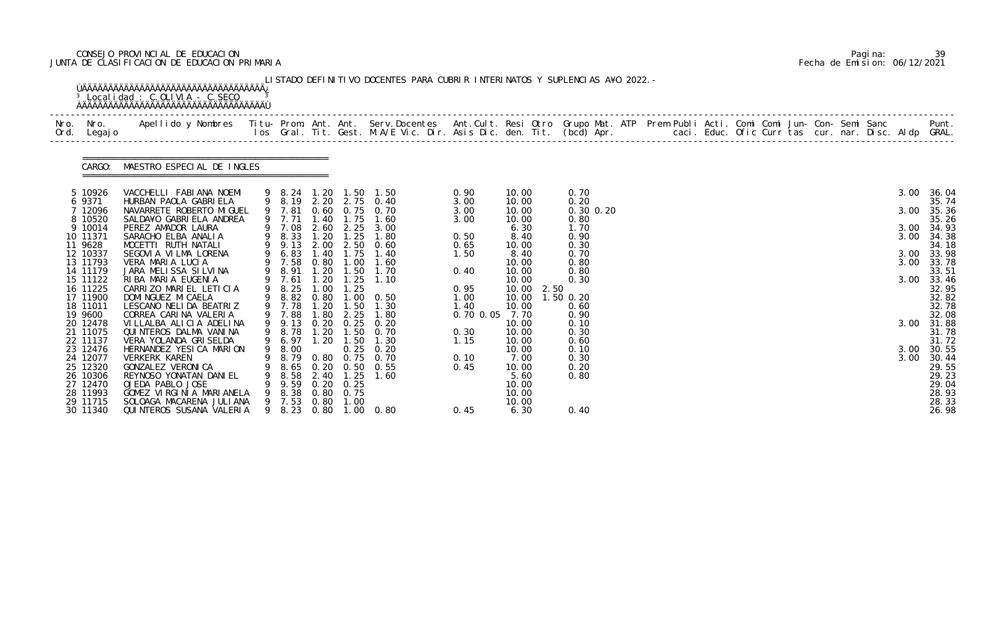# CONSEJO PROVINCIAL DE EDUCACION Pagina: 39 JUNTA DE CLASIFICACION DE EDUCACION PRIMARIA Fecha de Emision: 06/12/2021

| Nro.<br>Ord. | Nro.<br>Legaj o            | Apellido y Nombres  Titu- Prom. Ant. Ant. Serv.Docentes  Ant.Cult. Resi Otro Grupo Mat. ATP Prem Publi Acti. Comi Comi Jun- Con- Semi Sanc         Punt.<br>Ios Gral. Tit. Gest. M.A/E Vic. Dir. Asis Dic. den. Tit. (bcd) Apr. |                       |              |                           |                                                 |                      |                         |                           |  |  |  |  |      |                         |
|--------------|----------------------------|---------------------------------------------------------------------------------------------------------------------------------------------------------------------------------------------------------------------------------|-----------------------|--------------|---------------------------|-------------------------------------------------|----------------------|-------------------------|---------------------------|--|--|--|--|------|-------------------------|
|              | CARGO:                     | MAESTRO ESPECIAL DE INGLES                                                                                                                                                                                                      |                       |              |                           |                                                 |                      |                         |                           |  |  |  |  |      |                         |
|              | 5 10926                    | VACCHELLI FABIANA NOEMI<br>HURBAN PAOLA GABRI ELA                                                                                                                                                                               |                       |              |                           | 9 8.24 1.20 1.50 1.50                           | 0.90                 | 10.00                   | 0.70                      |  |  |  |  | 3.00 | 36.04                   |
|              | 6 9371<br>12096<br>8 10520 | NAVARRETE ROBERTO MI GUEL<br>SALDA¥O GABRI ELA ANDREA                                                                                                                                                                           | 9 7.81<br>9 7.71      |              | 1.40 1.75                 | 9 8.19 2.20 2.75 0.40<br>0.60 0.75 0.70<br>1.60 | 3.00<br>3.00<br>3.00 | 10.00<br>10.00<br>10.00 | 0.20<br>0.30 0.20<br>0.80 |  |  |  |  | 3.00 | 35.74<br>35.36<br>35.26 |
|              | 9 10014                    | PEREZ AMADOR LAURA                                                                                                                                                                                                              | 9 7.08                |              |                           | 2.60 2.25 3.00                                  |                      | 6.30                    | 1.70                      |  |  |  |  | 3.00 | 34.93                   |
|              | 10 11371<br>11 9628        | SARACHO ELBA ANALIA<br>MOCETTI RUTH NATALI                                                                                                                                                                                      | 9 8.33<br>9 9.13      | 1.20         | 1.25                      | 1.80<br>2.00 2.50 0.60                          | 0.50<br>0.65         | 8.40<br>10.00           | 0.90<br>0.30              |  |  |  |  | 3.00 | 34.38<br>34.18          |
|              | 12 10337                   | SEGOVIA VILMA LORENA                                                                                                                                                                                                            | 9 6.83                | 1.40         |                           | 1.75 1.40                                       | 1.50                 | 8.40                    | 0.70                      |  |  |  |  | 3.00 | 33.98                   |
|              | 13 11793<br>14 11179       | VERA MARIA LUCIA<br>JARA MELISSA SILVINA                                                                                                                                                                                        | 9 7.58<br>9 8.91      | 0.80<br>1.20 | 1.00<br>1.50              | 1.60<br>1.70                                    | 0.40                 | 10.00<br>10.00          | 0.80<br>0.80              |  |  |  |  | 3.00 | 33.78<br>33.51          |
|              | 15 11122                   | RIBA MARIA EUGENIA                                                                                                                                                                                                              | 9 7.61                | 1.20         |                           | $1.25$ 1.10                                     |                      | 10.00                   | 0.30                      |  |  |  |  | 3.00 | 33.46                   |
|              | 16 11225<br>17 11900       | CARRIZO MARIEL LETICIA<br>DOMI NGUEZ MI CAELA                                                                                                                                                                                   | 9 8.25<br>9 8.82 0.80 | 1.00         | 1.25                      | $1.00 \quad 0.50$                               | 0.95<br>1.00         | 10.00<br>2.50<br>10.00  | 1.50 0.20                 |  |  |  |  |      | 32.95<br>32.82          |
|              | 18 11011                   | LESCANO NELIDA BEATRIZ                                                                                                                                                                                                          | 9 7.78                | 1.20         | 1.50                      | 1.30                                            | 1.40                 | 10.00                   | 0.60                      |  |  |  |  |      | 32.78                   |
|              | 19 9600<br>20 12478        | CORREA CARINA VALERIA<br>VILLALBA ALICIA ADELINA                                                                                                                                                                                | 9 7.88<br>9 9.13      | 1.80         | 2.25                      | 1.80<br>$0.20$ $0.25$ $0.20$                    | 0.70 0.05            | 7.70<br>10.00           | 0.90<br>0.10              |  |  |  |  | 3.00 | 32.08<br>31.88          |
|              | 21 11075                   | QUINTEROS DALMA VANINA                                                                                                                                                                                                          | 9 8.78                |              |                           | 1.20 1.50 0.70                                  | 0.30                 | 10.00                   | 0.30                      |  |  |  |  |      | 31.78                   |
|              | 22 11137                   | VERA YOLANDA GRISELDA<br>HERNANDEZ YESICA MARION                                                                                                                                                                                | 9 6.97                | 1.20         | 1.50                      | 1.30                                            | 1.15                 | 10.00                   | 0.60                      |  |  |  |  |      | 31.72                   |
|              | 23 12476<br>24 12077       | VERKERK KAREN                                                                                                                                                                                                                   | 9 8.00<br>8.79        | 0.80         | 0.75                      | $0.25$ $0.20$<br>0. 70                          | 0.10                 | 10.00<br>7.00           | 0.10<br>0.30              |  |  |  |  | 3.00 | 3.00 30.55<br>30.44     |
|              | 25 12320                   | GONZALEZ VERONI CA                                                                                                                                                                                                              | 8.65                  | 0. 20        | 0. 50                     | 0.55                                            | 0.45                 | 10.00                   | 0.20                      |  |  |  |  |      | 29.55                   |
|              | 26 10306<br>27 12470       | REYNOSO YONATAN DANI EL<br>OJEDA PABLO JOSE                                                                                                                                                                                     | 8.58<br>9. 59         | 2.40         | 1.25<br>$0.20 \quad 0.25$ | 1.60                                            |                      | 5.60<br>10.00           | 0.80                      |  |  |  |  |      | 29.23<br>29.04          |
|              | 28 11993                   | GOMEZ VIRGINIA MARIANELA                                                                                                                                                                                                        | 8. 38                 | 0.80         | 0.75                      |                                                 |                      | 10.00                   |                           |  |  |  |  |      | 28.93                   |
|              | 29 11715<br>30 11340       | SOLOAGA MACARENA JULIANA<br>QUINTEROS SUSANA VALERIA                                                                                                                                                                            | 9 7.53<br>9 8.23      | 0.80         | 1.00                      | 0.80 1.00 0.80                                  | 0.45                 | 10.00<br>6.30           | 0.40                      |  |  |  |  |      | 28.33<br>26.98          |

|  | Pagi na: | 39                           |
|--|----------|------------------------------|
|  |          | Fecha de Emision: 06/12/2021 |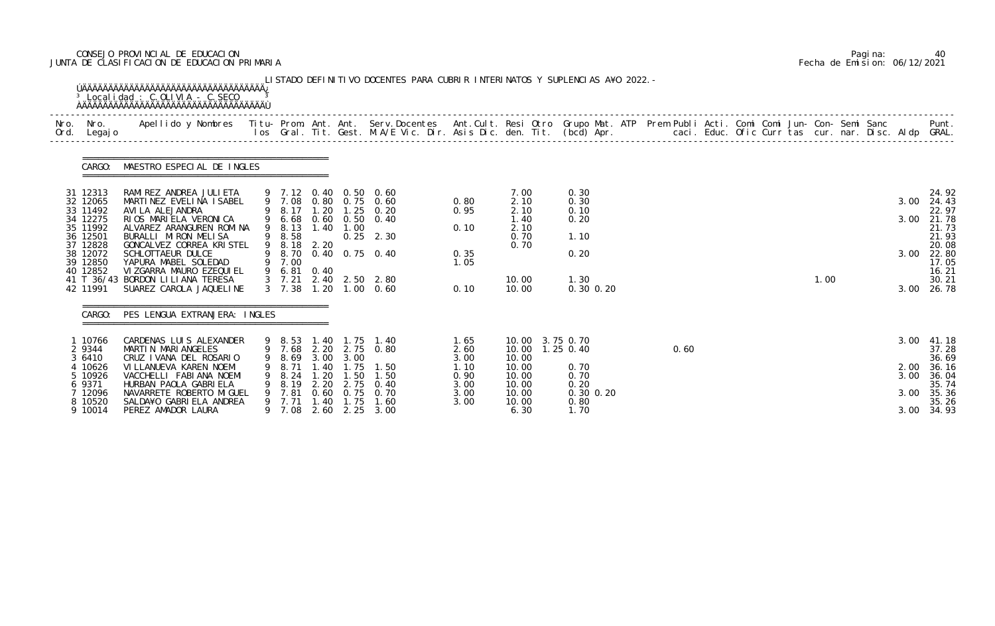# CONSEJO PROVINCIAL DE EDUCACION Pagina: 40 JUNTA DE CLASIFICACION DE EDUCACION PRIMARIA Fecha de Emision: 06/12/2021

| Nro.<br>Ord. | Nro.<br>Legaj o      | Apellido y Nombres Titu- Prom. Ant. Ant. Serv.Docentes Ant.Cult. Resi Otro Grupo Mat. ATP Prem Publi Acti. Comi Comi Jun- Con- Semi Sanc Punt.<br>Ios Gral. Tit. Gest. M.A/E Vic. Dir. Asis Dic. den. Tit. (bcd) Apr. |   |                               |              |                     |                                         |              |                                      |                       |      |  |  |      |              |                |
|--------------|----------------------|-----------------------------------------------------------------------------------------------------------------------------------------------------------------------------------------------------------------------|---|-------------------------------|--------------|---------------------|-----------------------------------------|--------------|--------------------------------------|-----------------------|------|--|--|------|--------------|----------------|
|              | CARGO:               | MAESTRO ESPECIAL DE INGLES                                                                                                                                                                                            |   |                               |              |                     |                                         |              |                                      |                       |      |  |  |      |              |                |
|              | 31 12313<br>32 12065 | RAMIREZ ANDREA JULIETA<br>MARTINEZ EVELINA ISABEL                                                                                                                                                                     |   | 9 7.08                        |              |                     | 9 7.12 0.40 0.50 0.60<br>0.80 0.75 0.60 | 0.80         | 7.00<br>2.10                         | 0.30<br>0.30          |      |  |  |      | 3.00         | 24.92<br>24.43 |
|              | 33 11492             | AVI LA ALEJANDRA                                                                                                                                                                                                      |   | 8.17                          | 1.20         | $\overline{1}$ . 25 | 0.20                                    | 0.95         | 2.10                                 | 0.10                  |      |  |  |      |              | 22.97          |
|              | 34 12275<br>35 11992 | RIOS MARIELA VERONICA<br>ALVAREZ ARANGUREN ROMINA                                                                                                                                                                     |   | 9 6.68<br>9 8.13              |              | $1.40$ $1.00$       | 0.60 0.50 0.40                          | 0.10         | 1.40<br>2.10                         | 0.20                  |      |  |  |      | 3.00         | 21.78<br>21.73 |
|              | 36 12501             | BURALLI MIRON MELISA                                                                                                                                                                                                  |   | 9 8.58                        |              |                     | $0.25$ 2.30                             |              | 0.70                                 | 1.10                  |      |  |  |      |              | 21.93          |
|              | 37 12828<br>38 12072 | GONCALVEZ CORREA KRISTEL<br>SCHLOTTAEUR DULCE                                                                                                                                                                         |   | 9 8.18 2.20<br>9 8.70         |              |                     | 0.40 0.75 0.40                          | 0.35         | 0.70                                 | 0.20                  |      |  |  |      | 3.00         | 20.08<br>22.80 |
|              | 39 12850             | YAPURA MABEL SOLEDAD                                                                                                                                                                                                  |   | 9 7.00                        |              |                     |                                         | 1.05         |                                      |                       |      |  |  |      |              | 17.05          |
|              | 40 12852             | VIZGARRA MAURO EZEQUIEL<br>41 T 36/43 BORDON LILIANA TERESA                                                                                                                                                           |   | 9 6.81 0.40<br>$3 \quad 7.21$ |              |                     | 2.40 2.50 2.80                          |              | 10.00                                | 1.30                  |      |  |  | 1.00 |              | 16.21<br>30.21 |
|              | 42 11991             | SUAREZ CAROLA JAQUELINE                                                                                                                                                                                               |   | 3, 7, 38                      | 1.20         |                     | $1.00 \quad 0.60$                       | 0.10         | 10.00                                | 0.30 0.20             |      |  |  |      | 3.00         | 26.78          |
|              | CARGO:               | PES LENGUA EXTRANJERA: INGLES                                                                                                                                                                                         |   |                               |              |                     |                                         |              |                                      |                       |      |  |  |      |              |                |
|              | 1 10766<br>2 9344    | CARDENAS LUIS ALEXANDER<br>MARTIN MARIANGELES                                                                                                                                                                         |   | 9 8.53 1.40 1.75              |              |                     | 1.40<br>9 7.68 2.20 2.75 0.80           | 1.65<br>2.60 | 10.00 3.75 0.70<br>10.00  1.25  0.40 |                       | 0.60 |  |  |      | 3.00         | 41.18<br>37.28 |
|              | 3 6410               | CRUZ I VANA DEL ROSARIO                                                                                                                                                                                               | 9 | 8.69                          | 3.00         | 3.00                |                                         | 3.00         | 10.00                                |                       |      |  |  |      |              | 36.69          |
|              | 4 10626<br>5 10926   | VI LLANUEVA KAREN NOEMI<br>VACCHELLI FABIANA NOEMI                                                                                                                                                                    |   | 8. 71<br>9 8.24               | 1.40<br>1.20 | 1.75<br>1.50        | 1.50<br>1.50                            | 1.10<br>0.90 | 10.00<br>10.00                       | 0.70<br>0.70          |      |  |  |      | 2.00<br>3.00 | 36.16<br>36.04 |
|              | 6 9371               | HURBAN PAOLA GABRI ELA                                                                                                                                                                                                |   | 9 8.19                        | 2.20         | 2.75                | 0.40                                    | 3.00         | 10.00                                | 0.20                  |      |  |  |      |              | 35.74          |
|              | 7 12096<br>8 10520   | NAVARRETE ROBERTO MI GUEL<br>SALDA¥O GABRIELA ANDREA                                                                                                                                                                  | 9 | 7.81<br>9 7.71                | 0.60<br>1.40 | 0.75<br>1.75        | 0.70<br>1.60                            | 3.00<br>3.00 | 10.00<br>10.00                       | $0.30$ $0.20$<br>0.80 |      |  |  |      | 3.00         | 35.36<br>35.26 |
|              | 9 10014              | PEREZ AMADOR LAURA                                                                                                                                                                                                    |   | 9 7.08                        | 2.60         | 2.25                | 3.00                                    |              | 6.30                                 | 1.70                  |      |  |  |      | 3.00         | 34.93          |

|  | Pagi na: | 40                           |
|--|----------|------------------------------|
|  |          | Fecha de Emision: 06/12/2021 |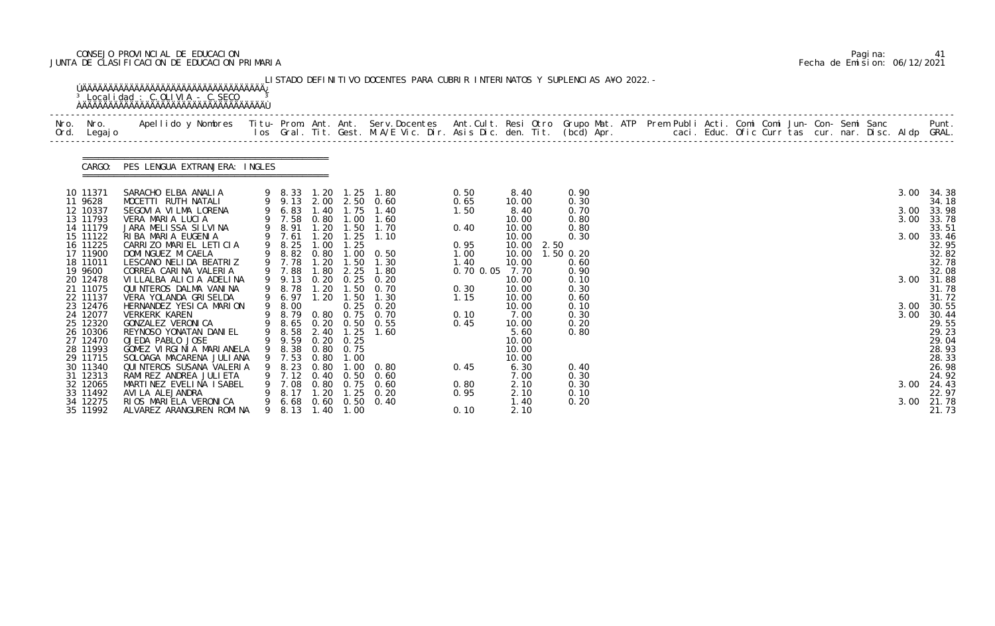# CONSEJO PROVINCIAL DE EDUCACION Pagina: 41 JUNTA DE CLASIFICACION DE EDUCACION PRIMARIA Fecha de Emision: 06/12/2021

| Apellido y Nombres - Titu- Prom. Ant. Ant. Serv.Docentes - Ant.Cult. Resi Otro Grupo Mat. ATP Prem Publi Acti. Comi Comi Jun- Con- Semi Sanc - - - - Punt.<br>Ios Gral. Tit. Gest. M.A/E Vic. Dir. Asis Dic. den. Tit. (bcd) Apr.<br>Nro. Nro.<br>Ord. Legajo<br>CARGO: PES LENGUA EXTRANJERA: INGLES<br>10 11371<br>SARACHO ELBA ANALIA<br>9 8.33 1.20 1.25 1.80<br>0.50<br>8.40<br>0.90<br>9 9.13 2.00 2.50 0.60<br>MOCETTI RUTH NATALI<br>11 9628<br>0.65<br>0.30<br>10.00<br>6.83<br>1.40<br>12 10337<br>1.75<br>0.70<br>SEGOVIA VILMA LORENA<br>1.40<br>1.50<br>8.40<br>9 7.58<br>13 11793<br>0.80<br>VERA MARIA LUCIA<br>1.00<br>10.00<br>1.60<br>0.80<br>9 8.91<br>1.20<br>14 11179<br>JARA MELISSA SILVINA<br>1.50<br>1.70<br>0.40<br>10.00<br>0.80<br>9 7.61<br>1.20<br>15 11122<br>RIBA MARIA EUGENIA<br>1.25<br>0.30<br>1.10<br>10.00 |      |                |
|--------------------------------------------------------------------------------------------------------------------------------------------------------------------------------------------------------------------------------------------------------------------------------------------------------------------------------------------------------------------------------------------------------------------------------------------------------------------------------------------------------------------------------------------------------------------------------------------------------------------------------------------------------------------------------------------------------------------------------------------------------------------------------------------------------------------------------------------------|------|----------------|
|                                                                                                                                                                                                                                                                                                                                                                                                                                                                                                                                                                                                                                                                                                                                                                                                                                                  |      |                |
|                                                                                                                                                                                                                                                                                                                                                                                                                                                                                                                                                                                                                                                                                                                                                                                                                                                  |      |                |
|                                                                                                                                                                                                                                                                                                                                                                                                                                                                                                                                                                                                                                                                                                                                                                                                                                                  | 3.00 | 34.38          |
|                                                                                                                                                                                                                                                                                                                                                                                                                                                                                                                                                                                                                                                                                                                                                                                                                                                  | 3.00 | 34.18<br>33.98 |
|                                                                                                                                                                                                                                                                                                                                                                                                                                                                                                                                                                                                                                                                                                                                                                                                                                                  | 3.00 | 33.78          |
|                                                                                                                                                                                                                                                                                                                                                                                                                                                                                                                                                                                                                                                                                                                                                                                                                                                  |      | 33.51          |
|                                                                                                                                                                                                                                                                                                                                                                                                                                                                                                                                                                                                                                                                                                                                                                                                                                                  | 3.00 | 33.46          |
| 16 11225<br>CARRIZO MARIEL LETICIA<br>9 8.25<br>1.00<br>1.25<br>0.95<br>10.00 2.50                                                                                                                                                                                                                                                                                                                                                                                                                                                                                                                                                                                                                                                                                                                                                               |      | 32.95          |
| 9 8.82 0.80<br>17 11900<br>DOMI NGUEZ MI CAELA<br>$1.00 \quad 0.50$<br>10.00<br>1.50 0.20<br>1.00                                                                                                                                                                                                                                                                                                                                                                                                                                                                                                                                                                                                                                                                                                                                                |      | 32.82          |
| 9 7.78<br>1.20<br>LESCANO NELIDA BEATRIZ<br>1.50<br>18 11011<br>1.30<br>1.40<br>10.00<br>0.60<br>9 7.88<br>19 9600<br>CORREA CARINA VALERIA<br>1.80<br>2.25<br>1.80<br>0.70 0.05<br>7.70<br>0.90                                                                                                                                                                                                                                                                                                                                                                                                                                                                                                                                                                                                                                                 |      | 32.78<br>32.08 |
| $0.20$ $0.25$ $0.20$<br>9 9.13<br>20 12478<br>VILLALBA ALICIA ADELINA<br>0.10<br>10.00                                                                                                                                                                                                                                                                                                                                                                                                                                                                                                                                                                                                                                                                                                                                                           | 3.00 | 31.88          |
| 1.20<br>QUINTEROS DALMA VANINA<br>9 8.78<br>21 11075<br>1.50<br>0.30<br>0.70<br>0.30<br>10.00                                                                                                                                                                                                                                                                                                                                                                                                                                                                                                                                                                                                                                                                                                                                                    |      | 31.78          |
| 9 6.97<br>22 11137<br>VERA YOLANDA GRISELDA<br>1.20<br>1.50<br>1.15<br>10.00<br>0.60<br>1.30                                                                                                                                                                                                                                                                                                                                                                                                                                                                                                                                                                                                                                                                                                                                                     |      | 31.72          |
| 9 8.00<br>$0.25$ 0.20<br>23 12476<br>HERNANDEZ YESICA MARION<br>0.10<br>10.00                                                                                                                                                                                                                                                                                                                                                                                                                                                                                                                                                                                                                                                                                                                                                                    | 3.00 | 30.55          |
| 24 12077<br>0.80 0.75 0.70<br><b>VERKERK KAREN</b><br>9 8.79<br>0.10<br>7.00<br>0.30                                                                                                                                                                                                                                                                                                                                                                                                                                                                                                                                                                                                                                                                                                                                                             | 3.00 | 30.44          |
| 25 12320<br>9 8.65 0.20 0.50 0.55<br>GONZALEZ VERONI CA<br>10.00<br>0.20<br>0.45<br>2.40 1.25 1.60                                                                                                                                                                                                                                                                                                                                                                                                                                                                                                                                                                                                                                                                                                                                               |      | 29.55          |
| 9 8.58<br>26 10306<br>REYNOSO YONATAN DANI EL<br>5.60<br>0.80<br>9 9.59<br>OJEDA PABLO JOSE<br>$0.20 \quad 0.25$<br>27 12470<br>10.00                                                                                                                                                                                                                                                                                                                                                                                                                                                                                                                                                                                                                                                                                                            |      | 29.23<br>29.04 |
| GOMEZ VIRGINIA MARIANELA<br>9 8.38 0.80 0.75<br>28 11993<br>10.00                                                                                                                                                                                                                                                                                                                                                                                                                                                                                                                                                                                                                                                                                                                                                                                |      | 28.93          |
| 29 11715<br>SOLOAGA MACARENA JULIANA<br>7.53<br>0.80<br>1.00<br>10.00                                                                                                                                                                                                                                                                                                                                                                                                                                                                                                                                                                                                                                                                                                                                                                            |      | 28.33          |
| 30 11340<br>QUINTEROS SUSANA VALERIA<br>0.80<br>0.45<br>6.30<br>0.40<br>8.23<br>. 00<br>0.80                                                                                                                                                                                                                                                                                                                                                                                                                                                                                                                                                                                                                                                                                                                                                     |      | 26.98          |
| 31 12313<br>RAMI REZ ANDREA JULI ETA<br>0.50<br>7.00<br>0.30<br>9 7.12<br>0.40<br>0.60                                                                                                                                                                                                                                                                                                                                                                                                                                                                                                                                                                                                                                                                                                                                                           |      | 24.92          |
| 32 12065<br>MARTINEZ EVELINA ISABEL<br>7.08<br>0.80<br>0. 75<br>2.10<br>0.30<br>0.80<br>0.60                                                                                                                                                                                                                                                                                                                                                                                                                                                                                                                                                                                                                                                                                                                                                     | 3.00 | 24.43          |
| 2.10<br>33 11492<br>8.17<br>1.20<br>1.25<br>0.10<br>AVI LA ALEJANDRA<br>0.20<br>0.95<br>RIOS MARIELA VERONICA<br>0.40                                                                                                                                                                                                                                                                                                                                                                                                                                                                                                                                                                                                                                                                                                                            |      | 22.97<br>21.78 |
| 34 12275<br>9 6.68<br>$0.60 \quad 0.50$<br>0.20<br>1.40<br>35 11992<br>9 8.13<br>0.10<br>2.10<br>ALVAREZ ARANGUREN ROMINA<br>1.40 1.00                                                                                                                                                                                                                                                                                                                                                                                                                                                                                                                                                                                                                                                                                                           | 3.00 | 21.73          |

|  | Pagi na: | 41                           |
|--|----------|------------------------------|
|  |          | Fecha de Emision: 06/12/2021 |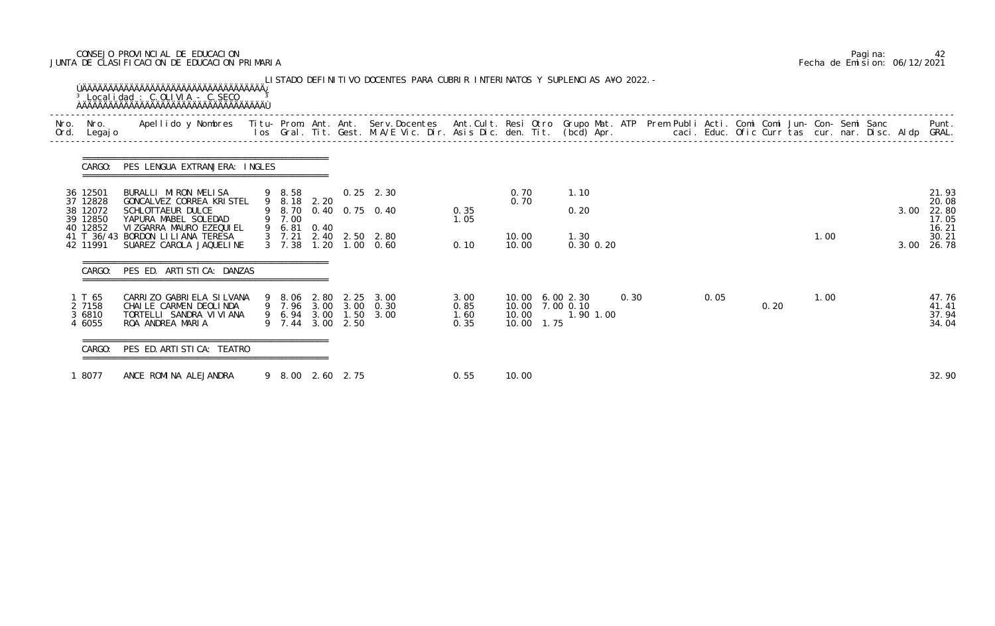# CONSEJO PROVINCIAL DE EDUCACION Pagina: 42 JUNTA DE CLASIFICACION DE EDUCACION PRIMARIA Fecha de Emision: 06/12/2021

| Nro.<br>Ord. | Nro.<br>Legaj o                      | Apellido y Nombres Titu- Prom. Ant. Ant. Serv.Docentes Ant.Cult. Resi Otro Grupo Mat. ATP Prem Publi Acti. Comi Comi Jun- Con- Semi Sanc Punt.<br>Ios Gral. Tit. Gest. M.A/E Vic. Dir. Asis Dic. den. Tit. (bcd) Apr. |                       |                  |                                                                         |                              |                |            |                                                 |      |  |      |      |      |  |      |                                  |
|--------------|--------------------------------------|-----------------------------------------------------------------------------------------------------------------------------------------------------------------------------------------------------------------------|-----------------------|------------------|-------------------------------------------------------------------------|------------------------------|----------------|------------|-------------------------------------------------|------|--|------|------|------|--|------|----------------------------------|
|              | CARGO:                               | PES LENGUA EXTRANJERA: INGLES                                                                                                                                                                                         |                       |                  |                                                                         |                              |                |            |                                                 |      |  |      |      |      |  |      |                                  |
|              | 36 12501<br>37 12828<br>38 12072     | BURALLI MIRON MELISA<br>GONCALVEZ CORREA KRISTEL<br><b>SCHLOTTAEUR DULCE</b>                                                                                                                                          | 9 8.58<br>9 8.18 2.20 |                  | $0.25$ 2.30<br>9 8.70 0.40 0.75 0.40                                    | 0.35                         | 0.70<br>0.70   |            | 1.10<br>0.20                                    |      |  |      |      |      |  | 3.00 | 21.93<br>20.08<br>22.80          |
|              | 39 12850<br>40 12852                 | YAPURA MABEL SOLEDAD<br>VIZGARRA MAURO EZEQUIEL                                                                                                                                                                       | 9 7.00<br>9 6.81 0.40 |                  |                                                                         | 1.05                         |                |            |                                                 |      |  |      |      |      |  |      | 17.05<br>16.21                   |
|              | 42 11991                             | 41 T 36/43 BORDON LILIANA TERESA<br>SUAREZ CAROLA JAQUELINE                                                                                                                                                           | $3 \quad 7.38$        |                  | 3 7.21 2.40 2.50 2.80<br>$1, 20$ $1, 00$ $0, 60$                        | 0.10                         | 10.00<br>10.00 |            | 1.30<br>0.30 0.20                               |      |  |      |      | 1.00 |  |      | 30.21<br>3.00 26.78              |
|              | CARGO:                               | PES ED. ARTISTICA: DANZAS                                                                                                                                                                                             |                       |                  |                                                                         |                              |                |            |                                                 |      |  |      |      |      |  |      |                                  |
|              | 1 T 65<br>2 7158<br>3 6810<br>4 6055 | CARRIZO GABRIELA SILVANA<br>CHAILE CARMEN DEOLINDA<br>TORTELLI SANDRA VI VI ANA<br>ROA ANDREA MARIA                                                                                                                   |                       | 9 7.44 3.00 2.50 | 9 8.06 2.80 2.25 3.00<br>9 7.96 3.00 3.00 0.30<br>9 6.94 3.00 1.50 3.00 | 3.00<br>0.85<br>1.60<br>0.35 | 10.00          | 10.00 1.75 | 10.00 6.00 2.30<br>10.00 7.00 0.10<br>1.90 1.00 | 0.30 |  | 0.05 | 0.20 | 1.00 |  |      | 47.76<br>41.41<br>37.94<br>34.04 |
|              | CARGO:                               | PES ED. ARTI STI CA: TEATRO                                                                                                                                                                                           |                       |                  |                                                                         |                              |                |            |                                                 |      |  |      |      |      |  |      |                                  |
|              | 1 8077                               | ANCE ROMINA ALEJANDRA                                                                                                                                                                                                 | 9 8.00 2.60 2.75      |                  |                                                                         | 0.55                         | 10.00          |            |                                                 |      |  |      |      |      |  |      | 32.90                            |

|  | Pagi na: |                              |
|--|----------|------------------------------|
|  |          | Fecha de Emision: 06/12/2021 |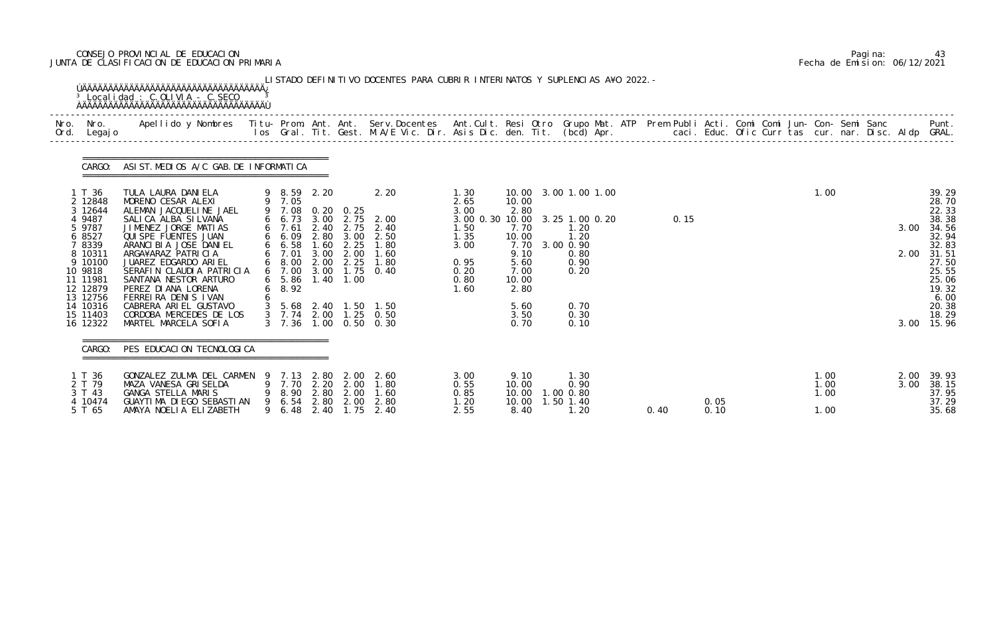# CONSEJO PROVINCIAL DE EDUCACION Pagina: 43 JUNTA DE CLASIFICACION DE EDUCACION PRIMARIA Fecha de Emision: 06/12/2021

| Nro.<br>Ord. | Nro.<br>Legaj o      | Apellido y Nombres - Titu- Prom. Ant. Ant. Serv.Docentes - Ant.Cult. Resi Otro Grupo Mat. ATP Prem Publi Acti. Comi Comi Jun- Con- Semi Sanc - - - - Punt.<br>Ios Gral. Tit. Gest. M.A/E Vic. Dir. Asis Dic. den. Tit. (bcd) Apr. |                |                                |              |                  |                                         |                         |                |                        |      |      |              |  |      |                |
|--------------|----------------------|-----------------------------------------------------------------------------------------------------------------------------------------------------------------------------------------------------------------------------------|----------------|--------------------------------|--------------|------------------|-----------------------------------------|-------------------------|----------------|------------------------|------|------|--------------|--|------|----------------|
|              | CARGO:               | ASIST. MEDIOS A/C GAB. DE INFORMATICA                                                                                                                                                                                             |                |                                |              |                  |                                         |                         |                |                        |      |      |              |  |      |                |
|              | 1 T 36<br>2 12848    | TULA LAURA DANI ELA<br>MORENO CESAR ALEXI                                                                                                                                                                                         |                | 9 8.59 2.20<br>9 7.05          |              |                  | 2.20                                    | 1.30<br>2.65            | 10.00          | 10.00 3.00 1.00 1.00   |      |      | 1.00         |  |      | 39.29<br>28.70 |
|              | 3 12644              | ALEMAN JACQUELINE JAEL                                                                                                                                                                                                            |                |                                |              | 9 7.08 0.20 0.25 |                                         | 3.00                    | 2.80           |                        |      |      |              |  |      | 22.33          |
|              | 4 9487<br>5 9787     | SALICA ALBA SILVANA<br>JIMENEZ JORGE MATIAS                                                                                                                                                                                       |                | 6 6.73<br>$6$ 7.61             | 3.00         | 2.40 2.75        | 2.75 2.00<br>2.40                       | 3.00 0.30 10.00<br>1.50 | 7.70           | 3.25 1.00 0.20<br>1.20 | 0.15 |      |              |  | 3.00 | 38.38<br>34.56 |
|              | 6 8527               | QUI SPE FUENTES JUAN                                                                                                                                                                                                              |                | 6 6.09                         | 2.80         | 3.00             | 2.50                                    | 1.35                    | 10.00          | 1.20                   |      |      |              |  |      | 32.94          |
|              | 7 8339<br>8 10311    | ARANCI BI A JOSE DANI EL<br>ARGA¥ARAZ PATRICIA                                                                                                                                                                                    |                | 6 6.58<br>6 7.01               | 1.60<br>3.00 | 2.25<br>2.00     | 1.80<br>1.60                            | 3.00                    | 7.70<br>9.10   | 3.00 0.90<br>0.80      |      |      |              |  | 2.00 | 32.83<br>31.51 |
|              | 9 10100              | JUAREZ EDGARDO ARIEL                                                                                                                                                                                                              |                | 6 8.00                         |              | 2.00 2.25        | 1.80                                    | 0.95                    | 5.60           | 0.90                   |      |      |              |  |      | 27.50          |
|              | 10 9818              | SERAFIN CLAUDIA PATRICIA                                                                                                                                                                                                          |                | 6 7.00                         |              |                  | 3.00 1.75 0.40                          | 0.20                    | 7.00           | 0.20                   |      |      |              |  |      | 25.55          |
|              | 11 11981<br>12 12879 | SANTANA NESTOR ARTURO<br>PEREZ DI ANA LORENA                                                                                                                                                                                      |                | $6\quad 5.86$<br>$6\quad 8.92$ |              | 1.40 1.00        |                                         | 0.80<br>1.60            | 10.00<br>2.80  |                        |      |      |              |  |      | 25.06<br>19.32 |
|              | 13 12756             | FERREIRA DENIS IVAN                                                                                                                                                                                                               |                |                                |              |                  |                                         |                         |                |                        |      |      |              |  |      | 6.00           |
|              | 14 10316             | CABRERA ARIEL GUSTAVO                                                                                                                                                                                                             | 3 <sup>1</sup> |                                |              |                  | 5.68 2.40 1.50 1.50                     |                         | 5.60           | 0.70                   |      |      |              |  |      | 20.38          |
|              | 15 11403<br>16 12322 | CORDOBA MERCEDES DE LOS<br>MARTEL MARCELA SOFIA                                                                                                                                                                                   |                | $3 \quad 7.36$                 |              |                  | 3 7.74 2.00 1.25 0.50<br>1.00 0.50 0.30 |                         | 3.50<br>0.70   | 0.30<br>0.10           |      |      |              |  | 3.00 | 18.29<br>15.96 |
|              |                      |                                                                                                                                                                                                                                   |                |                                |              |                  |                                         |                         |                |                        |      |      |              |  |      |                |
|              | CARGO:               | PES EDUCACION TECNOLOGICA                                                                                                                                                                                                         |                |                                |              |                  |                                         |                         |                |                        |      |      |              |  |      |                |
|              | 1 T 36               | GONZALEZ ZULMA DEL CARMEN                                                                                                                                                                                                         |                |                                |              | 9 7.13 2.80 2.00 | - 2.60                                  | 3.00                    | 9.10           | 1.30                   |      |      | 1.00         |  |      | 2.00 39.93     |
|              | 2 T 79<br>3 T 43     | MAZA VANESA GRISELDA<br>GANGA STELLA MARIS                                                                                                                                                                                        |                | 9 7.70<br>8.90                 | 2.20<br>2.80 | 2.00<br>2.00     | 1.80<br>1.60                            | 0.55<br>0.85            | 10.00<br>10.00 | 0.90<br>1.00 0.80      |      |      | 1.00<br>1.00 |  | 3.00 | 38.15<br>37.95 |
|              | 4 10474              | GUAYTIMA DIEGO SEBASTIAN                                                                                                                                                                                                          |                | 9 6.54                         | 2.80         | 2.00             | 2.80                                    | 1.20                    | 10.00          | 1.50 1.40              |      | 0.05 |              |  |      | 37.29          |
|              | 5 T 65               | AMAYA NOELIA ELIZABETH                                                                                                                                                                                                            |                | 9 6.48                         | 2.40         | 1.75             | 2.40                                    | 2.55                    | 8.40           | 1.20                   | 0.40 | 0.10 | 1.00         |  |      | 35.68          |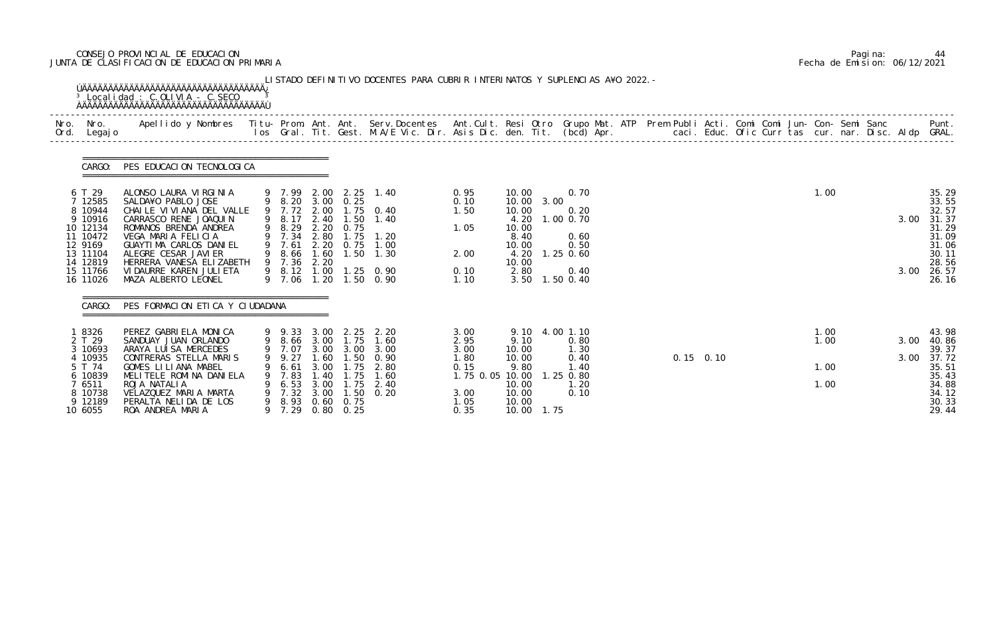# CONSEJO PROVINCIAL DE EDUCACION Pagina: 44 JUNTA DE CLASIFICACION DE EDUCACION PRIMARIA Fecha de Emision: 06/12/2021

| Nro.<br>Ord. | Nro.<br>Legaj o                                                                                                            | Apellido y Nombres - Titu- Prom. Ant. Ant. Serv.Docentes - Ant.Cult. Resi Otro Grupo Mat. ATP Prem Publi Acti. Comi Comi Jun- Con- Semi Sanc - - - Punt.<br>Ios Gral. Tit. Gest. M.A/E Vic. Dir. Asis Dic. den. Tit. (bcd) Apr. -                                                |   |                                                                    |                                      |                                                                               |                                                                                                                                                        |                                                          |                                                                                                 |                                                                                 |           |  |  |              |  |              |                                                                                                 |
|--------------|----------------------------------------------------------------------------------------------------------------------------|----------------------------------------------------------------------------------------------------------------------------------------------------------------------------------------------------------------------------------------------------------------------------------|---|--------------------------------------------------------------------|--------------------------------------|-------------------------------------------------------------------------------|--------------------------------------------------------------------------------------------------------------------------------------------------------|----------------------------------------------------------|-------------------------------------------------------------------------------------------------|---------------------------------------------------------------------------------|-----------|--|--|--------------|--|--------------|-------------------------------------------------------------------------------------------------|
|              | CARGO:                                                                                                                     | PES EDUCACION TECNOLOGICA                                                                                                                                                                                                                                                        |   |                                                                    |                                      |                                                                               |                                                                                                                                                        |                                                          |                                                                                                 |                                                                                 |           |  |  |              |  |              |                                                                                                 |
|              | 6 T 29<br>7 12585<br>8 10944<br>9 10916<br>10 12134<br>11 10472<br>12 9169<br>13 11104<br>14 12819<br>15 11766<br>16 11026 | ALONSO LAURA VIRGINIA<br>SALDA¥O PABLO JOSE<br>CHAILE VIVIANA DEL VALLE<br>CARRASCO RENE JOAQUIN<br>ROMANOS BRENDA ANDREA<br>VEGA MARIA FELICIA<br>GUAYTIMA CARLOS DANIEL<br>ALEGRE CESAR JAVI ER<br>HERRERA VANESA ELIZABETH<br>VI DAURRE KAREN JULI ETA<br>MAZA ALBERTO LEONEL |   | 9 8.29<br>9 7.34 2.80<br>9 7.61<br>9 8.66<br>9 7.36<br>9 8.12 1.00 | 2.20<br>1.60<br>2.20                 | 9 8.20 3.00 0.25<br>0.75<br>1.75                                              | 9 7.99 2.00 2.25 1.40<br>9 7.72 2.00 1.75 0.40<br>9 8.17 2.40 1.50 1.40<br>1.20<br>2.20 0.75 1.00<br>$1.50$ 1.30<br>1.25 0.90<br>9 7.06 1.20 1.50 0.90 | 0.95<br>0.10<br>1.50<br>1.05<br>2.00<br>0.10<br>1.10     | 10.00<br>10.00 3.00<br>10.00<br>4.20<br>10.00<br>8.40<br>10.00<br>4.20<br>10.00<br>2.80<br>3.50 | 0.70<br>0.20<br>1.00 0.70<br>0.60<br>0.50<br>$1.25$ 0.60<br>0.40<br>$1.50$ 0.40 |           |  |  | 1.00         |  | 3.00<br>3.00 | 35.29<br>33.55<br>32.57<br>31.37<br>31.29<br>31.09<br>31.06<br>30.11<br>28.56<br>26.57<br>26.16 |
|              | CARGO:                                                                                                                     | PES FORMACION ETICA Y CIUDADANA                                                                                                                                                                                                                                                  |   |                                                                    |                                      |                                                                               |                                                                                                                                                        |                                                          |                                                                                                 |                                                                                 |           |  |  |              |  |              |                                                                                                 |
|              | 8326<br>2 T 29<br>3 10693                                                                                                  | PEREZ GABRIELA MONICA<br>SANDUAY JUAN ORLANDO<br>ARAYA LUISA MERCEDES                                                                                                                                                                                                            |   |                                                                    |                                      | 9 8.66 3.00 1.75                                                              | 9 9.33 3.00 2.25 2.20<br>1.60<br>9 7.07 3.00 3.00 3.00                                                                                                 | 3.00<br>2.95<br>3.00                                     | 9.10 4.00 1.10<br>9.10<br>10.00                                                                 | 0.80<br>1.30                                                                    |           |  |  | 1.00<br>1.00 |  | 3.00         | 43.98<br>40.86<br>39.37                                                                         |
|              | 10935<br>5 T 74<br>6 10839<br>7 6511<br>8 10738<br>9 12189<br>10 6055                                                      | CONTRERAS STELLA MARIS<br>GOMES LILIANA MABEL<br>MELITELE ROMINA DANIELA<br>ROJA NATALIA<br>VELAZQUEZ MARIA MARTA<br>PERALTA NELIDA DE LOS<br>ROA ANDREA MARIA                                                                                                                   | 9 | 9.27<br>6.61<br>7.83<br>6.53<br>7.32<br>9 7.29                     | 1.60<br>3.00<br>1.40<br>3.00<br>3.00 | 1.50<br>1.75<br>1.75<br>1.75<br>1.50<br>9 8.93 0.60 0.75<br>$0.80 \quad 0.25$ | 0.90<br>2.80<br>1.60<br>2.40<br>0.20                                                                                                                   | 1. 80<br>0.15<br>1.75 0.05 10.00<br>3.00<br>1.05<br>0.35 | 10.00<br>9.80<br>10.00<br>10.00<br>10.00<br>10.00 1.75                                          | 0.40<br>1.40<br>1.25 0.80<br>1.20<br>0.10                                       | 0.15 0.10 |  |  | 1.00<br>1.00 |  | 3.00         | 37.72<br>35.51<br>35.43<br>34.88<br>34.12<br>30.33<br>29.44                                     |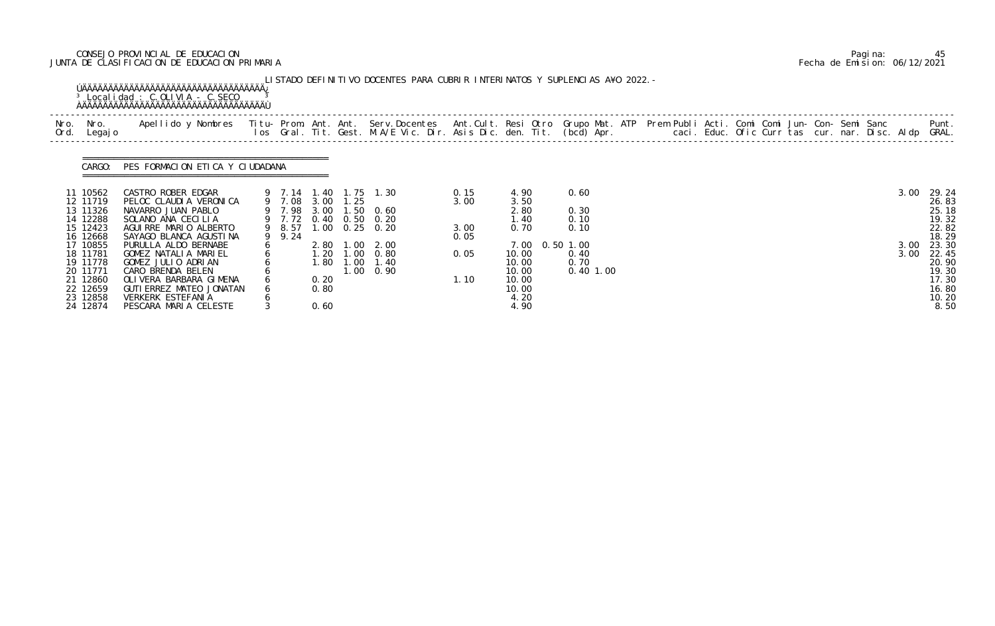# CONSEJO PROVINCIAL DE EDUCACION Pagina: 45 JUNTA DE CLASIFICACION DE EDUCACION PRIMARIA Fecha de Emision: 06/12/2021

|              |                                                                                              | <sup>3</sup> Localidad : C.OLIVIA - C.SECO                                                                                                                                                                                        |                                      |                              | LISTADO DEFINITIVO DOCENTES PARA CUBRIR INTERINATOS Y SUPLENCIAS A¥O 2022. –                            |                              |                                                                             |                              |  |  |  |              |                                                                     |
|--------------|----------------------------------------------------------------------------------------------|-----------------------------------------------------------------------------------------------------------------------------------------------------------------------------------------------------------------------------------|--------------------------------------|------------------------------|---------------------------------------------------------------------------------------------------------|------------------------------|-----------------------------------------------------------------------------|------------------------------|--|--|--|--------------|---------------------------------------------------------------------|
| Nro.<br>Ord. | Nro.<br>Legaj o                                                                              | Apellido y Nombres - Titu- Prom. Ant. Ant. Serv.Docentes - Ant.Cult. Resi Otro Grupo Mat. ATP Prem Publi Acti. Comi Comi Jun- Con- Semi Sanc - - - - Punt.<br>Ios Gral. Tit. Gest. M.A/E Vic. Dir. Asis Dic. den. Tit. (bcd) Apr. |                                      |                              |                                                                                                         |                              |                                                                             |                              |  |  |  |              | Punt.                                                               |
|              |                                                                                              | CARGO: PES FORMACION ETICA Y CIUDADANA                                                                                                                                                                                            |                                      |                              |                                                                                                         |                              |                                                                             |                              |  |  |  |              |                                                                     |
|              | 11 10562<br>12 11719<br>13 11326<br>14 12288<br>15 12423<br>16 12668                         | CASTRO ROBER EDGAR<br>PELOC CLAUDIA VERONICA<br>NAVARRO JUAN PABLO<br>SOLANO ANA CECILIA<br>AGUIRRE MARIO ALBERTO<br>SAYAGO BLANCA AGUSTINA                                                                                       | 9 7.08 3.00 1.25<br>9 8.57<br>9 9.24 |                              | 9 7.14 1.40 1.75 1.30<br>9 7.98 3.00 1.50 0.60<br>9 7.72 0.40 0.50 0.20<br>$1.00 \quad 0.25 \quad 0.20$ | 0.15<br>3.00<br>3.00<br>0.05 | 4.90<br>3.50<br>2.80<br>1.40<br>0.70                                        | 0.60<br>0.30<br>0.10<br>0.10 |  |  |  | 3.00         | 29.24<br>26.83<br>25.18<br>19.32<br>22.82<br>18.29                  |
|              | 17 10855<br>18 11781<br>19 11778<br>20 11771<br>21 12860<br>22 12659<br>23 12858<br>24 12874 | PURULLA ALDO BERNABE<br>GOMEZ NATALIA MARIEL<br>GOMEZ JULIO ADRIAN<br>CARO BRENDA BELEN<br>OLIVERA BARBARA GIMENA<br>GUTI ERREZ MATEO JONATAN<br>VERKERK ESTEFANIA<br>PESCARA MARIA CELESTE                                       |                                      | 1.80<br>0.20<br>0.80<br>0.60 | 2.80 1.00 2.00<br>1.20 1.00 0.80<br>$1.00$ $1.40$<br>$1.00 \quad 0.90$                                  | 0.05<br>1.10                 | 7.00 0.50 1.00<br>10.00<br>10.00<br>10.00<br>10.00<br>10.00<br>4.20<br>4.90 | 0.40<br>0.70<br>$0.40$ 1.00  |  |  |  | 3.00<br>3.00 | 23.30<br>22.45<br>20.90<br>19.30<br>17.30<br>16.80<br>10.20<br>8.50 |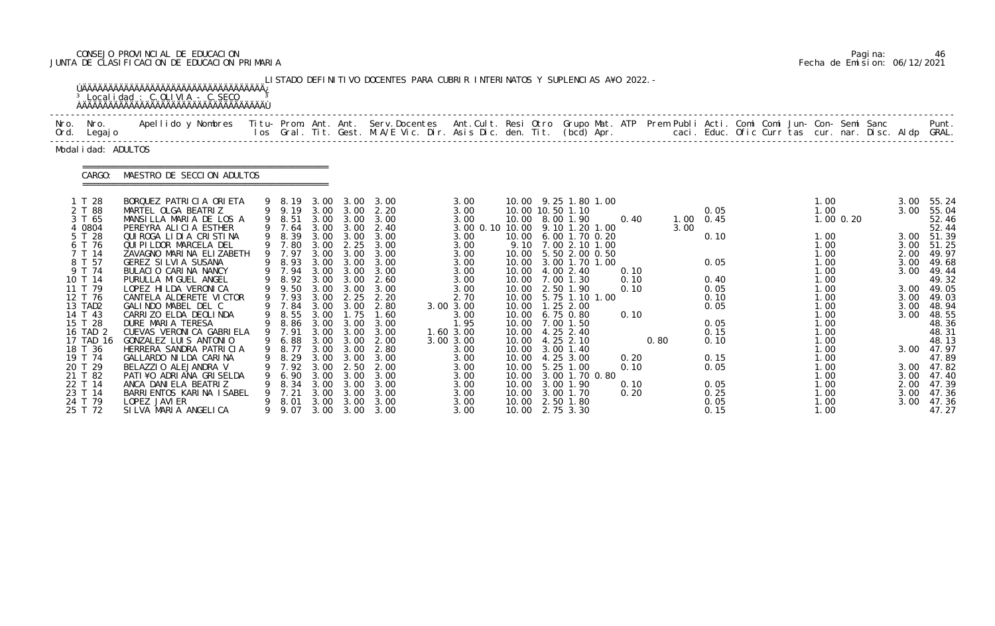# CONSEJO PROVINCIAL DE EDUCACION Pagina: 46 JUNTA DE CLASIFICACION DE EDUCACION PRIMARIA Fecha de Emision: 06/12/2021

|      |                                                                                                                                                                                                                    | <sup>3</sup> Localidad : C.OLIVIA - C.SECO                                                                                                                                                                                                                                                                                                                                                                                                                                                                                 |        |                                                                                                                                                                                                      |                                                                                                                              |                                                                                                                                                                            | LISTADO DEFINITIVO DOCENTES PARA CUBRIR INTERINATOS Y SUPLENCIAS A¥O 2022. -                                                                                 |                                                                                                                                                                                                       |                |                                                                                                                                                                                                                                                                                                                                                                                                 |                                                      |              |                                                                                                                   |  |                                                                                                                                              |               |                                                              |                                                                                                                                                                                                           |
|------|--------------------------------------------------------------------------------------------------------------------------------------------------------------------------------------------------------------------|----------------------------------------------------------------------------------------------------------------------------------------------------------------------------------------------------------------------------------------------------------------------------------------------------------------------------------------------------------------------------------------------------------------------------------------------------------------------------------------------------------------------------|--------|------------------------------------------------------------------------------------------------------------------------------------------------------------------------------------------------------|------------------------------------------------------------------------------------------------------------------------------|----------------------------------------------------------------------------------------------------------------------------------------------------------------------------|--------------------------------------------------------------------------------------------------------------------------------------------------------------|-------------------------------------------------------------------------------------------------------------------------------------------------------------------------------------------------------|----------------|-------------------------------------------------------------------------------------------------------------------------------------------------------------------------------------------------------------------------------------------------------------------------------------------------------------------------------------------------------------------------------------------------|------------------------------------------------------|--------------|-------------------------------------------------------------------------------------------------------------------|--|----------------------------------------------------------------------------------------------------------------------------------------------|---------------|--------------------------------------------------------------|-----------------------------------------------------------------------------------------------------------------------------------------------------------------------------------------------------------|
| Nro. | Nro.<br>Ord. Legajo                                                                                                                                                                                                | Apellido y Nombres - Titu- Prom. Ant. Ant. Serv.Docentes - Ant.Cult. Resi Otro Grupo Mat. ATP Prem Publi Acti. Comi Comi Jun- Con- Semi Sanc - - - Punt.<br>Ios Gral. Tit. Gest. M.A/E Vic. Dir. Asis Dic. den. Tit. (bcd) Apr. -                                                                                                                                                                                                                                                                                          |        |                                                                                                                                                                                                      |                                                                                                                              |                                                                                                                                                                            |                                                                                                                                                              |                                                                                                                                                                                                       |                |                                                                                                                                                                                                                                                                                                                                                                                                 |                                                      |              |                                                                                                                   |  |                                                                                                                                              |               |                                                              |                                                                                                                                                                                                           |
|      | Modal i dad: ADULTOS                                                                                                                                                                                               |                                                                                                                                                                                                                                                                                                                                                                                                                                                                                                                            |        |                                                                                                                                                                                                      |                                                                                                                              |                                                                                                                                                                            |                                                                                                                                                              |                                                                                                                                                                                                       |                |                                                                                                                                                                                                                                                                                                                                                                                                 |                                                      |              |                                                                                                                   |  |                                                                                                                                              |               |                                                              |                                                                                                                                                                                                           |
|      | CARGO:                                                                                                                                                                                                             | MAESTRO DE SECCION ADULTOS                                                                                                                                                                                                                                                                                                                                                                                                                                                                                                 |        |                                                                                                                                                                                                      |                                                                                                                              |                                                                                                                                                                            |                                                                                                                                                              |                                                                                                                                                                                                       |                |                                                                                                                                                                                                                                                                                                                                                                                                 |                                                      |              |                                                                                                                   |  |                                                                                                                                              |               |                                                              |                                                                                                                                                                                                           |
|      | 1 T 28<br>2 T 88<br>3 T 65<br>4 0804<br>5 T 28<br>6 T 76<br>7 T 14<br>8 T 57<br>9 T 74<br>10 T 14<br>11 T 79<br>12 T 76<br>13 TAD2<br>14 T 43<br>15 T 28<br>16 TAD 2<br>17 TAD 16<br>18 T 36<br>19 T 74<br>20 T 29 | BORQUEZ PATRICIA ORIETA<br>MARTEL OLGA BEATRIZ<br>MANSILLA MARIA DE LOS A<br>PEREYRA ALICIA ESTHER<br>QUI ROGA LI DI A CRISTINA<br>QUI PI LDOR MARCELA DEL<br>ZAVAGNO MARINA ELIZABETH<br>GEREZ SILVIA SUSANA<br>BULACIO CARINA NANCY<br>PURULLA MIGUEL ANGEL<br>LOPEZ HI LDA VERONI CA<br>CANTELA ALDERETE VICTOR<br>GALINDO MABEL DEL C<br>CARRIZO ELDA DEOLINDA<br>DURE MARIA TERESA<br>CUEVAS VERONICA GABRIELA<br>GONZALEZ LUIS ANTONIO<br>HERRERA SANDRA PATRICIA<br>GALLARDO NI LDA CARI NA<br>BELAZZIO ALEJANDRA V | 9<br>9 | 9 8.19<br>9 9.19<br>9 8.51<br>9 7.64<br>8.39<br>9 7.80<br>9 7.97<br>8.93<br>9 7.94<br>9 8.92<br>9 9.50<br>9 7.93<br>9 7.84<br>8.55<br>9 8.86<br>9 7.91<br>9 6.88<br>9 8.77 3.00 3.00<br>8.29<br>7.92 | 3.00<br>3.00<br>3.00<br>3.00<br>3.00<br>3.00<br>3.00<br>3.00<br>3.00<br>3.00<br>3.00<br>3.00<br>3.00<br>3.00<br>3.00<br>3.00 | 3.00<br>3.00<br>3.00<br>3.00 3.00<br>3.00<br>2.25<br>3.00<br>3.00<br>3.00<br>3.00<br>3.00<br>2.25<br>3.00<br>1.75<br>$3.00\quad 3.00$<br>3.00 3.00<br>3.00<br>3.00<br>2.50 | 3.00<br>2.20<br>3.00<br>2.40<br>3.00<br>3.00<br>3.00<br>3.00<br>3.00<br>2.60<br>3.00<br>2.20<br>2.80<br>1.60<br>3.00<br>3.00<br>2.00<br>2.80<br>3.00<br>2.00 | 3.00<br>3.00<br>3.00<br>3.00 0.10 10.00 9.10 1.20 1.00<br>3.00<br>3.00<br>3.00<br>3.00<br>3.00<br>3.00<br>3.00<br>2.70<br>3.00 3.00<br>3.00<br>1.95<br>1.60 3.00<br>3.00 3.00<br>3.00<br>3.00<br>3.00 | 10.00<br>10.00 | 10.00 9.25 1.80 1.00<br>10.00 10.50 1.10<br>10.00 8.00 1.90<br>6.00 1.70 0.20<br>9.10 7.00 2.10 1.00<br>10.00   5.50   2.00   0.50<br>10.00 3.00 1.70 1.00<br>10.00 4.00 2.40<br>10.00 7.00 1.30<br>10.00 2.50 1.90<br>10.00 5.75 1.10 1.00<br>10.00  1.25  2.00<br>6.75 0.80<br>10.00 7.00 1.50<br>10.00 4.25 2.40<br>10.00 4.25 2.10<br>10.00 3.00 1.40<br>10.00 4.25 3.00<br>10.00 5.25 1.00 | 0.40<br>0.10<br>0.10<br>0.10<br>0.10<br>0.20<br>0.10 | 3.00<br>0.80 | 0.05<br>$1.00 \quad 0.45$<br>0.10<br>0.05<br>0.40<br>0.05<br>0.10<br>0.05<br>0.05<br>0.15<br>0.10<br>0.15<br>0.05 |  | 1.00<br>1.00<br>1.00<br>1.00<br>1.00<br>1.00<br>1.00<br>1.00<br>1.00<br>1.00<br>1.00<br>1.00<br>1.00<br>1.00<br>1.00<br>1.00<br>1.00<br>1.00 | $1.00$ $0.20$ | 3.00<br>3.00<br>2.00<br>3.00<br>3.00<br>3.00<br>3.00<br>3.00 | 55.24<br>55.04<br>52.46<br>52.44<br>3.00 51.39<br>3.00 51.25<br>49.97<br>49.68<br>49.44<br>49.32<br>3.00 49.05<br>49.03<br>48.94<br>48.55<br>48.36<br>48.31<br>48.13<br>3.00 47.97<br>47.89<br>3.00 47.82 |
|      | 21 T 82<br>22 T 14<br>23 T 14<br>24 T 79<br>25 T 72                                                                                                                                                                | PATI ¥O ADRIANA GRISELDA<br>ANCA DANIELA BEATRIZ<br>BARRI ENTOS KARI NA I SABEL<br>LOPEZ JAVI ER<br>SILVA MARIA ANGELICA                                                                                                                                                                                                                                                                                                                                                                                                   |        | 6.90<br>8.34<br>7.21<br>8. 01<br>9 9.07                                                                                                                                                              | 3.00<br>3.00<br>3.00<br>3.00                                                                                                 | 3.00<br>3.00<br>3.00<br>3.00                                                                                                                                               | 3.00<br>3.00<br>3.00<br>3.00<br>3.00 3.00 3.00                                                                                                               | 3.00<br>3.00<br>3.00<br>3.00<br>3.00                                                                                                                                                                  |                | 10.00 3.00 1.70 0.80<br>10.00 3.00 1.90<br>10.00 3.00 1.70<br>10.00 2.50 1.80<br>10.00 2.75 3.30                                                                                                                                                                                                                                                                                                | 0.10<br>0.20                                         |              | 0.05<br>0.25<br>0.05<br>0.15                                                                                      |  | 1.00<br>1.00<br>1.00<br>1.00<br>1.00                                                                                                         |               | 3.00                                                         | 3.00 47.40<br>2.00 47.39<br>3.00 47.36<br>47.36<br>47.27                                                                                                                                                  |

|  | Pagi na: | 46                           |
|--|----------|------------------------------|
|  |          | Fecha de Emision: 06/12/2021 |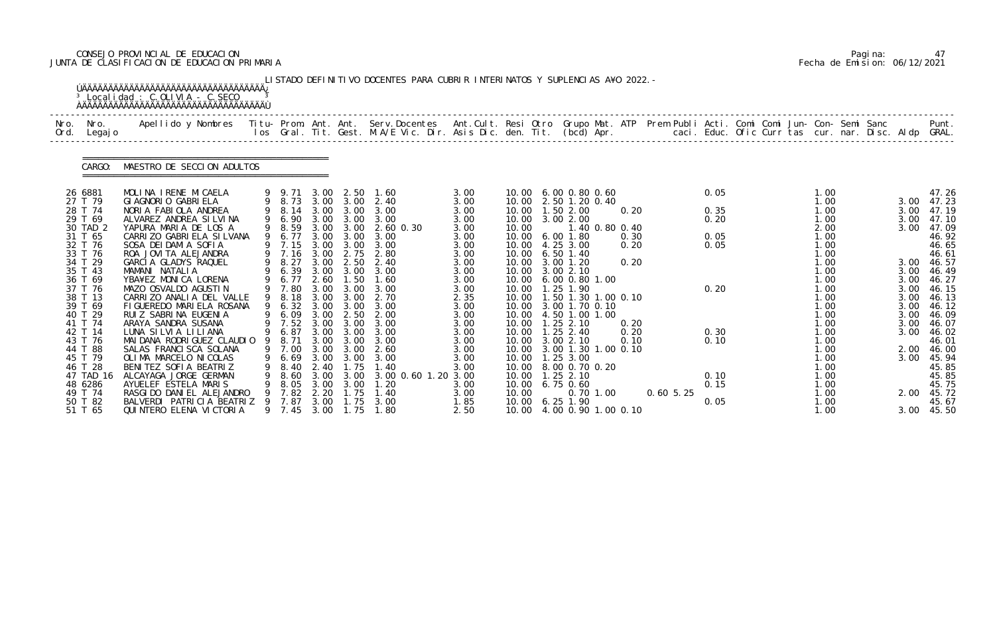# CONSEJO PROVINCIAL DE EDUCACION Pagina: 47 JUNTA DE CLASIFICACION DE EDUCACION PRIMARIA Fecha de Emision: 06/12/2021

|              |                                                                                                                                                                                                                                                                         | <sup>3</sup> Localidad : C.OLIVIA - C.SECO                                                                                                                                                                                                                                                                                                                                                                                                                                                                                                                                                                                |                  |                                                                                                                                                                                                                  |                                                                                                                                                      |                                                                                                                                                                                                                                           | LISTADO DEFINITIVO DOCENTES PARA CUBRIR INTERINATOS Y SUPLENCIAS A¥O 2022. -                                                                                                                                     |                                                                                                                                                                                      |                                                                               |                                                                                                                                                                                                                                                                                                                                                                                                                                                                        |                |                                                      |              |                                                                              |  |                                                                                                                                                                                              |                                                                                                                      |                                                                                                                                                                                                                                    |
|--------------|-------------------------------------------------------------------------------------------------------------------------------------------------------------------------------------------------------------------------------------------------------------------------|---------------------------------------------------------------------------------------------------------------------------------------------------------------------------------------------------------------------------------------------------------------------------------------------------------------------------------------------------------------------------------------------------------------------------------------------------------------------------------------------------------------------------------------------------------------------------------------------------------------------------|------------------|------------------------------------------------------------------------------------------------------------------------------------------------------------------------------------------------------------------|------------------------------------------------------------------------------------------------------------------------------------------------------|-------------------------------------------------------------------------------------------------------------------------------------------------------------------------------------------------------------------------------------------|------------------------------------------------------------------------------------------------------------------------------------------------------------------------------------------------------------------|--------------------------------------------------------------------------------------------------------------------------------------------------------------------------------------|-------------------------------------------------------------------------------|------------------------------------------------------------------------------------------------------------------------------------------------------------------------------------------------------------------------------------------------------------------------------------------------------------------------------------------------------------------------------------------------------------------------------------------------------------------------|----------------|------------------------------------------------------|--------------|------------------------------------------------------------------------------|--|----------------------------------------------------------------------------------------------------------------------------------------------------------------------------------------------|----------------------------------------------------------------------------------------------------------------------|------------------------------------------------------------------------------------------------------------------------------------------------------------------------------------------------------------------------------------|
| Nro.<br>Ord. | Nro.<br>Legaj o                                                                                                                                                                                                                                                         | Apellido y Nombres - Titu- Prom. Ant. Ant. Serv.Docentes - Ant.Cult. Resi Otro Grupo Mat. ATP Prem Publi Acti. Comi Comi Jun- Con- Semi Sanc - - - Punt.<br>Ios Gral. Tit. Gest. M.A/E Vic. Dir. Asis Dic. den. Tit. (bcd) Apr. -                                                                                                                                                                                                                                                                                                                                                                                         |                  |                                                                                                                                                                                                                  |                                                                                                                                                      |                                                                                                                                                                                                                                           |                                                                                                                                                                                                                  |                                                                                                                                                                                      |                                                                               |                                                                                                                                                                                                                                                                                                                                                                                                                                                                        |                |                                                      |              |                                                                              |  |                                                                                                                                                                                              |                                                                                                                      |                                                                                                                                                                                                                                    |
|              | CARGO:                                                                                                                                                                                                                                                                  | MAESTRO DE SECCION ADULTOS                                                                                                                                                                                                                                                                                                                                                                                                                                                                                                                                                                                                |                  |                                                                                                                                                                                                                  |                                                                                                                                                      |                                                                                                                                                                                                                                           |                                                                                                                                                                                                                  |                                                                                                                                                                                      |                                                                               |                                                                                                                                                                                                                                                                                                                                                                                                                                                                        |                |                                                      |              |                                                                              |  |                                                                                                                                                                                              |                                                                                                                      |                                                                                                                                                                                                                                    |
|              | 26 6881<br>27 T 79<br>28 T 74<br>29 T 69<br>30 TAD 2<br>31 T 65<br>32 T 76<br>33 T 76<br>34 T 29<br>35 T 43<br>36 T 69<br>37 T 76<br>38 T 13<br>39 T 69<br>40 T 29<br>41 T 74<br>42 T 14<br>43 T 76<br>44 T 88<br>45 T 79<br>46 T 28<br>47 TAD 16<br>48 6286<br>49 T 74 | MOLINA IRENE MICAELA<br>GI AGNORIO GABRI ELA<br>NORIA FABIOLA ANDREA<br>ALVAREZ ANDREA SILVINA<br>YAPURA MARIA DE LOS A<br>CARRIZO GABRIELA SILVANA<br>SOSA DEI DAMI A SOFIA<br>ROA JOVITA ALEJANDRA<br>GARCIA GLADYS RAQUEL<br>MAMANI NATALIA<br>YBA¥EZ MONICA LORENA<br>MAZO OSVALDO AGUSTIN<br>CARRIZO ANALIA DEL VALLE<br>FIGUEREDO MARIELA ROSANA<br>RUIZ SABRINA EUGENIA<br>ARAYA SANDRA SUSANA<br>LUNA SILVIA LILIANA<br>MAI DANA RODRI GUEZ CLAUDIO 9<br>SALAS FRANCI SCA SOLANA<br>OLIMA MARCELO NICOLAS<br>BENITEZ SOFIA BEATRIZ<br>ALCAYAGA JORGE GERMAN<br>AYUELEF ESTELA MARIS<br>RASGI DO DANI EL ALEJANDRO | 9<br>9<br>9<br>9 | 9 9.71<br>9 8.73<br>9 8.14<br>6.90<br>9 8.59<br>6.77<br>9 7.15<br>9 7.16<br>8.27<br>6.39<br>6.77<br>9 7.80<br>9 8.18<br>9 6.32<br>6.09<br>7.52<br>6.87<br>8.71<br>9 7.00<br>6.69<br>8.40<br>8.60<br>8.05<br>7.82 | 3.00<br>3.00<br>3.00<br>3.00<br>3.00<br>3.00<br>3.00<br>3.00<br>2.60<br>3.00<br>3.00<br>3.00<br>3.00<br>3.00<br>3.00<br>3.00<br>2.40<br>3.00<br>2.20 | 2.50<br>3.00 3.00<br>3.00<br>3.00<br>3.00 3.00<br>3.00<br>3.00<br>2.75<br>2.50<br>3.00<br>1.50<br>3.00<br>3.00<br>3.00<br>2.50<br>3.00<br>3.00 3.00<br>3.00<br>3.00 3.00<br>3.00<br>$\overline{.75}$<br>$3.00 \quad 3.00$<br>3.00<br>. 75 | 1.60<br>2.40<br>3.00<br>3.00<br>2.60 0.30<br>3.00<br>3.00<br>2.80<br>2.40<br>3.00<br>1.60<br>3.00<br>2.70<br>3.00<br>2.00<br>3.00<br>3.00<br>3.00<br>2.60<br>3.00<br>1.40<br>3.00 0.60 1.20 3.00<br>1.20<br>1.40 | 3.00<br>3.00<br>3.00<br>3.00<br>3.00<br>3.00<br>3.00<br>3.00<br>3.00<br>3.00<br>3.00<br>3.00<br>2.35<br>3.00<br>3.00<br>3.00<br>3.00<br>3.00<br>3.00<br>3.00<br>3.00<br>3.00<br>3.00 | 10.00<br>10.00<br>10.00<br>10.00<br>10.00<br>10.00<br>10.00<br>10.00<br>10.00 | 10.00 6.00 0.80 0.60<br>10.00 2.50 1.20 0.40<br>10.00  1.50  2.00<br>3.00 2.00<br>6.001.80<br>10.00 4.25 3.00<br>$6.50$ 1.40<br>$3.00$ $1.20$<br>10.00 3.00 2.10<br>10.00 6.00 0.80 1.00<br>1.25 1.90<br>1.50 1.30 1.00 0.10<br>10.00 3.00 1.70 0.10<br>10.00 4.50 1.00 1.00<br>10.00  1.25  2.10<br>10.00  1.25  2.40<br>10.00 3.00 2.10<br>10.00 3.00 1.30 1.00 0.10<br>$1.25$ $3.00$<br>10.00 8.00 0.70 0.20<br>10.00  1.25  2.10<br>10.00 6.75 0.60<br>$0.70$ 1.00 | 1.40 0.80 0.40 | 0.20<br>0.30<br>0.20<br>0.20<br>0.20<br>0.20<br>0.10 | $0.60\,5.25$ | 0.05<br>0.35<br>0.20<br>0.05<br>0.05<br>0.20<br>0.30<br>0.10<br>0.10<br>0.15 |  | 1.00<br>1.00<br>1.00<br>1.00<br>2.00<br>1.00<br>1.00<br>1.00<br>1.00<br>1.00<br>1.00<br>1.00<br>1.00<br>1.00<br>1.00<br>1.00<br>1.00<br>1.00<br>1.00<br>1.00<br>1.00<br>1.00<br>1.00<br>1.00 | 3.00<br>3.00<br>3.00<br>3.00<br>3.00<br>3.00<br>3.00<br>3.00<br>3.00<br>3.00<br>3.00<br>3.00<br>3.00<br>3.00<br>2.00 | 47.26<br>47.23<br>47.19<br>47.10<br>47.09<br>46.92<br>46.65<br>46.61<br>46.57<br>46.49<br>46.27<br>46.15<br>46.13<br>46.12<br>46.09<br>46.07<br>46.02<br>46.01<br>2.00 46.00<br>45.94<br>45.85<br>45.85<br>45.75<br>45.72<br>45.67 |
|              | 50 T 82<br>51 T 65                                                                                                                                                                                                                                                      | BALVERDI PATRICIA BEATRIZ<br>QUI NTERO ELENA VI CTORI A                                                                                                                                                                                                                                                                                                                                                                                                                                                                                                                                                                   |                  | 7.87<br>9 7.45                                                                                                                                                                                                   | 3.00<br>3.00                                                                                                                                         | $\overline{\phantom{0}}$ . 75<br>1.75                                                                                                                                                                                                     | 3.00<br>1.80                                                                                                                                                                                                     | 1.85<br>2.50                                                                                                                                                                         |                                                                               | 10.00 6.25 1.90<br>10.00 4.00 0.90 1.00 0.10                                                                                                                                                                                                                                                                                                                                                                                                                           |                |                                                      |              | 0.05                                                                         |  | 1.00<br>1.00                                                                                                                                                                                 | 3.00                                                                                                                 | 45.50                                                                                                                                                                                                                              |

|  | Pagi na: | 47                           |
|--|----------|------------------------------|
|  |          | Fecha de Emision: 06/12/2021 |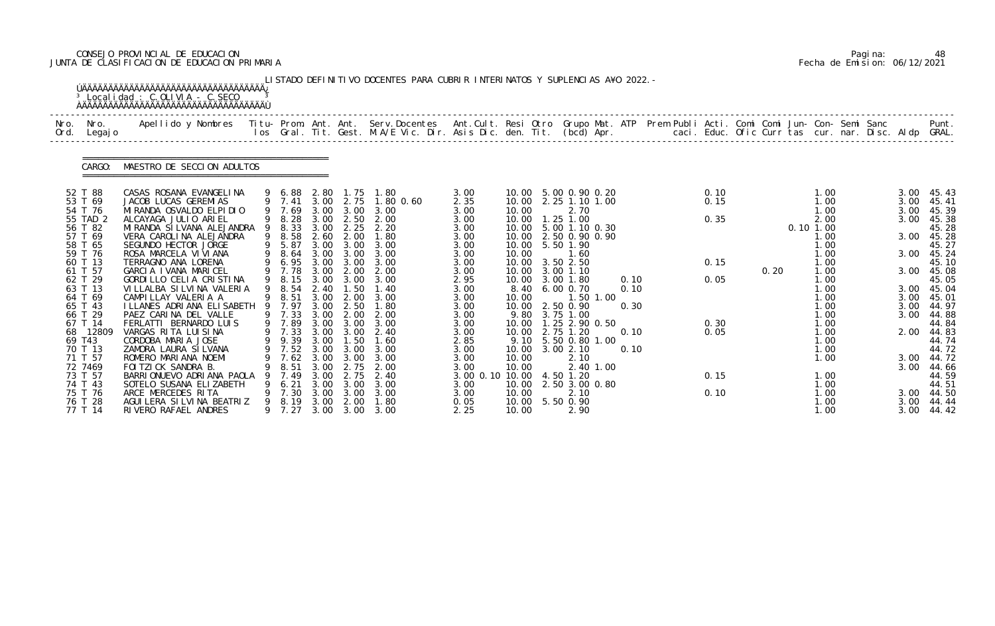# CONSEJO PROVINCIAL DE EDUCACION Pagina: 48 JUNTA DE CLASIFICACION DE EDUCACION PRIMARIA Fecha de Emision: 06/12/2021

|              |                    | <sup>3</sup> Localidad : C.OLIVIA - C.SECO                                                                                                                                                                                        |   |                  |              |               | LISTADO DEFINITIVO DOCENTES PARA CUBRIR INTERINATOS Y SUPLENCIAS A¥O 2022. - |                 |                |                                        |           |      |  |              |      |             |              |  |              |                |
|--------------|--------------------|-----------------------------------------------------------------------------------------------------------------------------------------------------------------------------------------------------------------------------------|---|------------------|--------------|---------------|------------------------------------------------------------------------------|-----------------|----------------|----------------------------------------|-----------|------|--|--------------|------|-------------|--------------|--|--------------|----------------|
| Nro.<br>Ord. | Nro.<br>Legaj o    | Apellido y Nombres  Titu- Prom. Ant. Ant.  Serv.Docentes  Ant.Cult. Resi Otro  Grupo Mat. ATP  Prem Publi Acti. Comi Comi Jun- Con- Semi Sanc              Punt.<br>Ios Gral. Tit. Gest. M.A/E Vic. Dir. Asis Dic. den. Tit. (bcd |   |                  |              |               |                                                                              |                 |                |                                        |           |      |  |              |      |             |              |  |              |                |
|              | CARGO:             | MAESTRO DE SECCION ADULTOS                                                                                                                                                                                                        |   |                  |              |               |                                                                              |                 |                |                                        |           |      |  |              |      |             |              |  |              |                |
|              | 52 T 88<br>53 T 69 | CASAS ROSANA EVANGELINA<br>JACOB LUCAS GEREMIAS                                                                                                                                                                                   |   | 9 6.88<br>9 7.41 | 2.80<br>3.00 | 1. 75<br>2.75 | 1.80<br>1.80 0.60                                                            | 3.00<br>2.35    | 10.00          | 10.00 5.00 0.90 0.20<br>2.25 1.10 1.00 |           |      |  | 0.10<br>0.15 |      |             | 1.00<br>1.00 |  | 3.00<br>3.00 | 45.43<br>45.41 |
|              | 54 T 76            | MI RANDA OSVALDO ELPI DI O                                                                                                                                                                                                        |   | 9 7.69           | 3.00         | 3.00          | 3.00                                                                         | 3.00            | 10.00          | 2.70                                   |           |      |  |              |      |             | 1.00         |  | 3.00         | 45.39          |
|              | 55 TAD 2           | ALCAYAGA JULIO ARIEL                                                                                                                                                                                                              |   | 9 8.28           | 3.00         | 2.50          | 2.00                                                                         | 3.00            | 10.00          | 1.25 1.00                              |           |      |  | 0.35         |      |             | 2.00         |  | 3.00         | 45.38          |
|              | 56 T 82            | MI RANDA SI LVANA ALEJANDRA                                                                                                                                                                                                       |   | 9 8.33           | 3.00         | 2.25          | 2.20                                                                         | 3.00            |                | 10.00 5.00 1.10 0.30                   |           |      |  |              |      | $0.10$ 1.00 |              |  |              | 45.28          |
|              | 57 T 69<br>58 T 65 | VERA CAROLINA ALEJANDRA<br>SEGUNDO HECTOR JORGE                                                                                                                                                                                   |   | 9 8.58<br>9 5.87 | 2.60<br>3.00 | 2.00<br>3.00  | 1.80<br>3.00                                                                 | 3.00<br>3.00    | 10.00<br>10.00 | 2.50 0.90 0.90<br>5.50 1.90            |           |      |  |              |      |             | 1.00<br>1.00 |  | 3.00         | 45.28<br>45.27 |
|              | 59 T 76            | ROSA MARCELA VI VI ANA                                                                                                                                                                                                            |   | 9 8.64           | 3.00         | 3.00          | 3.00                                                                         | 3.00            | 10.00          | 1.60                                   |           |      |  |              |      |             | 1.00         |  | 3.00         | 45.24          |
|              | 60 T 13            | TERRAGNO ANA LORENA                                                                                                                                                                                                               |   | 6.95             | 3.00         | 3.00          | 3.00                                                                         | 3.00            | 10.00          | 3.50 2.50                              |           |      |  | 0.15         |      |             | 1.00         |  |              | 45.10          |
|              | 61 T 57            | GARCIA IVANA MARICEL                                                                                                                                                                                                              |   | 9 7.78           | 3.00         | 2.00          | 2.00                                                                         | 3.00            | 10.00          | 3.00 1.10                              |           |      |  |              | 0.20 |             | 1.00         |  | 3.00         | 45.08          |
|              | 62 T 29            | GORDILLO CELIA CRISTINA                                                                                                                                                                                                           |   | 9 8.15           | 3.00         | 3.00          | 3.00                                                                         | 2.95            |                | 10.00 3.00 1.80                        |           | 0.10 |  | 0.05         |      |             | 1.00         |  |              | 45.05          |
|              | 63 T 13<br>64 T 69 | VI LLALBA SI LVI NA VALERIA<br>CAMPILLAY VALERIA A                                                                                                                                                                                |   | 9 8.54<br>9 8.51 | 2.40<br>3.00 | 1.50<br>2.00  | 1.40<br>3.00                                                                 | 3.00<br>3.00    | 8.40<br>10.00  | 6.00 0.70                              | 1.50 1.00 | 0.10 |  |              |      |             | 1.00<br>1.00 |  | 3.00<br>3.00 | 45.04<br>45.01 |
|              | 65 T 43            | I LLANES ADRI ANA ELI SABETH                                                                                                                                                                                                      |   | 9 7.97           | 3.00         | 2.50          | 1.80                                                                         | 3.00            | 10.00          | 2.50 0.90                              |           | 0.30 |  |              |      |             | 1.00         |  | 3.00         | 44.97          |
|              | 66 T 29            | PAEZ CARINA DEL VALLE                                                                                                                                                                                                             |   | 9 7.33           | 3.00         | 2.00          | 2.00                                                                         | 3.00            | 9.80           | 3.75 1.00                              |           |      |  |              |      |             | 1.00         |  | 3.00         | 44.88          |
|              | 67 T 14            | FERLATTI BERNARDO LUIS                                                                                                                                                                                                            |   | 9 7.89           | 3.00         | 3.00          | 3.00                                                                         | 3.00            | 10.00          | 1.25 2.90 0.50                         |           |      |  | 0.30         |      |             | 1.00         |  |              | 44.84          |
|              | 68 12809           | VARGAS RITA LUISINA                                                                                                                                                                                                               |   | 9 7.33           | 3.00         | 3.00          | 2.40                                                                         | 3.00            | 10.00          | 2.75 1.20<br>9.10 5.50 0.80 1.00       |           | 0.10 |  | 0.05         |      |             | 1.00         |  | 2.00         | 44.83          |
|              | 69 T43<br>70 T 13  | CORDOBA MARIA JOSE<br>ZAMORA LAURA SI LVANA                                                                                                                                                                                       |   | 9 9.39 3.00      |              | 1.50          | 1.60<br>9 7.52 3.00 3.00 3.00                                                | 2.85<br>3.00    |                | 10.00 3.00 2.10                        |           | 0.10 |  |              |      |             | 1.00<br>1.00 |  |              | 44.74<br>44.72 |
|              | 71 T 57            | ROMERO MARIANA NOEMI                                                                                                                                                                                                              | 9 | 7.62             | 3.00         | 3.00          | 3.00                                                                         | 3.00            | 10.00          | 2.10                                   |           |      |  |              |      |             | 1.00         |  |              | 3.00 44.72     |
|              | 72 7469            | FOI TZI CK SANDRA B.                                                                                                                                                                                                              |   | 8.51             | 3.00         | 2.75          | 2.00                                                                         | 3.00            | 10.00          |                                        | 2.40 1.00 |      |  |              |      |             |              |  | 3.00         | 44.66          |
|              | 73 T 57            | BARRIONUEVO ADRIANA PAOLA                                                                                                                                                                                                         |   | 7.49             | 3.00         | 2.75          | 2.40                                                                         | 3.00 0.10 10.00 |                | 4.50 1.20                              |           |      |  | 0.15         |      |             | 1.00         |  |              | 44.59          |
|              | 74 T 43            | SOTELO SUSANA ELIZABETH                                                                                                                                                                                                           |   | 6.21             | 3.00         | 3.00          | 3.00                                                                         | 3.00            | 10.00          | 2.50 3.00 0.80                         |           |      |  |              |      |             | 1.00         |  |              | 44.51          |
|              | 75 T 76<br>76 T 28 | ARCE MERCEDES RITA<br>AGUI LERA SI LVI NA BEATRIZ                                                                                                                                                                                 |   | 7.30<br>9 8.19   | 3.00<br>3.00 | 3.00<br>2.00  | 3.00<br>1.80                                                                 | 3.00<br>0.05    | 10.00<br>10.00 | 2.10<br>5.50 0.90                      |           |      |  | 0.10         |      |             | 1.00<br>1.00 |  | 3.00<br>3.00 | 44.50<br>44.44 |
|              | 77 T 14            | RIVERO RAFAEL ANDRES                                                                                                                                                                                                              |   | 9 7.27           | 3.00         |               | 3.00 3.00                                                                    | 2.25            | 10.00          | 2.90                                   |           |      |  |              |      |             | 1.00         |  | 3.00         | 44.42          |

|  | Pagi na: | 48                           |
|--|----------|------------------------------|
|  |          | Fecha de Emision: 06/12/2021 |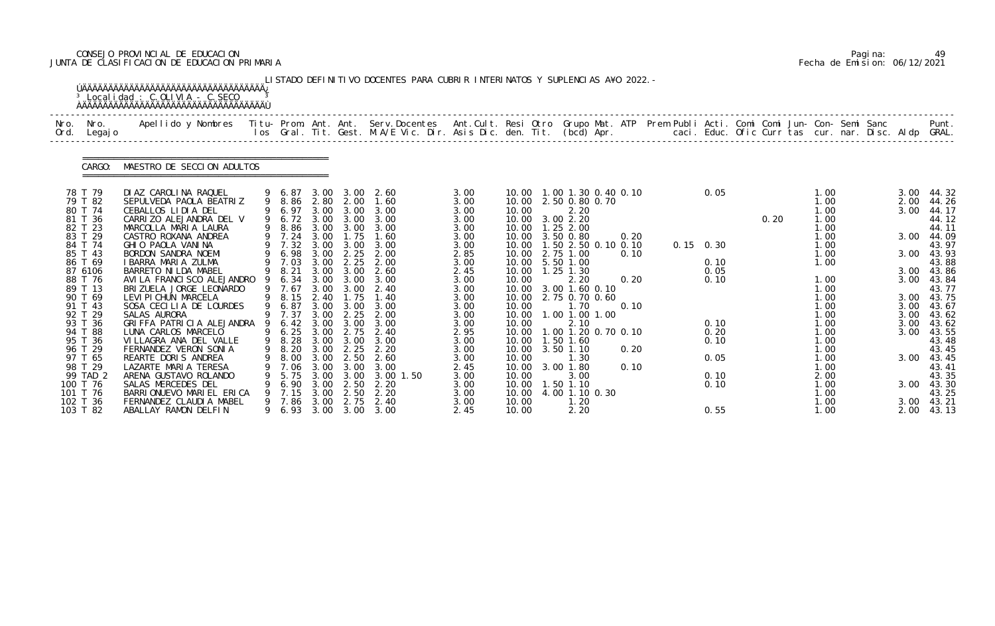# CONSEJO PROVINCIAL DE EDUCACION Pagina: 49 JUNTA DE CLASIFICACION DE EDUCACION PRIMARIA Fecha de Emision: 06/12/2021

|              |                                                                                                                                                                                                               | <sup>3</sup> Localidad : C.OLIVIA - C.SECO                                                                                                                                                                                                                                                                                                                                                                                                                                       |   |                                                                                                                                                                             |                                                                                                      |                                                                                                                                          | LISTADO DEFINITIVO DOCENTES PARA CUBRIR INTERINATOS Y SUPLENCIAS A¥O 2022. -                                                                                                                |                                                                                                                                                      |                                                                                                                   |                                                                                                                                                                                                                                                                                                                                 |                                      |  |                                                                           |      |                                                                                                                                              |  |                                                                              |                                                                                                                                                                                   |
|--------------|---------------------------------------------------------------------------------------------------------------------------------------------------------------------------------------------------------------|----------------------------------------------------------------------------------------------------------------------------------------------------------------------------------------------------------------------------------------------------------------------------------------------------------------------------------------------------------------------------------------------------------------------------------------------------------------------------------|---|-----------------------------------------------------------------------------------------------------------------------------------------------------------------------------|------------------------------------------------------------------------------------------------------|------------------------------------------------------------------------------------------------------------------------------------------|---------------------------------------------------------------------------------------------------------------------------------------------------------------------------------------------|------------------------------------------------------------------------------------------------------------------------------------------------------|-------------------------------------------------------------------------------------------------------------------|---------------------------------------------------------------------------------------------------------------------------------------------------------------------------------------------------------------------------------------------------------------------------------------------------------------------------------|--------------------------------------|--|---------------------------------------------------------------------------|------|----------------------------------------------------------------------------------------------------------------------------------------------|--|------------------------------------------------------------------------------|-----------------------------------------------------------------------------------------------------------------------------------------------------------------------------------|
| Nro.<br>Ord. | Nro.<br>Legaj o                                                                                                                                                                                               | Apellido y Nombres  Titu- Prom. Ant. Ant.  Serv.Docentes  Ant.Cult. Resi Otro  Grupo Mat. ATP  Prem Publi Acti. Comi Comi Jun- Con- Semi Sanc              Punt.<br>Ios Gral. Tit. Gest. M.A/E Vic. Dir. Asis Dic. den. Tit. (bcd                                                                                                                                                                                                                                                |   |                                                                                                                                                                             |                                                                                                      |                                                                                                                                          |                                                                                                                                                                                             |                                                                                                                                                      |                                                                                                                   |                                                                                                                                                                                                                                                                                                                                 |                                      |  |                                                                           |      |                                                                                                                                              |  |                                                                              |                                                                                                                                                                                   |
|              | CARGO:                                                                                                                                                                                                        | MAESTRO DE SECCION ADULTOS                                                                                                                                                                                                                                                                                                                                                                                                                                                       |   |                                                                                                                                                                             |                                                                                                      |                                                                                                                                          |                                                                                                                                                                                             |                                                                                                                                                      |                                                                                                                   |                                                                                                                                                                                                                                                                                                                                 |                                      |  |                                                                           |      |                                                                                                                                              |  |                                                                              |                                                                                                                                                                                   |
|              | 78 T 79<br>79 T 82<br>80 T 74<br>81 T 36<br>82 T 23<br>83 T 29<br>84 T 74<br>85 T 43<br>86 T 69<br>87 6106<br>88 T 76<br>89 T 13<br>90 T 69<br>91 T 43<br>92 T 29<br>93 T 36<br>94 T 88<br>95 T 36<br>96 T 29 | DI AZ CAROLINA RAQUEL<br>SEPULVEDA PAOLA BEATRIZ<br>CEBALLOS LIDIA DEL<br>CARRIZO ALEJANDRA DEL V<br>MARCOLLA MARIA LAURA<br>CASTRO ROXANA ANDREA<br>GHIO PAOLA VANINA<br>BORDON SANDRA NOEMI<br>I BARRA MARIA ZULMA<br>BARRETO NI LDA MABEL<br>AVI LA FRANCI SCO ALEJANDRO<br>BRIZUELA JORGE LEONARDO<br>LEVI PI CHUN MARCELA<br>SOSA CECILIA DE LOURDES<br>SALAS AURORA<br>GRIFFA PATRICIA ALEJANDRA<br>LUNA CARLOS MARCELO<br>VILLAGRA ANA DEL VALLE<br>FERNANDEZ VERON SONIA |   | 9 6.87<br>9 6.97<br>9 6.72 3.00<br>9 7.24<br>9 7.32<br>9 6.98<br>9 7.03<br>9 8.21<br>9 6.34<br>9 7.67<br>9 8.15<br>9 6.87<br>9 7.37<br>9 6.42<br>9 6.25 3.00<br>9 8.28 3.00 | 3.00<br>3.00<br>3.00<br>3.00<br>3.00<br>3.00<br>3.00<br>3.00<br>3.00<br>2.40<br>3.00<br>3.00<br>3.00 | 9 8.86 2.80 2.00<br>3.00<br>3.00<br>1.75<br>3.00<br>2.25<br>2.25<br>3.00<br>3.00<br>3.00<br>1.75<br>3.00<br>2.25<br>3.00<br>2.75<br>3.00 | 3.00 2.60<br>1.60<br>3.00<br>3.00<br>9 8.86 3.00 3.00 3.00<br>1.60<br>3.00<br>2.00<br>2.00<br>2.60<br>3.00<br>2.40<br>1.40<br>3.00<br>2.00<br>3.00<br>2.40<br>3.00<br>9 8.20 3.00 2.25 2.20 | 3.00<br>3.00<br>3.00<br>3.00<br>3.00<br>3.00<br>3.00<br>2.85<br>3.00<br>2.45<br>3.00<br>3.00<br>3.00<br>3.00<br>3.00<br>3.00<br>2.95<br>3.00<br>3.00 | 10.00<br>10.00<br>10.00<br>10.00<br>10.00<br>10.00<br>10.00<br>10.00<br>10.00<br>10.00<br>10.00<br>10.00<br>10.00 | 10.00  1.00  1.30  0.40  0.10<br>2.50 0.80 0.70<br>2.20<br>10.00 3.00 2.20<br>10.00  1.25  2.00<br>3.50 0.80<br>1.50 2.50 0.10 0.10<br>10.00 2.75 1.00<br>5.50 1.00<br>$1.25$ 1.30<br>2.20<br>3.00 1.60 0.10<br>2.75 0.70 0.60<br>1.70<br>1.00 1.00 1.00<br>2.10<br>1.00 1.20 0.70 0.10<br>10.00  1.50  1.60<br>10.00 3.50 1.10 | 0.20<br>0.10<br>0.20<br>0.10<br>0.20 |  | 0.05<br>$0.15 \quad 0.30$<br>0.10<br>0.05<br>0.10<br>0.10<br>0.20<br>0.10 | 0.20 | 1.00<br>1.00<br>1.00<br>1.00<br>1.00<br>1.00<br>1.00<br>1.00<br>1.00<br>1.00<br>1.00<br>1.00<br>1.00<br>1.00<br>1.00<br>1.00<br>1.00<br>1.00 |  | 2.00<br>3.00<br>3.00<br>3.00<br>3.00<br>3.00<br>3.00<br>3.00<br>3.00<br>3.00 | 3.00 44.32<br>44.26<br>44.17<br>44.12<br>44.11<br>44.09<br>43.97<br>43.93<br>43.88<br>43.86<br>43.84<br>43.77<br>3.00 43.75<br>43.67<br>43.62<br>43.62<br>43.55<br>43.48<br>43.45 |
|              | 97 T 65<br>98 T 29<br>99 TAD 2<br>100 T 76<br>101 T 76<br>102 T 36<br>103 T 82                                                                                                                                | REARTE DORIS ANDREA<br>LAZARTE MARIA TERESA<br>ARENA GUSTAVO ROLANDO<br>SALAS MERCEDES DEL<br>BARRIONUEVO MARIEL ERICA<br>FERNANDEZ CLAUDIA MABEL<br>ABALLAY RAMON DELFIN                                                                                                                                                                                                                                                                                                        | 9 | 8.00<br>7.06<br>5.75<br>6.90<br>7.15<br>9 7.86<br>9 6.93                                                                                                                    | 3.00<br>3.00<br>3.00<br>3.00<br>3.00<br>3.00<br>3.00                                                 | 2.50<br>3.00<br>3.00<br>2.50<br>2.50<br>2.75                                                                                             | 2.60<br>3.00<br>3.00 1.50<br>2.20<br>2.20<br>2.40<br>3.00 3.00                                                                                                                              | 3.00<br>2.45<br>3.00<br>3.00<br>3.00<br>3.00<br>2.45                                                                                                 | 10.00<br>10.00<br>10.00<br>10.00<br>10.00<br>10.00<br>10.00                                                       | 1.30<br>3.00 1.80<br>3.00<br>1.50 1.10<br>4.00 1.10 0.30<br>1.20<br>2.20                                                                                                                                                                                                                                                        | 0.10                                 |  | 0.05<br>0.10<br>0.10<br>0.55                                              |      | 1.00<br>1.00<br>2.00<br>1.00<br>1.00<br>1.00<br>1.00                                                                                         |  | 3.00<br>3.00<br>3.00                                                         | 43.45<br>43.41<br>43.35<br>43.30<br>43.25<br>43.21<br>2.00 43.13                                                                                                                  |

|  | Pagi na: | 49                           |
|--|----------|------------------------------|
|  |          | Fecha de Emision: 06/12/2021 |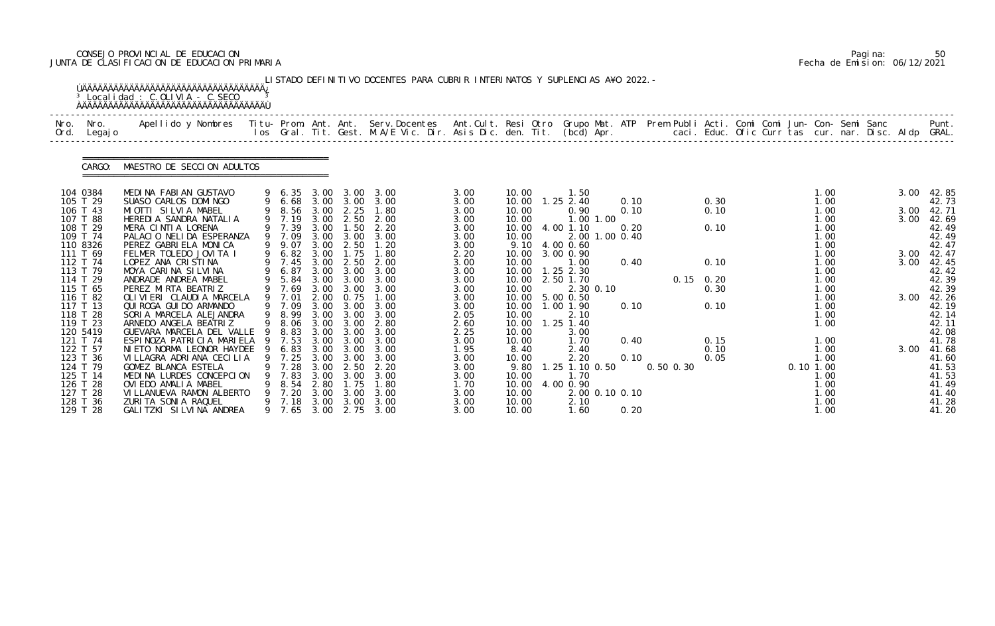# CONSEJO PROVINCIAL DE EDUCACION Pagina: 50 JUNTA DE CLASIFICACION DE EDUCACION PRIMARIA Fecha de Emision: 06/12/2021

|              |                      | <sup>3</sup> Localidad : C.OLIVIA - C.SECO                                                                                                                                                                                        |     |                |              |                   | LISTADO DEFINITIVO DOCENTES PARA CUBRIR INTERINATOS Y SUPLENCIAS A¥O 2022. - |              |                |                        |                |              |               |             |              |             |              |  |              |                |
|--------------|----------------------|-----------------------------------------------------------------------------------------------------------------------------------------------------------------------------------------------------------------------------------|-----|----------------|--------------|-------------------|------------------------------------------------------------------------------|--------------|----------------|------------------------|----------------|--------------|---------------|-------------|--------------|-------------|--------------|--|--------------|----------------|
| Nro.<br>Ord. | Nro.<br>Legaj o      | Apellido y Nombres  Titu- Prom. Ant. Ant.  Serv.Docentes  Ant.Cult. Resi Otro  Grupo Mat. ATP  Prem Publi Acti. Comi Comi Jun- Con- Semi Sanc              Punt.<br>Ios Gral. Tit. Gest. M.A/E Vic. Dir. Asis Dic. den. Tit. (bcd |     |                |              |                   |                                                                              |              |                |                        |                |              |               |             |              |             |              |  |              |                |
|              | CARGO:               | MAESTRO DE SECCION ADULTOS                                                                                                                                                                                                        |     |                |              |                   |                                                                              |              |                |                        |                |              |               |             |              |             |              |  |              |                |
|              | 104 0384             | MEDINA FABIAN GUSTAVO                                                                                                                                                                                                             |     | 9 6.35         | 3.00         | 3.00              | 3.00                                                                         | 3.00         | 10.00          | 1.50                   |                |              |               |             |              |             | 1.00         |  | 3.00         | 42.85          |
|              | 105 T 29<br>106 T 43 | SUASO CARLOS DOMINGO<br>MIOTTI SILVIA MABEL                                                                                                                                                                                       |     | 9 6.68<br>8.56 | 3.00         | 3.00 3.00<br>2.25 | 3.00<br>1.80                                                                 | 3.00<br>3.00 | 10.00<br>10.00 | $1.25$ 2.40<br>0.90    |                | 0.10<br>0.10 |               |             | 0.30<br>0.10 |             | 1.00<br>1.00 |  | 3.00         | 42.73<br>42.71 |
|              | 107 T 88             | HEREDIA SANDRA NATALIA                                                                                                                                                                                                            |     | 9 7.19         | 3.00         | 2.50              | 2.00                                                                         | 3.00         | 10.00          |                        | 1.00 1.00      |              |               |             |              |             | 1.00         |  | 3.00         | 42.69          |
|              | 108 T 29             | MERA CINTIA LORENA                                                                                                                                                                                                                |     | 9 7.39         | 3.00         | 1.50              | 2.20                                                                         | 3.00         | 10.00          | 4.00 1.10              |                | 0.20         |               |             | 0.10         |             | 1.00         |  |              | 42.49          |
|              | 109 T 74             | PALACIO NELIDA ESPERANZA                                                                                                                                                                                                          |     | 9 7.09         | 3.00         | 3.00              | 3.00                                                                         | 3.00         | 10.00          | 2.001                  |                | $1.00$ 0.40  |               |             |              |             | 1.00         |  |              | 42.49          |
|              | 110 8326             | PEREZ GABRIELA MONICA                                                                                                                                                                                                             |     | 9 9.07         | 3.00         | 2.50              | 1.20                                                                         | 3.00         | 9.10           | 4.00 0.60              |                |              |               |             |              |             | 1.00         |  |              | 42.47          |
|              | 111 T 69<br>112 T 74 | FELMER TOLEDO JOVITA I<br>LOPEZ ANA CRISTINA                                                                                                                                                                                      | 9   | 6.82<br>7.45   | 3.00<br>3.00 | 1.75<br>2.50      | 1.80<br>2.00                                                                 | 2.20<br>3.00 | 10.00<br>10.00 | 3.00 0.90<br>1.00      |                | 0.40         |               |             | 0.10         |             | 1.00<br>1.00 |  | 3.00<br>3.00 | 42.47<br>42.45 |
|              | 113 T 79             | MOYA CARINA SILVINA                                                                                                                                                                                                               |     | 6.87           | 3.00         | 3.00              | 3.00                                                                         | 3.00         | 10.00          | $1.25$ $2.30$          |                |              |               |             |              |             | 1.00         |  |              | 42.42          |
|              | 114 T 29             | ANDRADE ANDREA MABEL                                                                                                                                                                                                              |     | 9 5.84         | 3.00         | 3.00              | 3.00                                                                         | 3.00         | 10.00          | 2.50 1.70              |                |              |               | $0.15$ 0.20 |              |             | 1.00         |  |              | 42.39          |
|              | 115 T 65             | PEREZ MIRTA BEATRIZ                                                                                                                                                                                                               |     | 7.69           | 3.00         | 3.00              | 3.00                                                                         | 3.00         | 10.00          |                        | 2.30 0.10      |              |               |             | 0.30         |             | 1.00         |  |              | 42.39          |
|              | 116 T 82             | OLI VI ERI CLAUDI A MARCELA                                                                                                                                                                                                       |     | 9 7.01         | 2.00         | 0.75              | 1.00                                                                         | 3.00         | 10.00          | 5.00 0.50              |                |              |               |             |              |             | 1.00         |  | 3.00         | 42.26          |
|              | 117 T 13<br>118 T 28 | QUI ROGA GUI DO ARMANDO<br>SORIA MARCELA ALEJANDRA                                                                                                                                                                                | 9   | 9 7.09<br>8.99 | 3.00<br>3.00 | 3.00<br>3.00      | 3.00<br>3.00                                                                 | 3.00<br>2.05 | 10.00<br>10.00 | 1.00 1.90<br>2.10      |                | 0.10         |               |             | 0.10         |             | 1.00<br>1.00 |  |              | 42.19<br>42.14 |
|              | 119 T 23             | ARNEDO ANGELA BEATRIZ                                                                                                                                                                                                             |     | 8.06           | 3.00         | 3.00              | 2.80                                                                         | 2.60         | 10.00          | $1.25$ 1.40            |                |              |               |             |              |             | 1.00         |  |              | 42.11          |
|              | 120 5419             | GUEVARA MARCELA DEL VALLE                                                                                                                                                                                                         | -9  | 8.83           | 3.00         | 3.00              | 3.00                                                                         | 2.25         | 10.00          | 3.00                   |                |              |               |             |              |             |              |  |              | 42.08          |
|              | 121 T 74             | ESPINOZA PATRICIA MARIELA                                                                                                                                                                                                         | - 9 | 7.53           | 3.00         | 3.00              | 3.00                                                                         | 3.00         | 10.00          | 1.70                   |                | 0.40         |               |             | 0.15         |             | 1.00         |  |              | 41.78          |
|              | 122 T 57             | NIETO NORMA LEONOR HAYDEE 9                                                                                                                                                                                                       |     |                | 6.83 3.00    | 3.00              | 3.00                                                                         | 1.95         | 8.40           | 2.40                   |                |              |               |             | 0.10         |             | 1.00         |  | 3.00         | 41.68          |
|              | 123 T 36<br>124 T 79 | VI LLAGRA ADRI ANA CECILIA<br>GOMEZ BLANCA ESTELA                                                                                                                                                                                 | 9   | 7.25<br>7. 28  | 3.00<br>3.00 | 3.00<br>2.50      | 3.00<br>2.20                                                                 | 3.00<br>3.00 | 10.00<br>9.80  | 2.20<br>1.25 1.10 0.50 |                | 0.10         | $0.50$ $0.30$ | 0.05        |              | $0.10$ 1.00 | 1.00         |  |              | 41.60<br>41.53 |
|              | 125 T 14             | MEDINA LURDES CONCEPCION                                                                                                                                                                                                          |     | 7.83           | 3.00         | 3.00              | 3.00                                                                         | 3.00         | 10.00          | 1.70                   |                |              |               |             |              |             | 1. 00        |  |              | 41.53          |
|              | 126 T 28             | OVIEDO AMALIA MABEL                                                                                                                                                                                                               |     | 8. 54          | 2.80         | 1.75              | 1.80                                                                         | 1.70         | 10.00          | 4.00 0.90              |                |              |               |             |              |             | 1.00         |  |              | 41.49          |
|              | 127 T 28             | VI LLANUEVA RAMON ALBERTO                                                                                                                                                                                                         |     | 7.20           | 3.00         | 3.00              | 3.00                                                                         | 3.00         | 10.00          |                        | 2.00 0.10 0.10 |              |               |             |              |             | 1.00         |  |              | 41.40          |
|              | 128 T 36             | ZURITA SONIA RAQUEL                                                                                                                                                                                                               |     | 9 7.18         | 3.00         | 3.00              | 3.00                                                                         | 3.00         | 10.00          | 2.10                   |                |              |               |             |              |             | 1.00         |  |              | 41.28          |
|              | 129 T 28             | GALITZKI SILVINA ANDREA                                                                                                                                                                                                           |     | 9 7.65         | 3.00         |                   | 2.75 3.00                                                                    | 3.00         | 10.00          | 1.60                   |                | 0.20         |               |             |              |             | 1.00         |  |              | 41.20          |

|  | Pagi na: | 50                           |
|--|----------|------------------------------|
|  |          | Fecha de Emision: 06/12/2021 |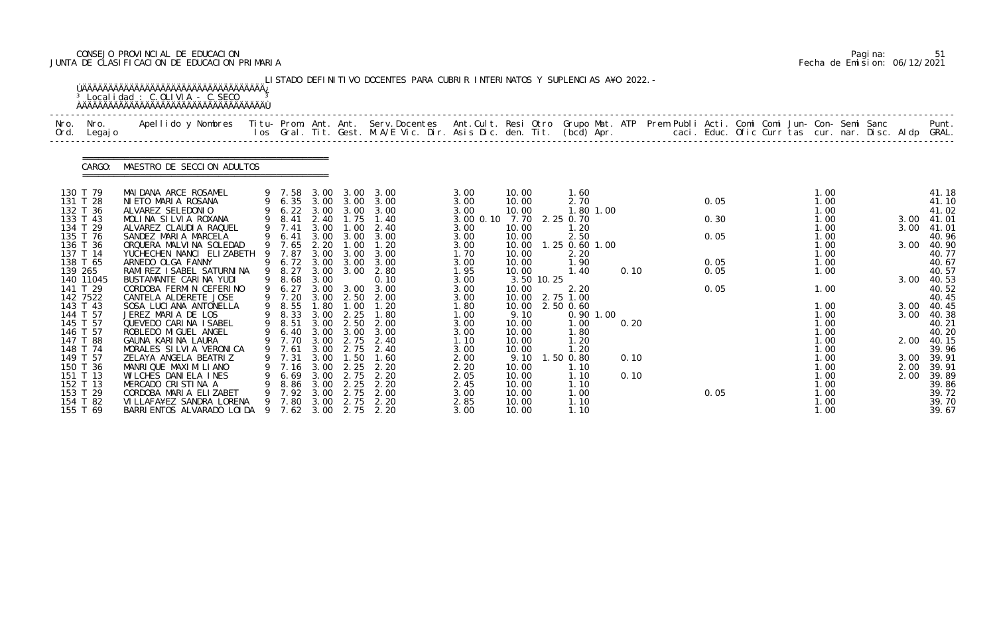# CONSEJO PROVINCIAL DE EDUCACION Pagina: 51 JUNTA DE CLASIFICACION DE EDUCACION PRIMARIA Fecha de Emision: 06/12/2021

|              |                                                                      | <sup>3</sup> Localidad : C.OLIVIA - C.SECO                                                                                                                                                                                        |         |                                                        |                                              |                                                   | LISTADO DEFINITIVO DOCENTES PARA CUBRIR INTERINATOS Y SUPLENCIAS A¥O 2022. - |                                              |                                                   |            |                                                               |              |                      |  |                                              |                              |                                                    |
|--------------|----------------------------------------------------------------------|-----------------------------------------------------------------------------------------------------------------------------------------------------------------------------------------------------------------------------------|---------|--------------------------------------------------------|----------------------------------------------|---------------------------------------------------|------------------------------------------------------------------------------|----------------------------------------------|---------------------------------------------------|------------|---------------------------------------------------------------|--------------|----------------------|--|----------------------------------------------|------------------------------|----------------------------------------------------|
| Nro.<br>Ord. | Nro.<br>Legaj o                                                      | Apellido y Nombres  Titu- Prom. Ant. Ant.  Serv.Docentes  Ant.Cult. Resi Otro  Grupo Mat. ATP  Prem Publi Acti. Comi Comi Jun- Con- Semi Sanc              Punt.<br>Ios Gral. Tit. Gest. M.A/E Vic. Dir. Asis Dic. den. Tit. (bcd |         |                                                        |                                              |                                                   |                                                                              |                                              |                                                   |            |                                                               |              |                      |  |                                              |                              |                                                    |
|              | CARGO:                                                               | MAESTRO DE SECCION ADULTOS                                                                                                                                                                                                        |         |                                                        |                                              |                                                   |                                                                              |                                              |                                                   |            |                                                               |              |                      |  |                                              |                              |                                                    |
|              | 130 T 79<br>131 T 28<br>132 T 36<br>133 T 43<br>134 T 29             | MAI DANA ARCE ROSAMEL<br>NIETO MARIA ROSANA<br>ALVAREZ SELEDONIO<br>MOLINA SILVIA ROXANA<br>ALVAREZ CLAUDIA RAQUEL                                                                                                                |         | 9 7.58<br>$9\quad 6.22$<br>9 8.41<br>$9$ 7.41          | 3.00<br>3.00<br>2.40<br>3.00                 | 9 6.35 3.00 3.00<br>3.00<br>1.75<br>1.00          | 3.00 3.00<br>3.00<br>3.00<br>1.40<br>2.40                                    | 3.00<br>3.00<br>3.00<br>3.00 0.10<br>3.00    | 10.00<br>10.00<br>10.00<br>7.70<br>10.00          |            | 1.60<br>2.70<br>1.80 1.00<br>2.25 0.70<br>1.20                |              | 0.05<br>0.30         |  | 1.00<br>1.00<br>1.00<br>1.00<br>1.00         | 3.00<br>3.00                 | 41.18<br>41.10<br>41.02<br>41.01<br>41.01          |
|              | 135 T 76<br>136 T 36<br>137 T 14<br>138 T 65<br>139 265<br>140 11045 | SANDEZ MARIA MARCELA<br>ORQUERA MALVINA SOLEDAD<br>YUCHECHEN NANCI ELIZABETH<br>ARNEDO OLGA FANNY<br>RAMI REZ I SABEL SATURNI NA<br>BUSTAMANTE CARINA YUDI                                                                        |         | 6.41<br>9 7.65<br>7.87<br>6.72<br>9 8.27<br>9 8.68     | 3.00<br>2.20<br>3.00<br>3.00<br>3.00<br>3.00 | 3.00<br>1.00<br>3.00<br>3.00<br>3.00              | 3.00<br>1.20<br>3.00<br>3.00<br>2.80<br>0.10                                 | 3.00<br>3.00<br>1.70<br>3.00<br>1.95<br>3.00 | 10.00<br>10.00<br>10.00<br>10.00<br>10.00         | 3.50 10.25 | 2.50<br>1.25 0.60 1.00<br>2.20<br>1.90<br>1.40                | 0.10         | 0.05<br>0.05<br>0.05 |  | 1.00<br>1.00<br>1.00<br>1.00<br>1.00         | 3.00<br>3.00                 | 40.96<br>40.90<br>40.77<br>40.67<br>40.57<br>40.53 |
|              | 141 T 29<br>142 7522<br>143 T 43<br>144 T 57<br>145 T 57<br>146 T 57 | CORDOBA FERMIN CEFERINO<br>CANTELA ALDERETE JOSE<br>SOSA LUCIANA ANTONELLA<br>JEREZ MARIA DE LOS<br>QUEVEDO CARINA ISABEL<br>ROBLEDO MI GUEL ANGEL                                                                                |         | 9 6.27<br>9 7.20<br>9 8.55<br>8.33<br>9 8.51<br>9 6.40 | 3.00<br>3.00<br>1.80<br>3.00<br>3.00         | 3.00<br>2.50<br>1.00<br>2.25<br>3.00 3.00         | 3.00<br>2.00<br>1.20<br>1.80<br>2.50 2.00<br>3.00                            | 3.00<br>3.00<br>1.80<br>1.00<br>3.00<br>3.00 | 10.00<br>10.00<br>10.00<br>9.10<br>10.00<br>10.00 |            | 2.20<br>2.75 1.00<br>2.50 0.60<br>$0.90$ 1.00<br>1.00<br>1.80 | 0.20         | 0.05                 |  | 1.00<br>1.00<br>1.00<br>1.00<br>1.00         | 3.00<br>3.00                 | 40.52<br>40.45<br>40.45<br>40.38<br>40.21<br>40.20 |
|              | 147 T 88<br>148 T 74<br>149 T 57<br>150 T 36<br>151 T 13<br>152 T 13 | GAUNA KARINA LAURA<br>MORALES SILVIA VERONICA<br>ZELAYA ANGELA BEATRIZ<br>MANRIQUE MAXIMILIANO<br>WILCHES DANIELA INES<br>MERCADO CRISTINA A                                                                                      | 9       | 9 7.70<br>9 7.61<br>7.31<br>7. 16<br>6.69<br>8.86      | 3.00<br>3.00<br>3.00<br>3.00<br>3.00         | 2.75<br>3.00 2.75<br>1.50<br>2.25<br>2.75<br>2.25 | 2.40<br>2.40<br>1.60<br>2.20<br>2.20<br>2.20                                 | 1.10<br>3.00<br>2.00<br>2.20<br>2.05<br>2.45 | 10.00<br>10.00<br>9.10<br>10.00<br>10.00<br>10.00 |            | 1.20<br>1.20<br>1.50 0.80<br>1.10<br>1.10<br>1.10             | 0.10<br>0.10 |                      |  | 1.00<br>1.00<br>1.00<br>1.00<br>1.00<br>1.00 | 2.00<br>3.00<br>2.00<br>2.00 | 40.15<br>39.96<br>39.91<br>39.91<br>39.89<br>39.86 |
|              | 153 T 29<br>154 T 82<br>155 T 69                                     | CORDOBA MARIA ELIZABET<br>VI LLAFA¥EZ SANDRA LORENA<br>BARRI ENTOS ALVARADO LOI DA                                                                                                                                                | 9<br>-9 | 7.92<br>7.80<br>7.62                                   | 3.00<br>3.00<br>3.00                         | 2.75<br>2.75                                      | 2.00<br>2.20<br>2.75 2.20                                                    | 3.00<br>2.85<br>3.00                         | 10.00<br>10.00<br>10.00                           |            | 1.00<br>1.10<br>1.10                                          |              | 0.05                 |  | 1.00<br>1.00<br>1.00                         |                              | 39.72<br>39.70<br>39.67                            |

|  | Pagi na: | 51                           |
|--|----------|------------------------------|
|  |          | Fecha de Emision: 06/12/2021 |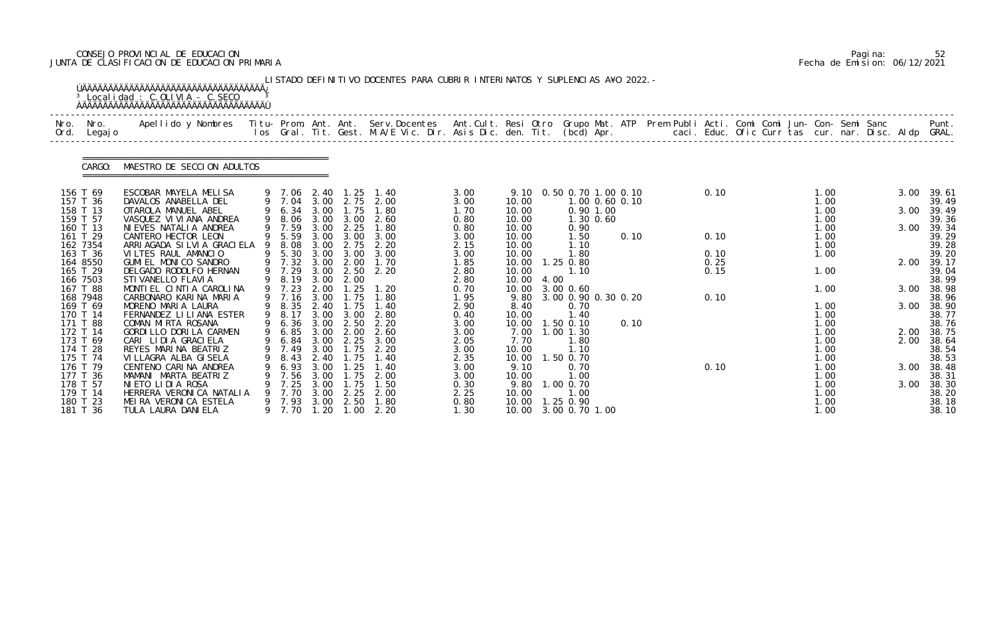# CONSEJO PROVINCIAL DE EDUCACION Pagina: 52 JUNTA DE CLASIFICACION DE EDUCACION PRIMARIA Fecha de Emision: 06/12/2021

| Nro.<br>Ord. | Nro.<br>Legaj o      | Apellido y Nombres - Titu- Prom. Ant. Ant. Serv.Docentes - Ant.Cult. Resi Otro Grupo Mat. ATP Prem Publi Acti. Comi Comi Jun- Con- Semi Sanc - - - - Punt.<br>Ios Gral. Tit. Gest. M.A/E Vic. Dir. Asis Dic. den. Tit. (bcd) Apr. |   |                       |              |                   |              |              |                |      |                              |                |      |      |  |              |      |                |
|--------------|----------------------|-----------------------------------------------------------------------------------------------------------------------------------------------------------------------------------------------------------------------------------|---|-----------------------|--------------|-------------------|--------------|--------------|----------------|------|------------------------------|----------------|------|------|--|--------------|------|----------------|
|              | CARGO:               | MAESTRO DE SECCION ADULTOS                                                                                                                                                                                                        |   |                       |              |                   |              |              |                |      |                              |                |      |      |  |              |      |                |
|              | 156 T 69<br>157 T 36 | ESCOBAR MAYELA MELISA<br>DAVALOS ANABELLA DEL                                                                                                                                                                                     |   | 9 7.06 2.40<br>9 7.04 |              | 1.25<br>3.00 2.75 | 1.40<br>2.00 | 3.00<br>3.00 | 10.00          |      | 9.10 0.50 0.70 1.00 0.10     | 1.00 0.60 0.10 |      | 0.10 |  | 1.00<br>1.00 | 3.00 | 39.61<br>39.49 |
|              | 158 T 13             | OTAROLA MANUEL ABEL                                                                                                                                                                                                               |   | 9 6.34                | 3.00         | 1.75              | 1.80         | 1.70         | 10.00          |      |                              | $0.90$ 1.00    |      |      |  | 1.00         | 3.00 | 39.49          |
|              | 159 T 57             | VASQUEZ VI VI ANA ANDREA                                                                                                                                                                                                          |   | 9 8.06                | 3.00         | 3.00              | 2.60         | 0.80         | 10.00          |      |                              | 1.30 0.60      |      |      |  | 1.00         |      | 39.36          |
|              | 160 T 13<br>161 T 29 | NI EVES NATALI A ANDREA<br>CANTERO HECTOR LEON                                                                                                                                                                                    |   | 9 7.59<br>9 5.59      | 3.00<br>3.00 | 2.25<br>3.00      | 1.80<br>3.00 | 0.80<br>3.00 | 10.00<br>10.00 |      | 0.90<br>1.50                 |                | 0.10 | 0.10 |  | 1.00<br>1.00 | 3.00 | 39.34<br>39.29 |
|              | 162 7354             | ARRI AGADA SI LVI A GRACI ELA                                                                                                                                                                                                     |   | 8.08                  | 3.00         | 2.75              | 2.20         | 2.15         | 10.00          |      | 1.10                         |                |      |      |  | 1.00         |      | 39.28          |
|              | 163 T 36             | VILTES RAUL AMANCIO                                                                                                                                                                                                               |   | 9 5.30                | 3.00         | 3.00              | 3.00         | 3.00         | 10.00          |      | 1.80                         |                |      | 0.10 |  | 1.00         |      | 39.20          |
|              | 164 8550             | GUMI EL MONICO SANDRO                                                                                                                                                                                                             |   | 9 7.32                | 3.00         | 2.00              | 1.70         | 1.85         | 10.00          |      | 1.25 0.80                    |                |      | 0.25 |  |              | 2.00 | 39.17          |
|              | 165 T 29<br>166 7503 | DELGADO RODOLFO HERNAN<br>STI VANELLO FLAVI A                                                                                                                                                                                     |   | 9 7.29<br>9 8.19      | 3.00<br>3.00 | 2.50<br>2.00      | 2.20         | 2.80<br>2.80 | 10.00<br>10.00 | 4.00 | 1.10                         |                |      | 0.15 |  | 1.00         |      | 39.04<br>38.99 |
|              | 167 T 88             | MONTIEL CINTIA CAROLINA                                                                                                                                                                                                           |   | 9 7.23                | 2.00         | . 25              | 1.20         | 0.70         |                |      | 10.00 3.00 0.60              |                |      |      |  | 1.00         | 3.00 | 38.98          |
|              | 168 7948             | CARBONARO KARINA MARIA                                                                                                                                                                                                            |   | 9 7.16                | 3.00         | 1.75              | 1.80         | 1.95         | 9.80           |      | 3.00 0.90 0.30 0.20          |                |      | 0.10 |  |              |      | 38.96          |
|              | 169 T 69             | MORENO MARIA LAURA                                                                                                                                                                                                                |   | 9 8.35                | 2.40         | 1.75              | 1.40         | 2.90         | 8.40           |      | 0.70                         |                |      |      |  | 1.00         | 3.00 | 38.90          |
|              | 170 T 14             | FERNANDEZ LILIANA ESTER                                                                                                                                                                                                           |   | 9 8.17                | 3.00         | 3.00              | 2.80         | 0.40         | 10.00          |      | 1.40                         |                |      |      |  | 1.00         |      | 38.77          |
|              | 171 T 88<br>172 T 14 | COMAN MIRTA ROSANA<br>GORDILLO DORILA CARMEN                                                                                                                                                                                      |   | 9 6.36 3.00<br>9 6.85 | 3.00         | 2.50<br>2.00      | 2.20<br>2.60 | 3.00<br>3.00 | 10.00<br>7.00  |      | $1.50$ 0.10<br>$1.00$ $1.30$ |                | 0.10 |      |  | 1.00<br>1.00 | 2.00 | 38.76<br>38.75 |
|              | 173 T 69             | CARI LIDIA GRACIELA                                                                                                                                                                                                               |   | 9 6.84 3.00           |              | 2.25              | 3.00         | 2.05         | 7.70           |      | 1.80                         |                |      |      |  | 1.00         | 2.00 | 38.64          |
|              | 174 T 28             | REYES MARINA BEATRIZ                                                                                                                                                                                                              |   | 9 7.49                | 3.00         | 1.75              | 2.20         | 3.00         | 10.00          |      | 1.10                         |                |      |      |  | 1.00         |      | 38.54          |
|              | 175 T 74             | VI LLAGRA ALBA GI SELA                                                                                                                                                                                                            | 9 | 8.43                  | 2.40         | 1.75              | 1.40         | 2.35         | 10.00          |      | 1.50 0.70                    |                |      |      |  | 1.00         |      | 38.53          |
|              | 176 T 79             | CENTENO CARINA ANDREA                                                                                                                                                                                                             |   | 6.93                  | 3.00         | . 25              | 1.40         | 3.00         | 9.10           |      | 0.70                         |                |      | 0.10 |  | 1.00         | 3.00 | 38.48          |
|              | 177 T 36<br>178 T 57 | MAMANI MARTA BEATRIZ<br>NIETO LIDIA ROSA                                                                                                                                                                                          |   | 7.56<br>7.25          | 3.00<br>3.00 | . 75<br>1.75      | 2.00<br>1.50 | 3.00<br>0.30 | 10.00<br>9.80  |      | 1.00<br>1.00 0.70            |                |      |      |  | 1.00<br>1.00 | 3.00 | 38.31<br>38.30 |
|              | 179 T 14             | HERRERA VERONICA NATALIA                                                                                                                                                                                                          |   | 7.70                  | 3.00         | 2.25              | 2.00         | 2.25         | 10.00          |      | 1.00                         |                |      |      |  | 1.00         |      | 38.20          |
|              | 180 T 23             | MEIRA VERONICA ESTELA                                                                                                                                                                                                             |   | 9 7.93                | 3.00         | 2.50              | 1.80         | 0.80         | 10.00          |      | 1.25 0.90                    |                |      |      |  | 1.00         |      | 38.18          |
|              | 181 T 36             | TULA LAURA DANI ELA                                                                                                                                                                                                               |   | 9 7.70                | 1.20         | 1.00              | 2.20         | 1.30         |                |      | 10.00 3.00 0.70 1.00         |                |      |      |  | 1.00         |      | 38.10          |

|  | Pagi na: | 52                           |
|--|----------|------------------------------|
|  |          | Fecha de Emision: 06/12/2021 |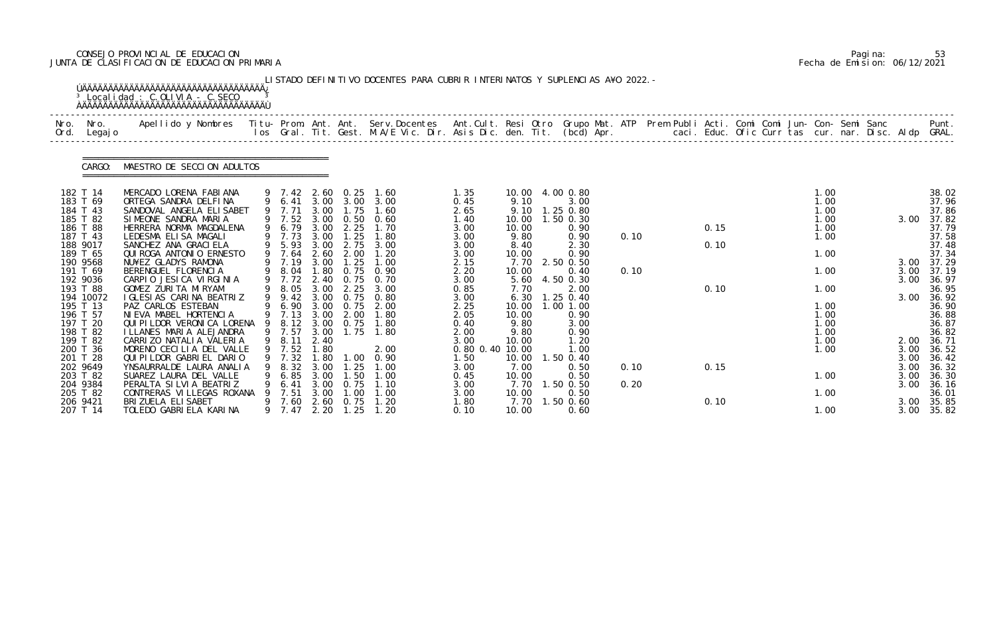# CONSEJO PROVINCIAL DE EDUCACION Pagina: 53 JUNTA DE CLASIFICACION DE EDUCACION PRIMARIA Fecha de Emision: 06/12/2021

|              |                                                                                                                                                                                                                                               | <sup>3</sup> Localidad : C.OLIVIA - C.SECO                                                                                                                                                                                                                                                                                                                                                                                                                                                                                                |    |                                                                                                                                                                                                                 |                                                                                                                                      |                                                                                                                                                       | LISTADO DEFINITIVO DOCENTES PARA CUBRIR INTERINATOS Y SUPLENCIAS A¥O 2022. -                                                                                     |                                                                                                                                                                         |                                                                                                                                                      |                                                                                                                                                                                                            |              |                      |  |                                                                                                                      |                                                              |                                                                                                                                                                                  |
|--------------|-----------------------------------------------------------------------------------------------------------------------------------------------------------------------------------------------------------------------------------------------|-------------------------------------------------------------------------------------------------------------------------------------------------------------------------------------------------------------------------------------------------------------------------------------------------------------------------------------------------------------------------------------------------------------------------------------------------------------------------------------------------------------------------------------------|----|-----------------------------------------------------------------------------------------------------------------------------------------------------------------------------------------------------------------|--------------------------------------------------------------------------------------------------------------------------------------|-------------------------------------------------------------------------------------------------------------------------------------------------------|------------------------------------------------------------------------------------------------------------------------------------------------------------------|-------------------------------------------------------------------------------------------------------------------------------------------------------------------------|------------------------------------------------------------------------------------------------------------------------------------------------------|------------------------------------------------------------------------------------------------------------------------------------------------------------------------------------------------------------|--------------|----------------------|--|----------------------------------------------------------------------------------------------------------------------|--------------------------------------------------------------|----------------------------------------------------------------------------------------------------------------------------------------------------------------------------------|
| Nro.<br>Ord. | Nro.<br>Legaj o                                                                                                                                                                                                                               | Apellido y Nombres - Titu- Prom. Ant. Ant. Serv.Docentes - Ant.Cult. Resi Otro Grupo Mat. ATP Prem Publi Acti. Comi Comi Jun- Con- Semi Sanc - - - Punt.<br>Ios Gral. Tit. Gest. M.A/E Vic. Dir. Asis Dic. den. Tit. (bcd) Apr. -                                                                                                                                                                                                                                                                                                         |    |                                                                                                                                                                                                                 |                                                                                                                                      |                                                                                                                                                       |                                                                                                                                                                  |                                                                                                                                                                         |                                                                                                                                                      |                                                                                                                                                                                                            |              |                      |  |                                                                                                                      |                                                              |                                                                                                                                                                                  |
|              | CARGO:                                                                                                                                                                                                                                        | MAESTRO DE SECCION ADULTOS                                                                                                                                                                                                                                                                                                                                                                                                                                                                                                                |    |                                                                                                                                                                                                                 |                                                                                                                                      |                                                                                                                                                       |                                                                                                                                                                  |                                                                                                                                                                         |                                                                                                                                                      |                                                                                                                                                                                                            |              |                      |  |                                                                                                                      |                                                              |                                                                                                                                                                                  |
|              | 182 T 14<br>183 T 69<br>184 T 43<br>185 T 82<br>186 T 88<br>187 T 43<br>188 9017<br>189 T 65<br>190 9568<br>191 T 69<br>192 9036<br>193 T 88<br>194 10072<br>195 T 13<br>196 T 57<br>197 T 20<br>198 T 82<br>199 T 82<br>200 T 36<br>201 T 28 | MERCADO LORENA FABIANA<br>ORTEGA SANDRA DELFINA<br>SANDOVAL ANGELA ELISABET<br>SIMEONE SANDRA MARIA<br>HERRERA NORMA MAGDALENA<br>LEDESMA ELISA MAGALI<br>SANCHEZ ANA GRACI ELA<br>QUI ROGA ANTONIO ERNESTO<br>NU¥EZ GLADYS RAMONA<br>BERENGUEL FLORENCIA<br>CARPIO JESICA VIRGINIA<br>GOMEZ ZURI TA MI RYAM<br>I GLESIAS CARINA BEATRIZ<br>PAZ CARLOS ESTEBAN<br>NI EVA MABEL HORTENCIA<br>QUI PI LDOR VERONI CA LORENA<br>I LLANES MARIA ALEJANDRA<br>CARRIZO NATALIA VALERIA<br>MORENO CECILIA DEL VALLE<br>QUI PI LDOR GABRI EL DARIO | 9  | 9 7.42 2.60 0.25<br>9 6.41<br>9 7.71<br>9 7.52<br>9 6.79<br>9 7.73<br>9 5.93<br>9 7.64<br>7.19<br>9 8.04<br>9 7.72<br>9 8.05<br>$9 \t 9.42$<br>9 6.90<br>9 7.13<br>9 8.12<br>9 7.57<br>9 8.11<br>9 7.52<br>7.32 | 3.00<br>3.00<br>3.00<br>3.00<br>3.00<br>2.60<br>3.00<br>1.80<br>3.00<br>3.00<br>3.00<br>3.00<br>3.00<br>3.00<br>2.40<br>1.80<br>. 80 | 3.00 3.00<br>1.75<br>2.25<br>$\overline{\phantom{0}}$ . 25<br>2.75<br>2.00<br>1.25<br>2.40 0.75<br>2.25<br>0.75<br>0.75<br>2.00<br>0.75<br>1.75<br>00 | 1.60<br>3.00<br>1.60<br>$0.50$ 0.60<br>1.70<br>1.80<br>3.00<br>1.20<br>1.00<br>0.75 0.90<br>0.70<br>3.00<br>0.80<br>2.00<br>1.80<br>1.80<br>1.80<br>2.00<br>0.90 | 1.35<br>0.45<br>2.65<br>1.40<br>3.00<br>3.00<br>3.00<br>3.00<br>2.15<br>2.20<br>3.00<br>0.85<br>3.00<br>2.25<br>2.05<br>0.40<br>2.00<br>3.00<br>0.80 0.40 10.00<br>1.50 | 9.10<br>9.10<br>10.00<br>10.00<br>9.80<br>8.40<br>10.00<br>7.70<br>10.00<br>5.60<br>7.70<br>6.30<br>10.00<br>10.00<br>9.80<br>9.80<br>10.00<br>10.00 | 10.00 4.00 0.80<br>3.00<br>1.25 0.80<br>1.50 0.30<br>0.90<br>0.90<br>2.30<br>0.90<br>2.50 0.50<br>0.40<br>4.50 0.30<br>2.00<br>1.25 0.40<br>1.00 1.00<br>0.90<br>3.00<br>0.90<br>1.20<br>1.00<br>1.50 0.40 | 0.10<br>0.10 | 0.15<br>0.10<br>0.10 |  | 1.00<br>1.00<br>1.00<br>1.00<br>1.00<br>1.00<br>1.00<br>1.00<br>1.00<br>1.00<br>1.00<br>1.00<br>1.00<br>1.00<br>1.00 | 3.00<br>3.00<br>3.00<br>3.00<br>3.00<br>2.00<br>3.00<br>3.00 | 38.02<br>37.96<br>37.86<br>37.82<br>37.79<br>37.58<br>37.48<br>37.34<br>37.29<br>37.19<br>36.97<br>36.95<br>36.92<br>36.90<br>36.88<br>36.87<br>36.82<br>36.71<br>36.52<br>36.42 |
|              | 202 9649<br>203 T 82<br>204 9384<br>205 T 82<br>206 9421<br>207 T 14                                                                                                                                                                          | YNSAURRALDE LAURA ANALIA<br>SUAREZ LAURA DEL VALLE<br>PERALTA SI LVI A BEATRIZ<br>CONTRERAS VILLEGAS ROXANA<br>BRIZUELA ELISABET<br>TOLEDO GABRIELA KARINA                                                                                                                                                                                                                                                                                                                                                                                | 9. | 8.32<br>6.85<br>6. 41<br>7.51<br>9 7.60<br>9 7.47                                                                                                                                                               | 3.00<br>3.00<br>3.00<br>3.00<br>2.60<br>2.20                                                                                         | . 25<br>. 50<br>0.75<br>.00<br>0.75<br>1.25                                                                                                           | 1.00<br>1. 00<br>1.10<br>1. 00<br>1.20<br>1.20                                                                                                                   | 3.00<br>0.45<br>3.00<br>3.00<br>1.80<br>0.10                                                                                                                            | 7.00<br>10.00<br>7.70<br>10.00<br>7.70<br>10.00                                                                                                      | 0.50<br>0.50<br>1.50 0.50<br>0.50<br>1.50 0.60<br>0.60                                                                                                                                                     | 0.10<br>0.20 | 0.15<br>0.10         |  | 1.00<br>1.00<br>1.00                                                                                                 | 3.00<br>3.00<br>3.00<br>3.00<br>3.00                         | 36.32<br>36.30<br>36.16<br>36.01<br>35.85<br>35.82                                                                                                                               |

|  | Pagi na: | 53                           |
|--|----------|------------------------------|
|  |          | Fecha de Emision: 06/12/2021 |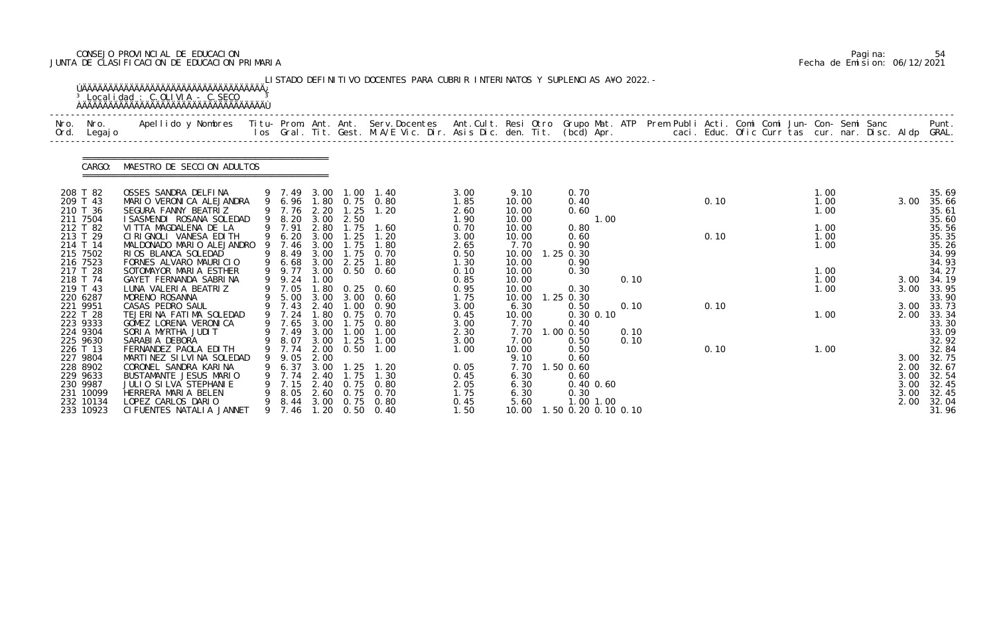# CONSEJO PROVINCIAL DE EDUCACION Pagina: 54 JUNTA DE CLASIFICACION DE EDUCACION PRIMARIA Fecha de Emision: 06/12/2021

| Nro.<br>Ord. | Nro.<br>Legaj o                                                                                 | Apellido y Nombres - Titu- Prom. Ant. Ant. Serv.Docentes - Ant.Cult. Resi Otro Grupo Mat. ATP Prem Publi Acti. Comi Comi Jun- Con- Semi Sanc - - - Punt.<br>Ios Gral. Tit. Gest. M.A/E Vic. Dir. Asis Dic. den. Tit. (bcd) Apr. - |   |                                                                        |                                                      |                                                     |                                                                                             |                                                              |                                                                    |                                                                                               |      |              |              |  |                                              |  |                                                          |                                                                      |
|--------------|-------------------------------------------------------------------------------------------------|-----------------------------------------------------------------------------------------------------------------------------------------------------------------------------------------------------------------------------------|---|------------------------------------------------------------------------|------------------------------------------------------|-----------------------------------------------------|---------------------------------------------------------------------------------------------|--------------------------------------------------------------|--------------------------------------------------------------------|-----------------------------------------------------------------------------------------------|------|--------------|--------------|--|----------------------------------------------|--|----------------------------------------------------------|----------------------------------------------------------------------|
|              | CARGO:                                                                                          | MAESTRO DE SECCION ADULTOS                                                                                                                                                                                                        |   |                                                                        |                                                      |                                                     |                                                                                             |                                                              |                                                                    |                                                                                               |      |              |              |  |                                              |  |                                                          |                                                                      |
|              | 208 T 82<br>209 T 43<br>210 T 36<br>211 7504<br>212 T 82<br>213 T 29<br>214 T 14<br>215 7502    | OSSES SANDRA DELFINA<br>MARIO VERONICA ALEJANDRA<br>SEGURA FANNY BEATRIZ<br>I SASMENDI ROSANA SOLEDAD<br>VI TTA MAGDALENA DE LA<br>CIRIGNOLI VANESA EDITH<br>MALDONADO MARIO ALEJANDRO<br>RIOS BLANCA SOLEDAD                     | 9 | 9 7.49<br>9 6.96<br>9 7.76<br>9 8.20<br>9 7.91<br>6.20<br>7.46<br>8.49 | 3.00<br>2.20<br>3.00<br>2.80<br>3.00<br>3.00<br>3.00 | 1.00<br>1.25<br>2.50<br>1.75<br>.25<br>1.75<br>1.75 | 1. 40<br>1.80 0.75 0.80<br>1.20<br>1.60<br>1.20<br>1.80<br>0.70                             | 3.00<br>1.85<br>2.60<br>1.90<br>0.70<br>3.00<br>2.65<br>0.50 | 9.10<br>10.00<br>10.00<br>10.00<br>10.00<br>10.00<br>7.70<br>10.00 | 0.70<br>0.40<br>0.60<br>0.80<br>0.60<br>0.90<br>1.25 0.30                                     | 1.00 |              | 0.10<br>0.10 |  | 1.00<br>1.00<br>1.00<br>1.00<br>1.00<br>1.00 |  | 3.00                                                     | 35.69<br>35.66<br>35.61<br>35.60<br>35.56<br>35.35<br>35.26<br>34.99 |
|              | 216 7523<br>217 T 28<br>218 T 74<br>219 T 43<br>220 6287<br>221 9951                            | FORNES ALVARO MAURICIO<br>SOTOMAYOR MARIA ESTHER<br>GAYET FERNANDA SABRINA<br>LUNA VALERIA BEATRIZ<br>MORENO ROSANNA<br>CASAS PEDRO SAUL                                                                                          |   | 6.68<br>9 9.77<br>9 9.24<br>9 7.05<br>9 5.00<br>9 7.43                 | 3.00<br>1.00<br>1.80<br>3.00<br>2.40                 | 2.25<br>$\overline{\phantom{0}}$ . 00               | 1.80<br>3.00 0.50 0.60<br>$0.25 \quad 0.60$<br>$3.00 \quad 0.60$<br>0.90                    | 1.30<br>0.10<br>0.85<br>0.95<br>1.75                         | 10.00<br>10.00<br>10.00<br>10.00<br>10.00<br>6.30                  | 0.90<br>0.30<br>0.30<br>$1.25$ 0.30<br>0.50                                                   |      | 0.10<br>0.10 | 0.10         |  | 1.00<br>1.00<br>1.00                         |  | 3.00<br>3.00<br>3.00                                     | 34.93<br>34.27<br>34.19<br>33.95<br>33.90<br>33.73                   |
|              | 222 T 28<br>223 9333<br>224 9304<br>225 9630                                                    | TEJERINA FATIMA SOLEDAD<br>GOMEZ LORENA VERONICA<br>SORIA MYRTHA JUDIT<br>SARABI A DEBORA                                                                                                                                         | 9 | 7.24<br>9 7.65<br>9 7.49<br>9 8.07                                     | .80<br>3.00<br>3.00<br>3.00                          | 0.75<br>1.75<br>1.00<br>1.25                        | 0.70<br>0.80<br>1.00<br>1.00                                                                | 3.00<br>0.45<br>3.00<br>2.30<br>3.00                         | 10.00<br>7.70<br>7.70<br>7.00                                      | $0.30$ $0.10$<br>0.40<br>$1.00$ $0.50$<br>0.50                                                |      | 0.10<br>0.10 |              |  | 1.00                                         |  | 2.00                                                     | 33.34<br>33.30<br>33.09<br>32.92<br>32.84                            |
|              | 226 T 13<br>227 9804<br>228 8902<br>229 9633<br>230 9987<br>231 10099<br>232 10134<br>233 10923 | FERNANDEZ PAOLA EDITH<br>MARTINEZ SILVINA SOLEDAD<br>CORONEL SANDRA KARINA<br>BUSTAMANTE JESUS MARIO<br>JULIO SILVA STEPHANIE<br>HERRERA MARIA BELEN<br>LOPEZ CARLOS DARIO<br>CI FUENTES NATALIA JANNET                           | 9 | 9 7.74<br>9.05 2.00<br>9 7.74<br>9 7.15<br>8.05<br>9 7.46              | $6.37 \quad 3.00$<br>2.40                            | 2.00 0.50<br>1.25<br>1.75<br>2.40 0.75              | 1.00<br>1. 20<br>1.30<br>0. 80<br>2.60 0.75 0.70<br>9 8.44 3.00 0.75 0.80<br>1.20 0.50 0.40 | 1.00<br>0.05<br>0.45<br>2.05<br>1.75<br>0.45<br>1.50         | 10.00<br>9.10<br>7.70<br>6.30<br>6.30<br>6.30<br>5.60<br>10.00     | 0.50<br>0.60<br>1.50 0.60<br>0.60<br>$0.40$ $0.60$<br>0.30<br>1.00 1.00<br>.50 0.20 0.10 0.10 |      |              | 0.10         |  | 1.00                                         |  | 3.00 32.75<br>2.00<br>3.00 32.54<br>3.00<br>3.00<br>2.00 | 32.67                                                                |

|  | Pagi na: | 54                           |
|--|----------|------------------------------|
|  |          | Fecha de Emision: 06/12/2021 |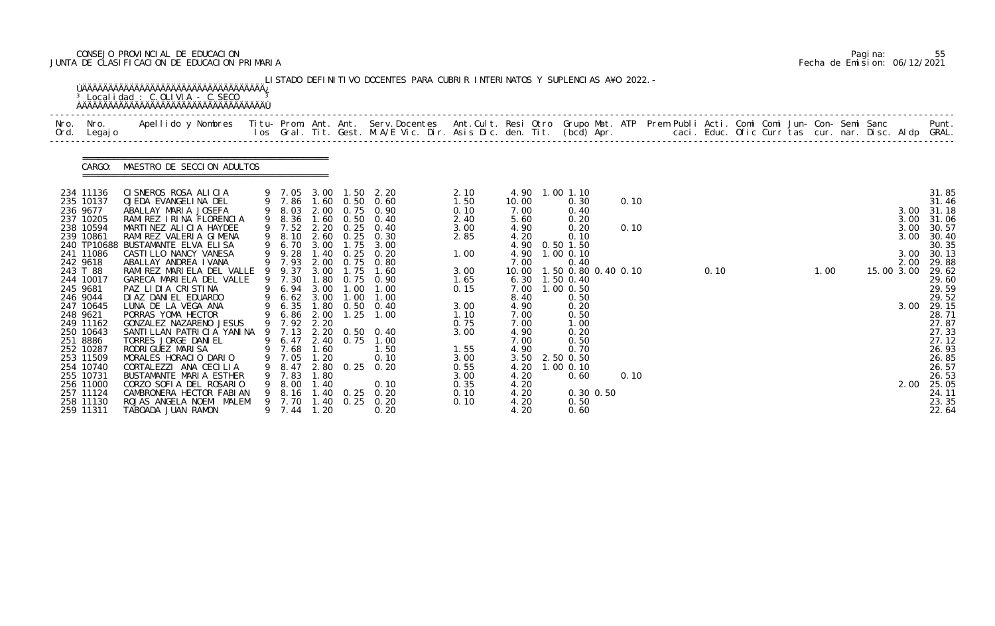# CONSEJO PROVINCIAL DE EDUCACION Pagina: 55 JUNTA DE CLASIFICACION DE EDUCACION PRIMARIA Fecha de Emision: 06/12/2021

| 234 11136<br>235 10137<br>236 9677<br>237 10205<br>238 10594<br>239 10861<br>241 11086<br>242 9618<br>243 T 88<br>244 10017 | CARGO: | MAESTRO DE SECCION ADULTOS<br>CISNEROS ROSA ALICIA<br>OJEDA EVANGELINA DEL<br>ABALLAY MARIA JOSEFA<br>RAMIREZ IRINA FLORENCIA<br>MARTINEZ ALICIA HAYDEE<br>RAMI REZ VALERIA GIMENA<br>240 TP10688 BUSTAMANTE ELVA ELISA |        | 9 7.86<br>9 8.03<br>9 8.36<br>9 7.52 | 2.00<br>1.60 | 1.60 0.50<br>0.75 0.90 | 9 7.05 3.00 1.50 2.20<br>0.60 | 2.10<br>1.50 | 10.00        | 4.90 1.00 1.10 |                               |      |  |      |  |      |  |            |                |
|-----------------------------------------------------------------------------------------------------------------------------|--------|-------------------------------------------------------------------------------------------------------------------------------------------------------------------------------------------------------------------------|--------|--------------------------------------|--------------|------------------------|-------------------------------|--------------|--------------|----------------|-------------------------------|------|--|------|--|------|--|------------|----------------|
|                                                                                                                             |        |                                                                                                                                                                                                                         |        |                                      |              |                        |                               |              |              |                |                               |      |  |      |  |      |  |            |                |
|                                                                                                                             |        |                                                                                                                                                                                                                         |        |                                      |              |                        |                               |              |              |                |                               |      |  |      |  |      |  |            | 31.85<br>31.46 |
|                                                                                                                             |        |                                                                                                                                                                                                                         |        |                                      |              |                        |                               | 0.10         | 7.00         |                | 0.30<br>0.40                  | 0.10 |  |      |  |      |  | 3.00       | 31.18          |
|                                                                                                                             |        |                                                                                                                                                                                                                         |        |                                      |              | 0.50                   | 0.40                          | 2.40         | 5.60         |                | 0.20                          |      |  |      |  |      |  | 3.00       | 31.06          |
|                                                                                                                             |        |                                                                                                                                                                                                                         |        |                                      |              | 2.20 0.25              | 0.40                          | 3.00         | 4.90         |                | 0.20                          | 0.10 |  |      |  |      |  | 3.00       | 30.57          |
|                                                                                                                             |        |                                                                                                                                                                                                                         |        | 8.10                                 | 2.60         | 0.25                   | 0.30                          | 2.85         | 4.20         |                | 0.10                          |      |  |      |  |      |  | 3.00       | 30.40          |
|                                                                                                                             |        | CASTILLO NANCY VANESA                                                                                                                                                                                                   | 9<br>9 | 6.70<br>9.28                         | 3.00<br>1.40 | 1.75<br>0.25           | 3.00<br>0.20                  | 1.00         | 4.90         |                | 4.90 0.50 1.50<br>1.00 0.10   |      |  |      |  |      |  | 3.00       | 30.35<br>30.13 |
|                                                                                                                             |        | ABALLAY ANDREA IVANA                                                                                                                                                                                                    |        | 7.93                                 | 2.00         | 0.75                   | 0.80                          |              | 7.00         |                | 0.40                          |      |  |      |  |      |  | 2.00       | 29.88          |
|                                                                                                                             |        | RAMI REZ MARI ELA DEL VALLE                                                                                                                                                                                             |        | 9 9.37                               | 3.00         | 1.75                   | 1.60                          | 3.00         | 10.00        |                | 1.50 0.80 0.40 0.10           |      |  | 0.10 |  | 1.00 |  | 15.00 3.00 | 29.62          |
|                                                                                                                             |        | GARECA MARIELA DEL VALLE                                                                                                                                                                                                |        | 9 7.30                               | 1.80         |                        | $0.75$ 0.90                   | 1.65         |              |                | 6.30 1.50 0.40                |      |  |      |  |      |  |            | 29.60          |
| 245 9681                                                                                                                    |        | PAZ LIDIA CRISTINA                                                                                                                                                                                                      |        | 6.94                                 | 3.00         | $\overline{0}$ .       | 1.00                          | 0.15         | 7.00         |                | $1.00$ 0.50                   |      |  |      |  |      |  |            | 29.59          |
| 246 9044                                                                                                                    |        | DI AZ DANI EL EDUARDO<br>LUNA DE LA VEGA ANA                                                                                                                                                                            | 9      | 6.62                                 | 3.00         | 1.00                   | 1.00<br>0.40                  |              | 8.40         |                | 0.50                          |      |  |      |  |      |  | 3.00       | 29.52          |
| 247 10645<br>248 9621                                                                                                       |        | PORRAS YOMA HECTOR                                                                                                                                                                                                      |        | 6.35<br>6.86                         | 2.00         | 1.80 0.50<br>1.25      | 1.00                          | 3.00<br>1.10 | 4.90<br>7.00 |                | 0.20<br>0.50                  |      |  |      |  |      |  |            | 29.15<br>28.71 |
| 249 11162                                                                                                                   |        | GONZALEZ NAZARENO JESUS                                                                                                                                                                                                 |        | 9 7.92                               | 2.20         |                        |                               | 0.75         | 7.00         |                | 1.00                          |      |  |      |  |      |  |            | 27.87          |
| 250 10643                                                                                                                   |        | SANTILLAN PATRICIA YANINA 9 7.13 2.20 0.50 0.40                                                                                                                                                                         |        |                                      |              |                        |                               | 3.00         | 4.90         |                | 0.20                          |      |  |      |  |      |  |            | 27.33          |
| 251 8886                                                                                                                    |        | TORRES JORGE DANIEL                                                                                                                                                                                                     |        | 9 6.47                               |              | 2.40 0.75              | 1.00                          |              | 7.00         |                | 0.50                          |      |  |      |  |      |  |            | 27.12          |
| 252 10287                                                                                                                   |        | RODRI GUEZ MARI SA                                                                                                                                                                                                      |        | 9 7.68                               | 1.60         |                        | 1.50                          | 1.55         | 4.90         |                | 0.70                          |      |  |      |  |      |  |            | 26.93          |
| 253 11509<br>254 10740                                                                                                      |        | MORALES HORACIO DARIO<br>CORTALEZZI ANA CECILIA                                                                                                                                                                         |        | 7.05<br>8.47                         | 1.20         |                        | 0.10<br>2.80 0.25 0.20        | 3.00<br>0.55 | 4.20         |                | 3.50 2.50 0.50<br>$1.00$ 0.10 |      |  |      |  |      |  |            | 26.85<br>26.57 |
| 255 10731                                                                                                                   |        | BUSTAMANTE MARIA ESTHER                                                                                                                                                                                                 |        | 7.83                                 | 1.80         |                        |                               | 3.00         | 4.20         |                | 0.60                          | 0.10 |  |      |  |      |  |            | 26.53          |
| 256 11000                                                                                                                   |        | CORZO SOFIA DEL ROSARIO                                                                                                                                                                                                 |        | 8.00                                 | 1.40         |                        | 0.10                          | 0.35         | 4.20         |                |                               |      |  |      |  |      |  | 2.00       | 25.05          |
| 257 11124                                                                                                                   |        | CAMBRONERA HECTOR FABIAN                                                                                                                                                                                                |        | 8.16                                 | 1.40         | 0.25                   | 0.20                          | 0.10         | 4.20         |                | 0.30 0.50                     |      |  |      |  |      |  |            | 24.11          |
| 258 11130<br>259 11311                                                                                                      |        | ROJAS ANGELA NOEMI MALEM<br>TABOADA JUAN RAMON                                                                                                                                                                          |        | 9 7.70<br>9 7.44                     | 1.40<br>1.20 | 0.25                   | 0. 20<br>0.20                 | 0.10         | 4.20<br>4.20 |                | 0.50<br>0.60                  |      |  |      |  |      |  |            | 23.35<br>22.64 |

|  | Pagi na: |                              |
|--|----------|------------------------------|
|  |          | Fecha de Emision: 06/12/2021 |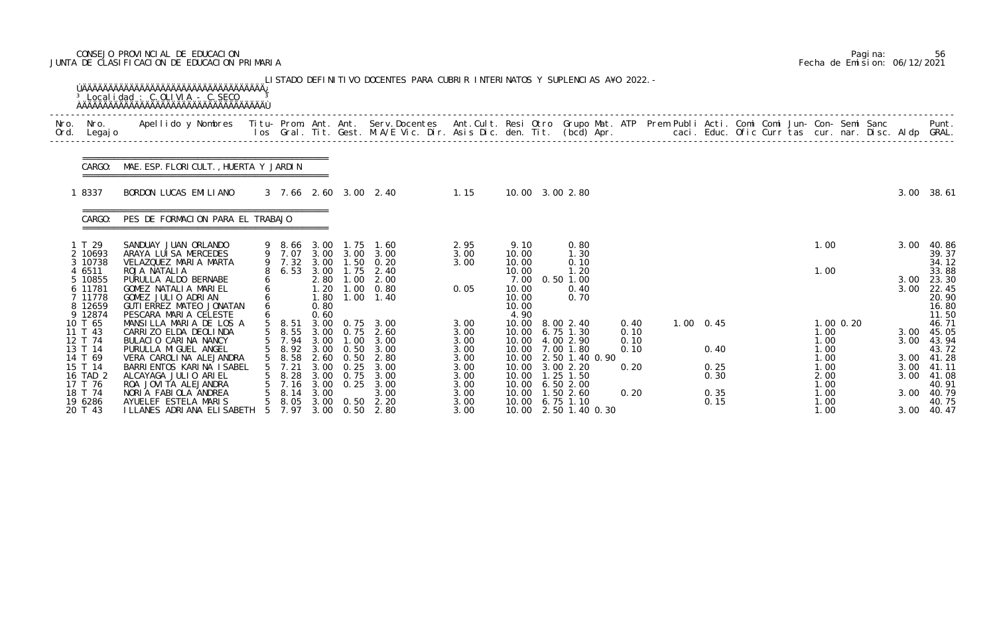# CONSEJO PROVINCIAL DE EDUCACION Pagina: 56 JUNTA DE CLASIFICACION DE EDUCACION PRIMARIA Fecha de Emision: 06/12/2021

|              |                                                               | <sup>3</sup> Localidad : C.OLIVIA - C.SECO                                                                                                     |   |                                         |                                              |                               | LISTADO DEFINITIVO DOCENTES PARA CUBRIR INTERINATOS Y SUPLENCIAS A¥O 2022. -                                                   |                              |                                                  |                                                                                 |                              |                |              |  |                              |             |              |                                                    |
|--------------|---------------------------------------------------------------|------------------------------------------------------------------------------------------------------------------------------------------------|---|-----------------------------------------|----------------------------------------------|-------------------------------|--------------------------------------------------------------------------------------------------------------------------------|------------------------------|--------------------------------------------------|---------------------------------------------------------------------------------|------------------------------|----------------|--------------|--|------------------------------|-------------|--------------|----------------------------------------------------|
| Nro.<br>Ord. | Nro.<br>Legaj o                                               | Apellido y Nombres - Titu- Prom. Ant. Ant. Serv.Docentes - Ant.Cult. Resi Otro Grupo Mat. ATP - Prem Publi Acti. Comi Comi Jun- Con- Semi Sanc |   |                                         |                                              |                               | los Gral. Tit. Gest. M.A/E Vic. Dir. Asis Dic. den. Tit. (bcd) Apr.       caci. Educ. Ofic Curr tas cur. nar. Disc. Aldp GRAL. |                              |                                                  |                                                                                 |                              |                |              |  |                              |             |              | Punt.                                              |
|              |                                                               | CARGO: MAE. ESP. FLORI CULT., HUERTA Y JARDIN                                                                                                  |   |                                         |                                              |                               |                                                                                                                                |                              |                                                  |                                                                                 |                              |                |              |  |                              |             |              |                                                    |
|              | 18337                                                         | BORDON LUCAS EMILIANO                                                                                                                          |   |                                         |                                              |                               | 3 7.66 2.60 3.00 2.40<br>1.15                                                                                                  |                              |                                                  | 10.00 3.00 2.80                                                                 |                              |                |              |  |                              |             |              | 3.00 38.61                                         |
|              | CARGO:                                                        | PES DE FORMACION PARA EL TRABAJO                                                                                                               |   |                                         |                                              |                               |                                                                                                                                |                              |                                                  |                                                                                 |                              |                |              |  |                              |             |              |                                                    |
|              | 1 T 29<br>2 10693<br>3 10738                                  | SANDUAY JUAN ORLANDO<br>ARAYA LUISA MERCEDES<br>VELAZQUEZ MARIA MARTA                                                                          |   | 9 8.66 3.00<br>9 7.07 3.00<br>9 7.32    | 3.00                                         | 1.75<br>3.00 3.00             | 1.60<br>3.00<br>$1.50 \t 0.20$                                                                                                 | 2.95<br>3.00<br>3.00         | 9.10<br>10.00<br>10.00                           | 0.80<br>1.30<br>0.10                                                            |                              |                |              |  | 1.00                         |             | 3.00         | 40.86<br>39.37<br>34.12                            |
|              | 4 6511<br>5 10855<br>6 11781<br>7 11778<br>8 12659<br>9 12874 | ROJA NATALIA<br>PURULLA ALDO BERNABE<br>GOMEZ NATALIA MARIEL<br>GOMEZ JULIO ADRIAN<br>GUTI ERREZ MATEO JONATAN<br>PESCARA MARIA CELESTE        | 6 | 6.53                                    | 3.00<br>2.80<br>1.20<br>1.80<br>0.80<br>0.60 | 1.75                          | 2.40<br>$1.00$ $2.00$<br>$1.00 \t 0.80$<br>$1.00 \quad 1.40$                                                                   | 0.05                         | 10.00<br>7.00<br>10.00<br>10.00<br>10.00<br>4.90 | 1.20<br>$0.50$ 1.00<br>0.40<br>0.70                                             |                              |                |              |  | 1.00                         |             | 3.00<br>3.00 | 33.88<br>23.30<br>22.45<br>20.90<br>16.80<br>11.50 |
|              | 10 T 65<br>11 T 43<br>12 T 74<br>13 T 14                      | MANSILLA MARIA DE LOS A<br>CARRIZO ELDA DEOLINDA<br>BULACIO CARINA NANCY<br>PURULLA MI GUEL ANGEL                                              |   | $5$ 8.51<br>5 8.55<br>5 7.94            | 3.00                                         | 1.00<br>5 8.92 3.00 0.50      | 3.00 0.75 3.00<br>3.00 0.75 2.60<br>3.00<br>3.00                                                                               | 3.00<br>3.00<br>3.00<br>3.00 | 10.00                                            | 8.00 2.40<br>10.00 6.75 1.30<br>10.00 4.00 2.90<br>10.00 7.00 1.80              | 0.40<br>0.10<br>0.10<br>0.10 | $1.00 \t 0.45$ | 0.40         |  | 1.00<br>1.00<br>1.00         | $1.00$ 0.20 | 3.00<br>3.00 | 46.71<br>45.05<br>43.94<br>43.72                   |
|              | 14 T 69<br>15 T 14<br>16 TAD 2<br>17 T 76                     | VERA CAROLINA ALEJANDRA<br>BARRI ENTOS KARI NA I SABEL<br>ALCAYAGA JULIO ARIEL<br>ROA JOVITA ALEJANDRA                                         |   | 8.58<br>$5 \quad 7.21$<br>8. 28<br>7.16 | 2.60<br>3.00<br>3.00<br>3.00                 | 0. 50<br>0.25<br>0.75<br>0.25 | 2.80<br>3.00<br>3.00<br>3.00                                                                                                   | 3.00<br>3.00<br>3.00<br>3.00 |                                                  | 10.00 2.50 1.40 0.90<br>10.00 3.00 2.20<br>10.00  1.25  1.50<br>10.00 6.50 2.00 | 0.20                         |                | 0.25<br>0.30 |  | 1.00<br>1.00<br>2.00<br>1.00 |             |              | 3.00 41.28<br>3.00 41.11<br>3.00 41.08<br>40.91    |
|              | 18 T 74<br>19 6286<br>20 T 43                                 | NORIA FABIOLA ANDREA<br>AYUELEF ESTELA MARIS<br>I LLANES ADRI ANA ELI SABETH                                                                   |   | 8.14<br>8. 05<br>7.97                   | 3.00                                         | $3.00 \quad 0.50$             | 3.00<br>2.20<br>3.00 0.50 2.80                                                                                                 | 3.00<br>3.00<br>3.00         |                                                  | 10.00  1.50  2.60<br>10.00 6.75 1.10<br>10.00 2.50 1.40 0.30                    | 0.20                         |                | 0.35<br>0.15 |  | 1.00<br>1.00<br>1.00         |             | 3.00         | 40.79<br>40.75<br>3.00 40.47                       |

|  | Pagi na: | 56                           |
|--|----------|------------------------------|
|  |          | Fecha de Emision: 06/12/2021 |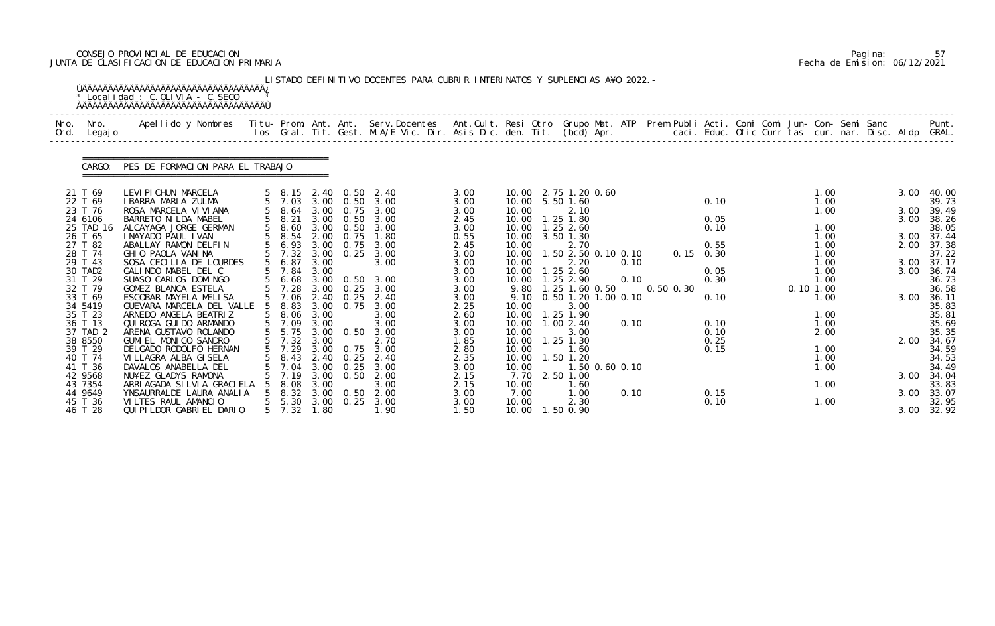# CONSEJO PROVINCIAL DE EDUCACION Pagina: 57 JUNTA DE CLASIFICACION DE EDUCACION PRIMARIA Fecha de Emision: 06/12/2021

|              |                    | <sup>3</sup> Localidad : C.OLIVIA - C.SECO                                                                                               |                |                  |      |                   | LISTADO DEFINITIVO DOCENTES PARA CUBRIR INTERINATOS Y SUPLENCIAS A¥O 2022. –                                             |              |                |                   |             |                      |                             |               |                   |  |          |              |  |      |                |
|--------------|--------------------|------------------------------------------------------------------------------------------------------------------------------------------|----------------|------------------|------|-------------------|--------------------------------------------------------------------------------------------------------------------------|--------------|----------------|-------------------|-------------|----------------------|-----------------------------|---------------|-------------------|--|----------|--------------|--|------|----------------|
| Nro.<br>Ord. | Nro.<br>Legaj o    | Apellido y Nombres Titu- Prom. Ant. Ant. Serv.Docentes Ant.Cult. Resi Otro Grupo Mat. ATP Prem Publi Acti. Comi Comi Jun- Con- Semi Sanc |                |                  |      |                   | los Gral. Tit. Gest. M.A/E Vic. Dir. Asis Dic. den. Tit. (bcd) Apr. caci. Educ. Ofic Curr tas cur. nar. Disc. Aldp GRAL. |              |                |                   |             |                      |                             |               |                   |  |          |              |  |      | Punt.          |
|              | CARGO:             | PES DE FORMACION PARA EL TRABAJO                                                                                                         |                |                  |      |                   |                                                                                                                          |              |                |                   |             |                      |                             |               |                   |  |          |              |  |      |                |
|              | 21 T 69            | LEVI PI CHUN MARCELA                                                                                                                     |                | 5 8.15           |      | 2.40 0.50         | 2.40                                                                                                                     | 3.00         |                |                   |             | 10.00 2.75 1.20 0.60 |                             |               |                   |  |          | 1.00         |  | 3.00 | 40.00          |
|              | 22 T 69            | I BARRA MARIA ZULMA                                                                                                                      |                | 5 7.03           |      | $3.00 \quad 0.50$ | 3.00                                                                                                                     | 3.00         |                | 10.00 5.50 1.60   |             |                      |                             |               | 0.10              |  |          | 1.00         |  |      | 39.73          |
|              | 23 T 76            | ROSA MARCELA VI VI ANA                                                                                                                   |                | 5 8.64           | 3.00 | 0.75              | 3.00                                                                                                                     | 3.00         | 10.00          |                   |             | 2.10                 |                             |               |                   |  |          | 1.00         |  | 3.00 | 39.49          |
|              | 24 6106            | BARRETO NI LDA MABEL                                                                                                                     |                | 5 8.21           | 3.00 | 0.50              | 3.00                                                                                                                     | 2.45         | 10.00          |                   | $1.25$ 1.80 |                      |                             |               | 0.05              |  |          |              |  | 3.00 | 38.26          |
|              | 25 TAD 16          | ALCAYAGA JORGE GERMAN                                                                                                                    |                | 8.60<br>8.54     |      | $3.00 \quad 0.50$ | 3.00                                                                                                                     | 3.00         |                | 10.00  1.25  2.60 |             |                      |                             |               | 0.10              |  |          | 1.00         |  |      | 38.05          |
|              | 26 T 65            | I NAYADO PAUL I VAN                                                                                                                      |                |                  | 2.00 | 0.75              | 1.80                                                                                                                     | 0.55         |                | 10.00 3.50 1.30   |             |                      |                             |               |                   |  |          | 1.00         |  |      | 3.00 37.44     |
|              | 27 T 82            | ABALLAY RAMON DELFIN                                                                                                                     |                | 5 6.93           | 3.00 | 0.75              | 3.00                                                                                                                     | 2.45         | 10.00          |                   |             | 2.70                 |                             |               | 0.55              |  |          | 1.00         |  |      | 2.00 37.38     |
|              | 28 T 74<br>29 T 43 | GHIO PAOLA VANINA<br>SOSA CECILIA DE LOURDES                                                                                             |                | 5 7.32<br>5 6.87 | 3.00 | $3.00 \quad 0.25$ | 3.00<br>3.00                                                                                                             | 3.00<br>3.00 | 10.00<br>10.00 |                   |             | 2.20                 | 1.50 2.50 0.10 0.10<br>0.10 |               | $0.15 \quad 0.30$ |  |          | 1.00<br>1.00 |  | 3.00 | 37.22<br>37.17 |
|              | 30 TAD2            | GALINDO MABEL DEL C                                                                                                                      |                | 7.84             | 3.00 |                   |                                                                                                                          | 3.00         |                | 10.00  1.25  2.60 |             |                      |                             |               | 0.05              |  |          | 1.00         |  | 3.00 | 36.74          |
|              | 31 T 29            | SUASO CARLOS DOMINGO                                                                                                                     |                | 5 6.68           |      | 3.00 0.50         | 3.00                                                                                                                     | 3.00         |                | 10.00  1.25  2.90 |             |                      | 0.10                        |               | 0.30              |  |          | 1.00         |  |      | 36.73          |
|              | 32 T 79            | GOMEZ BLANCA ESTELA                                                                                                                      |                | 7.28             | 3.00 | 0.25              | 3.00                                                                                                                     | 3.00         | 9.80           |                   |             | 1.25 1.60 0.50       |                             | $0.50$ $0.30$ |                   |  | 0.101.00 |              |  |      | 36.58          |
|              | 33 T 69            | ESCOBAR MAYELA MELISA                                                                                                                    | 5 <sup>5</sup> | 7.06             |      | $2.40 \quad 0.25$ | 2.40                                                                                                                     | 3.00         | 9.10           |                   |             |                      | 0.50 1.20 1.00 0.10         |               | 0.10              |  |          | 1.00         |  | 3.00 | 36.11          |
|              | 34 5419            | GUEVARA MARCELA DEL VALLE                                                                                                                |                | 8.83             |      | 3.00 0.75         | 3.00                                                                                                                     | 2.25         | 10.00          |                   |             | 3.00                 |                             |               |                   |  |          |              |  |      | 35.83          |
|              | 35 T 23            | ARNEDO ANGELA BEATRIZ                                                                                                                    |                | 5 8.06           | 3.00 |                   | 3.00                                                                                                                     | 2.60         | 10.00          |                   | 1.25 1.90   |                      |                             |               |                   |  |          | 1.00         |  |      | 35.81          |
|              | 36 T 13            | QUI ROGA GUI DO ARMANDO                                                                                                                  |                | 5 7.09           | 3.00 |                   | 3.00                                                                                                                     | 3.00         | 10.00          |                   | 1.00 2.40   |                      | 0.10                        |               | 0.10              |  |          | 1.00         |  |      | 35.69          |
|              | 37 TAD 2           | ARENA GUSTAVO ROLANDO                                                                                                                    |                |                  |      |                   | 5 5.75 3.00 0.50 3.00<br>5 7.32 3.00 2.70                                                                                | 3.00         | 10.00          |                   |             | 3.00                 |                             |               | 0.10              |  |          | 2.00         |  |      | 35.35          |
|              | 38 8550            | GUMI EL MONICO SANDRO                                                                                                                    |                |                  |      |                   |                                                                                                                          | 1.85         | 10.00          |                   | $1.25$ 1.30 |                      |                             |               | 0.25              |  |          |              |  | 2.00 | 34.67          |
|              | 39 T 29            | DELGADO RODOLFO HERNAN                                                                                                                   |                | 5 7.29           |      |                   | 3.00 0.75 3.00                                                                                                           | 2.80         | 10.00          |                   |             | 1.60                 |                             |               | 0.15              |  |          | 1.00         |  |      | 34.59          |
|              | 40 T 74            | VI LLAGRA ALBA GI SELA                                                                                                                   |                | 8.43             |      | 2.40 0.25         | 2.40                                                                                                                     | 2.35         | 10.00          |                   | 1.50 1.20   |                      |                             |               |                   |  |          | 1.00         |  |      | 34.53          |
|              | 41 T 36            | DAVALOS ANABELLA DEL                                                                                                                     |                | 7.04             | 3.00 | 0.25              | 3.00                                                                                                                     | 3.00         | 10.00          |                   |             |                      | 1.50 0.60 0.10              |               |                   |  |          | 1.00         |  |      | 34.49          |
|              | 42 9568            | NU¥EZ GLADYS RAMONA                                                                                                                      |                | 7.19             | 3.00 | 0.50              | 2.00                                                                                                                     | 2.15         | 7.70           |                   | 2.50 1.00   |                      |                             |               |                   |  |          |              |  | 3.00 | 34.04          |
|              | 43 7354            | ARRIAGADA SILVIA GRACIELA                                                                                                                |                | 8.08             | 3.00 |                   | 3.00                                                                                                                     | 2.15         | 10.00          |                   |             | 1. 60                |                             |               |                   |  |          | 1.00         |  |      | 33.83          |
|              | 44 9649            | YNSAURRALDE LAURA ANALIA                                                                                                                 |                | 8.32             | 3.00 | 0.50              | 2.00                                                                                                                     | 3.00         | 7.00           |                   |             | 1. 00                | 0.10                        |               | 0.15              |  |          |              |  | 3.00 | 33.07          |
|              | 45 T 36            | VILTES RAUL AMANCIO                                                                                                                      |                | 5 5.30           | 3.00 | 0.25              | 3.00                                                                                                                     | 3.00         | 10.00          |                   |             | 2.30                 |                             |               | 0.10              |  |          | 1.00         |  |      | 32.95          |
|              | 46 T 28            | QUI PI LDOR GABRI EL DARIO                                                                                                               |                | $5 \quad 7.32$   | 1.80 |                   | 1.90                                                                                                                     | 1.50         | 10.00          |                   | 1.50 0.90   |                      |                             |               |                   |  |          |              |  |      | 3.00 32.92     |

|  | Pagi na: | 57                           |
|--|----------|------------------------------|
|  |          | Fecha de Emision: 06/12/2021 |